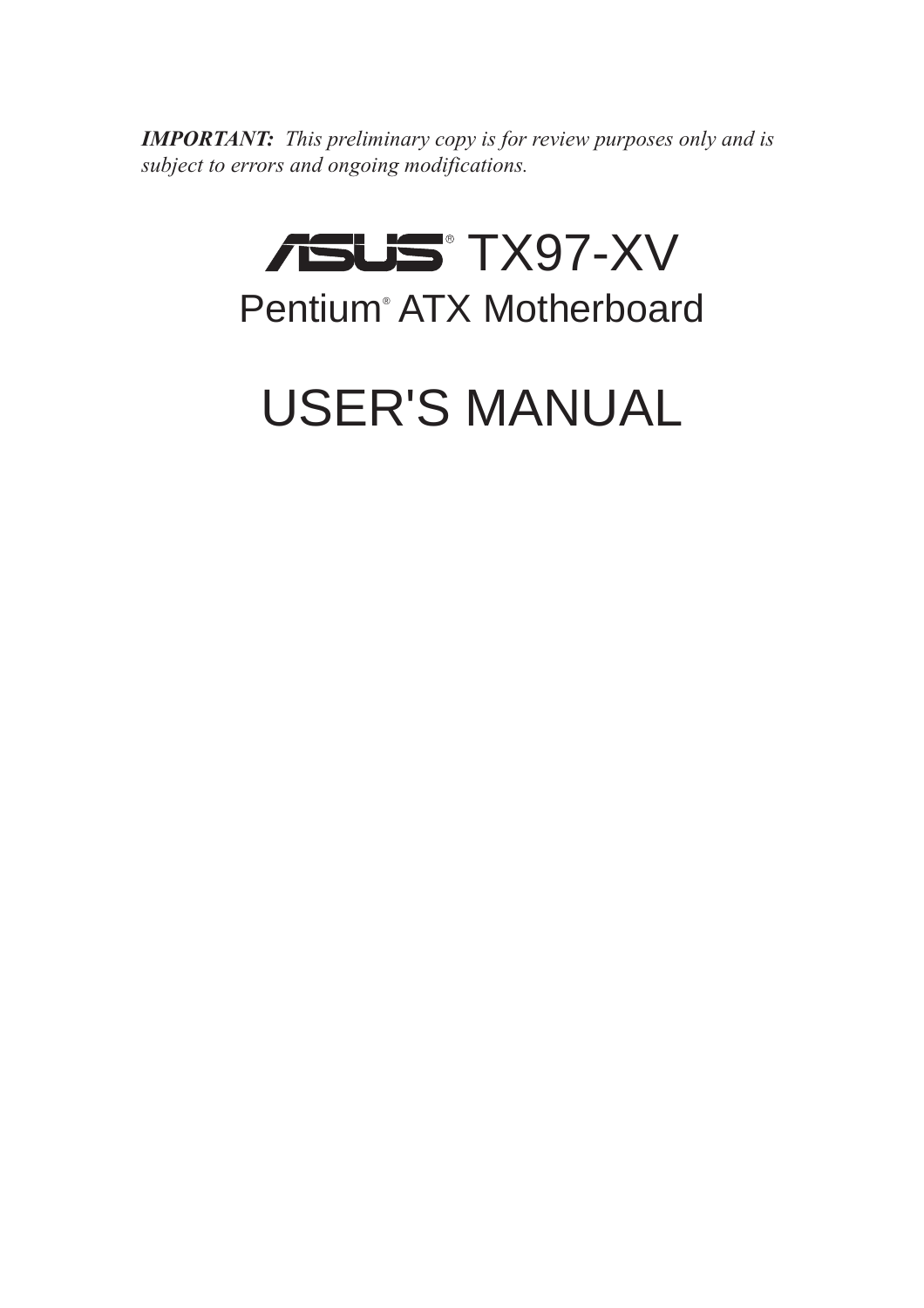*IMPORTANT: This preliminary copy is for review purposes only and is subject to errors and ongoing modifications.*

# $^{\circ}$  TX97-XV Pentium® ATX Motherboard

USER'S MANUAL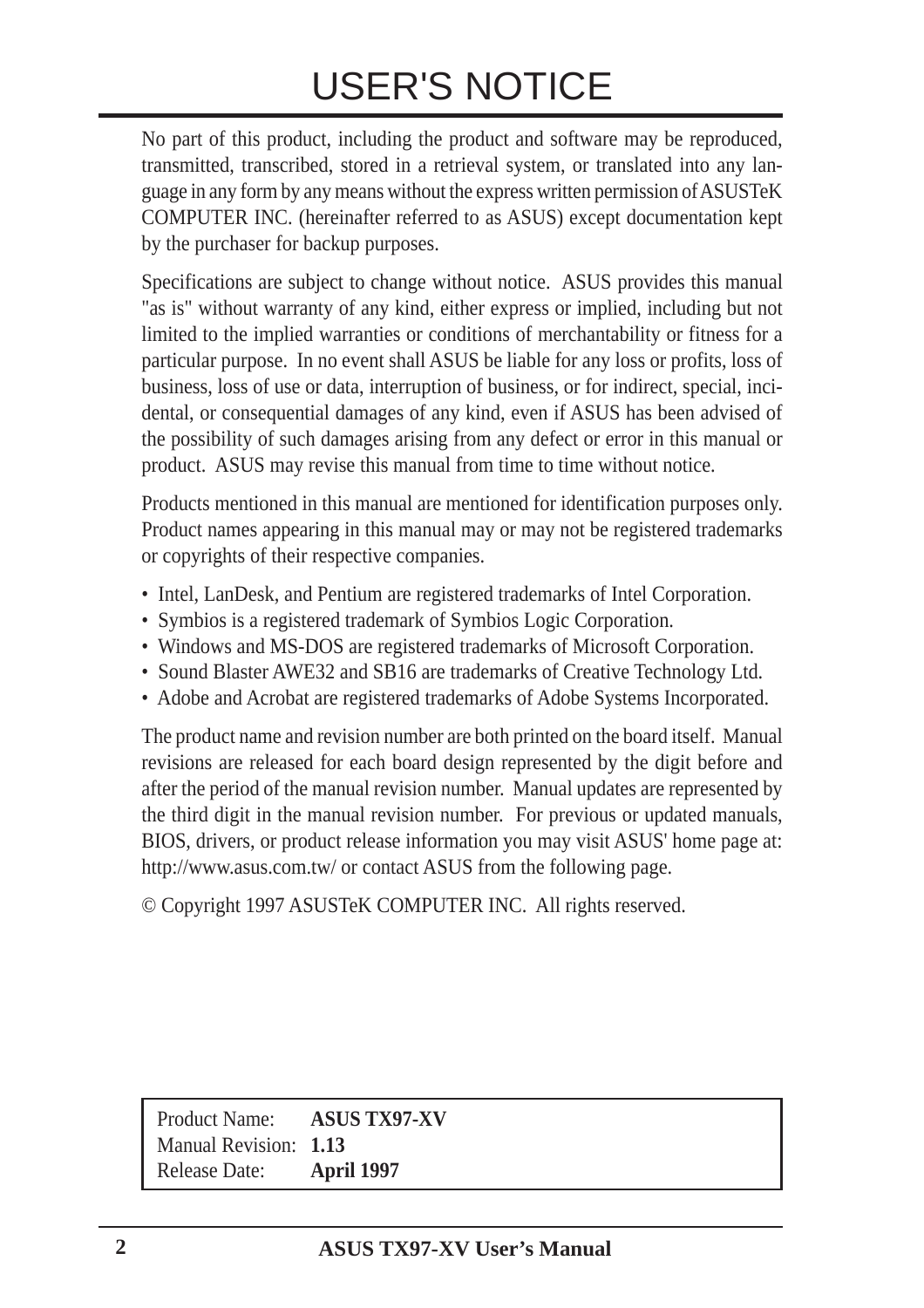# USER'S NOTICE

No part of this product, including the product and software may be reproduced, transmitted, transcribed, stored in a retrieval system, or translated into any language in any form by any means without the express written permission of ASUSTeK COMPUTER INC. (hereinafter referred to as ASUS) except documentation kept by the purchaser for backup purposes.

Specifications are subject to change without notice. ASUS provides this manual "as is" without warranty of any kind, either express or implied, including but not limited to the implied warranties or conditions of merchantability or fitness for a particular purpose. In no event shall ASUS be liable for any loss or profits, loss of business, loss of use or data, interruption of business, or for indirect, special, incidental, or consequential damages of any kind, even if ASUS has been advised of the possibility of such damages arising from any defect or error in this manual or product. ASUS may revise this manual from time to time without notice.

Products mentioned in this manual are mentioned for identification purposes only. Product names appearing in this manual may or may not be registered trademarks or copyrights of their respective companies.

- Intel, LanDesk, and Pentium are registered trademarks of Intel Corporation.
- Symbios is a registered trademark of Symbios Logic Corporation.
- Windows and MS-DOS are registered trademarks of Microsoft Corporation.
- Sound Blaster AWE32 and SB16 are trademarks of Creative Technology Ltd.
- Adobe and Acrobat are registered trademarks of Adobe Systems Incorporated.

The product name and revision number are both printed on the board itself. Manual revisions are released for each board design represented by the digit before and after the period of the manual revision number. Manual updates are represented by the third digit in the manual revision number. For previous or updated manuals, BIOS, drivers, or product release information you may visit ASUS' home page at: http://www.asus.com.tw/ or contact ASUS from the following page.

© Copyright 1997 ASUSTeK COMPUTER INC. All rights reserved.

| Product Name: ASUS TX97-XV |  |
|----------------------------|--|
| Manual Revision: 1.13      |  |
| Release Date: April 1997   |  |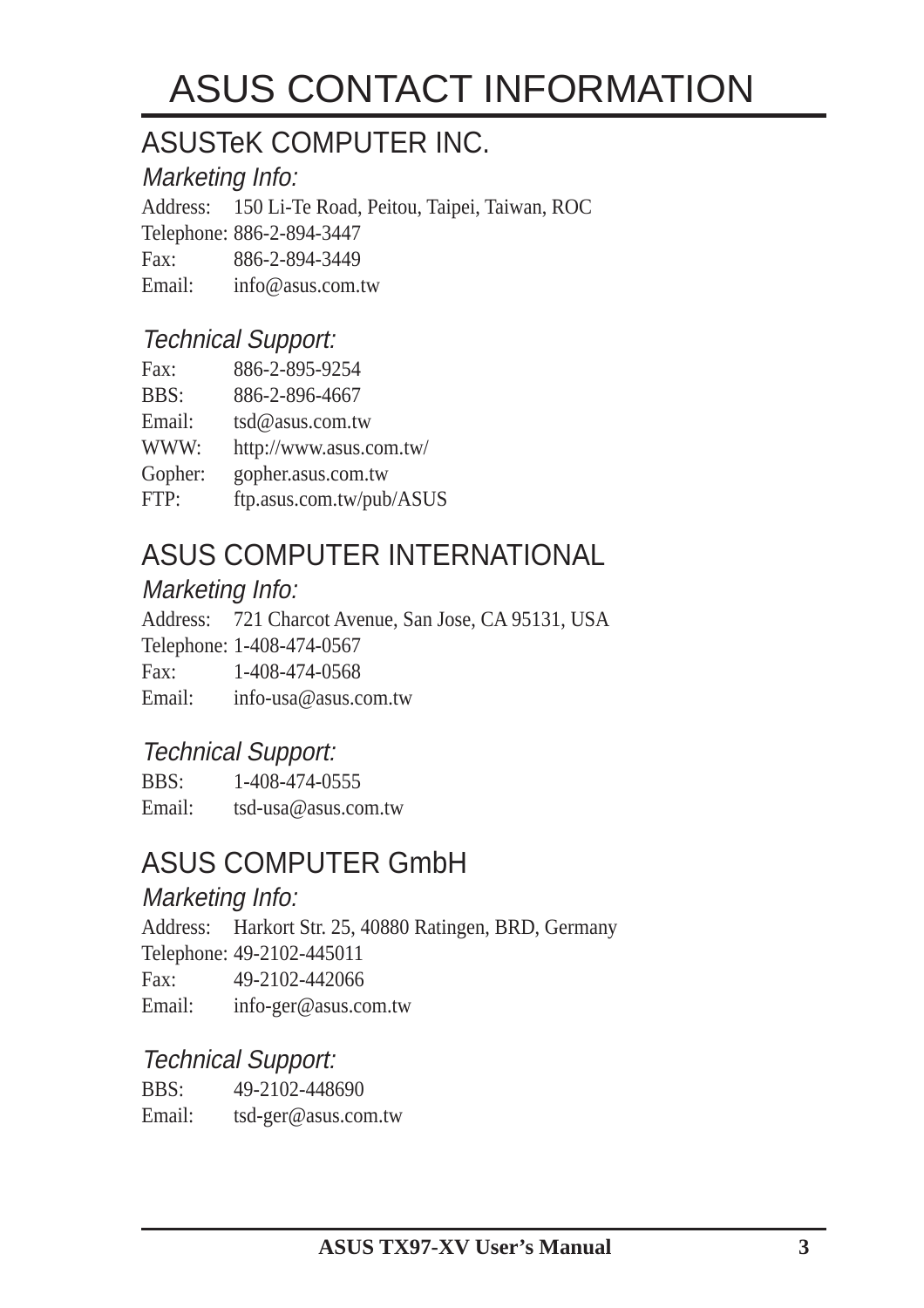# ASUS CONTACT INFORMATION

## ASUSTeK COMPUTER INC.

### Marketing Info:

Address: 150 Li-Te Road, Peitou, Taipei, Taiwan, ROC Telephone: 886-2-894-3447 Fax: 886-2-894-3449

Email: info@asus.com.tw

### Technical Support:

| Fax:    | 886-2-895-9254           |
|---------|--------------------------|
| BBS:    | 886-2-896-4667           |
| Email:  | tsd@asus.com.tw          |
| WWW:    | http://www.asus.com.tw/  |
| Gopher: | gopher.asus.com.tw       |
| FTP:    | ftp.asus.com.tw/pub/ASUS |

## ASUS COMPUTER INTERNATIONAL

### Marketing Info:

Address: 721 Charcot Avenue, San Jose, CA 95131, USA Telephone: 1-408-474-0567 Fax: 1-408-474-0568 Email: info-usa@asus.com.tw

### Technical Support:

BBS: 1-408-474-0555 Email:  $tsd-usa@asus.com$  tw

## ASUS COMPUTER GmbH

### Marketing Info:

Address: Harkort Str. 25, 40880 Ratingen, BRD, Germany Telephone: 49-2102-445011 Fax: 49-2102-442066

Email: info-ger@asus.com.tw

### Technical Support:

| <b>BBS:</b> | 49-2102-448690      |
|-------------|---------------------|
| Email:      | tsd-ger@asus.com.tw |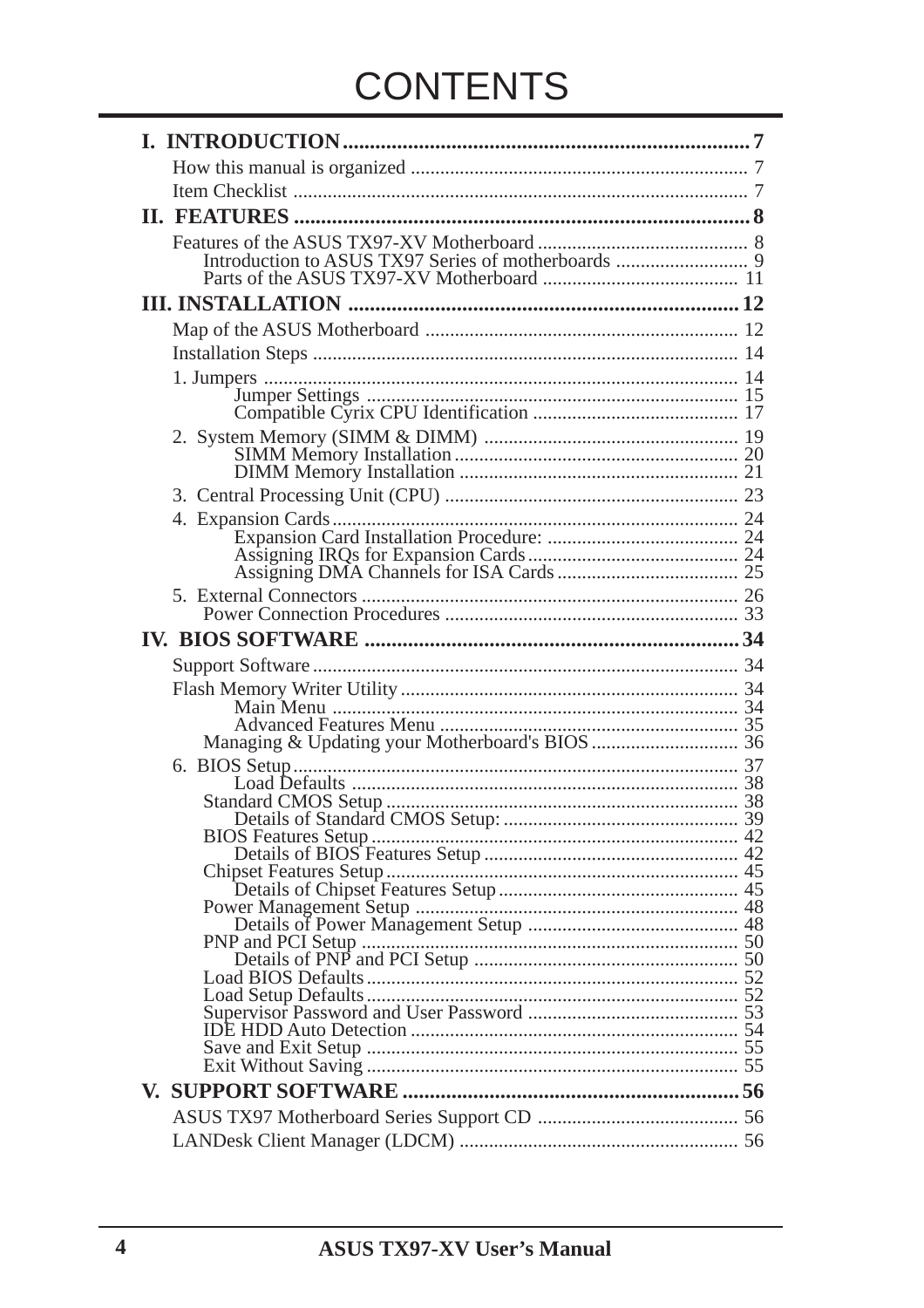# **CONTENTS**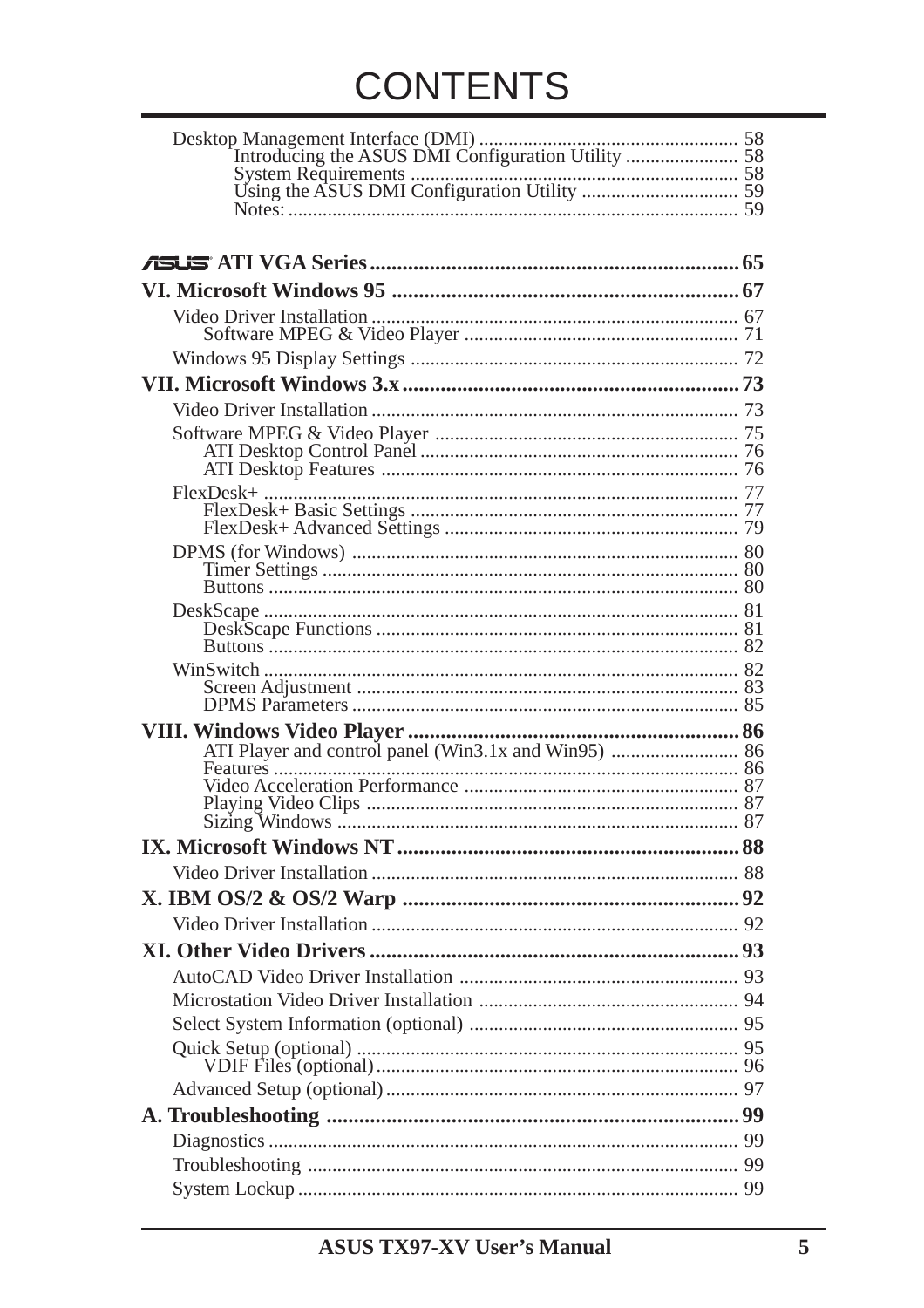# **CONTENTS**

| Features |  |
|----------|--|
|          |  |
|          |  |
|          |  |
|          |  |
|          |  |
|          |  |
|          |  |
|          |  |
|          |  |
|          |  |
|          |  |
|          |  |
|          |  |
|          |  |
|          |  |
|          |  |
|          |  |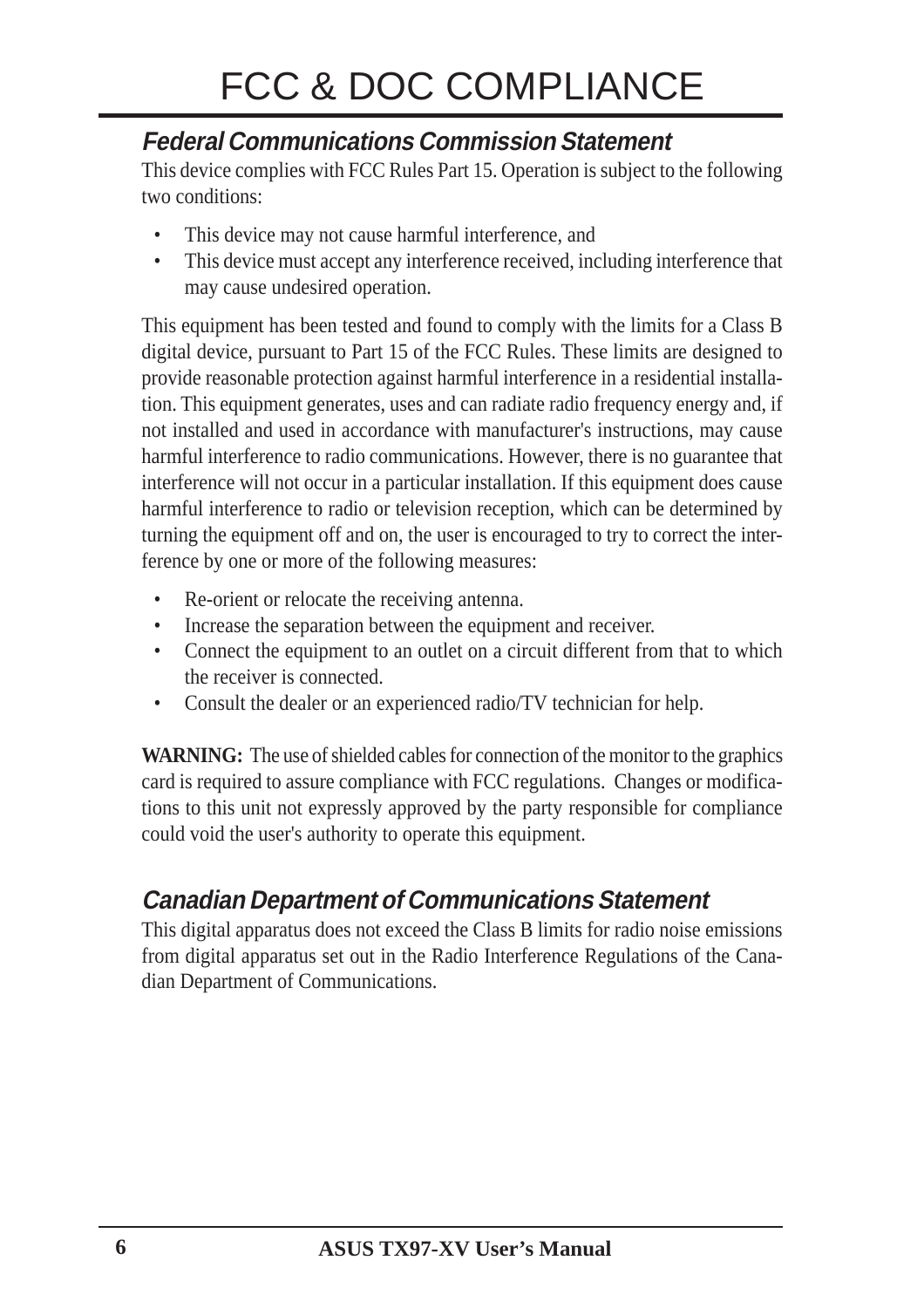### **Federal Communications Commission Statement**

This device complies with FCC Rules Part 15. Operation is subject to the following two conditions:

- This device may not cause harmful interference, and
- This device must accept any interference received, including interference that may cause undesired operation.

This equipment has been tested and found to comply with the limits for a Class B digital device, pursuant to Part 15 of the FCC Rules. These limits are designed to provide reasonable protection against harmful interference in a residential installation. This equipment generates, uses and can radiate radio frequency energy and, if not installed and used in accordance with manufacturer's instructions, may cause harmful interference to radio communications. However, there is no guarantee that interference will not occur in a particular installation. If this equipment does cause harmful interference to radio or television reception, which can be determined by turning the equipment off and on, the user is encouraged to try to correct the interference by one or more of the following measures:

- Re-orient or relocate the receiving antenna.
- Increase the separation between the equipment and receiver.
- Connect the equipment to an outlet on a circuit different from that to which the receiver is connected.
- Consult the dealer or an experienced radio/TV technician for help.

**WARNING:** The use of shielded cables for connection of the monitor to the graphics card is required to assure compliance with FCC regulations. Changes or modifications to this unit not expressly approved by the party responsible for compliance could void the user's authority to operate this equipment.

### **Canadian Department of Communications Statement**

This digital apparatus does not exceed the Class B limits for radio noise emissions from digital apparatus set out in the Radio Interference Regulations of the Canadian Department of Communications.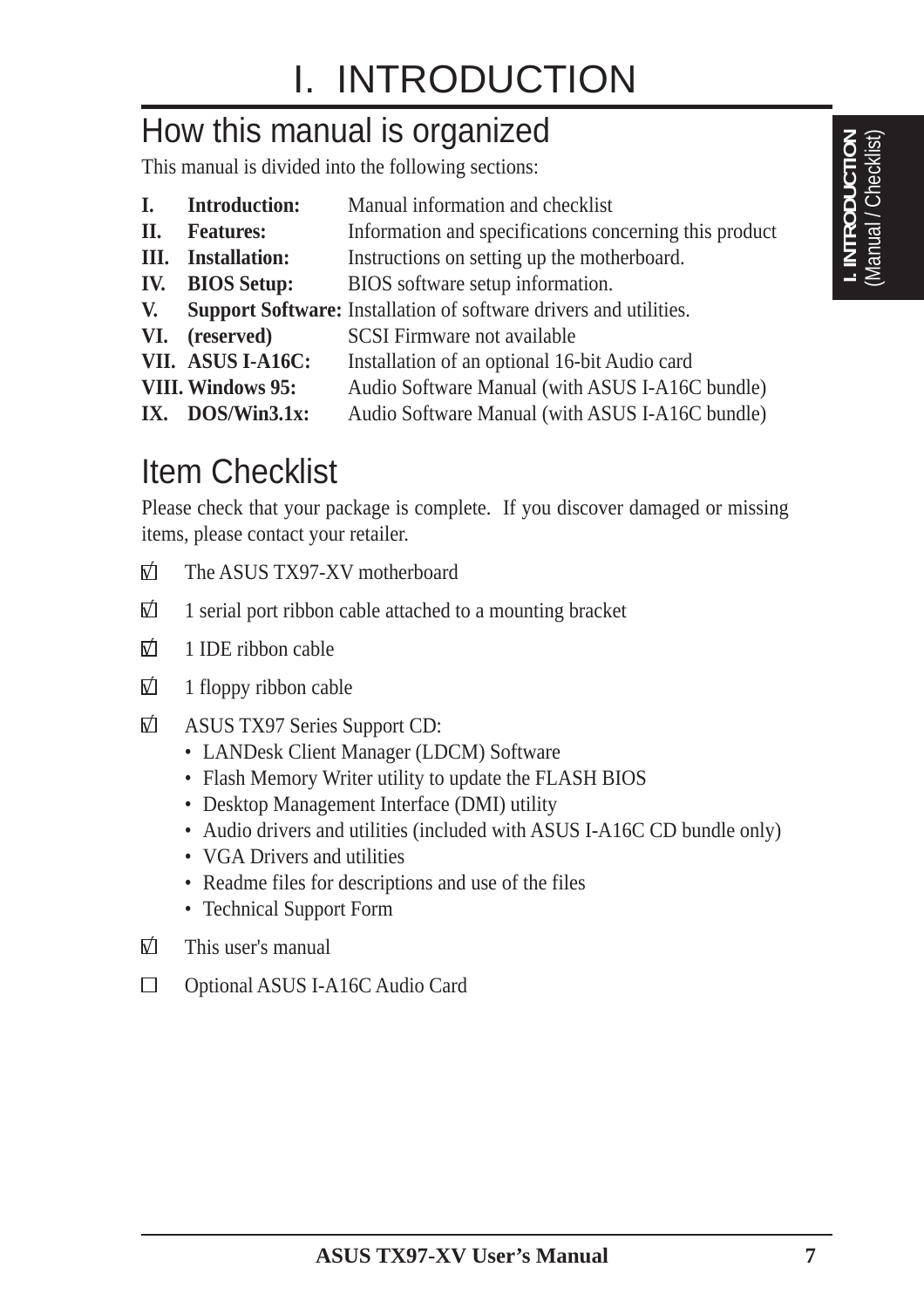## How this manual is organized

This manual is divided into the following sections:

- **I. Introduction:** Manual information and checklist
- **II. Features:** Information and specifications concerning this product
- **III.** Installation: Instructions on setting up the motherboard.
- **IV. BIOS Setup:** BIOS software setup information.
- **V. Support Software:** Installation of software drivers and utilities.
- **VI. (reserved)** SCSI Firmware not available
- **VII. ASUS I-A16C:** Installation of an optional 16-bit Audio card
- **VIII. Windows 95:** Audio Software Manual (with ASUS I-A16C bundle)
- **IX. DOS/Win3.1x:** Audio Software Manual (with ASUS I-A16C bundle)

# Item Checklist

Please check that your package is complete. If you discover damaged or missing items, please contact your retailer.

- √ The ASUS TX97-XV motherboard
- √ 1 serial port ribbon cable attached to a mounting bracket
- $\overline{M}$  1 IDE ribbon cable
- $\Box$  1 floppy ribbon cable
- √ ASUS TX97 Series Support CD:
	- LANDesk Client Manager (LDCM) Software
	- Flash Memory Writer utility to update the FLASH BIOS
	- Desktop Management Interface (DMI) utility
	- Audio drivers and utilities (included with ASUS I-A16C CD bundle only)
	- VGA Drivers and utilities
	- Readme files for descriptions and use of the files
	- Technical Support Form
- $\nabla$  This user's manual
- $\Box$ Optional ASUS I-A16C Audio Card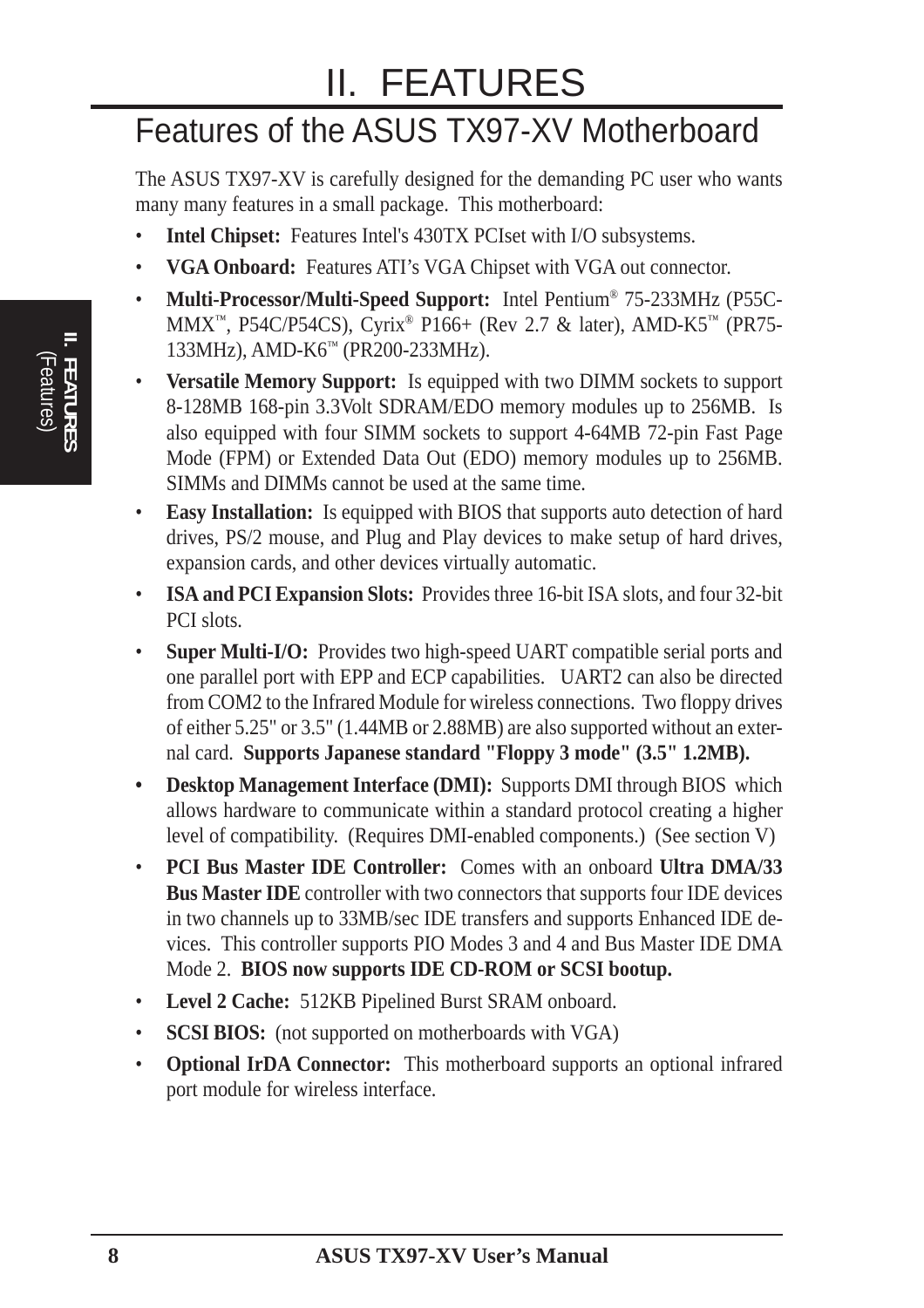# II. FEATURES

## Features of the ASUS TX97-XV Motherboard

The ASUS TX97-XV is carefully designed for the demanding PC user who wants many many features in a small package. This motherboard:

- **Intel Chipset:** Features Intel's 430TX PCIset with I/O subsystems.
- **VGA Onboard:** Features ATI's VGA Chipset with VGA out connector.
- **Multi-Processor/Multi-Speed Support:** Intel Pentium® 75-233MHz (P55C-MMX™, P54C/P54CS), Cyrix® P166+ (Rev 2.7 & later), AMD-K5™ (PR75- 133MHz), AMD-K6™ (PR200-233MHz).
- **Versatile Memory Support:** Is equipped with two DIMM sockets to support 8-128MB 168-pin 3.3Volt SDRAM/EDO memory modules up to 256MB. Is also equipped with four SIMM sockets to support 4-64MB 72-pin Fast Page Mode (FPM) or Extended Data Out (EDO) memory modules up to 256MB. SIMMs and DIMMs cannot be used at the same time.
- **Easy Installation:** Is equipped with BIOS that supports auto detection of hard drives, PS/2 mouse, and Plug and Play devices to make setup of hard drives, expansion cards, and other devices virtually automatic.
- **ISA and PCI Expansion Slots:** Provides three 16-bit ISA slots, and four 32-bit PCI slots.
- **Super Multi-I/O:** Provides two high-speed UART compatible serial ports and one parallel port with EPP and ECP capabilities. UART2 can also be directed from COM2 to the Infrared Module for wireless connections. Two floppy drives of either 5.25" or 3.5" (1.44MB or 2.88MB) are also supported without an external card. **Supports Japanese standard "Floppy 3 mode" (3.5" 1.2MB).**
- **Desktop Management Interface (DMI):** Supports DMI through BIOS which allows hardware to communicate within a standard protocol creating a higher level of compatibility. (Requires DMI-enabled components.) (See section V)
- **PCI Bus Master IDE Controller:** Comes with an onboard **Ultra DMA/33 Bus Master IDE** controller with two connectors that supports four IDE devices in two channels up to 33MB/sec IDE transfers and supports Enhanced IDE devices. This controller supports PIO Modes 3 and 4 and Bus Master IDE DMA Mode 2. **BIOS now supports IDE CD-ROM or SCSI bootup.**
- **Level 2 Cache:** 512KB Pipelined Burst SRAM onboard.
- **SCSI BIOS:** (not supported on motherboards with VGA)
- **Optional IrDA Connector:** This motherboard supports an optional infrared port module for wireless interface.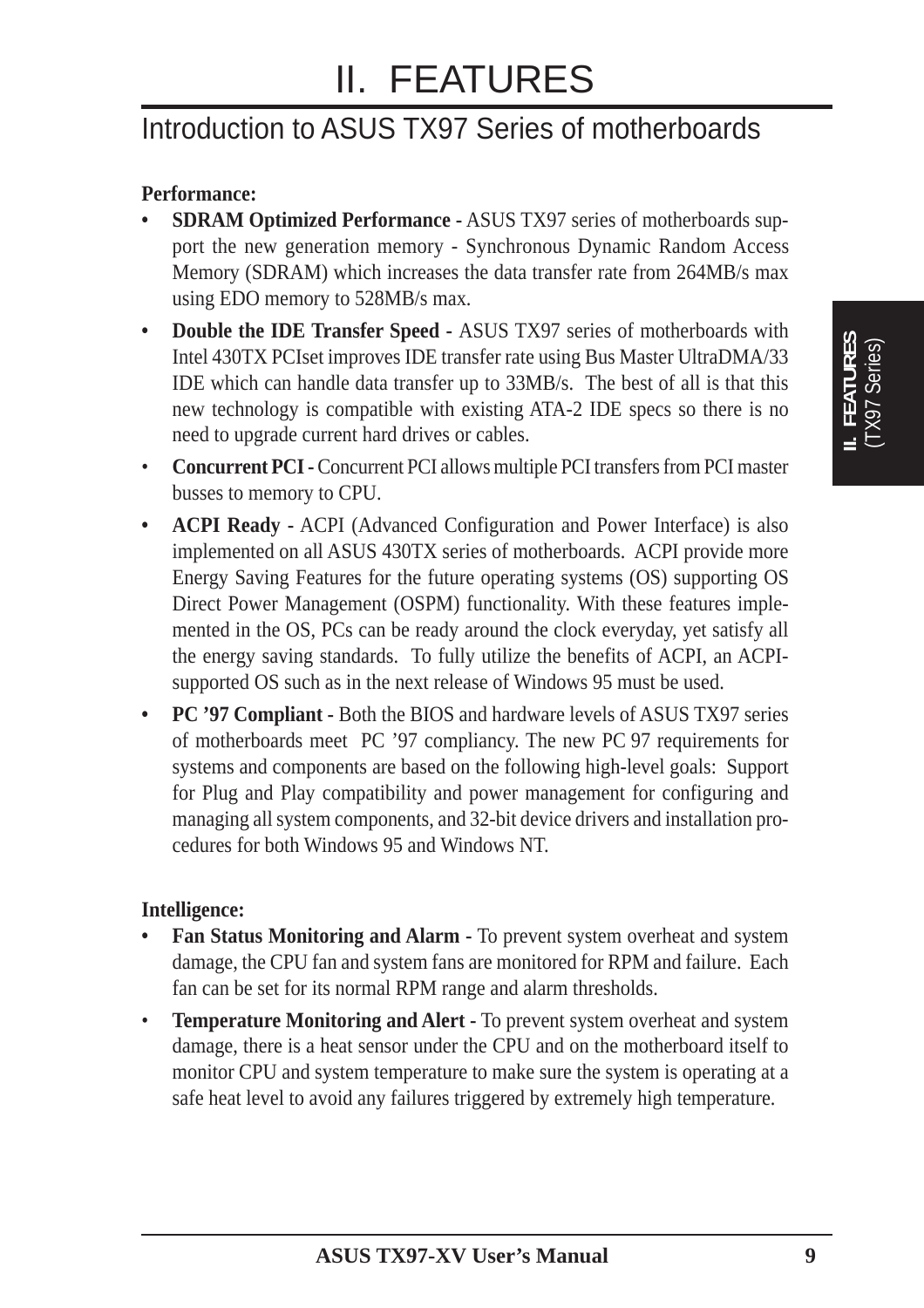## Introduction to ASUS TX97 Series of motherboards

### **Performance:**

- **SDRAM Optimized Performance -** ASUS TX97 series of motherboards support the new generation memory - Synchronous Dynamic Random Access Memory (SDRAM) which increases the data transfer rate from 264MB/s max using EDO memory to 528MB/s max.
- **Double the IDE Transfer Speed** ASUS TX97 series of motherboards with Intel 430TX PCIset improves IDE transfer rate using Bus Master UltraDMA/33 IDE which can handle data transfer up to 33MB/s. The best of all is that this new technology is compatible with existing ATA-2 IDE specs so there is no need to upgrade current hard drives or cables.
- **Concurrent PCI -** Concurrent PCI allows multiple PCI transfers from PCI master busses to memory to CPU.
- **ACPI Ready -** ACPI (Advanced Configuration and Power Interface) is also implemented on all ASUS 430TX series of motherboards. ACPI provide more Energy Saving Features for the future operating systems (OS) supporting OS Direct Power Management (OSPM) functionality. With these features implemented in the OS, PCs can be ready around the clock everyday, yet satisfy all the energy saving standards. To fully utilize the benefits of ACPI, an ACPIsupported OS such as in the next release of Windows 95 must be used.
- **PC '97 Compliant** Both the BIOS and hardware levels of ASUS TX97 series of motherboards meet PC '97 compliancy. The new PC 97 requirements for systems and components are based on the following high-level goals: Support for Plug and Play compatibility and power management for configuring and managing all system components, and 32-bit device drivers and installation procedures for both Windows 95 and Windows NT.

### **Intelligence:**

- **Fan Status Monitoring and Alarm -** To prevent system overheat and system damage, the CPU fan and system fans are monitored for RPM and failure. Each fan can be set for its normal RPM range and alarm thresholds.
- **Temperature Monitoring and Alert -** To prevent system overheat and system damage, there is a heat sensor under the CPU and on the motherboard itself to monitor CPU and system temperature to make sure the system is operating at a safe heat level to avoid any failures triggered by extremely high temperature.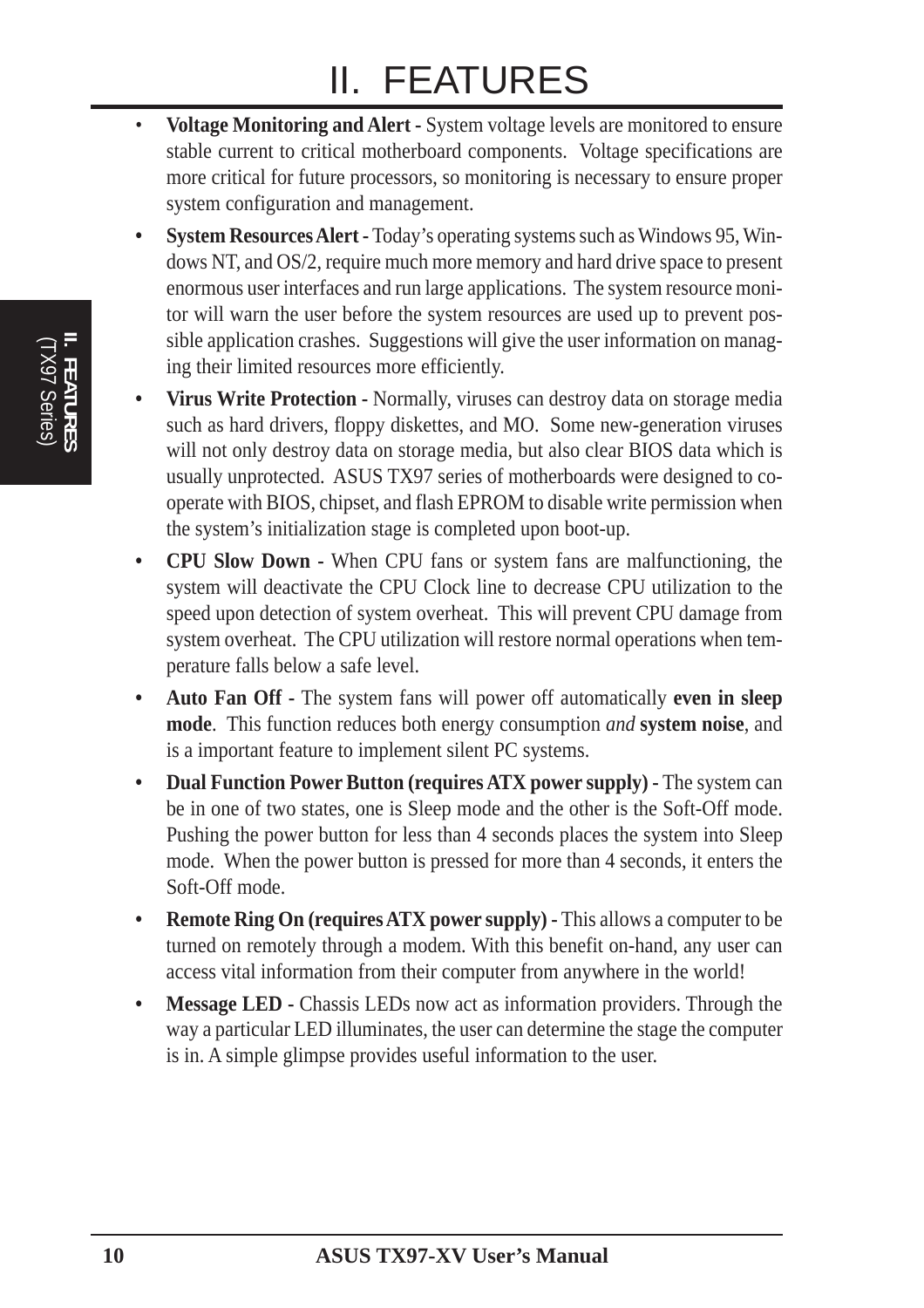# II. FEATURES

- **Voltage Monitoring and Alert -** System voltage levels are monitored to ensure stable current to critical motherboard components. Voltage specifications are more critical for future processors, so monitoring is necessary to ensure proper system configuration and management.
- **System Resources Alert -** Today's operating systems such as Windows 95, Windows NT, and OS/2, require much more memory and hard drive space to present enormous user interfaces and run large applications. The system resource monitor will warn the user before the system resources are used up to prevent possible application crashes. Suggestions will give the user information on managing their limited resources more efficiently.
- **Virus Write Protection -** Normally, viruses can destroy data on storage media such as hard drivers, floppy diskettes, and MO. Some new-generation viruses will not only destroy data on storage media, but also clear BIOS data which is usually unprotected. ASUS TX97 series of motherboards were designed to cooperate with BIOS, chipset, and flash EPROM to disable write permission when the system's initialization stage is completed upon boot-up.
- **CPU Slow Down -** When CPU fans or system fans are malfunctioning, the system will deactivate the CPU Clock line to decrease CPU utilization to the speed upon detection of system overheat. This will prevent CPU damage from system overheat. The CPU utilization will restore normal operations when temperature falls below a safe level.
- **Auto Fan Off -** The system fans will power off automatically **even in sleep mode**. This function reduces both energy consumption *and* **system noise**, and is a important feature to implement silent PC systems.
- **Dual Function Power Button (requires ATX power supply) -** The system can be in one of two states, one is Sleep mode and the other is the Soft-Off mode. Pushing the power button for less than 4 seconds places the system into Sleep mode. When the power button is pressed for more than 4 seconds, it enters the Soft-Off mode.
- **Remote Ring On (requires ATX power supply) -** This allows a computer to be turned on remotely through a modem. With this benefit on-hand, any user can access vital information from their computer from anywhere in the world!
- **Message LED -** Chassis LEDs now act as information providers. Through the way a particular LED illuminates, the user can determine the stage the computer is in. A simple glimpse provides useful information to the user.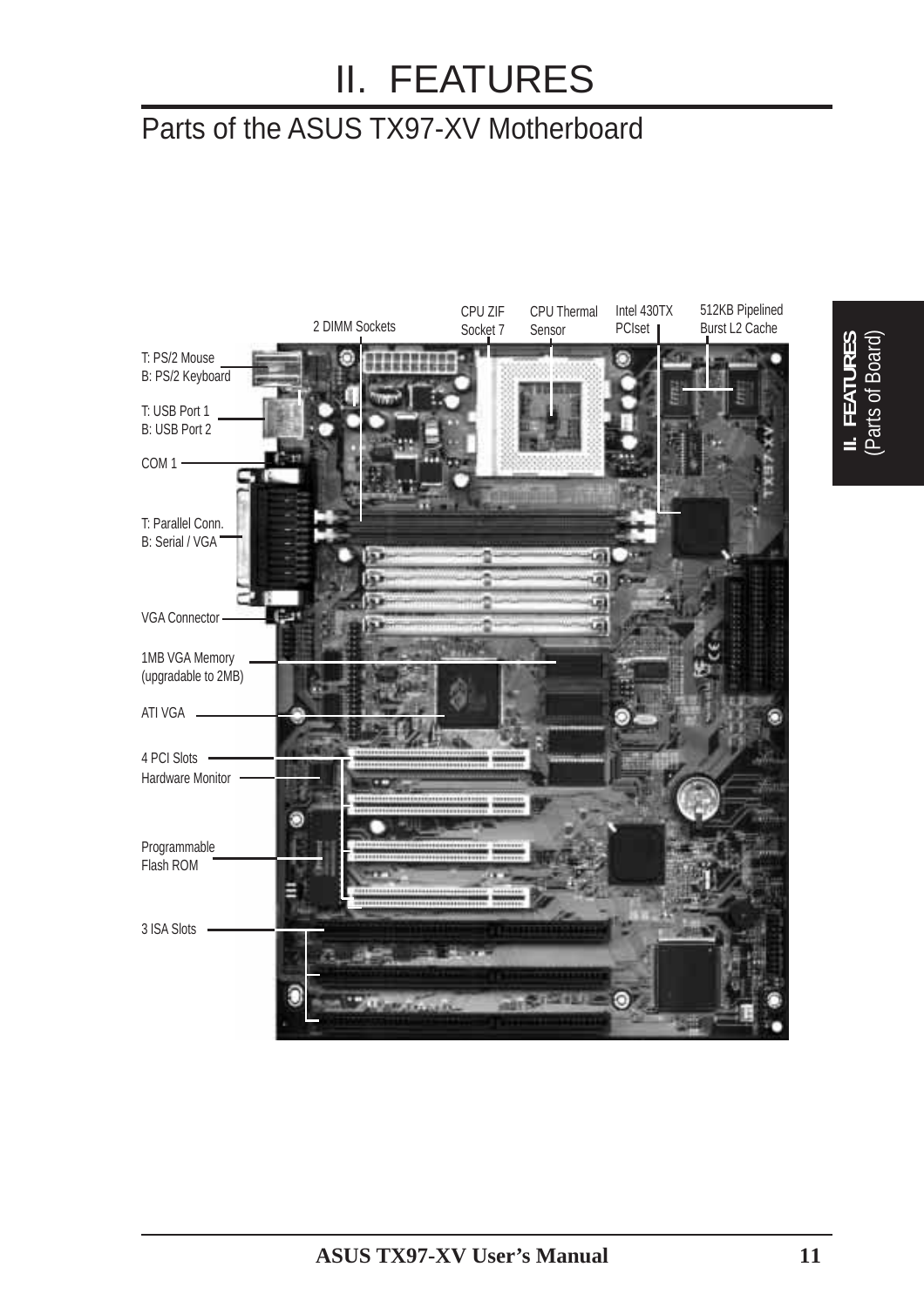# II. FEATURES

## Parts of the ASUS TX97-XV Motherboard

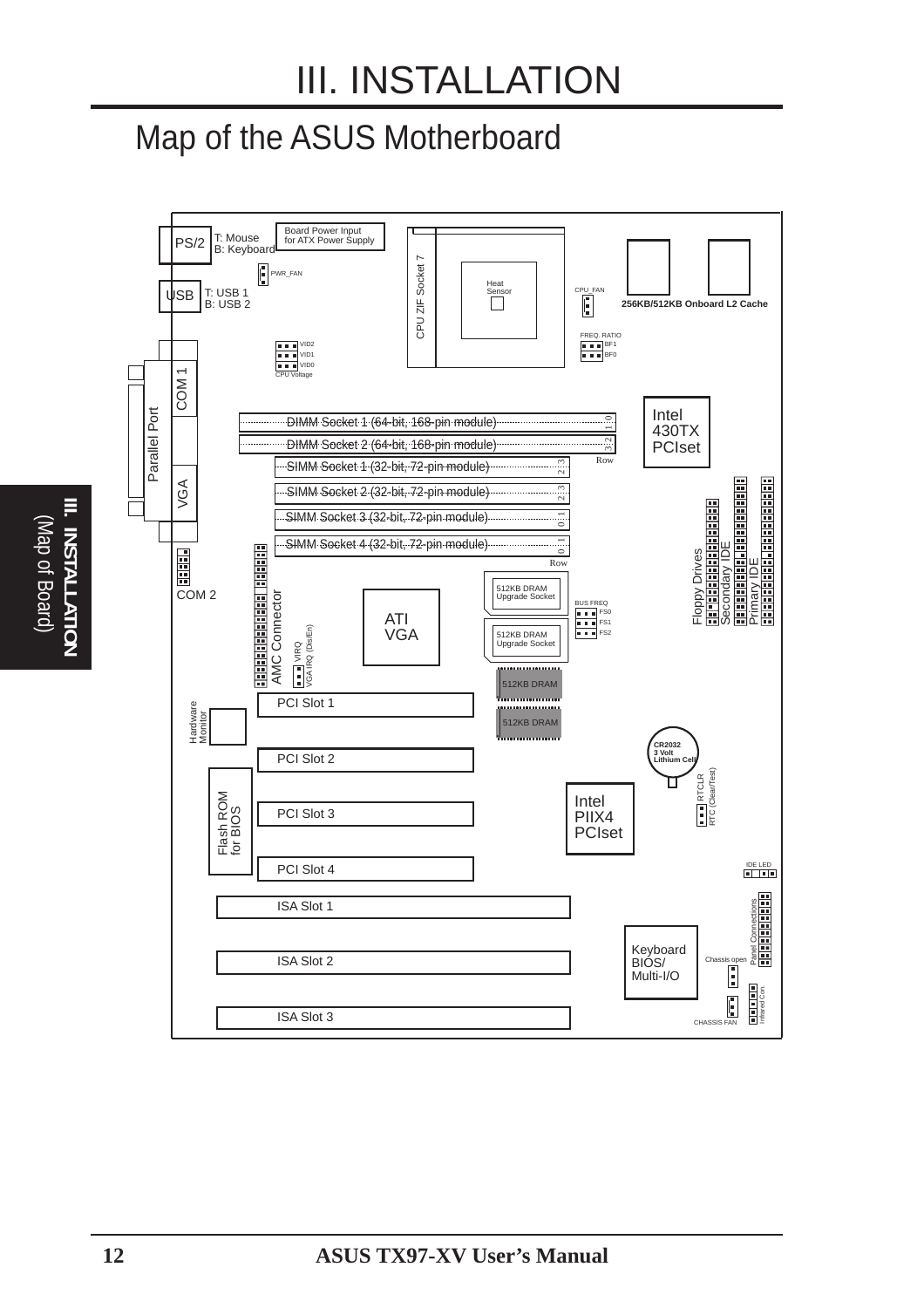# Map of the ASUS Motherboard

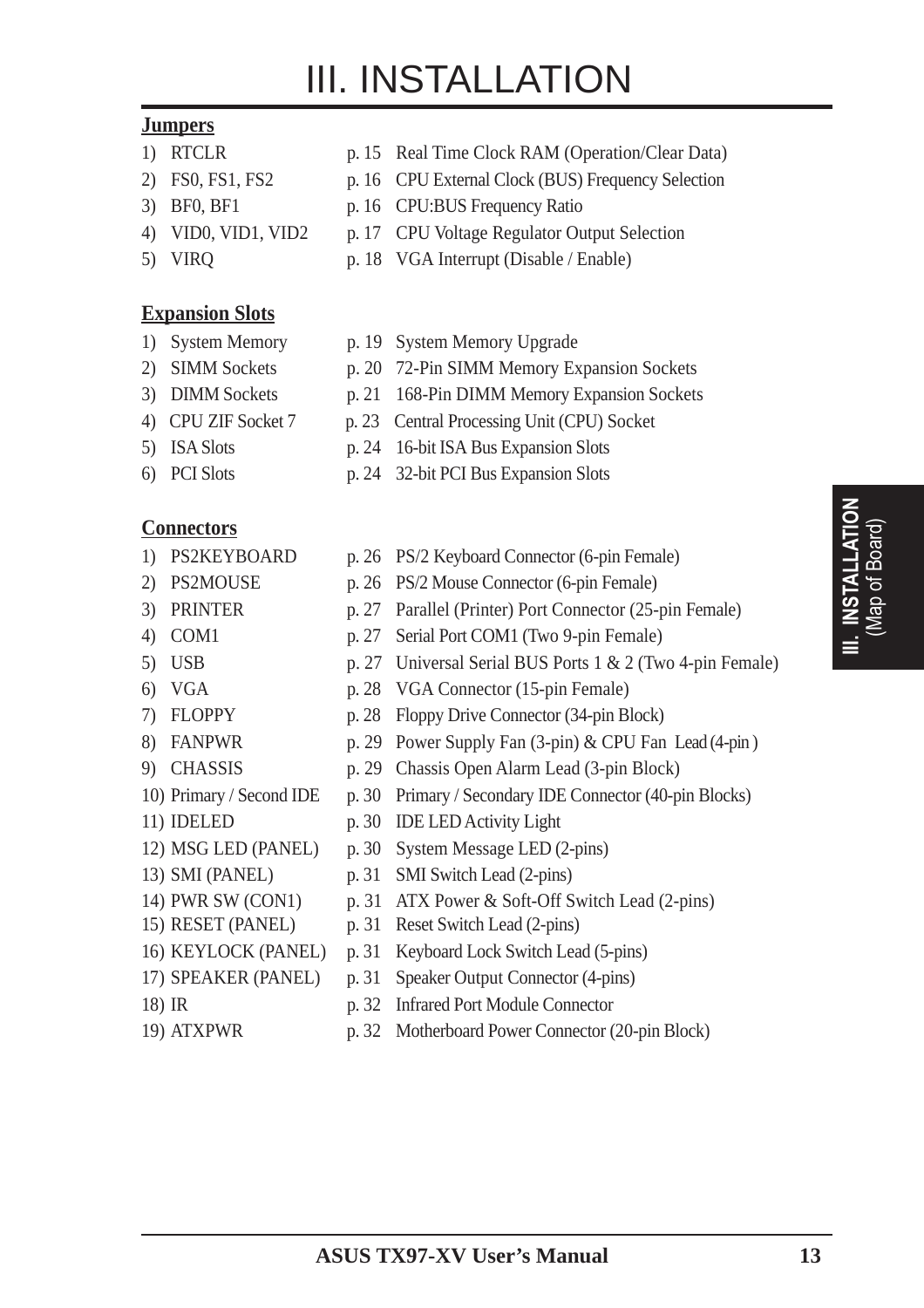# III. INSTALLATION

### **Jumpers**

- 
- 
- 
- 
- 

#### **Expansion Slots**

- 
- 
- 
- 
- 
- 

#### **Connectors**

- 
- 
- 
- 
- 
- 
- 
- 
- 
- 
- 
- 
- 
- 
- 
- 
- 
- 
- 
- 1) RTCLR p. 15 Real Time Clock RAM (Operation/Clear Data)
- 2) FS0, FS1, FS2 p. 16 CPU External Clock (BUS) Frequency Selection
- 3) BF0, BF1 p. 16 CPU:BUS Frequency Ratio
- 4) VID0, VID1, VID2 p. 17 CPU Voltage Regulator Output Selection
- 5) VIRQ p. 18 VGA Interrupt (Disable / Enable)
- 1) System Memory p. 19 System Memory Upgrade
- 2) SIMM Sockets p. 20 72-Pin SIMM Memory Expansion Sockets
- 3) DIMM Sockets p. 21 168-Pin DIMM Memory Expansion Sockets
- 4) CPU ZIF Socket 7 p. 23 Central Processing Unit (CPU) Socket
- 5) ISA Slots p. 24 16-bit ISA Bus Expansion Slots
- 6) PCI Slots p. 24 32-bit PCI Bus Expansion Slots
- 1) PS2KEYBOARD p. 26 PS/2 Keyboard Connector (6-pin Female)
- 2) PS2MOUSE p. 26 PS/2 Mouse Connector (6-pin Female)
- 3) PRINTER p. 27 Parallel (Printer) Port Connector (25-pin Female)
- 4) COM1 p. 27 Serial Port COM1 (Two 9-pin Female)
- 5) USB p. 27 Universal Serial BUS Ports 1 & 2 (Two 4-pin Female)
- 6) VGA p. 28 VGA Connector (15-pin Female)
- 7) FLOPPY p. 28 Floppy Drive Connector (34-pin Block)
- 8) FANPWR p. 29 Power Supply Fan (3-pin) & CPU Fan Lead (4-pin )
- 9) CHASSIS p. 29 Chassis Open Alarm Lead (3-pin Block)
- 10) Primary / Second IDE p. 30 Primary / Secondary IDE Connector (40-pin Blocks)
- 11) IDELED p. 30 IDE LED Activity Light
- 12) MSG LED (PANEL) p. 30 System Message LED (2-pins)
- 13) SMI (PANEL) p. 31 SMI Switch Lead (2-pins)
- 14) PWR SW (CON1) p. 31 ATX Power & Soft-Off Switch Lead (2-pins)
- 15) RESET (PANEL) p. 31 Reset Switch Lead (2-pins)
- 16) KEYLOCK (PANEL) p. 31 Keyboard Lock Switch Lead (5-pins)
- 17) SPEAKER (PANEL) p. 31 Speaker Output Connector (4-pins)
- 18) IR p. 32 Infrared Port Module Connector
- 19) ATXPWR p. 32 Motherboard Power Connector (20-pin Block)

**ASUS TX97-XV User's Manual 13**

- 
-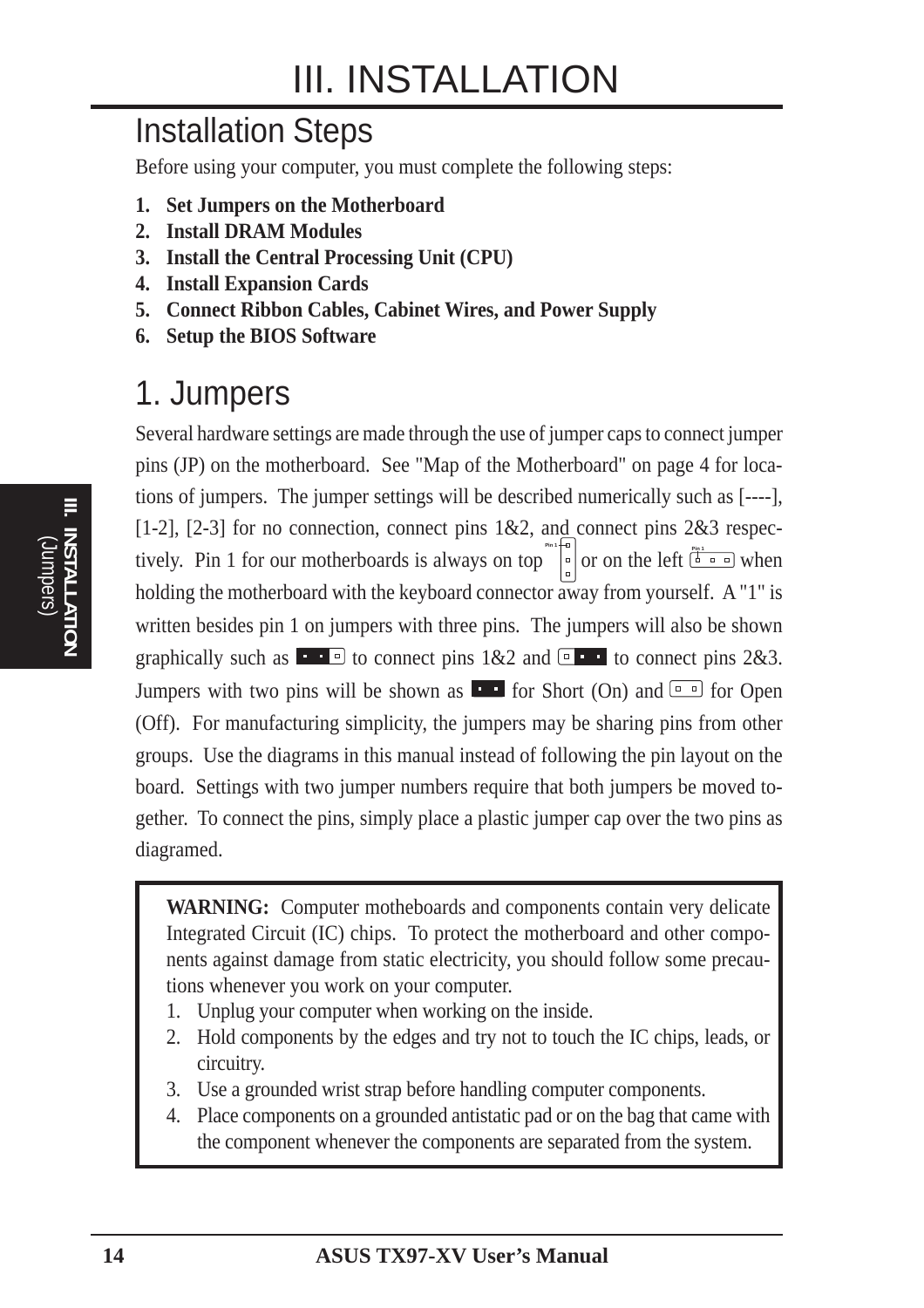## Installation Steps

Before using your computer, you must complete the following steps:

- **1. Set Jumpers on the Motherboard**
- **2. Install DRAM Modules**
- **3. Install the Central Processing Unit (CPU)**
- **4. Install Expansion Cards**
- **5. Connect Ribbon Cables, Cabinet Wires, and Power Supply**
- **6. Setup the BIOS Software**

## 1. Jumpers

Several hardware settings are made through the use of jumper caps to connect jumper pins (JP) on the motherboard. See "Map of the Motherboard" on page 4 for locations of jumpers. The jumper settings will be described numerically such as [----], [1-2], [2-3] for no connection, connect pins  $1&2$ , and connect pins  $2&3$  respectively. Pin 1 for our motherboards is always on top  $\int_{0}^{\frac{p_{in} + 1}{p}}$  or on the left  $\frac{p_{in} - 1}{p}$  when holding the motherboard with the keyboard connector away from yourself. A "1" is written besides pin 1 on jumpers with three pins. The jumpers will also be shown graphically such as  $\bullet \bullet \bullet$  to connect pins  $1\&2$  and  $\bullet \bullet \bullet$  to connect pins 2&3. Jumpers with two pins will be shown as **For** Short (On) and **For** Open (Off). For manufacturing simplicity, the jumpers may be sharing pins from other groups. Use the diagrams in this manual instead of following the pin layout on the board. Settings with two jumper numbers require that both jumpers be moved together. To connect the pins, simply place a plastic jumper cap over the two pins as diagramed.

**WARNING:** Computer motheboards and components contain very delicate Integrated Circuit (IC) chips. To protect the motherboard and other components against damage from static electricity, you should follow some precautions whenever you work on your computer.

- 1. Unplug your computer when working on the inside.
- 2. Hold components by the edges and try not to touch the IC chips, leads, or circuitry.
- 3. Use a grounded wrist strap before handling computer components.
- 4. Place components on a grounded antistatic pad or on the bag that came with the component whenever the components are separated from the system.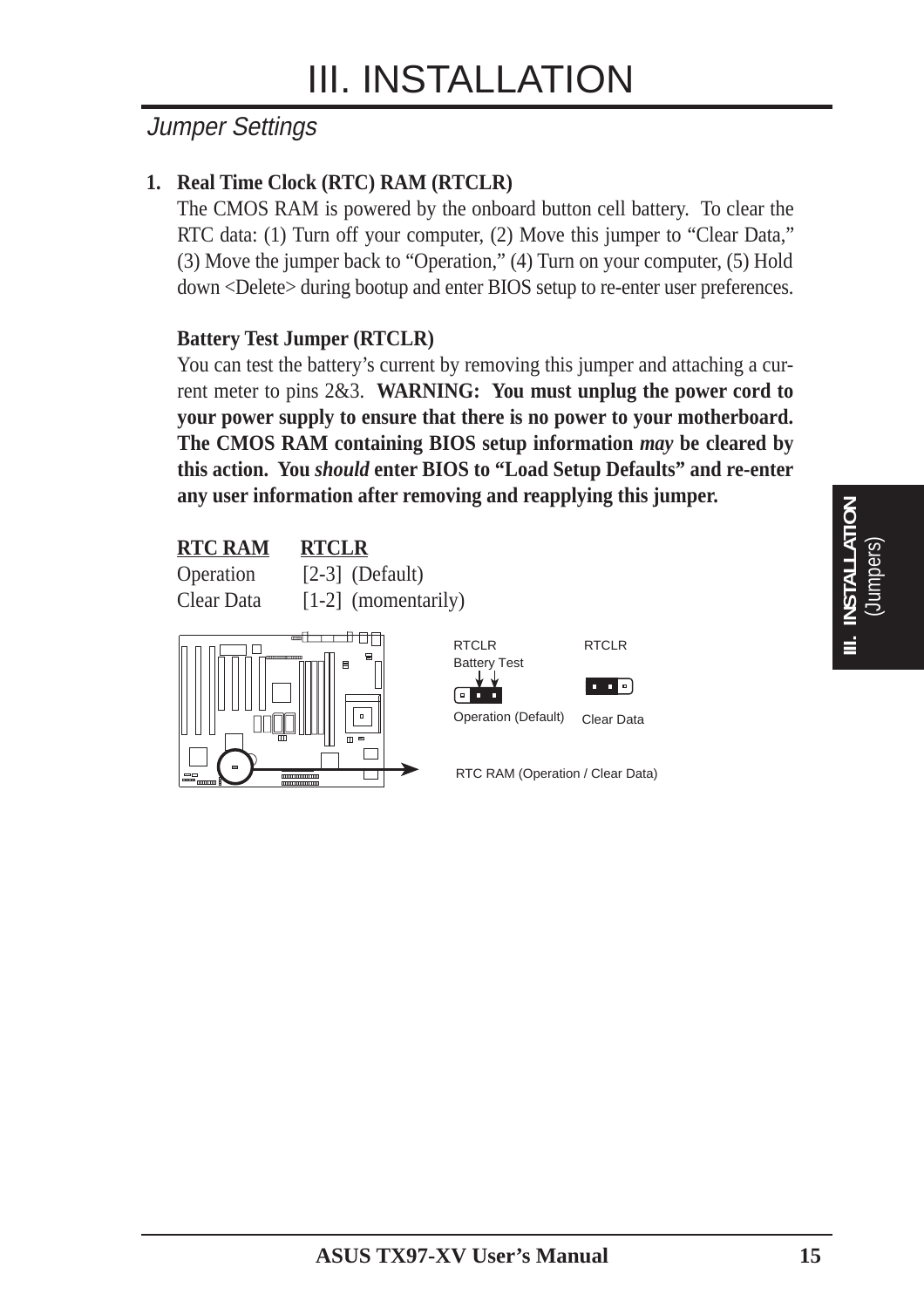### Jumper Settings

### **1. Real Time Clock (RTC) RAM (RTCLR)**

The CMOS RAM is powered by the onboard button cell battery. To clear the RTC data: (1) Turn off your computer, (2) Move this jumper to "Clear Data," (3) Move the jumper back to "Operation," (4) Turn on your computer, (5) Hold down <Delete> during bootup and enter BIOS setup to re-enter user preferences.

#### **Battery Test Jumper (RTCLR)**

You can test the battery's current by removing this jumper and attaching a current meter to pins 2&3. **WARNING: You must unplug the power cord to your power supply to ensure that there is no power to your motherboard. The CMOS RAM containing BIOS setup information** *may* **be cleared by this action. You** *should* **enter BIOS to "Load Setup Defaults" and re-enter any user information after removing and reapplying this jumper.**

| <b>RTC RAM</b> | <b>RTCLR</b> |
|----------------|--------------|
|----------------|--------------|

| Operation  |  |
|------------|--|
| Clear Data |  |

Operation [2-3] (Default) Clear Data [1-2] (momentarily)



RTCLR Battery Test



Operation (Default) Clear Data

RTC RAM (Operation / Clear Data)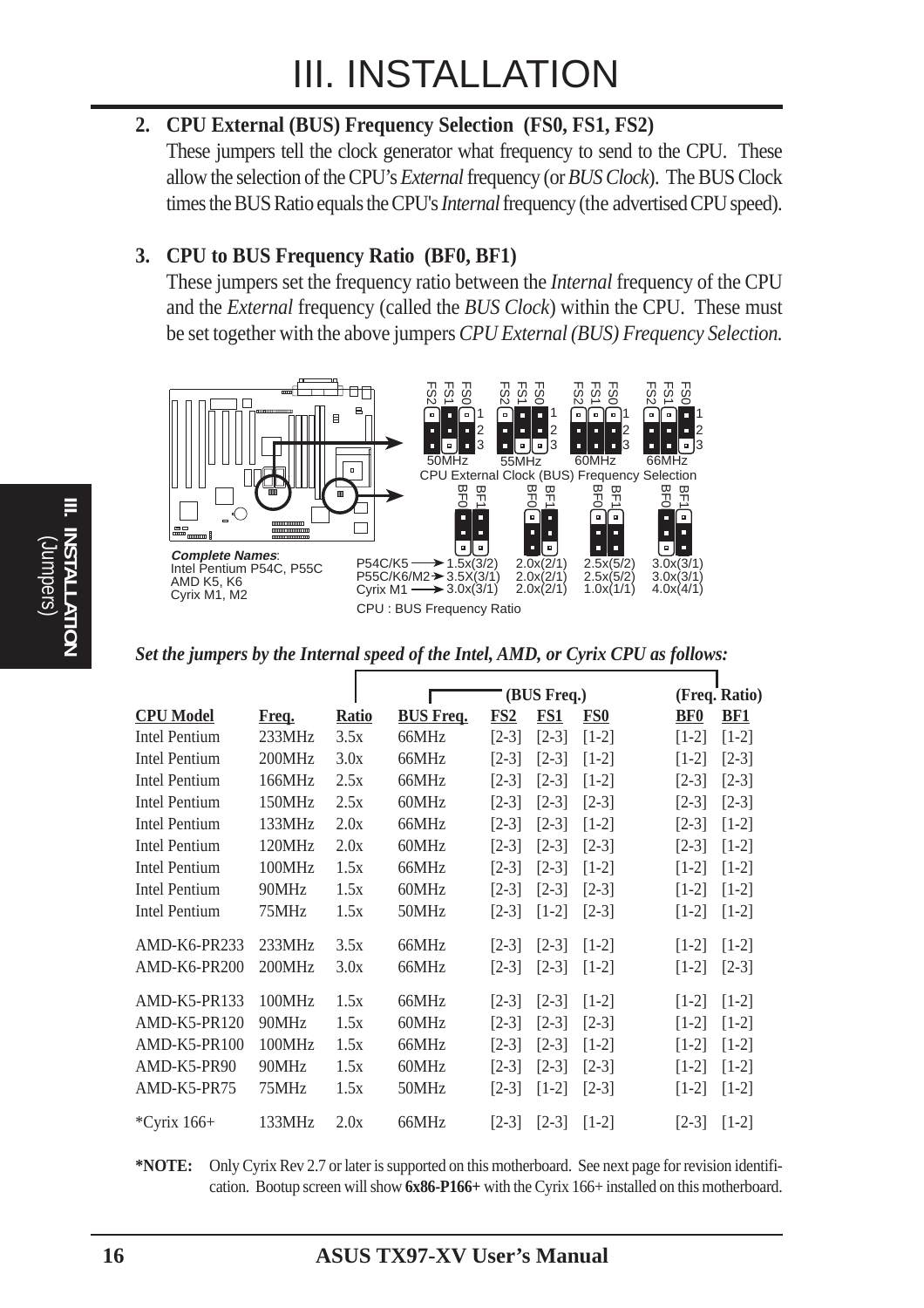### **2. CPU External (BUS) Frequency Selection (FS0, FS1, FS2)**

These jumpers tell the clock generator what frequency to send to the CPU. These allow the selection of the CPU's *External* frequency (or *BUS Clock*). The BUS Clock times the BUS Ratio equals the CPU's *Internal* frequency (the advertised CPU speed).

### **3. CPU to BUS Frequency Ratio (BF0, BF1)**

These jumpers set the frequency ratio between the *Internal* frequency of the CPU and the *External* frequency (called the *BUS Clock*) within the CPU. These must be set together with the above jumpers *CPU External (BUS) Frequency Selection.*



*Set the jumpers by the Internal speed of the Intel, AMD, or Cyrix CPU as follows:*

|                      |        |              |                  |            | (BUS Freq.) |                 |            | (Freq. Ratio) |
|----------------------|--------|--------------|------------------|------------|-------------|-----------------|------------|---------------|
| <b>CPU Model</b>     | Freq.  | <b>Ratio</b> | <b>BUS Freq.</b> | <b>FS2</b> | <b>FS1</b>  | <b>FS0</b>      | <b>BF0</b> | <b>BF1</b>    |
| <b>Intel Pentium</b> | 233MHz | 3.5x         | 66MHz            | $[2-3]$    | $[2-3]$     | $[1-2]$         | $[1-2]$    | $[1-2]$       |
| <b>Intel Pentium</b> | 200MHz | 3.0x         | 66MHz            | $[2-3]$    | $[2-3]$     | $[1-2]$         | $[1-2]$    | $[2-3]$       |
| Intel Pentium        | 166MHz | 2.5x         | 66MHz            | $[2-3]$    | $[2-3]$     | $[1-2]$         | $[2-3]$    | $[2-3]$       |
| Intel Pentium        | 150MHz | 2.5x         | 60MHz            | $[2-3]$    | $[2-3]$     | $[2-3]$         | $[2-3]$    | $[2-3]$       |
| <b>Intel Pentium</b> | 133MHz | 2.0x         | 66MHz            | $[2-3]$    | $[2-3]$     | $[1-2]$         | $[2-3]$    | $[1-2]$       |
| <b>Intel Pentium</b> | 120MHz | 2.0x         | 60MHz            | $[2-3]$    | $[2-3]$     | $[2-3]$         | $[2-3]$    | $[1-2]$       |
| <b>Intel Pentium</b> | 100MHz | 1.5x         | 66MHz            | $[2-3]$    | $[2-3]$     | $[1-2]$         | $[1-2]$    | $[1-2]$       |
| Intel Pentium        | 90MHz  | 1.5x         | 60MHz            | $[2-3]$    | $[2-3]$     | $[2-3]$         | $[1-2]$    | $[1-2]$       |
| <b>Intel Pentium</b> | 75MHz  | 1.5x         | 50MHz            | $[2-3]$    | $[1-2]$     | $[2-3]$         | $[1-2]$    | $[1-2]$       |
| AMD-K6-PR233         | 233MHz | 3.5x         | 66MHz            | $[2-3]$    |             | $[2-3]$ $[1-2]$ | $[1-2]$    | $[1-2]$       |
| AMD-K6-PR200         | 200MHz | 3.0x         | 66MHz            | $[2-3]$    | $[2-3]$     | $[1-2]$         | $[1-2]$    | $[2-3]$       |
| AMD-K5-PR133         | 100MHz | 1.5x         | 66MHz            | $[2-3]$    | $[2-3]$     | $[1-2]$         | $[1-2]$    | $[1-2]$       |
| AMD-K5-PR120         | 90MHz  | 1.5x         | 60MHz            | $[2-3]$    | $[2-3]$     | $[2-3]$         | $[1-2]$    | $[1-2]$       |
| AMD-K5-PR100         | 100MHz | 1.5x         | 66MHz            | $[2-3]$    | $[2-3]$     | $[1-2]$         | $[1-2]$    | $[1-2]$       |
| AMD-K5-PR90          | 90MHz  | 1.5x         | 60MHz            | $[2-3]$    | $[2-3]$     | $[2-3]$         | $[1-2]$    | $[1-2]$       |
| AMD-K5-PR75          | 75MHz  | 1.5x         | 50MHz            | $[2-3]$    | $[1-2]$     | $[2-3]$         | $[1-2]$    | $[1-2]$       |
| $^*$ Cyrix 166+      | 133MHz | 2.0x         | 66MHz            | $[2-3]$    |             | $[2-3]$ $[1-2]$ | $[2-3]$    | $[1-2]$       |

**\*NOTE:** Only Cyrix Rev 2.7 or later is supported on this motherboard. See next page for revision identification. Bootup screen will show **6x86-P166+** with the Cyrix 166+ installed on this motherboard.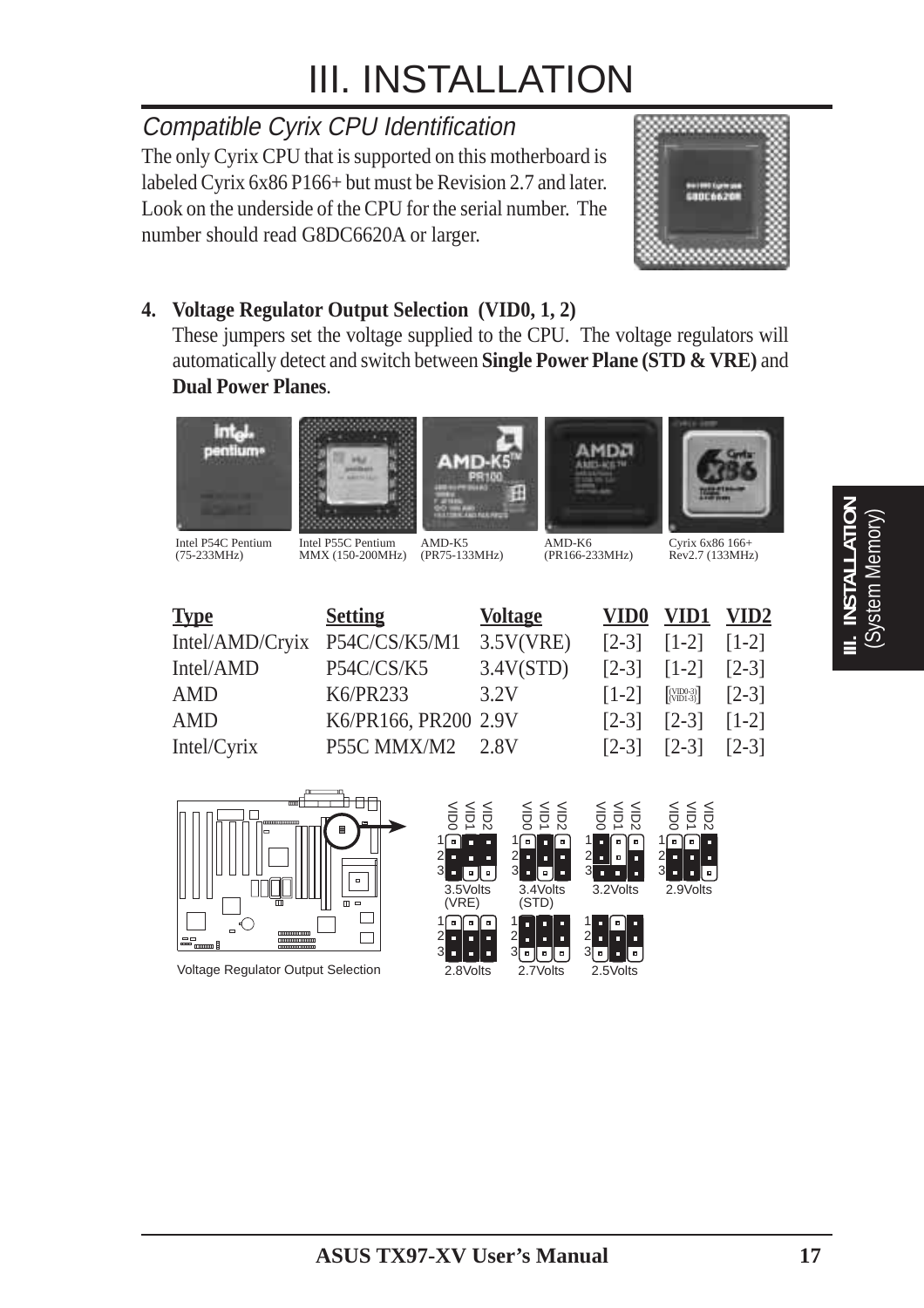# III. INSTALLATION

### Compatible Cyrix CPU Identification

The only Cyrix CPU that is supported on this motherboard is labeled Cyrix 6x86 P166+ but must be Revision 2.7 and later. Look on the underside of the CPU for the serial number. The number should read G8DC6620A or larger.



### **4. Voltage Regulator Output Selection (VID0, 1, 2)**

These jumpers set the voltage supplied to the CPU. The voltage regulators will automatically detect and switch between **Single Power Plane (STD & VRE)** and **Dual Power Planes**.











Intel P54C Pentium (75-233MHz)

- Intel P55C Pentium MMX (150-200MHz) AMD-K5 (PR75-133MHz)
- AMD-K6 (PR166-233MHz)

Cyrix 6x86 166+ Rev2.7 (133MHz)

(System Memory) **III. INSTALLATION**

| <b>Type</b>                   | <b>Setting</b>       | <u>Voltage</u> | VID0 VID1 VID2                                                                                                                               |  |
|-------------------------------|----------------------|----------------|----------------------------------------------------------------------------------------------------------------------------------------------|--|
| Intel/AMD/Cryix P54C/CS/K5/M1 |                      | 3.5V(VRE)      | $\lceil 2-3 \rceil$ $\lceil 1-2 \rceil$ $\lceil 1-2 \rceil$                                                                                  |  |
| Intel/AMD                     | P54C/CS/K5           | 3.4V(STD)      | $\begin{bmatrix} 2-3 \\ 1-2 \\ 2 \end{bmatrix}$ $\begin{bmatrix} 2-3 \\ 2 \end{bmatrix}$                                                     |  |
| AMD                           | K6/PR233             | 3.2V           | $\begin{bmatrix} 1-2 \\ \end{bmatrix}$ $\begin{bmatrix} \text{VID0-3} \\ \text{VID1-3} \end{bmatrix}$ $\begin{bmatrix} 2-3 \\ \end{bmatrix}$ |  |
| AMD                           | K6/PR166, PR200 2.9V |                | $[2-3]$ $[2-3]$ $[1-2]$                                                                                                                      |  |
| Intel/Cyrix                   | P55C MMX/M2 2.8V     |                | $[2-3]$ $[2-3]$ $[2-3]$                                                                                                                      |  |



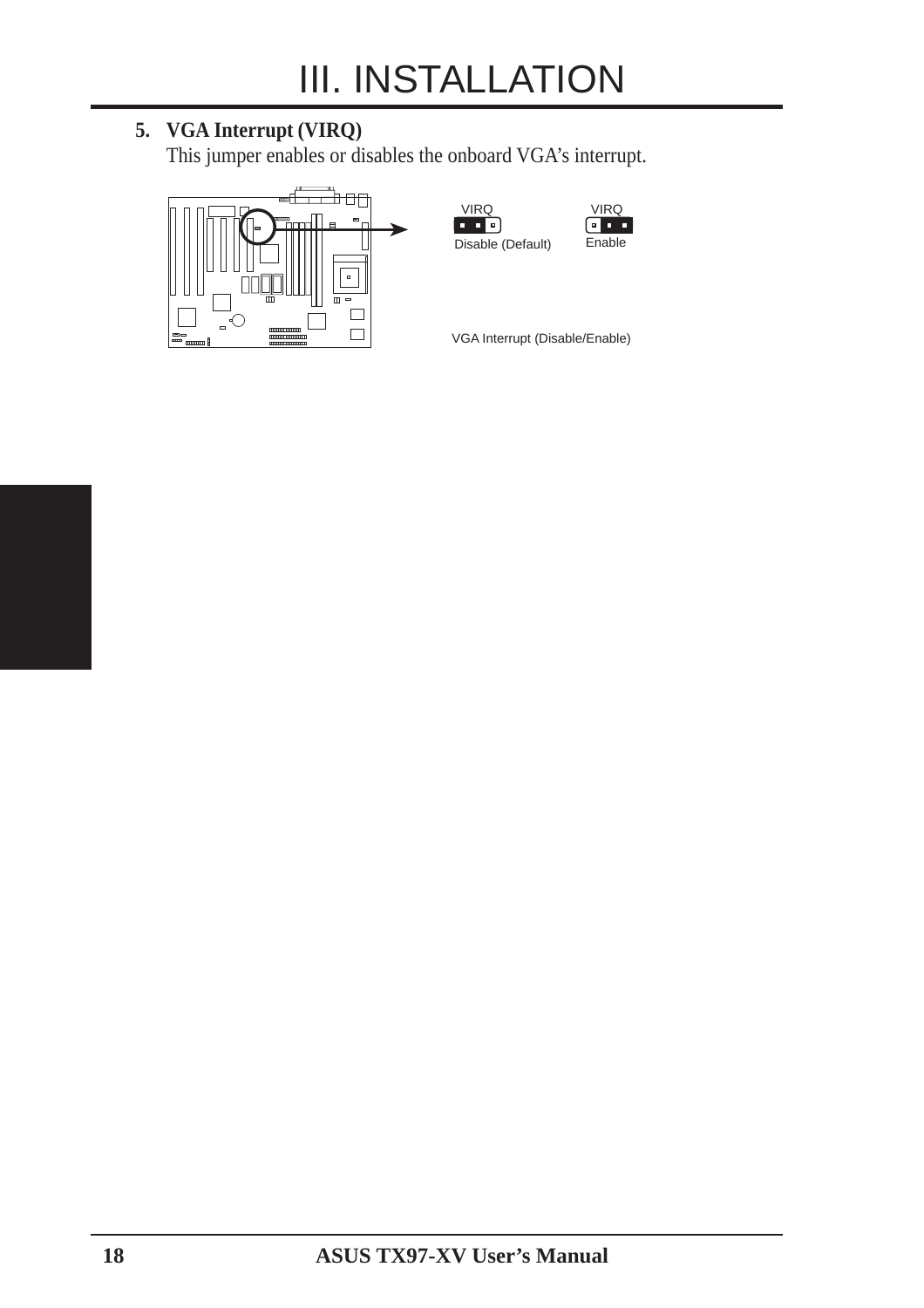### **5. VGA Interrupt (VIRQ)**

This jumper enables or disables the onboard VGA's interrupt.



Disable (Default) VIRQ<br>**F** P P



VGA Interrupt (Disable/Enable)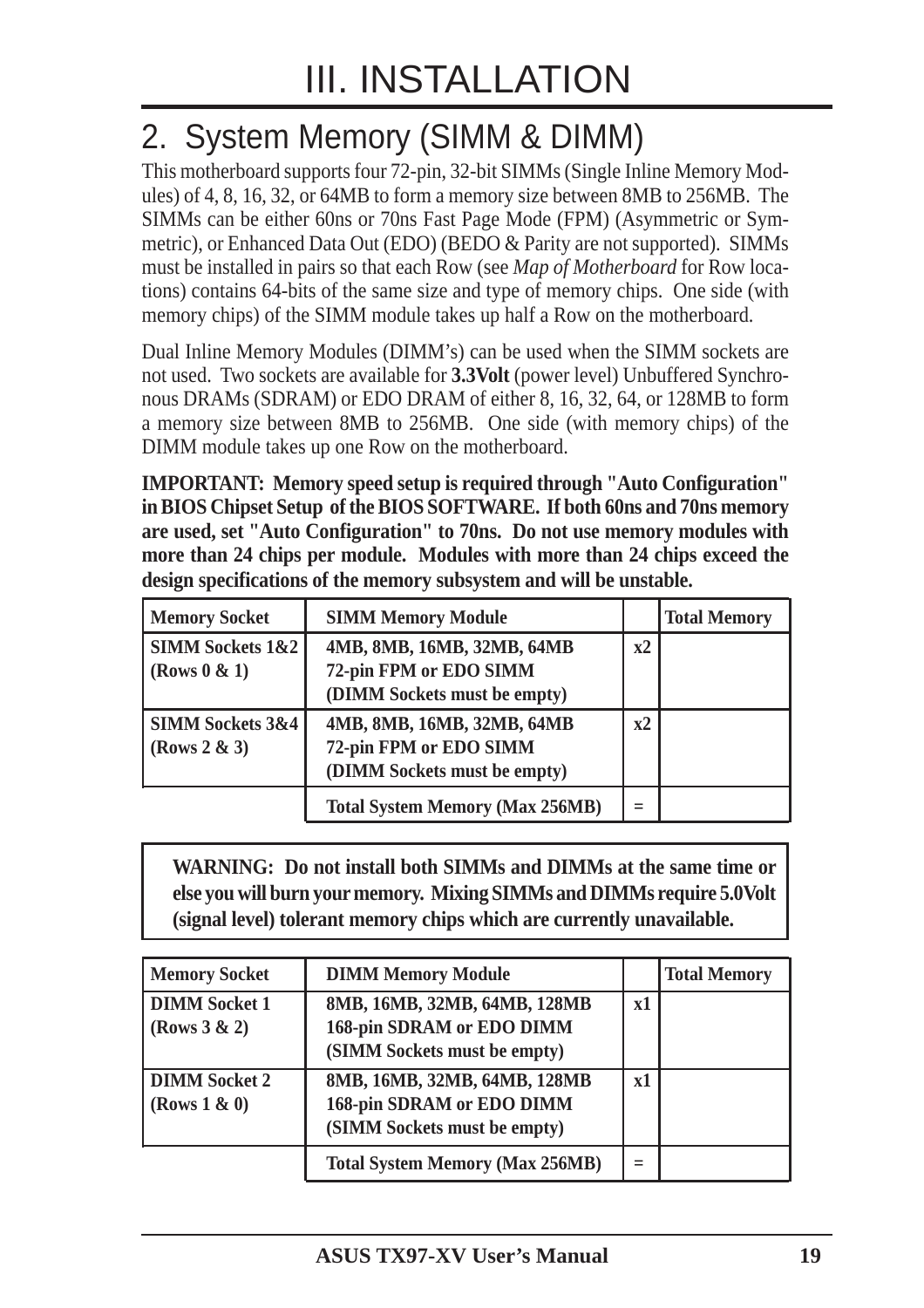# 2. System Memory (SIMM & DIMM)

This motherboard supports four 72-pin, 32-bit SIMMs (Single Inline Memory Modules) of 4, 8, 16, 32, or 64MB to form a memory size between 8MB to 256MB. The SIMMs can be either 60ns or 70ns Fast Page Mode (FPM) (Asymmetric or Symmetric), or Enhanced Data Out (EDO) (BEDO & Parity are not supported). SIMMs must be installed in pairs so that each Row (see *Map of Motherboard* for Row locations) contains 64-bits of the same size and type of memory chips. One side (with memory chips) of the SIMM module takes up half a Row on the motherboard.

Dual Inline Memory Modules (DIMM's) can be used when the SIMM sockets are not used. Two sockets are available for **3.3Volt** (power level) Unbuffered Synchronous DRAMs (SDRAM) or EDO DRAM of either 8, 16, 32, 64, or 128MB to form a memory size between 8MB to 256MB. One side (with memory chips) of the DIMM module takes up one Row on the motherboard.

**IMPORTANT: Memory speed setup is required through "Auto Configuration" in BIOS Chipset Setup of the BIOS SOFTWARE. If both 60ns and 70ns memory are used, set "Auto Configuration" to 70ns. Do not use memory modules with more than 24 chips per module. Modules with more than 24 chips exceed the design specifications of the memory subsystem and will be unstable.**

| <b>Memory Socket</b>                        | <b>SIMM Memory Module</b>                                                            |       | <b>Total Memory</b> |
|---------------------------------------------|--------------------------------------------------------------------------------------|-------|---------------------|
| <b>SIMM Sockets 1&amp;2</b><br>(Rows 0 & 1) | 4MB, 8MB, 16MB, 32MB, 64MB<br>72-pin FPM or EDO SIMM<br>(DIMM Sockets must be empty) | $x^2$ |                     |
| <b>SIMM Sockets 3&amp;4</b><br>(Rows 2 & 3) | 4MB, 8MB, 16MB, 32MB, 64MB<br>72-pin FPM or EDO SIMM<br>(DIMM Sockets must be empty) | $x^2$ |                     |
|                                             | <b>Total System Memory (Max 256MB)</b>                                               |       |                     |

**WARNING: Do not install both SIMMs and DIMMs at the same time or else you will burn your memory. Mixing SIMMs and DIMMs require 5.0Volt (signal level) tolerant memory chips which are currently unavailable.**

| <b>Memory Socket</b>                 | <b>DIMM Memory Module</b>                                                                 |                | <b>Total Memory</b> |
|--------------------------------------|-------------------------------------------------------------------------------------------|----------------|---------------------|
| <b>DIMM Socket 1</b><br>(Rows 3 & 2) | 8MB, 16MB, 32MB, 64MB, 128MB<br>168-pin SDRAM or EDO DIMM<br>(SIMM Sockets must be empty) | $\mathbf{x}$ 1 |                     |
| <b>DIMM Socket 2</b><br>(Rows 1 & 0) | 8MB, 16MB, 32MB, 64MB, 128MB<br>168-pin SDRAM or EDO DIMM<br>(SIMM Sockets must be empty) | x1             |                     |
|                                      | <b>Total System Memory (Max 256MB)</b>                                                    |                |                     |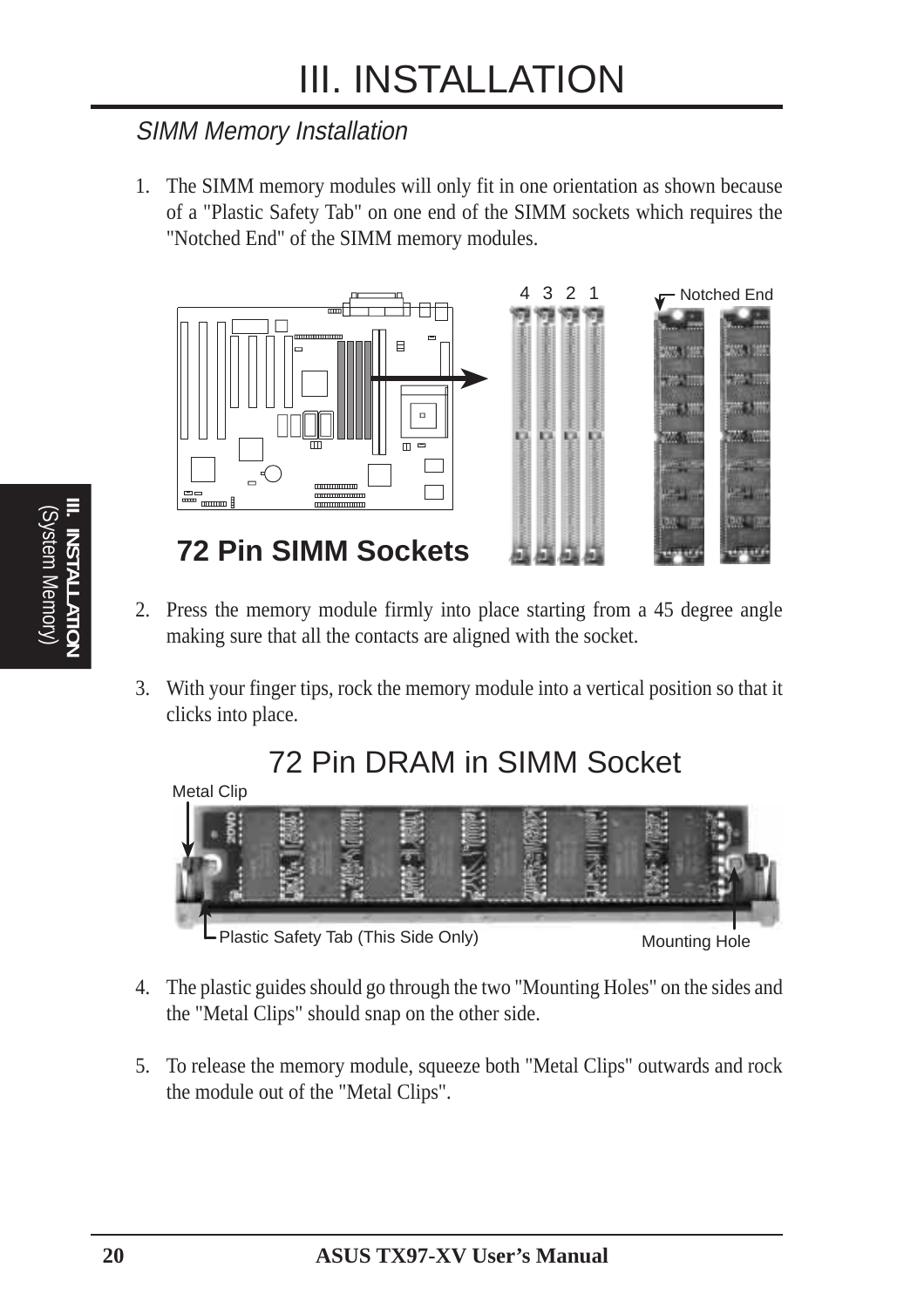### SIMM Memory Installation

1. The SIMM memory modules will only fit in one orientation as shown because of a "Plastic Safety Tab" on one end of the SIMM sockets which requires the "Notched End" of the SIMM memory modules.



- 2. Press the memory module firmly into place starting from a 45 degree angle making sure that all the contacts are aligned with the socket.
- 3. With your finger tips, rock the memory module into a vertical position so that it clicks into place.

## 72 Pin DRAM in SIMM Socket



4. The plastic guides should go through the two "Mounting Holes" on the sides and the "Metal Clips" should snap on the other side.

5. To release the memory module, squeeze both "Metal Clips" outwards and rock the module out of the "Metal Clips".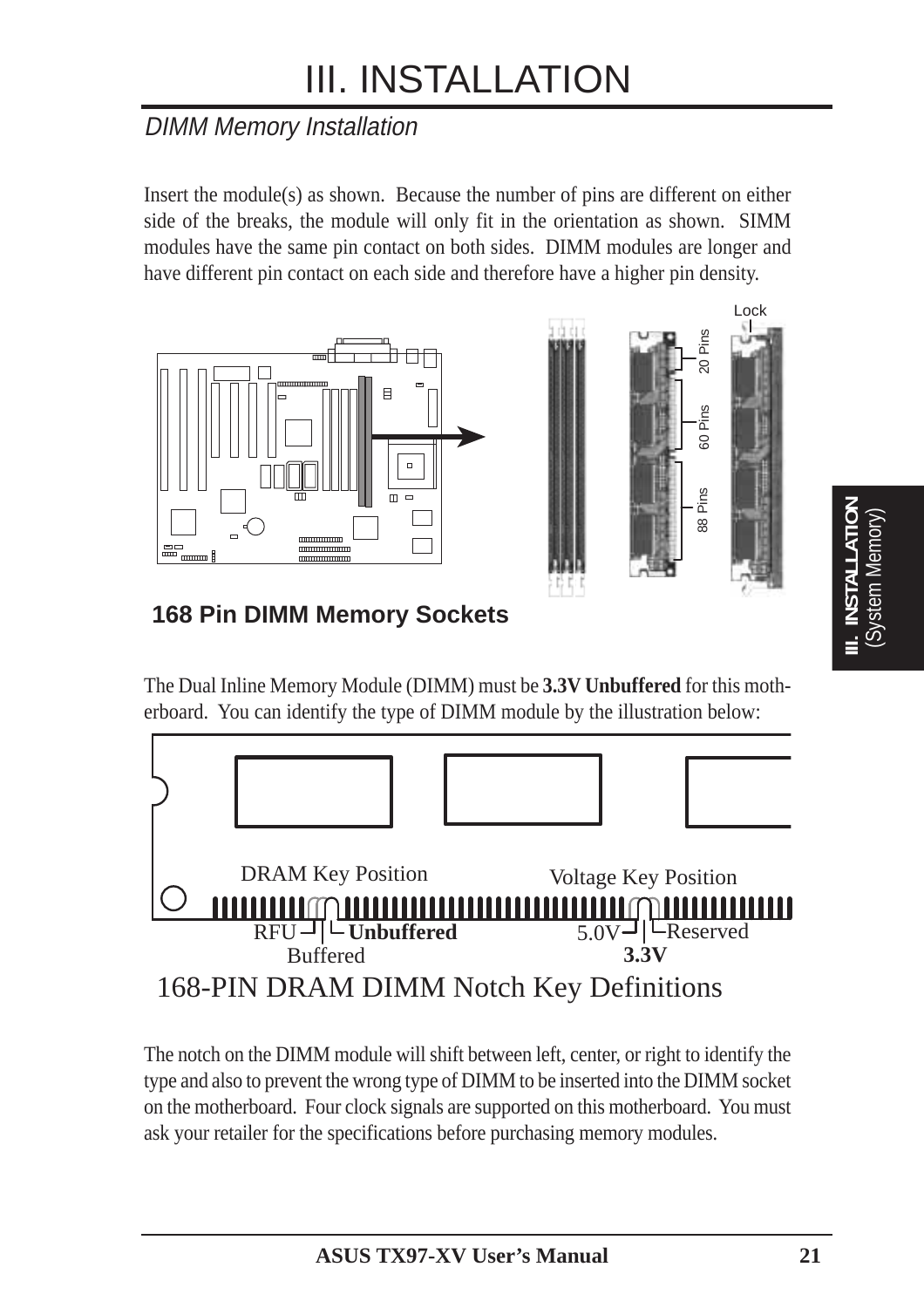# III. INSTALLATION

### DIMM Memory Installation

Insert the module(s) as shown. Because the number of pins are different on either side of the breaks, the module will only fit in the orientation as shown. SIMM modules have the same pin contact on both sides. DIMM modules are longer and have different pin contact on each side and therefore have a higher pin density.





### **168 Pin DIMM Memory Sockets**

The Dual Inline Memory Module (DIMM) must be **3.3V Unbuffered** for this motherboard. You can identify the type of DIMM module by the illustration below:



The notch on the DIMM module will shift between left, center, or right to identify the type and also to prevent the wrong type of DIMM to be inserted into the DIMM socket on the motherboard. Four clock signals are supported on this motherboard. You must ask your retailer for the specifications before purchasing memory modules.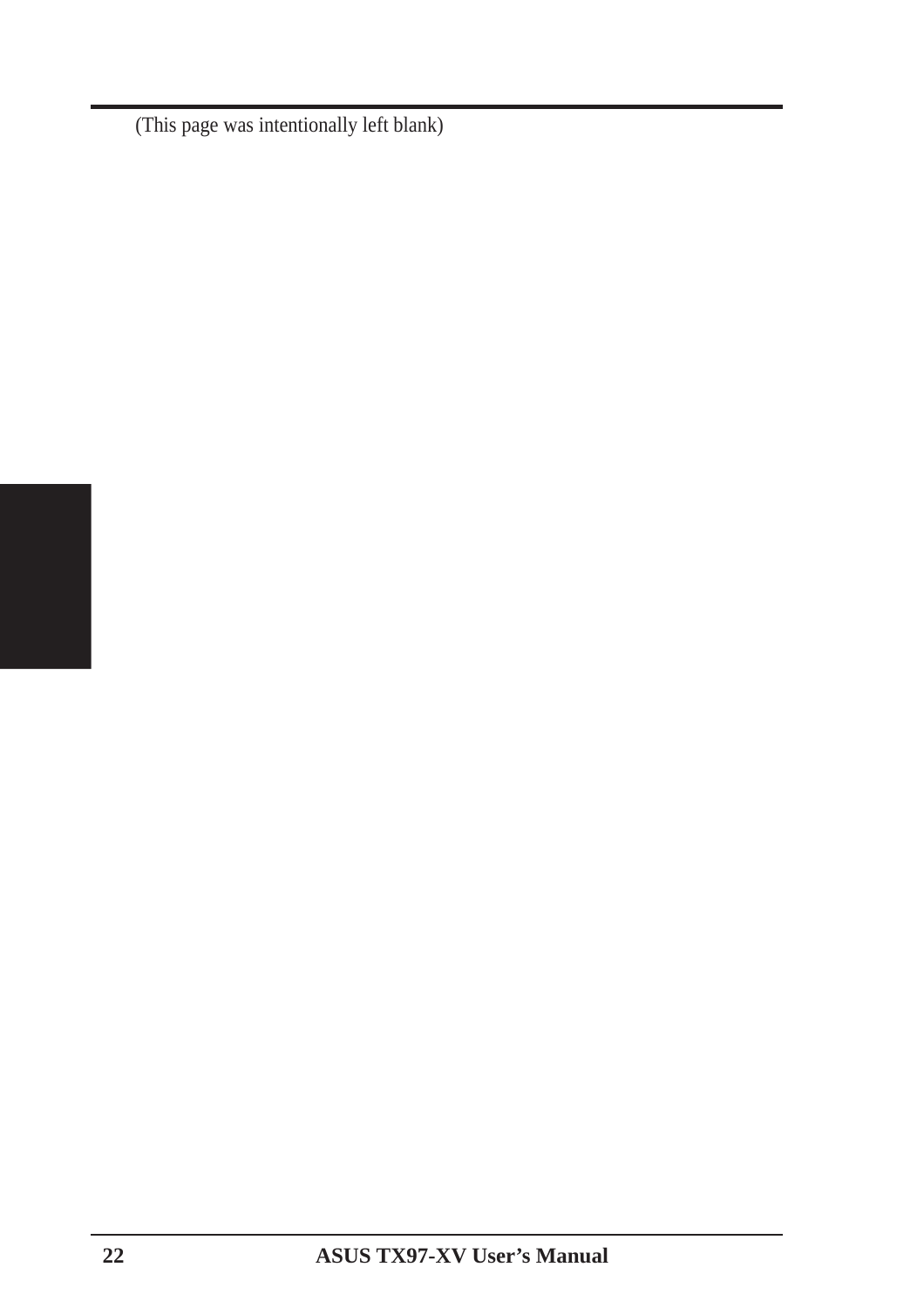(This page was intentionally left blank)

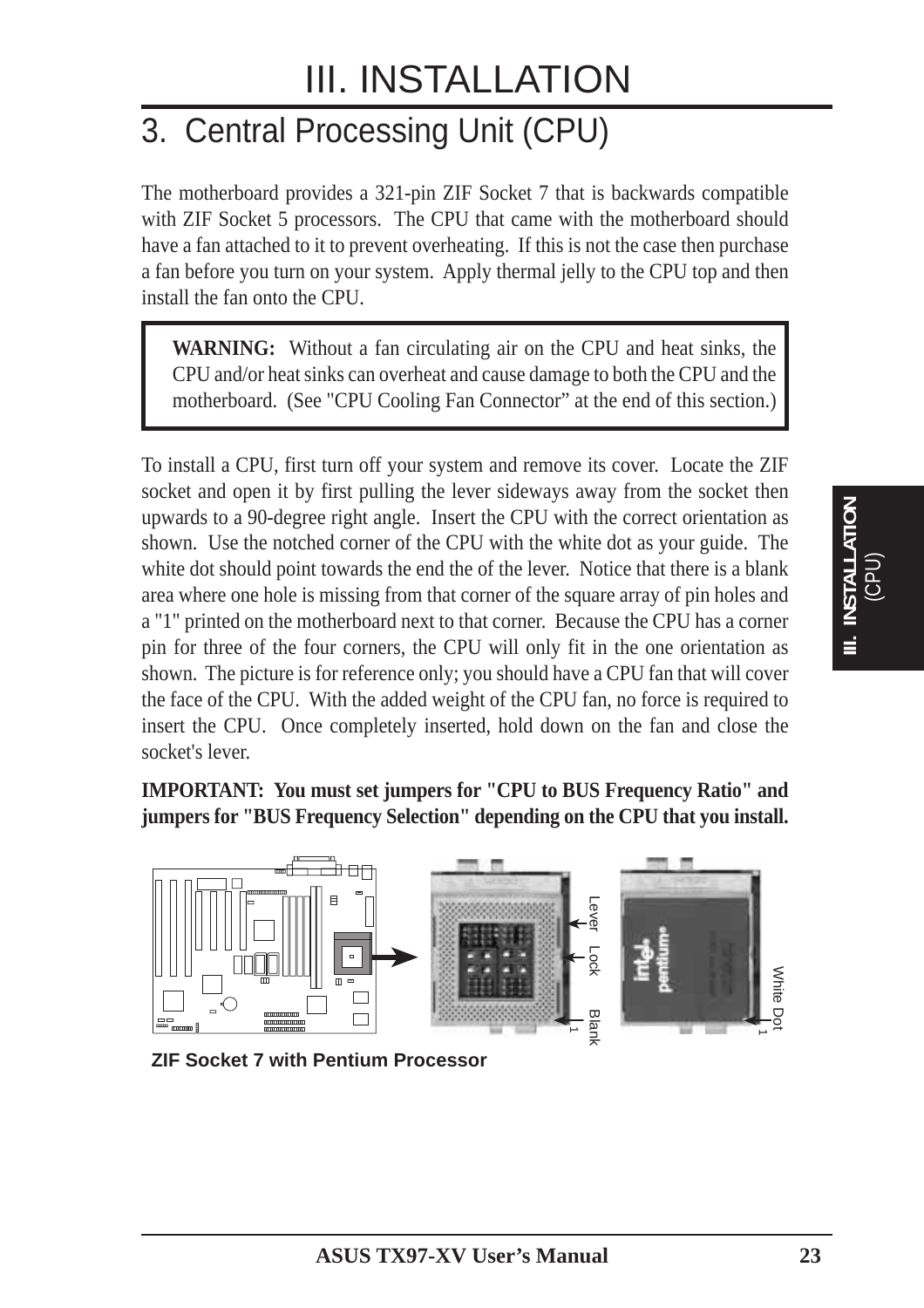# 3. Central Processing Unit (CPU)

The motherboard provides a 321-pin ZIF Socket 7 that is backwards compatible with ZIF Socket 5 processors. The CPU that came with the motherboard should have a fan attached to it to prevent overheating. If this is not the case then purchase a fan before you turn on your system. Apply thermal jelly to the CPU top and then install the fan onto the CPU.

**WARNING:** Without a fan circulating air on the CPU and heat sinks, the CPU and/or heat sinks can overheat and cause damage to both the CPU and the motherboard. (See "CPU Cooling Fan Connector" at the end of this section.)

To install a CPU, first turn off your system and remove its cover. Locate the ZIF socket and open it by first pulling the lever sideways away from the socket then upwards to a 90-degree right angle. Insert the CPU with the correct orientation as shown. Use the notched corner of the CPU with the white dot as your guide. The white dot should point towards the end the of the lever. Notice that there is a blank area where one hole is missing from that corner of the square array of pin holes and a "1" printed on the motherboard next to that corner. Because the CPU has a corner pin for three of the four corners, the CPU will only fit in the one orientation as shown. The picture is for reference only; you should have a CPU fan that will cover the face of the CPU. With the added weight of the CPU fan, no force is required to insert the CPU. Once completely inserted, hold down on the fan and close the socket's lever.

**IMPORTANT: You must set jumpers for "CPU to BUS Frequency Ratio" and jumpers for "BUS Frequency Selection" depending on the CPU that you install.**



**ZIF Socket 7 with Pentium Processor**

II. INSTALLATION<br>(CPU) **III. INSTALLATION**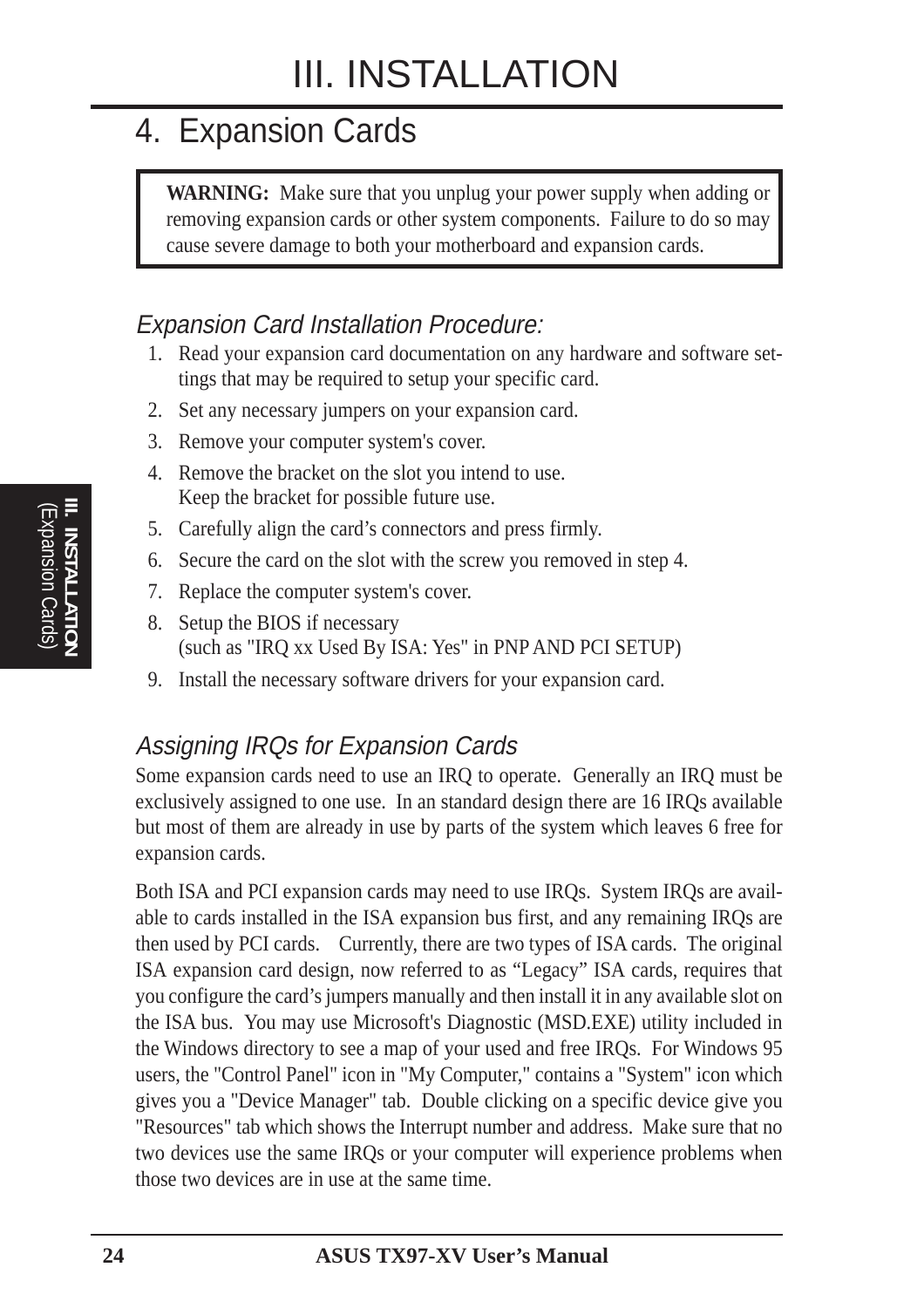## 4. Expansion Cards

**WARNING:** Make sure that you unplug your power supply when adding or removing expansion cards or other system components. Failure to do so may cause severe damage to both your motherboard and expansion cards.

### Expansion Card Installation Procedure:

- 1. Read your expansion card documentation on any hardware and software settings that may be required to setup your specific card.
- 2. Set any necessary jumpers on your expansion card.
- 3. Remove your computer system's cover.
- 4. Remove the bracket on the slot you intend to use. Keep the bracket for possible future use.
- 5. Carefully align the card's connectors and press firmly.
- 6. Secure the card on the slot with the screw you removed in step 4.
- 7. Replace the computer system's cover.
- 8. Setup the BIOS if necessary (such as "IRQ xx Used By ISA: Yes" in PNP AND PCI SETUP)
- 9. Install the necessary software drivers for your expansion card.

### Assigning IRQs for Expansion Cards

Some expansion cards need to use an IRQ to operate. Generally an IRQ must be exclusively assigned to one use. In an standard design there are 16 IRQs available but most of them are already in use by parts of the system which leaves 6 free for expansion cards.

Both ISA and PCI expansion cards may need to use IRQs. System IRQs are available to cards installed in the ISA expansion bus first, and any remaining IRQs are then used by PCI cards. Currently, there are two types of ISA cards. The original ISA expansion card design, now referred to as "Legacy" ISA cards, requires that you configure the card's jumpers manually and then install it in any available slot on the ISA bus. You may use Microsoft's Diagnostic (MSD.EXE) utility included in the Windows directory to see a map of your used and free IRQs. For Windows 95 users, the "Control Panel" icon in "My Computer," contains a "System" icon which gives you a "Device Manager" tab. Double clicking on a specific device give you "Resources" tab which shows the Interrupt number and address. Make sure that no two devices use the same IRQs or your computer will experience problems when those two devices are in use at the same time.

(Expansion Cards) **III. INSTALLATION**

II. INS IALLAI IOI<br>(Expansion Cards)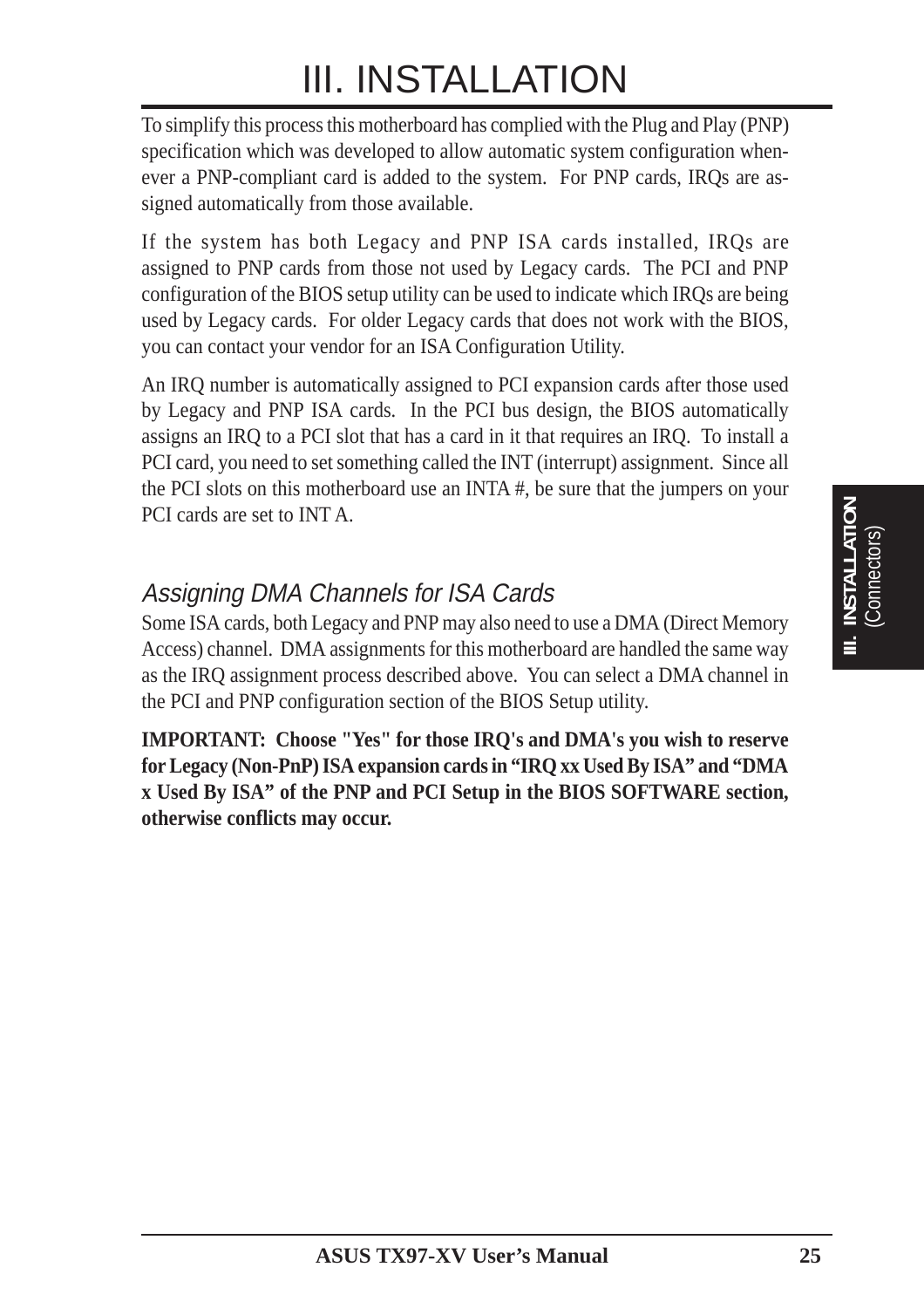# III. INSTALLATION

To simplify this process this motherboard has complied with the Plug and Play (PNP) specification which was developed to allow automatic system configuration whenever a PNP-compliant card is added to the system. For PNP cards, IRQs are assigned automatically from those available.

If the system has both Legacy and PNP ISA cards installed, IRQs are assigned to PNP cards from those not used by Legacy cards. The PCI and PNP configuration of the BIOS setup utility can be used to indicate which IRQs are being used by Legacy cards. For older Legacy cards that does not work with the BIOS, you can contact your vendor for an ISA Configuration Utility.

An IRQ number is automatically assigned to PCI expansion cards after those used by Legacy and PNP ISA cards. In the PCI bus design, the BIOS automatically assigns an IRQ to a PCI slot that has a card in it that requires an IRQ. To install a PCI card, you need to set something called the INT (interrupt) assignment. Since all the PCI slots on this motherboard use an INTA #, be sure that the jumpers on your PCI cards are set to INT A.

### Assigning DMA Channels for ISA Cards

Some ISA cards, both Legacy and PNP may also need to use a DMA (Direct Memory Access) channel. DMA assignments for this motherboard are handled the same way as the IRQ assignment process described above. You can select a DMA channel in the PCI and PNP configuration section of the BIOS Setup utility.

**IMPORTANT: Choose "Yes" for those IRQ's and DMA's you wish to reserve for Legacy (Non-PnP) ISA expansion cards in "IRQ xx Used By ISA" and "DMA x Used By ISA" of the PNP and PCI Setup in the BIOS SOFTWARE section, otherwise conflicts may occur.**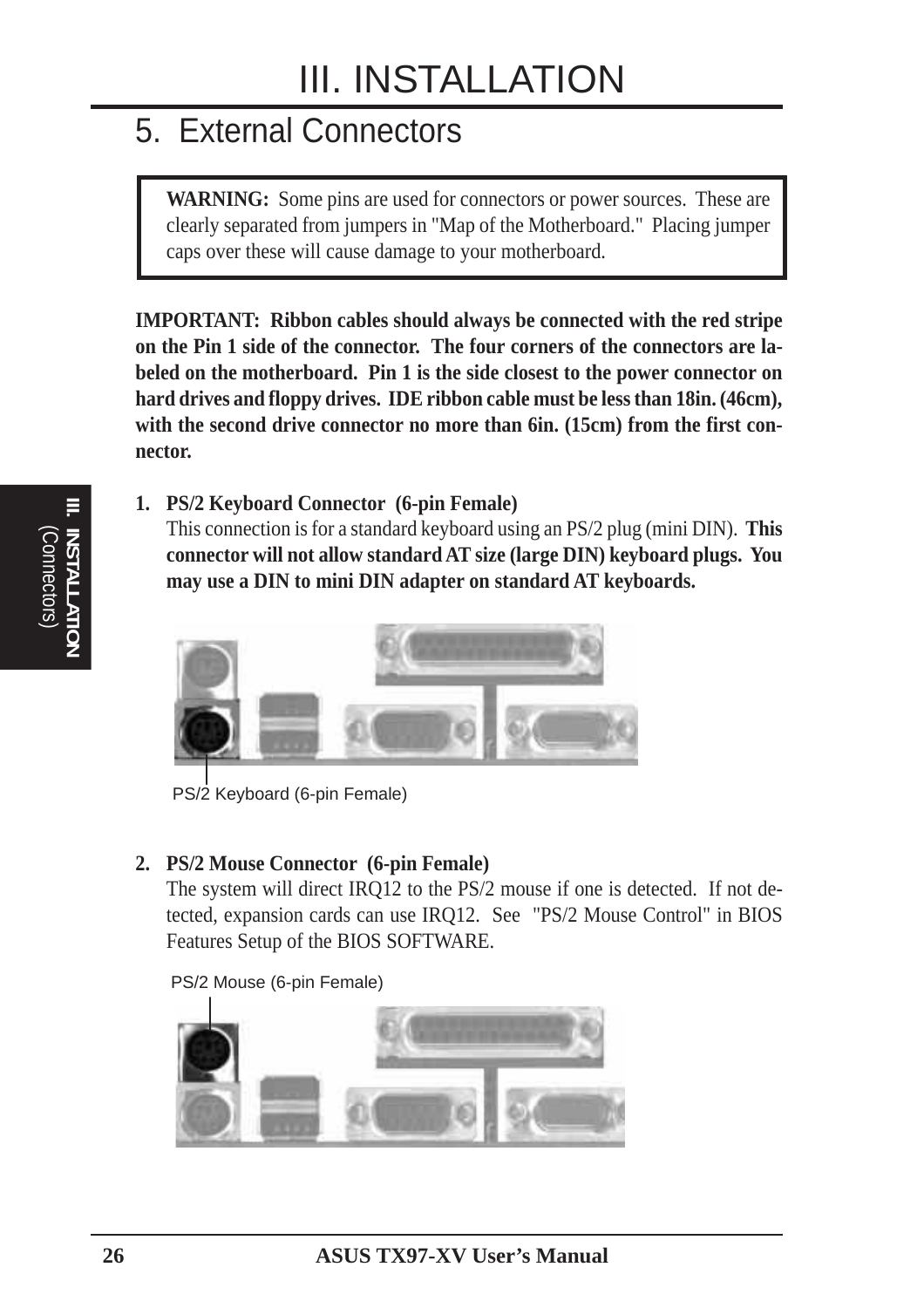# III. INSTALLATION

## 5. External Connectors

**WARNING:** Some pins are used for connectors or power sources. These are clearly separated from jumpers in "Map of the Motherboard." Placing jumper caps over these will cause damage to your motherboard.

**IMPORTANT: Ribbon cables should always be connected with the red stripe on the Pin 1 side of the connector. The four corners of the connectors are labeled on the motherboard. Pin 1 is the side closest to the power connector on hard drives and floppy drives. IDE ribbon cable must be less than 18in. (46cm),** with the second drive connector no more than 6in. (15cm) from the first con**nector.**

**1. PS/2 Keyboard Connector (6-pin Female)**

This connection is for a standard keyboard using an PS/2 plug (mini DIN). **This connector will not allow standard AT size (large DIN) keyboard plugs. You may use a DIN to mini DIN adapter on standard AT keyboards.**



PS/2 Keyboard (6-pin Female)

### **2. PS/2 Mouse Connector (6-pin Female)**

The system will direct IRQ12 to the PS/2 mouse if one is detected. If not detected, expansion cards can use IRQ12. See "PS/2 Mouse Control" in BIOS Features Setup of the BIOS SOFTWARE.

PS/2 Mouse (6-pin Female)



(Connectors) **III. INSTALLATION**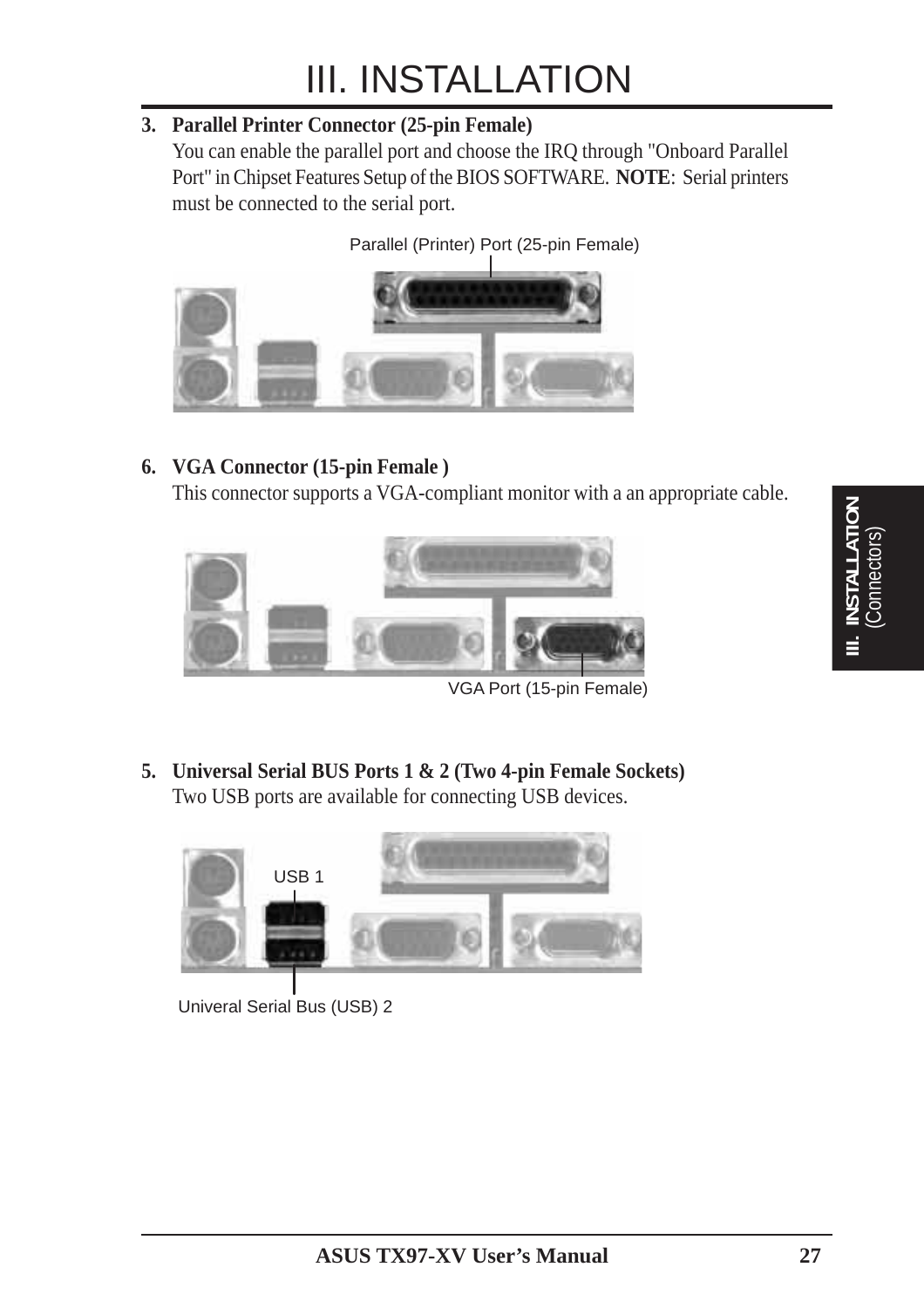### **3. Parallel Printer Connector (25-pin Female)**

You can enable the parallel port and choose the IRQ through "Onboard Parallel Port" in Chipset Features Setup of the BIOS SOFTWARE. **NOTE**: Serial printers must be connected to the serial port.

Parallel (Printer) Port (25-pin Female)



### **6. VGA Connector (15-pin Female )**

This connector supports a VGA-compliant monitor with a an appropriate cable.



VGA Port (15-pin Female)

**5. Universal Serial BUS Ports 1 & 2 (Two 4-pin Female Sockets)** Two USB ports are available for connecting USB devices.



Univeral Serial Bus (USB) 2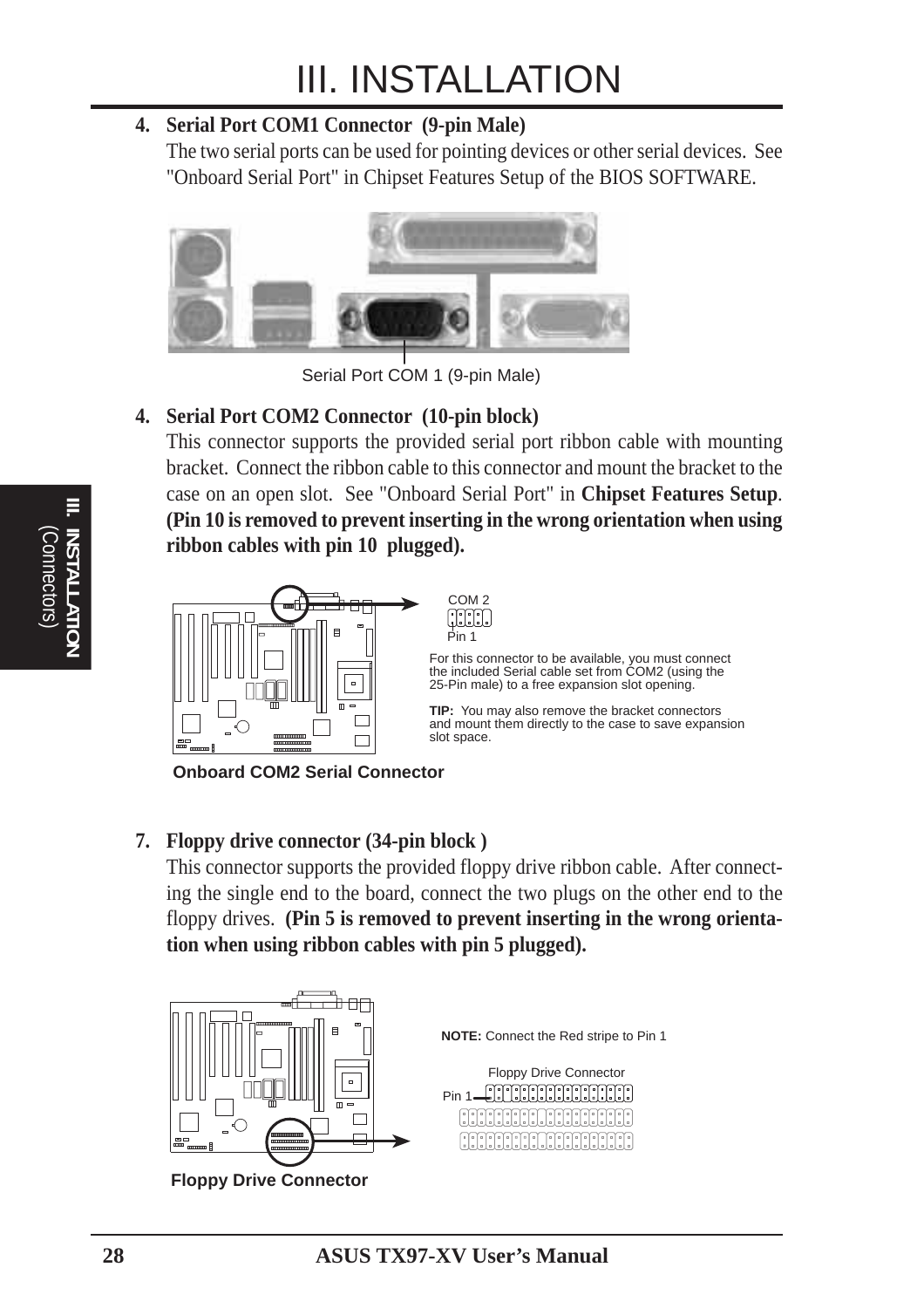### **4. Serial Port COM1 Connector (9-pin Male)**

The two serial ports can be used for pointing devices or other serial devices. See "Onboard Serial Port" in Chipset Features Setup of the BIOS SOFTWARE.



Serial Port COM 1 (9-pin Male)

### **4. Serial Port COM2 Connector (10-pin block)**

This connector supports the provided serial port ribbon cable with mounting bracket. Connect the ribbon cable to this connector and mount the bracket to the case on an open slot. See "Onboard Serial Port" in **Chipset Features Setup**. **(Pin 10 is removed to prevent inserting in the wrong orientation when using ribbon cables with pin 10 plugged).**





For this connector to be available, you must connect the included Serial cable set from COM2 (using the 25-Pin male) to a free expansion slot opening.

**TIP:** You may also remove the bracket connectors and mount them directly to the case to save expansion slot space.

**Onboard COM2 Serial Connector**

### **7. Floppy drive connector (34-pin block )**

This connector supports the provided floppy drive ribbon cable. After connecting the single end to the board, connect the two plugs on the other end to the floppy drives. **(Pin 5 is removed to prevent inserting in the wrong orientation when using ribbon cables with pin 5 plugged).**

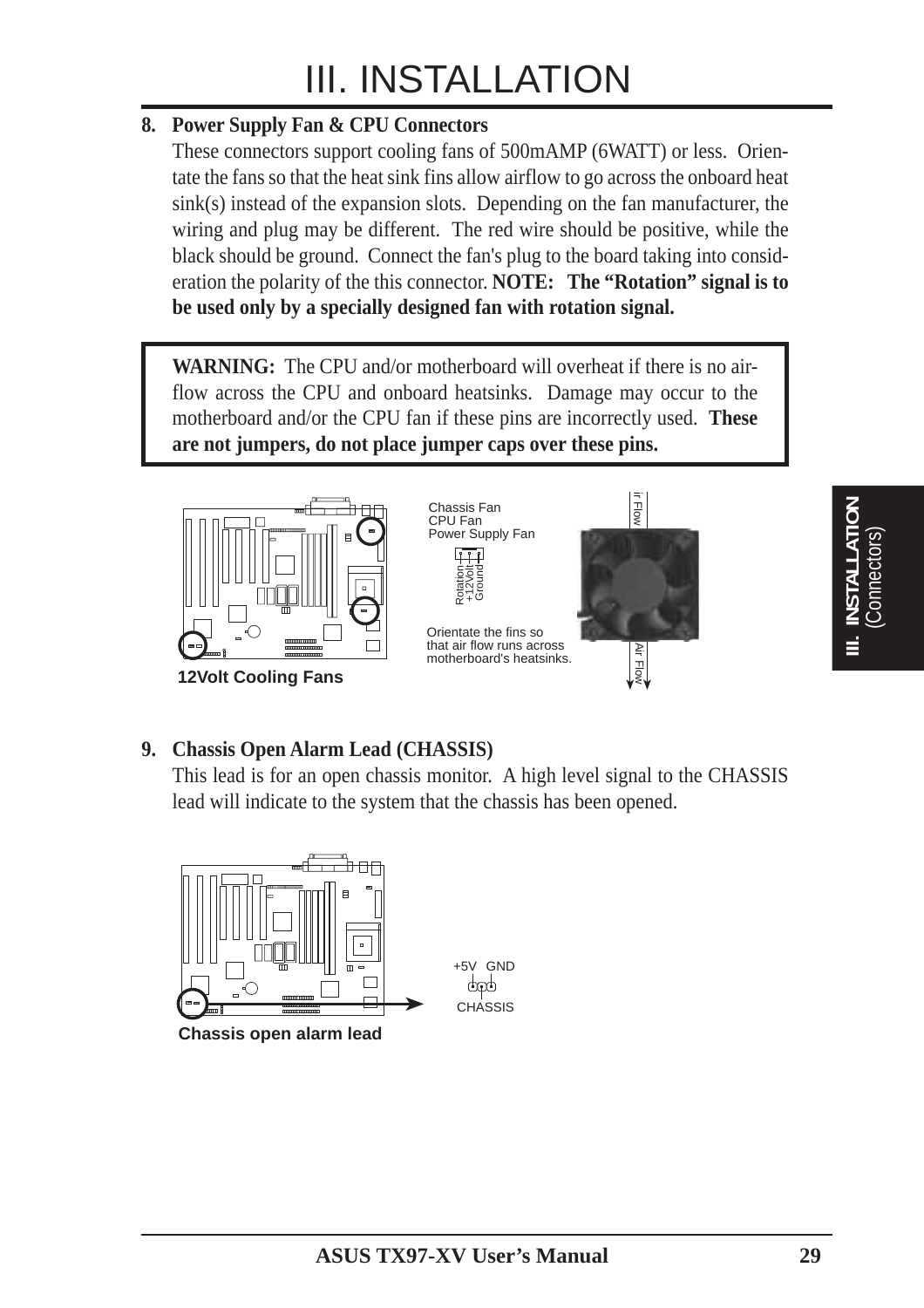### **8. Power Supply Fan & CPU Connectors**

These connectors support cooling fans of 500mAMP (6WATT) or less. Orientate the fans so that the heat sink fins allow airflow to go across the onboard heat sink(s) instead of the expansion slots. Depending on the fan manufacturer, the wiring and plug may be different. The red wire should be positive, while the black should be ground. Connect the fan's plug to the board taking into consideration the polarity of the this connector. **NOTE: The "Rotation" signal is to be used only by a specially designed fan with rotation signal.**

**WARNING:** The CPU and/or motherboard will overheat if there is no airflow across the CPU and onboard heatsinks. Damage may occur to the motherboard and/or the CPU fan if these pins are incorrectly used. **These are not jumpers, do not place jumper caps over these pins.**



### **9. Chassis Open Alarm Lead (CHASSIS)**

This lead is for an open chassis monitor. A high level signal to the CHASSIS lead will indicate to the system that the chassis has been opened.

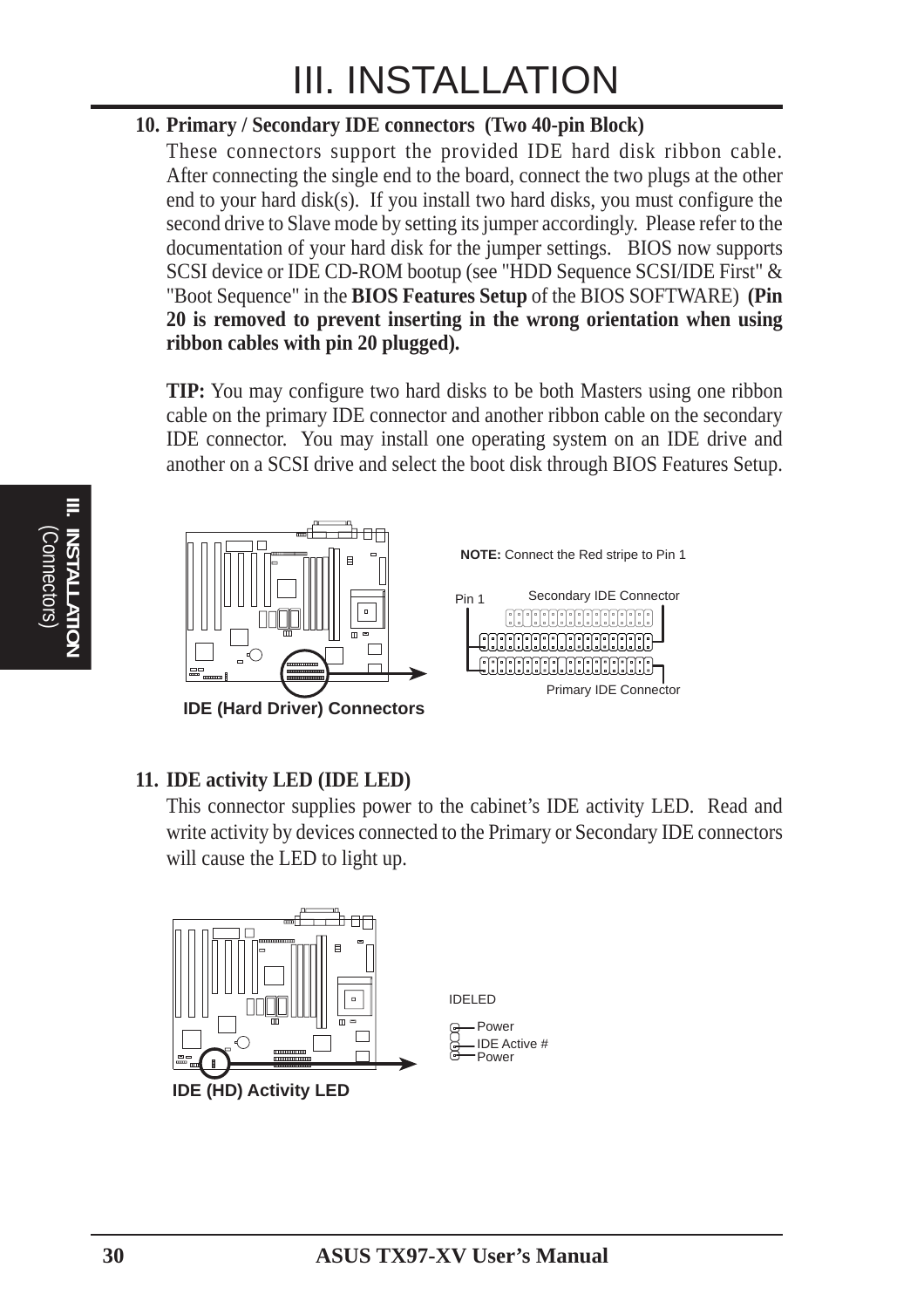# III. INSTALLATION

### **10. Primary / Secondary IDE connectors (Two 40-pin Block)**

These connectors support the provided IDE hard disk ribbon cable. After connecting the single end to the board, connect the two plugs at the other end to your hard disk(s). If you install two hard disks, you must configure the second drive to Slave mode by setting its jumper accordingly. Please refer to the documentation of your hard disk for the jumper settings. BIOS now supports SCSI device or IDE CD-ROM bootup (see "HDD Sequence SCSI/IDE First" & "Boot Sequence" in the **BIOS Features Setup** of the BIOS SOFTWARE) **(Pin 20 is removed to prevent inserting in the wrong orientation when using ribbon cables with pin 20 plugged).**

**TIP:** You may configure two hard disks to be both Masters using one ribbon cable on the primary IDE connector and another ribbon cable on the secondary IDE connector. You may install one operating system on an IDE drive and another on a SCSI drive and select the boot disk through BIOS Features Setup.



### **11. IDE activity LED (IDE LED)**

This connector supplies power to the cabinet's IDE activity LED. Read and write activity by devices connected to the Primary or Secondary IDE connectors will cause the LED to light up.

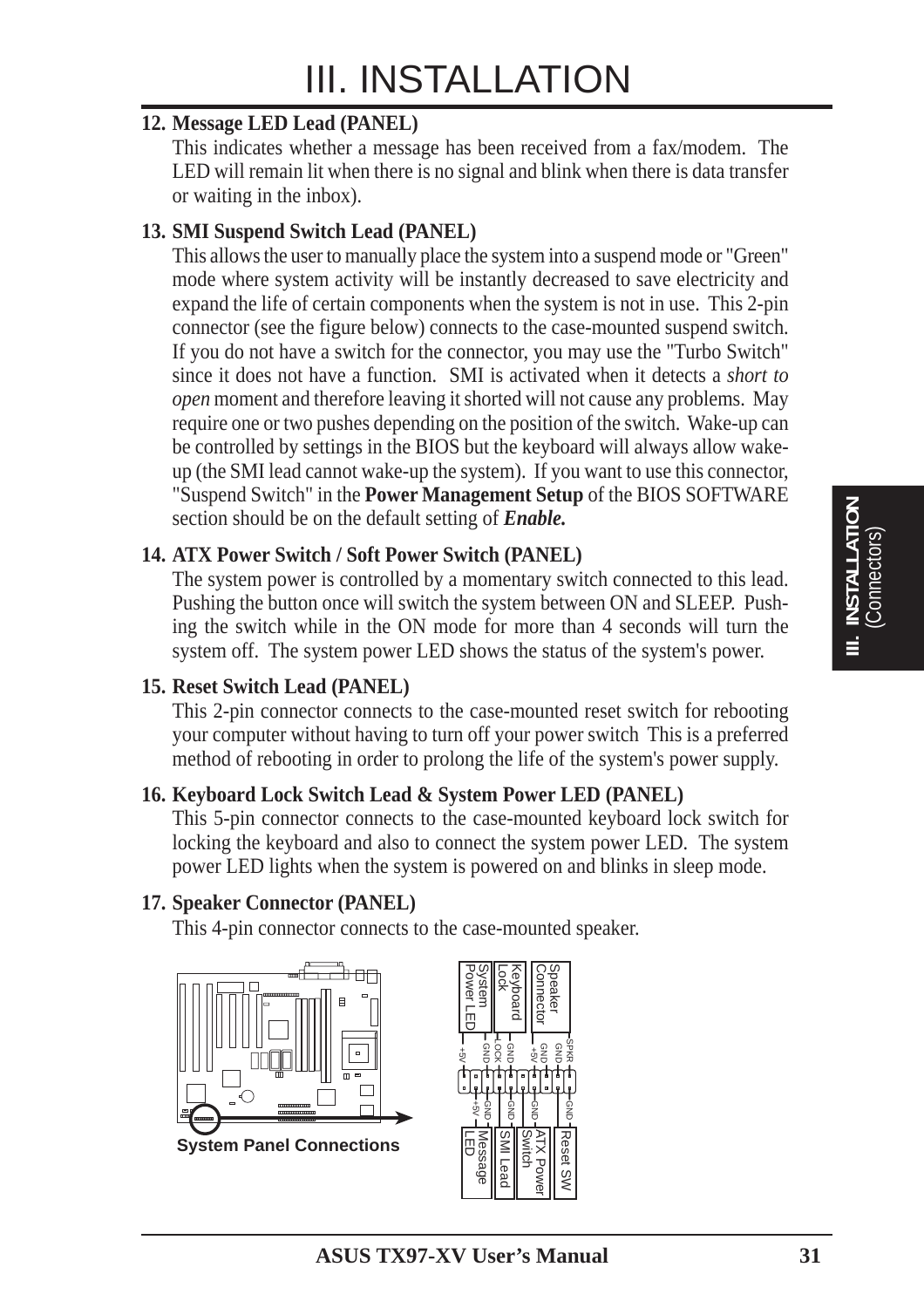#### **12. Message LED Lead (PANEL)**

This indicates whether a message has been received from a fax/modem. The LED will remain lit when there is no signal and blink when there is data transfer or waiting in the inbox).

### **13. SMI Suspend Switch Lead (PANEL)**

This allows the user to manually place the system into a suspend mode or "Green" mode where system activity will be instantly decreased to save electricity and expand the life of certain components when the system is not in use. This 2-pin connector (see the figure below) connects to the case-mounted suspend switch. If you do not have a switch for the connector, you may use the "Turbo Switch" since it does not have a function. SMI is activated when it detects a *short to open* moment and therefore leaving it shorted will not cause any problems. May require one or two pushes depending on the position of the switch. Wake-up can be controlled by settings in the BIOS but the keyboard will always allow wakeup (the SMI lead cannot wake-up the system). If you want to use this connector, "Suspend Switch" in the **Power Management Setup** of the BIOS SOFTWARE section should be on the default setting of *Enable.*

### **14. ATX Power Switch / Soft Power Switch (PANEL)**

The system power is controlled by a momentary switch connected to this lead. Pushing the button once will switch the system between ON and SLEEP. Pushing the switch while in the ON mode for more than 4 seconds will turn the system off. The system power LED shows the status of the system's power.

### **15. Reset Switch Lead (PANEL)**

This 2-pin connector connects to the case-mounted reset switch for rebooting your computer without having to turn off your power switch This is a preferred method of rebooting in order to prolong the life of the system's power supply.

### **16. Keyboard Lock Switch Lead & System Power LED (PANEL)**

This 5-pin connector connects to the case-mounted keyboard lock switch for locking the keyboard and also to connect the system power LED. The system power LED lights when the system is powered on and blinks in sleep mode.

### **17. Speaker Connector (PANEL)**

This 4-pin connector connects to the case-mounted speaker.





(Connectors) **III. INSTALLATION**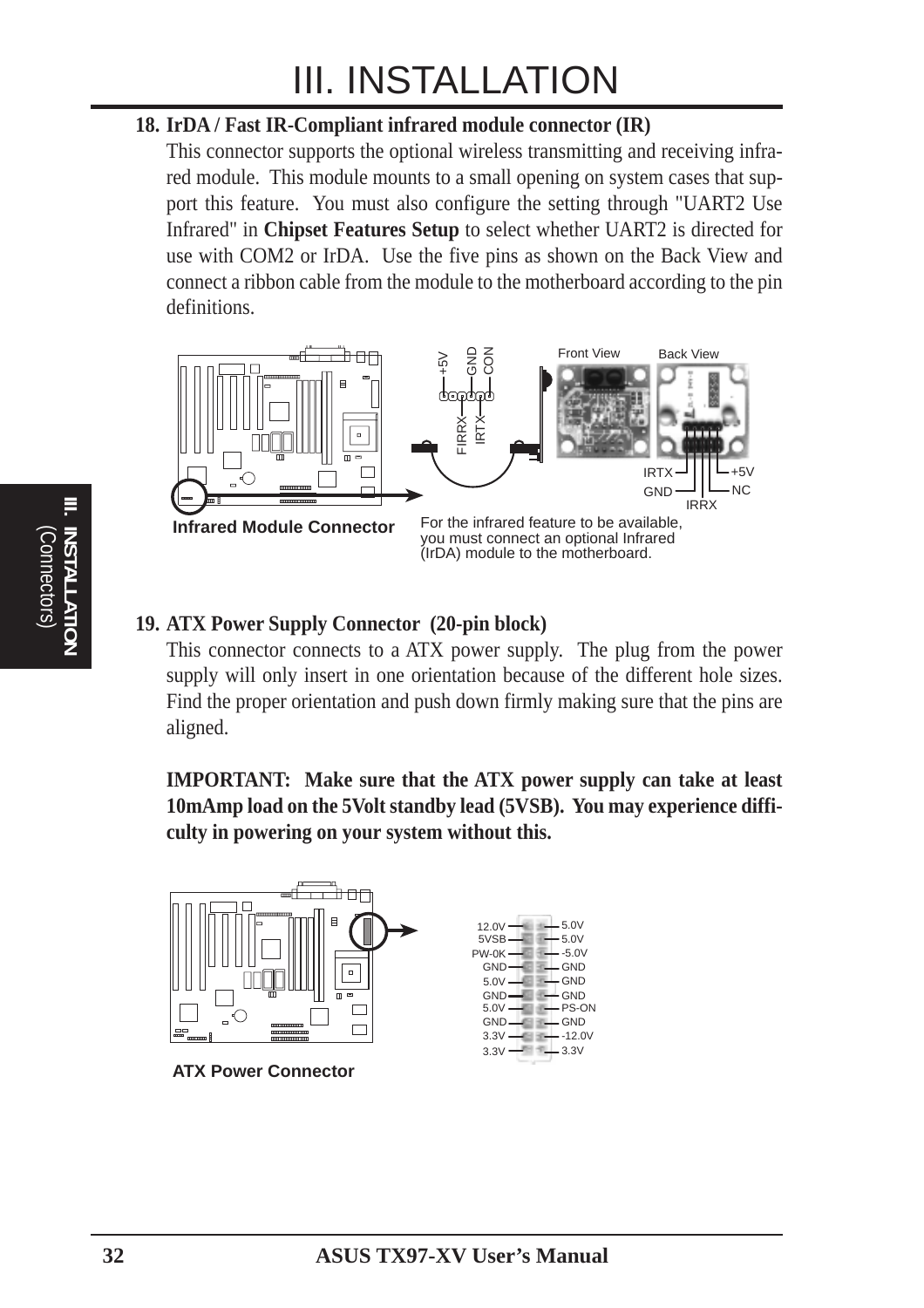### **18. IrDA / Fast IR-Compliant infrared module connector (IR)**

This connector supports the optional wireless transmitting and receiving infrared module. This module mounts to a small opening on system cases that support this feature. You must also configure the setting through "UART2 Use Infrared" in **Chipset Features Setup** to select whether UART2 is directed for use with COM2 or IrDA. Use the five pins as shown on the Back View and connect a ribbon cable from the module to the motherboard according to the pin definitions.



### **19. ATX Power Supply Connector (20-pin block)**

This connector connects to a ATX power supply. The plug from the power supply will only insert in one orientation because of the different hole sizes. Find the proper orientation and push down firmly making sure that the pins are aligned.

**IMPORTANT: Make sure that the ATX power supply can take at least 10mAmp load on the 5Volt standby lead (5VSB). You may experience difficulty in powering on your system without this.**

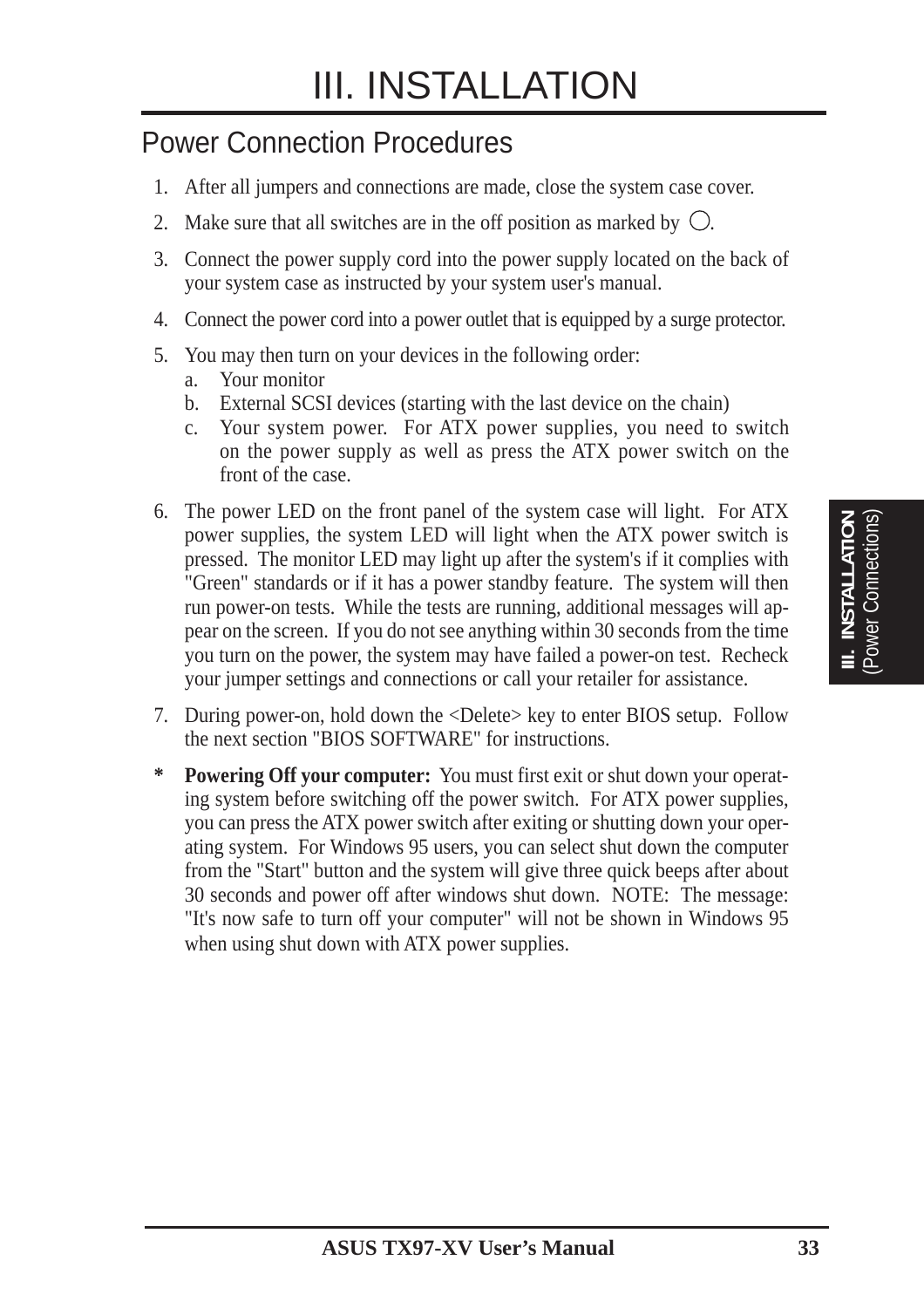## Power Connection Procedures

- 1. After all jumpers and connections are made, close the system case cover.
- 2. Make sure that all switches are in the off position as marked by  $\bigcirc$ .
- 3. Connect the power supply cord into the power supply located on the back of your system case as instructed by your system user's manual.
- 4. Connect the power cord into a power outlet that is equipped by a surge protector.
- 5. You may then turn on your devices in the following order:
	- a. Your monitor
	- b. External SCSI devices (starting with the last device on the chain)
	- c. Your system power. For ATX power supplies, you need to switch on the power supply as well as press the ATX power switch on the front of the case.
- 6. The power LED on the front panel of the system case will light. For ATX power supplies, the system LED will light when the ATX power switch is pressed. The monitor LED may light up after the system's if it complies with "Green" standards or if it has a power standby feature. The system will then run power-on tests. While the tests are running, additional messages will appear on the screen. If you do not see anything within 30 seconds from the time you turn on the power, the system may have failed a power-on test. Recheck your jumper settings and connections or call your retailer for assistance.
- 7. During power-on, hold down the <Delete> key to enter BIOS setup. Follow the next section "BIOS SOFTWARE" for instructions.
- **\* Powering Off your computer:** You must first exit or shut down your operating system before switching off the power switch. For ATX power supplies, you can press the ATX power switch after exiting or shutting down your operating system. For Windows 95 users, you can select shut down the computer from the "Start" button and the system will give three quick beeps after about 30 seconds and power off after windows shut down. NOTE: The message: "It's now safe to turn off your computer" will not be shown in Windows 95 when using shut down with ATX power supplies.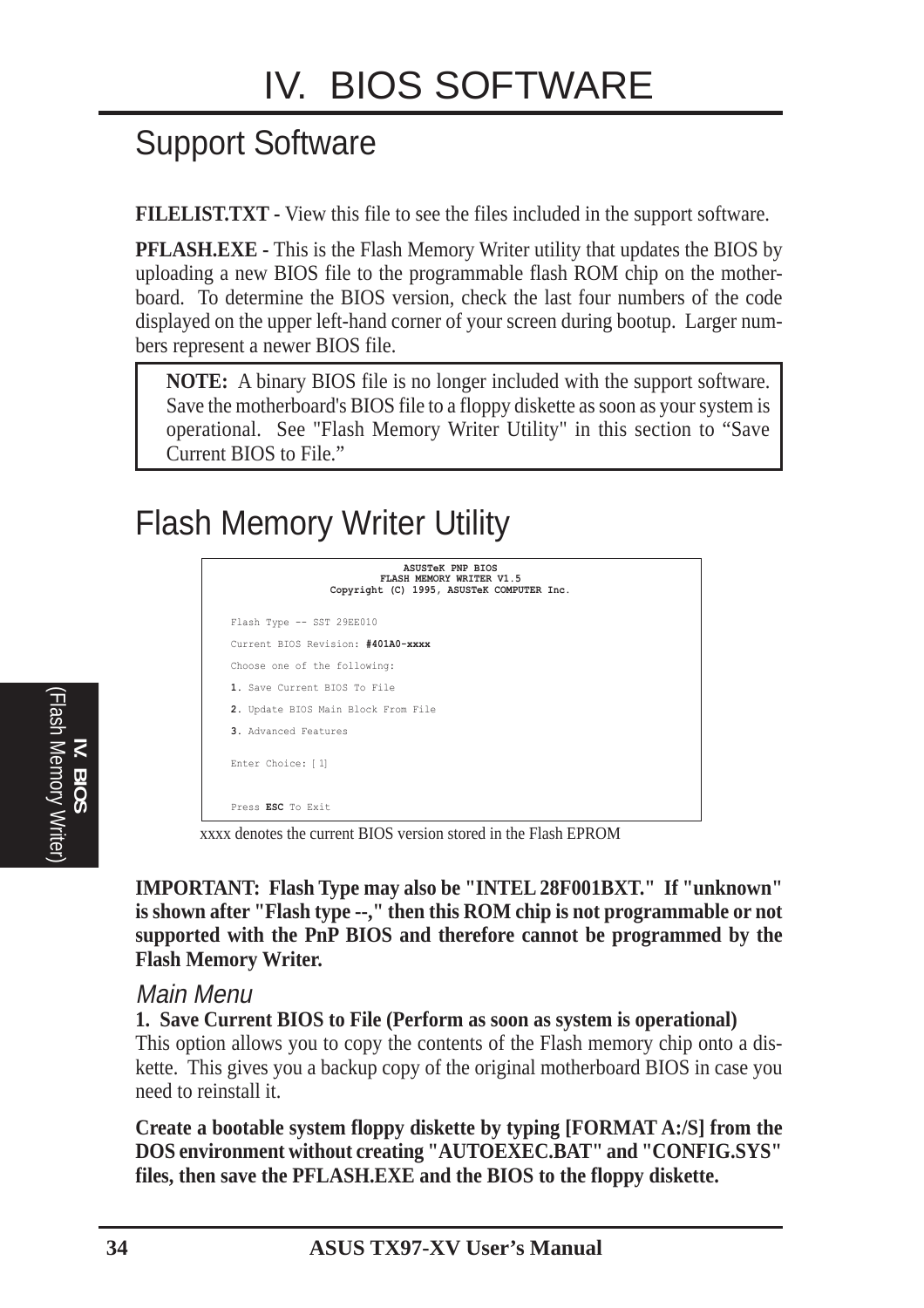# IV. BIOS SOFTWARE

## Support Software

**FILELIST.TXT -** View this file to see the files included in the support software.

**PFLASH.EXE -** This is the Flash Memory Writer utility that updates the BIOS by uploading a new BIOS file to the programmable flash ROM chip on the motherboard. To determine the BIOS version, check the last four numbers of the code displayed on the upper left-hand corner of your screen during bootup. Larger numbers represent a newer BIOS file.

**NOTE:** A binary BIOS file is no longer included with the support software. Save the motherboard's BIOS file to a floppy diskette as soon as your system is operational. See "Flash Memory Writer Utility" in this section to "Save Current BIOS to File."

# Flash Memory Writer Utility

| <b>ASUSTeK PNP BIOS</b><br>FLASH MEMORY WRITER V1.5<br>Copyright (C) 1995, ASUSTeK COMPUTER Inc. |
|--------------------------------------------------------------------------------------------------|
| Flash Type -- SST 29EE010                                                                        |
| Current BIOS Revision: #401A0-xxxx                                                               |
| Choose one of the following:                                                                     |
| 1. Save Current BIOS To File                                                                     |
| 2. Update BIOS Main Block From File                                                              |
| 3. Advanced Features                                                                             |
| Enter Choice: [1]                                                                                |
| Press ESC To Exit                                                                                |

xxxx denotes the current BIOS version stored in the Flash EPROM

**IMPORTANT: Flash Type may also be "INTEL 28F001BXT." If "unknown" is shown after "Flash type --," then this ROM chip is not programmable or not supported with the PnP BIOS and therefore cannot be programmed by the Flash Memory Writer.**

### Main Menu

**1. Save Current BIOS to File (Perform as soon as system is operational)** This option allows you to copy the contents of the Flash memory chip onto a diskette. This gives you a backup copy of the original motherboard BIOS in case you need to reinstall it.

**Create a bootable system floppy diskette by typing [FORMAT A:/S] from the DOS environment without creating "AUTOEXEC.BAT" and "CONFIG.SYS" files, then save the PFLASH.EXE and the BIOS to the floppy diskette.**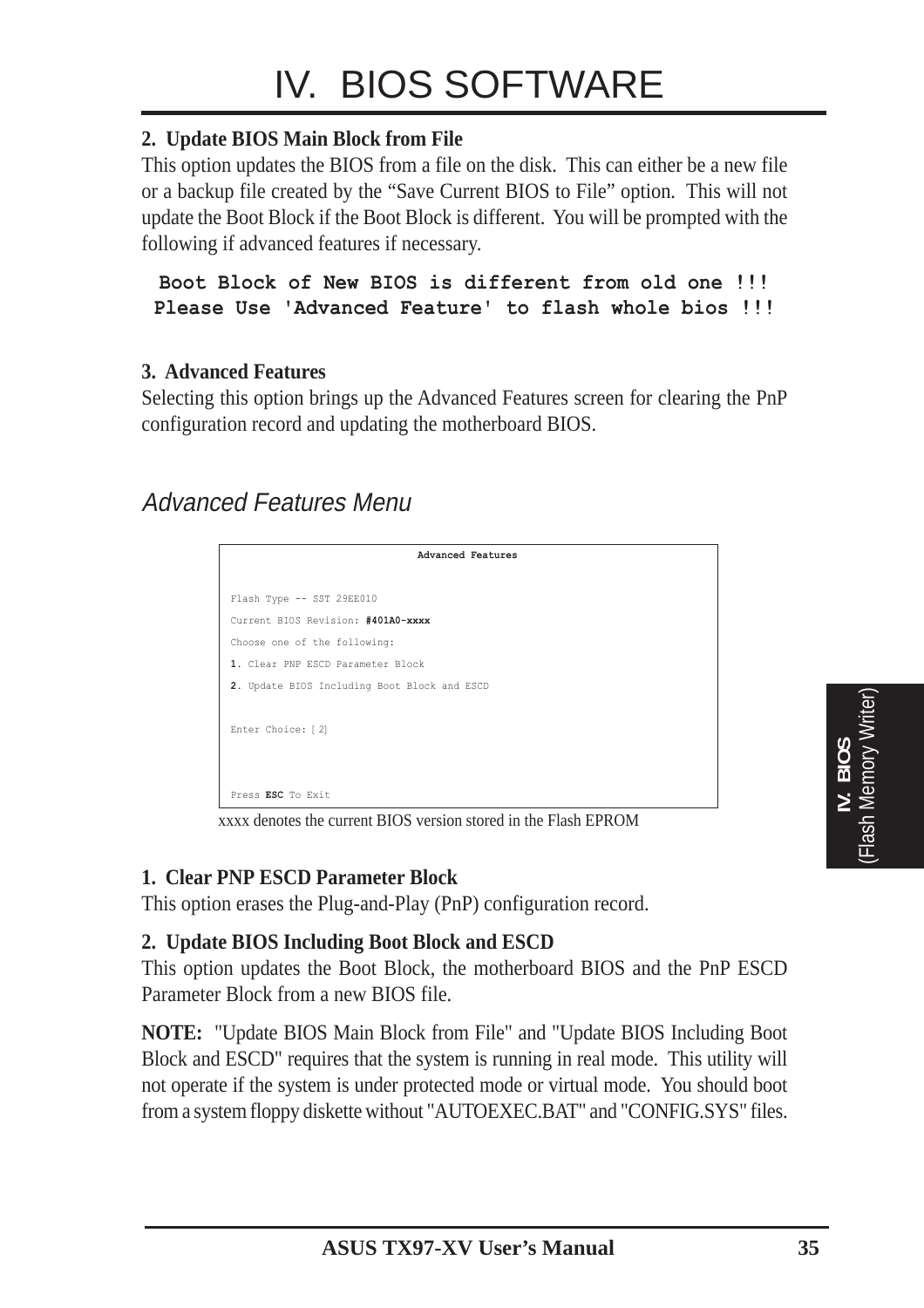#### **2. Update BIOS Main Block from File**

This option updates the BIOS from a file on the disk. This can either be a new file or a backup file created by the "Save Current BIOS to File" option. This will not update the Boot Block if the Boot Block is different. You will be prompted with the following if advanced features if necessary.

```
Boot Block of New BIOS is different from old one !!!
Please Use 'Advanced Feature' to flash whole bios !!!
```
#### **3. Advanced Features**

Selecting this option brings up the Advanced Features screen for clearing the PnP configuration record and updating the motherboard BIOS.

### Advanced Features Menu

| Advanced Features                            |
|----------------------------------------------|
|                                              |
| Flash Type -- SST 29EE010                    |
| Current BIOS Revision: #401A0-xxxx           |
| Choose one of the following:                 |
| 1. Clear PNP ESCD Parameter Block            |
| 2. Update BIOS Including Boot Block and ESCD |
|                                              |
| Enter Choice: [2]                            |
|                                              |
|                                              |
| Press ESC To Exit                            |

xxxx denotes the current BIOS version stored in the Flash EPROM

### **1. Clear PNP ESCD Parameter Block**

This option erases the Plug-and-Play (PnP) configuration record.

### **2. Update BIOS Including Boot Block and ESCD**

This option updates the Boot Block, the motherboard BIOS and the PnP ESCD Parameter Block from a new BIOS file.

**NOTE:** "Update BIOS Main Block from File" and "Update BIOS Including Boot Block and ESCD" requires that the system is running in real mode. This utility will not operate if the system is under protected mode or virtual mode. You should boot from a system floppy diskette without "AUTOEXEC.BAT" and "CONFIG.SYS" files.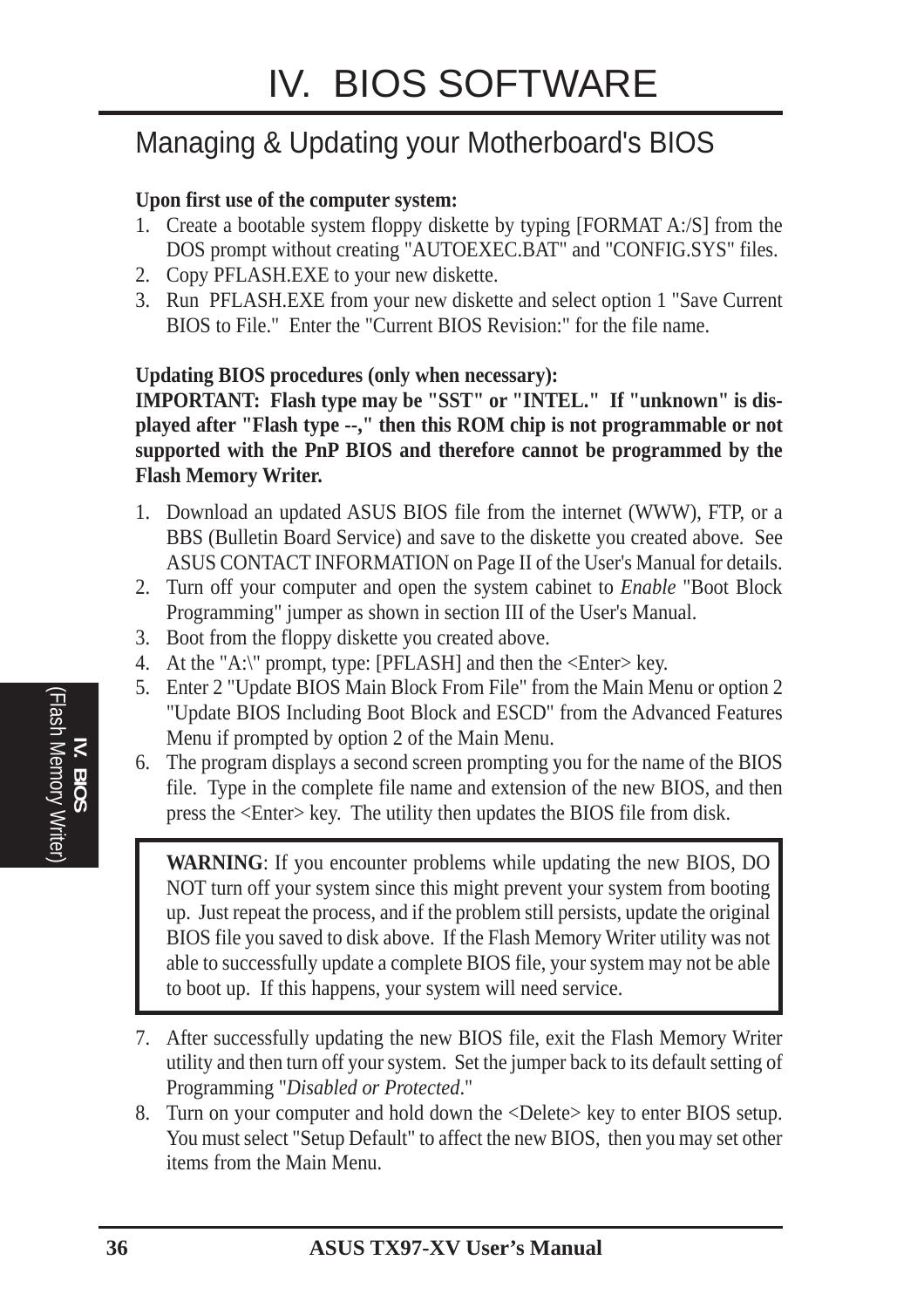## Managing & Updating your Motherboard's BIOS

#### **Upon first use of the computer system:**

- 1. Create a bootable system floppy diskette by typing [FORMAT A:/S] from the DOS prompt without creating "AUTOEXEC.BAT" and "CONFIG.SYS" files.
- 2. Copy PFLASH.EXE to your new diskette.
- 3. Run PFLASH.EXE from your new diskette and select option 1 "Save Current BIOS to File." Enter the "Current BIOS Revision:" for the file name.

#### **Updating BIOS procedures (only when necessary):**

**IMPORTANT: Flash type may be "SST" or "INTEL." If "unknown" is displayed after "Flash type --," then this ROM chip is not programmable or not supported with the PnP BIOS and therefore cannot be programmed by the Flash Memory Writer.**

- 1. Download an updated ASUS BIOS file from the internet (WWW), FTP, or a BBS (Bulletin Board Service) and save to the diskette you created above. See ASUS CONTACT INFORMATION on Page II of the User's Manual for details.
- 2. Turn off your computer and open the system cabinet to *Enable* "Boot Block Programming" jumper as shown in section III of the User's Manual.
- 3. Boot from the floppy diskette you created above.
- 4. At the "A:\" prompt, type: [PFLASH] and then the <Enter> key.
- 5. Enter 2 "Update BIOS Main Block From File" from the Main Menu or option 2 "Update BIOS Including Boot Block and ESCD" from the Advanced Features Menu if prompted by option 2 of the Main Menu.
- 6. The program displays a second screen prompting you for the name of the BIOS file. Type in the complete file name and extension of the new BIOS, and then press the <Enter> key. The utility then updates the BIOS file from disk.

**WARNING**: If you encounter problems while updating the new BIOS, DO NOT turn off your system since this might prevent your system from booting up. Just repeat the process, and if the problem still persists, update the original BIOS file you saved to disk above. If the Flash Memory Writer utility was not able to successfully update a complete BIOS file, your system may not be able to boot up. If this happens, your system will need service.

- 7. After successfully updating the new BIOS file, exit the Flash Memory Writer utility and then turn off your system. Set the jumper back to its default setting of Programming "*Disabled or Protected*."
- 8. Turn on your computer and hold down the <Delete> key to enter BIOS setup. You must select "Setup Default" to affect the new BIOS, then you may set other items from the Main Menu.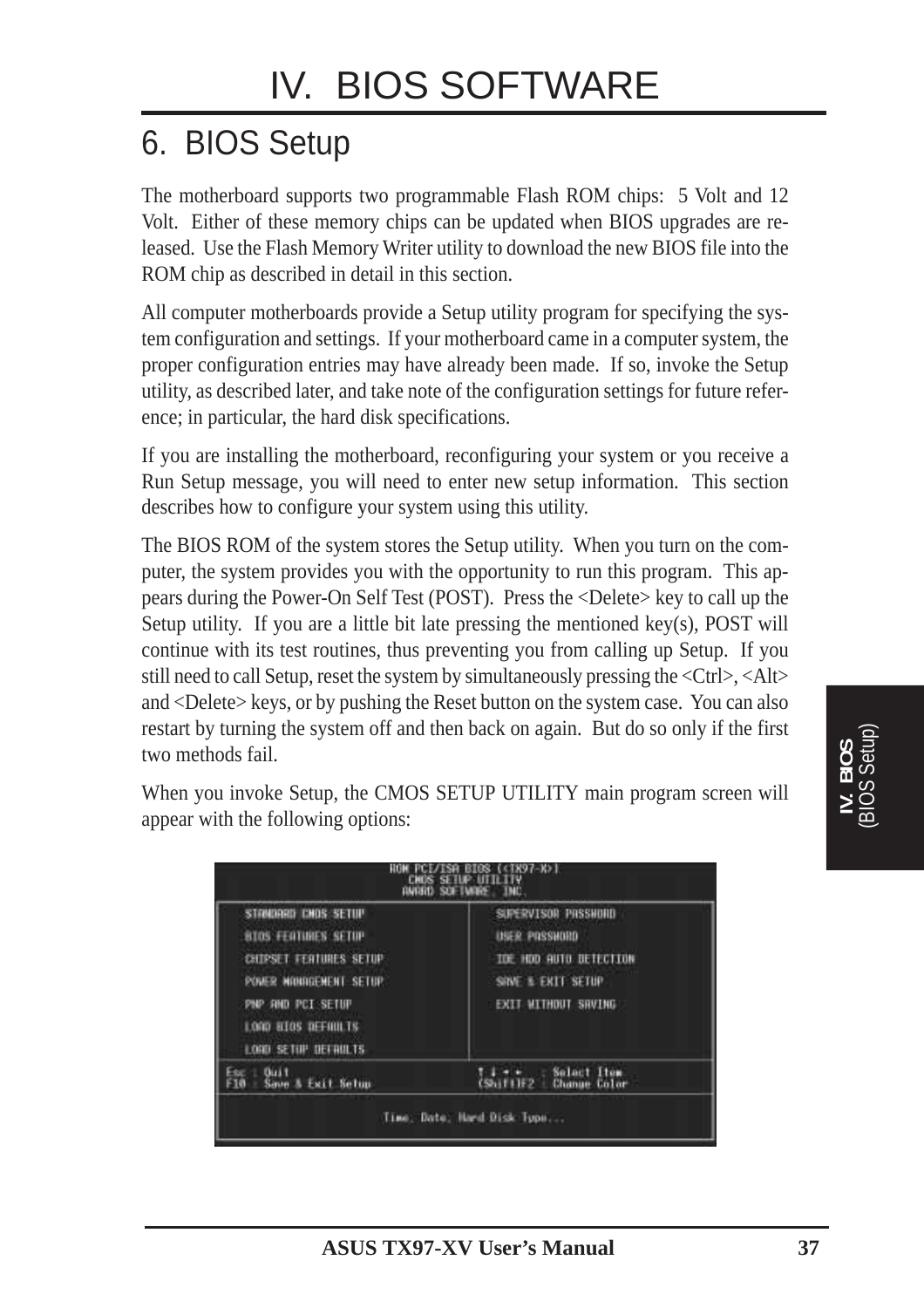## 6. BIOS Setup

The motherboard supports two programmable Flash ROM chips: 5 Volt and 12 Volt. Either of these memory chips can be updated when BIOS upgrades are released. Use the Flash Memory Writer utility to download the new BIOS file into the ROM chip as described in detail in this section.

All computer motherboards provide a Setup utility program for specifying the system configuration and settings. If your motherboard came in a computer system, the proper configuration entries may have already been made. If so, invoke the Setup utility, as described later, and take note of the configuration settings for future reference; in particular, the hard disk specifications.

If you are installing the motherboard, reconfiguring your system or you receive a Run Setup message, you will need to enter new setup information. This section describes how to configure your system using this utility.

The BIOS ROM of the system stores the Setup utility. When you turn on the computer, the system provides you with the opportunity to run this program. This appears during the Power-On Self Test (POST). Press the <Delete> key to call up the Setup utility. If you are a little bit late pressing the mentioned key(s), POST will continue with its test routines, thus preventing you from calling up Setup. If you still need to call Setup, reset the system by simultaneously pressing the  $\langle \text{Ctrl} \rangle$ ,  $\langle \text{Alt} \rangle$ and <Delete> keys, or by pushing the Reset button on the system case. You can also restart by turning the system off and then back on again. But do so only if the first two methods fail.

When you invoke Setup, the CMOS SETUP UTILITY main program screen will appear with the following options:

|                                                                                                                                                                         | BIBS (CIX97-K)]<br>CHOS SETUP UTTLITY<br><b>INNIO SOFTWINE THO:</b>                                               |
|-------------------------------------------------------------------------------------------------------------------------------------------------------------------------|-------------------------------------------------------------------------------------------------------------------|
| STRUARD CHOS SETUP<br><b>BTOS FEATURES SETUP</b><br>CHIPSET FEATURES SETUP<br>POWER MONAGEMENT SETUP.<br>PNP AND PCT SETUP<br>LOAD 8105 DEFINITS<br>LORD SETUP DEFAULTS | SUPERVISOR PASSHORD<br><b>USER PRSSHORD</b><br>TOE HOD AUTO DETECTION<br>SINE & EXIT SETUP<br>EXIT MITHOUT SRVING |
| <b>Ouit</b><br>Save & Exit Setup                                                                                                                                        | Select Item<br>Change Color<br>s <sub>nt</sub>                                                                    |
| İ                                                                                                                                                                       | Time, Date; Hard Disk Type                                                                                        |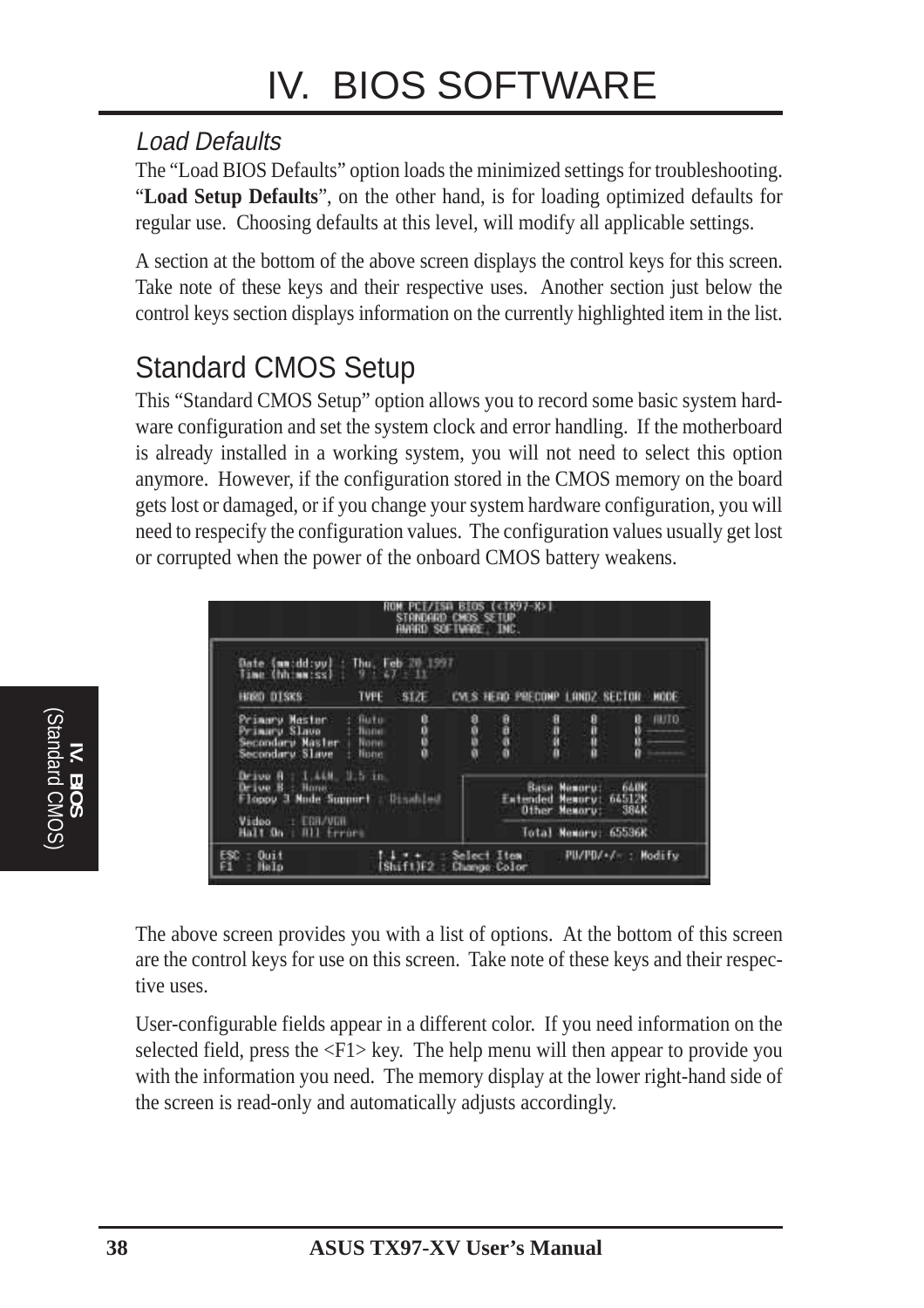### Load Defaults

The "Load BIOS Defaults" option loads the minimized settings for troubleshooting. "**Load Setup Defaults**", on the other hand, is for loading optimized defaults for regular use. Choosing defaults at this level, will modify all applicable settings.

A section at the bottom of the above screen displays the control keys for this screen. Take note of these keys and their respective uses. Another section just below the control keys section displays information on the currently highlighted item in the list.

### Standard CMOS Setup

This "Standard CMOS Setup" option allows you to record some basic system hardware configuration and set the system clock and error handling. If the motherboard is already installed in a working system, you will not need to select this option anymore. However, if the configuration stored in the CMOS memory on the board gets lost or damaged, or if you change your system hardware configuration, you will need to respecify the configuration values. The configuration values usually get lost or corrupted when the power of the onboard CMOS battery weakens.

| Thu, Feb 20 1997<br>Date (mm:dd:yy)<br>Time (hh:mm:ss)                                                                               | 11              |   |             |                                                 |                     |                        |             |
|--------------------------------------------------------------------------------------------------------------------------------------|-----------------|---|-------------|-------------------------------------------------|---------------------|------------------------|-------------|
| TVPE<br>HARD DISKS                                                                                                                   | ST2E            |   |             | CYLS HERD PRECOMP LANDZ SECTOR                  |                     |                        | HODE        |
| <b>HUTO</b><br>Primary Master<br>Primary Slave<br><b>Bullet</b><br>Secondary Masler<br><b>Nome</b><br>Secondary Slave<br><b>Nune</b> | <b>0000</b>     | ŏ | <b>0000</b> | 计自动自由                                           | 计二十二                | 医单位的                   | <b>INTO</b> |
| 7.444.<br>$-3.5.10$<br>Drive R<br>Drive B : Hane<br>Floppy 3 Made Support                                                            | <b>Disabled</b> |   |             | <b>Extended Memory:</b><br><b>Other Memory:</b> | <b>Base Neworu:</b> | 640K<br>64512K<br>384K |             |
| <b>EGR/VGR</b><br>Video<br>$011$ frrong<br>Halt On                                                                                   |                 |   |             | Total Memory:                                   |                     | 65536K                 |             |

The above screen provides you with a list of options. At the bottom of this screen are the control keys for use on this screen. Take note of these keys and their respective uses.

User-configurable fields appear in a different color. If you need information on the selected field, press the  $\langle F1 \rangle$  key. The help menu will then appear to provide you with the information you need. The memory display at the lower right-hand side of the screen is read-only and automatically adjusts accordingly.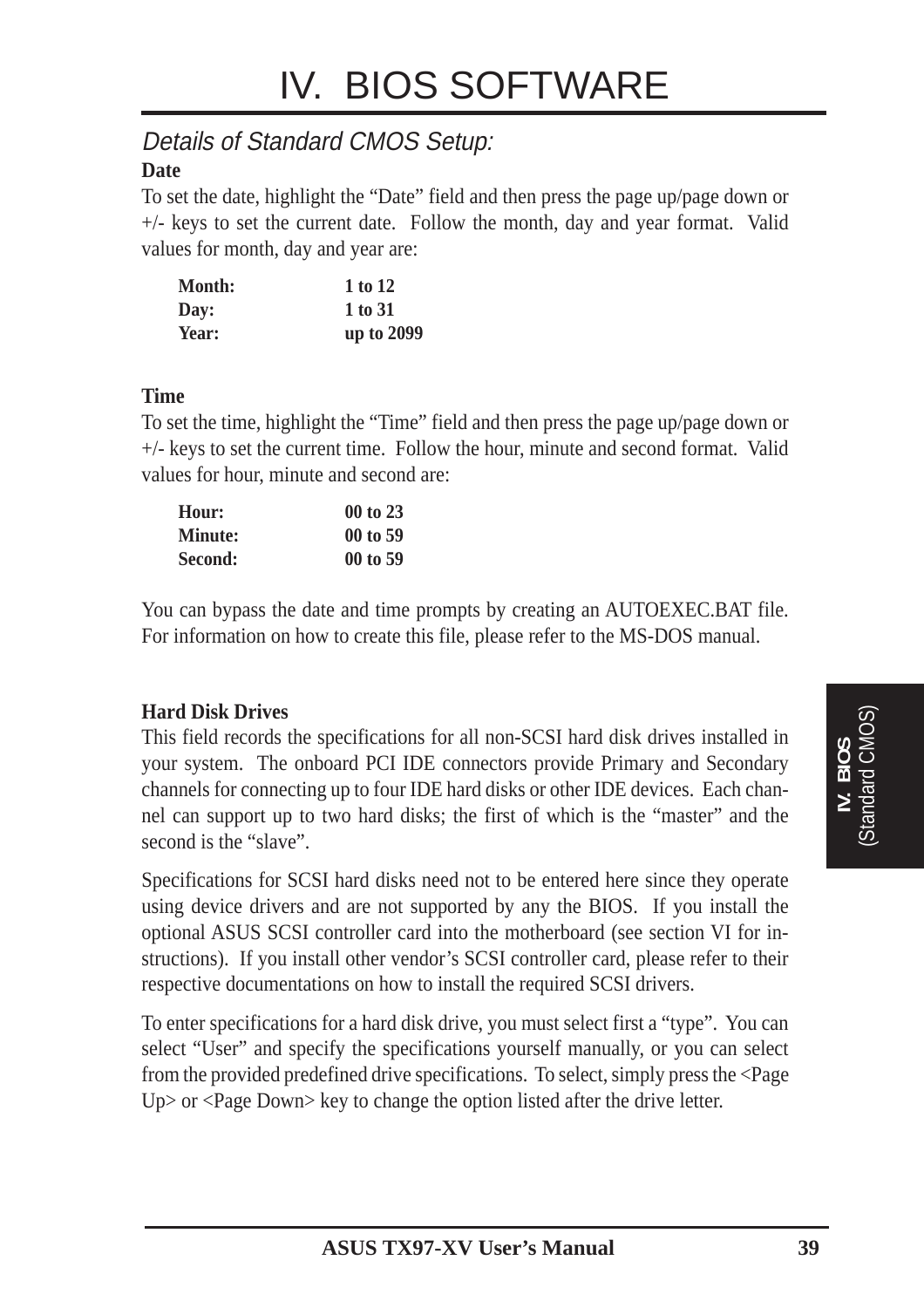### Details of Standard CMOS Setup:

#### **Date**

To set the date, highlight the "Date" field and then press the page up/page down or +/- keys to set the current date. Follow the month, day and year format. Valid values for month, day and year are:

| <b>Month:</b> | 1 to 12    |
|---------------|------------|
| Day:          | 1 to 31    |
| Year:         | up to 2099 |

### **Time**

To set the time, highlight the "Time" field and then press the page up/page down or +/- keys to set the current time. Follow the hour, minute and second format. Valid values for hour, minute and second are:

| Hour:          | 00 to 23 |
|----------------|----------|
| <b>Minute:</b> | 00 to 59 |
| Second:        | 00 to 59 |

You can bypass the date and time prompts by creating an AUTOEXEC.BAT file. For information on how to create this file, please refer to the MS-DOS manual.

### **Hard Disk Drives**

This field records the specifications for all non-SCSI hard disk drives installed in your system. The onboard PCI IDE connectors provide Primary and Secondary channels for connecting up to four IDE hard disks or other IDE devices. Each channel can support up to two hard disks; the first of which is the "master" and the second is the "slave".

Specifications for SCSI hard disks need not to be entered here since they operate using device drivers and are not supported by any the BIOS. If you install the optional ASUS SCSI controller card into the motherboard (see section VI for instructions). If you install other vendor's SCSI controller card, please refer to their respective documentations on how to install the required SCSI drivers.

To enter specifications for a hard disk drive, you must select first a "type". You can select "User" and specify the specifications yourself manually, or you can select from the provided predefined drive specifications. To select, simply press the <Page Up is or  $\langle$  Page Down  $>$  key to change the option listed after the drive letter.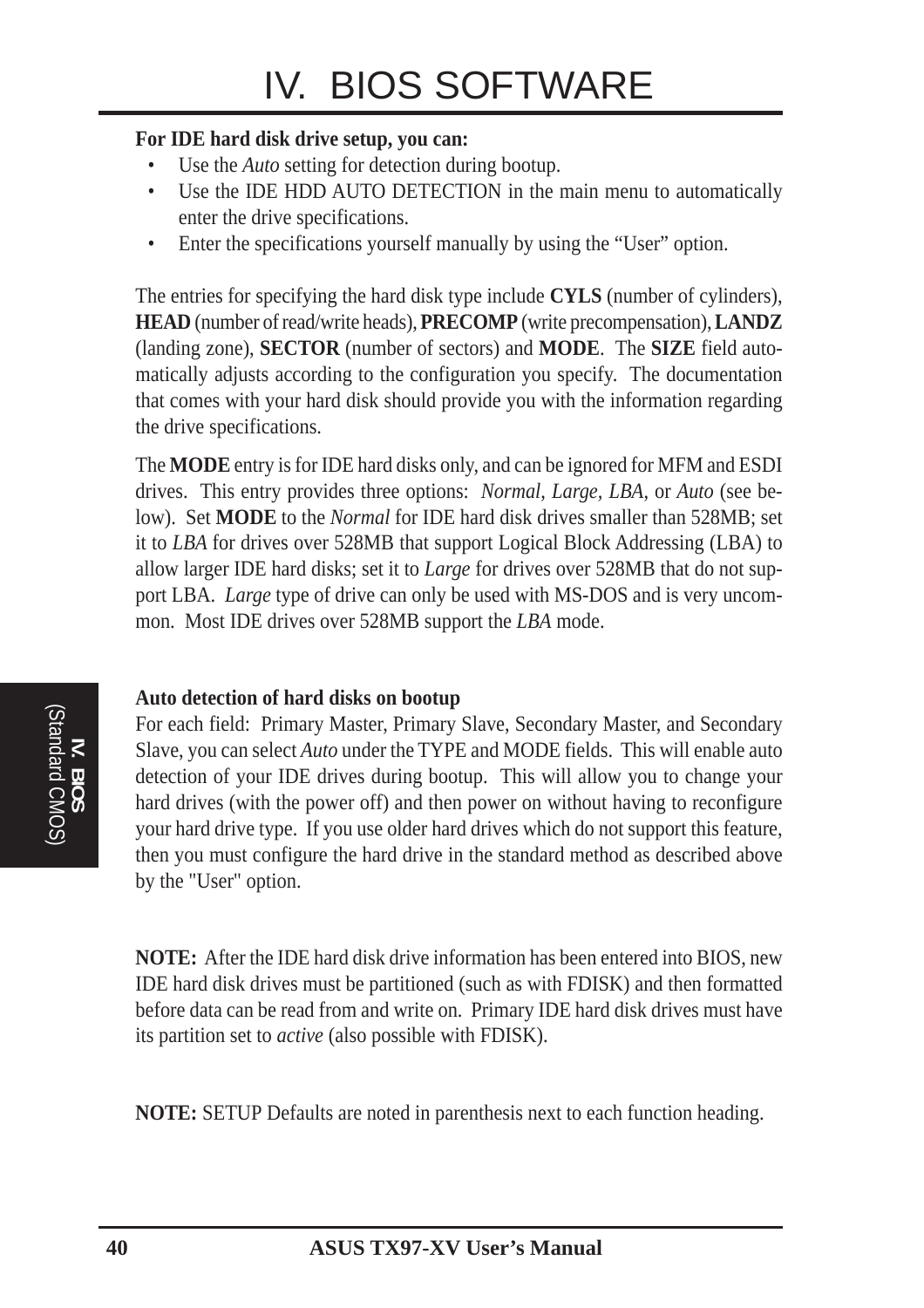### **For IDE hard disk drive setup, you can:**

- Use the *Auto* setting for detection during bootup.
- Use the IDE HDD AUTO DETECTION in the main menu to automatically enter the drive specifications.
- Enter the specifications yourself manually by using the "User" option.

The entries for specifying the hard disk type include **CYLS** (number of cylinders), **HEAD** (number of read/write heads), **PRECOMP** (write precompensation), **LANDZ** (landing zone), **SECTOR** (number of sectors) and **MODE**. The **SIZE** field automatically adjusts according to the configuration you specify. The documentation that comes with your hard disk should provide you with the information regarding the drive specifications.

The **MODE** entry is for IDE hard disks only, and can be ignored for MFM and ESDI drives. This entry provides three options: *Normal, Large, LBA*, or *Auto* (see below). Set **MODE** to the *Normal* for IDE hard disk drives smaller than 528MB; set it to *LBA* for drives over 528MB that support Logical Block Addressing (LBA) to allow larger IDE hard disks; set it to *Large* for drives over 528MB that do not support LBA. *Large* type of drive can only be used with MS-DOS and is very uncommon. Most IDE drives over 528MB support the *LBA* mode.

### **Auto detection of hard disks on bootup**

For each field: Primary Master, Primary Slave, Secondary Master, and Secondary Slave, you can select *Auto* under the TYPE and MODE fields. This will enable auto detection of your IDE drives during bootup. This will allow you to change your hard drives (with the power off) and then power on without having to reconfigure your hard drive type. If you use older hard drives which do not support this feature, then you must configure the hard drive in the standard method as described above by the "User" option.

**NOTE:** After the IDE hard disk drive information has been entered into BIOS, new IDE hard disk drives must be partitioned (such as with FDISK) and then formatted before data can be read from and write on. Primary IDE hard disk drives must have its partition set to *active* (also possible with FDISK).

**NOTE:** SETUP Defaults are noted in parenthesis next to each function heading.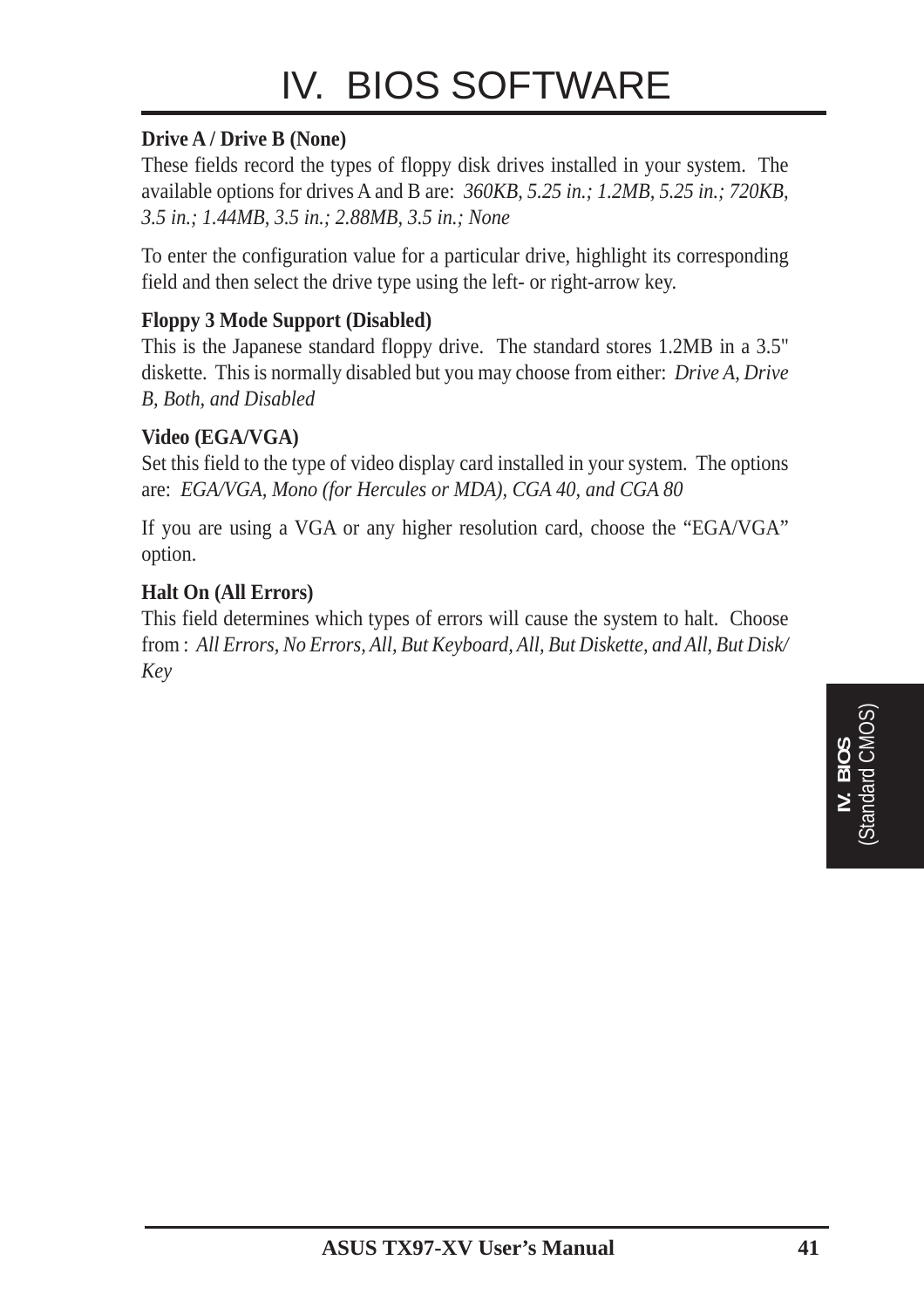# IV. BIOS SOFTWARE

### **Drive A / Drive B (None)**

These fields record the types of floppy disk drives installed in your system. The available options for drives A and B are: *360KB, 5.25 in.; 1.2MB, 5.25 in.; 720KB, 3.5 in.; 1.44MB, 3.5 in.; 2.88MB, 3.5 in.; None*

To enter the configuration value for a particular drive, highlight its corresponding field and then select the drive type using the left- or right-arrow key.

### **Floppy 3 Mode Support (Disabled)**

This is the Japanese standard floppy drive. The standard stores 1.2MB in a 3.5" diskette. This is normally disabled but you may choose from either: *Drive A, Drive B, Both, and Disabled*

#### **Video (EGA/VGA)**

Set this field to the type of video display card installed in your system. The options are: *EGA/VGA, Mono (for Hercules or MDA), CGA 40, and CGA 80*

If you are using a VGA or any higher resolution card, choose the "EGA/VGA" option.

### **Halt On (All Errors)**

This field determines which types of errors will cause the system to halt. Choose from : *All Errors, No Errors, All, But Keyboard, All, But Diskette, and All, But Disk/ Key*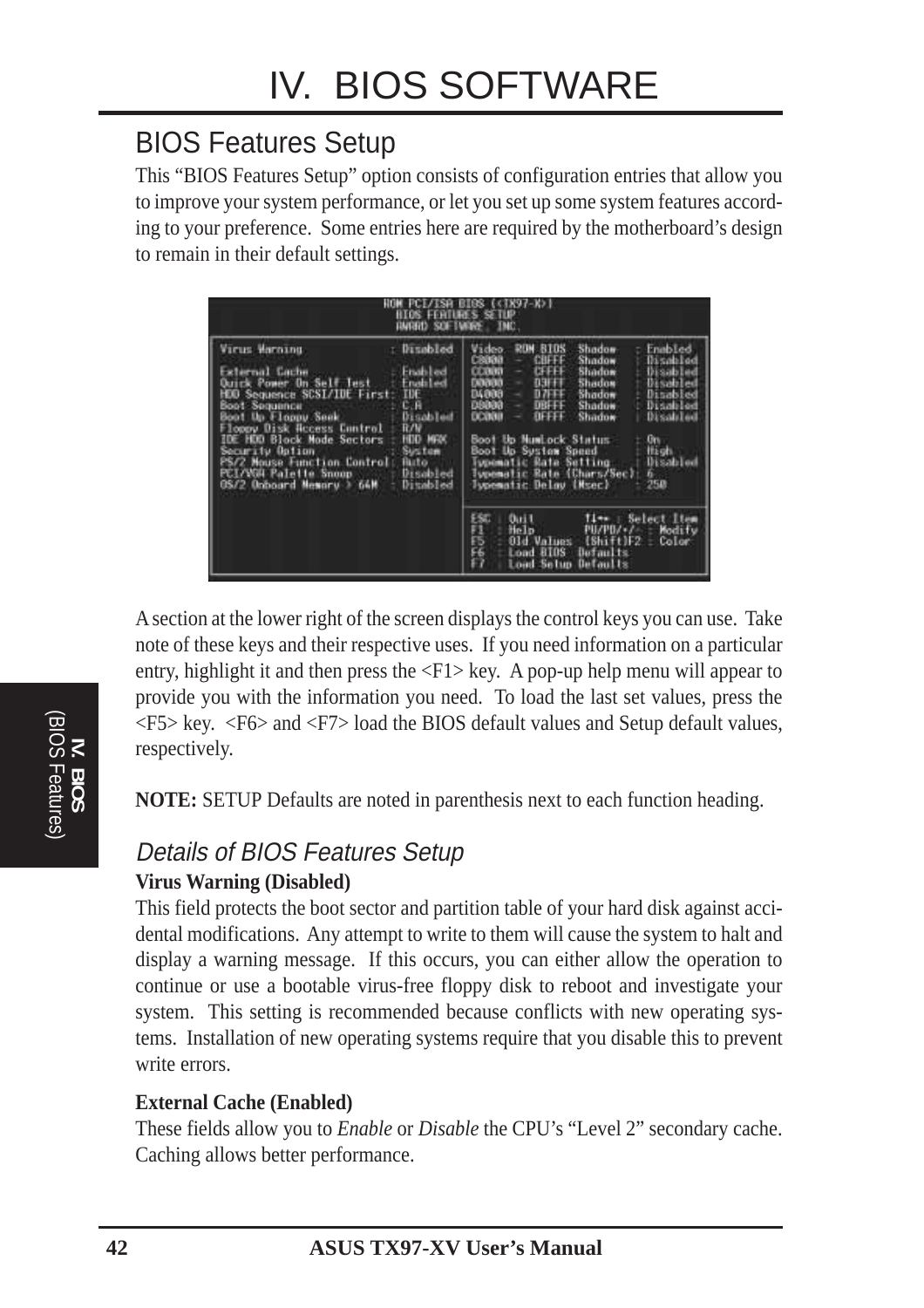### BIOS Features Setup

This "BIOS Features Setup" option consists of configuration entries that allow you to improve your system performance, or let you set up some system features according to your preference. Some entries here are required by the motherboard's design to remain in their default settings.

| (CDO7-30)<br>EIES<br>титын<br>HIOS FEHTURES SETUP<br><b>BARRO SOFTWARE INC.</b>                                                                                                                                                                                                                                                                                                                                                                                  |                                                                                                                                                                                                                                                                                                                                                                                                                                                                                                  |  |  |
|------------------------------------------------------------------------------------------------------------------------------------------------------------------------------------------------------------------------------------------------------------------------------------------------------------------------------------------------------------------------------------------------------------------------------------------------------------------|--------------------------------------------------------------------------------------------------------------------------------------------------------------------------------------------------------------------------------------------------------------------------------------------------------------------------------------------------------------------------------------------------------------------------------------------------------------------------------------------------|--|--|
| Disabled<br>Virus Marning<br>sternal Cache<br>Enabled<br>Quick Power On Self Test<br>Enabled<br>DD Sequence SCSI/IDE First:<br><b>TUE</b><br>C, H<br>Boot Sequence<br>Disabled<br>Boot Up Floppy Seek<br>oppy Disk Hecess Control<br>R/W<br><b>HDD Block Mode Sectors</b><br>HEID MFOX<br>Security Option<br>System<br>PS/2 Mouse Function Control<br>facto.<br><b>PCI/VGH Palette Snoop</b><br><b>Utsabled</b><br>05/2 Onboard Newary<br>Ditabled<br><b>G4M</b> | Video<br><b>ROM BIOS</b><br>Shadow<br>Enabled<br>C3000<br>CC000<br>D0000<br>D4000<br>鼺<br>Shadow<br>Disabled<br>Shadow<br>sabled<br>明日<br>Shadow<br>Disabled<br>D7FFF<br>Shadow<br>Disabled<br>D9008<br>DBFFF<br>Shadow<br>Disabled<br>Disabled<br>Shadow<br><b>Boot Up NumLock Status</b><br>0n<br>High<br><b>Boot Up System Speed</b><br>ivpomatic Rate Setting<br>Disabled<br>Ivoematic Rate (Chars/Sec)<br>$\bullet$<br>250<br>Typematic Delay (Msec)<br>Ouit<br>$\mathbf{H}$<br>Select Item |  |  |
|                                                                                                                                                                                                                                                                                                                                                                                                                                                                  | 终日市所行<br>Help<br>PU/PO/+<br>Modify<br>(Shift)F2<br>01d Values<br>Color<br>Load BIOS<br>Defaults<br>Load Satup<br><b>Defaults</b>                                                                                                                                                                                                                                                                                                                                                                 |  |  |

A section at the lower right of the screen displays the control keys you can use. Take note of these keys and their respective uses. If you need information on a particular entry, highlight it and then press the <F1> key. A pop-up help menu will appear to provide you with the information you need. To load the last set values, press the  $\langle$ F5> key.  $\langle$ F6> and  $\langle$ F7> load the BIOS default values and Setup default values, respectively.

**NOTE:** SETUP Defaults are noted in parenthesis next to each function heading.

### Details of BIOS Features Setup

### **Virus Warning (Disabled)**

This field protects the boot sector and partition table of your hard disk against accidental modifications. Any attempt to write to them will cause the system to halt and display a warning message. If this occurs, you can either allow the operation to continue or use a bootable virus-free floppy disk to reboot and investigate your system. This setting is recommended because conflicts with new operating systems. Installation of new operating systems require that you disable this to prevent write errors.

### **External Cache (Enabled)**

These fields allow you to *Enable* or *Disable* the CPU's "Level 2" secondary cache. Caching allows better performance.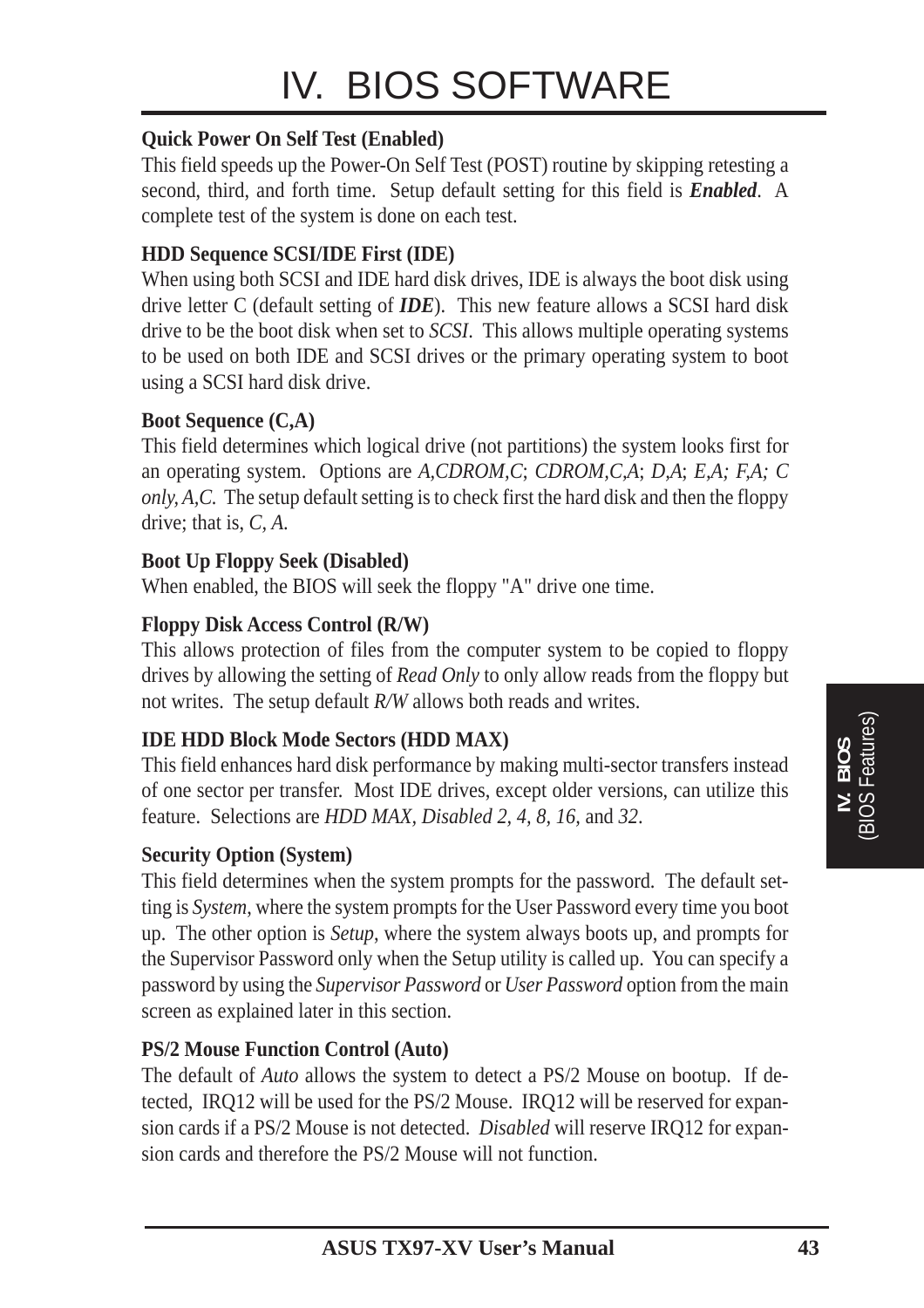# IV. BIOS SOFTWARE

### **Quick Power On Self Test (Enabled)**

This field speeds up the Power-On Self Test (POST) routine by skipping retesting a second, third, and forth time. Setup default setting for this field is *Enabled*. A complete test of the system is done on each test.

### **HDD Sequence SCSI/IDE First (IDE)**

When using both SCSI and IDE hard disk drives, IDE is always the boot disk using drive letter C (default setting of *IDE*). This new feature allows a SCSI hard disk drive to be the boot disk when set to *SCSI*. This allows multiple operating systems to be used on both IDE and SCSI drives or the primary operating system to boot using a SCSI hard disk drive.

#### **Boot Sequence (C,A)**

This field determines which logical drive (not partitions) the system looks first for an operating system. Options are *A,CDROM,C*; *CDROM,C,A*; *D,A*; *E,A; F,A; C only, A,C.* The setup default setting is to check first the hard disk and then the floppy drive; that is, *C, A*.

### **Boot Up Floppy Seek (Disabled)**

When enabled, the BIOS will seek the floppy "A" drive one time.

### **Floppy Disk Access Control (R/W)**

This allows protection of files from the computer system to be copied to floppy drives by allowing the setting of *Read Only* to only allow reads from the floppy but not writes. The setup default *R/W* allows both reads and writes.

### **IDE HDD Block Mode Sectors (HDD MAX)**

This field enhances hard disk performance by making multi-sector transfers instead of one sector per transfer. Most IDE drives, except older versions, can utilize this feature. Selections are *HDD MAX, Disabled 2, 4, 8, 16,* and *32*.

### **Security Option (System)**

This field determines when the system prompts for the password. The default setting is *System*, where the system prompts for the User Password every time you boot up. The other option is *Setup*, where the system always boots up, and prompts for the Supervisor Password only when the Setup utility is called up. You can specify a password by using the *Supervisor Password* or *User Password* option from the main screen as explained later in this section.

### **PS/2 Mouse Function Control (Auto)**

The default of *Auto* allows the system to detect a PS/2 Mouse on bootup. If detected, IRQ12 will be used for the PS/2 Mouse. IRQ12 will be reserved for expansion cards if a PS/2 Mouse is not detected. *Disabled* will reserve IRQ12 for expansion cards and therefore the PS/2 Mouse will not function.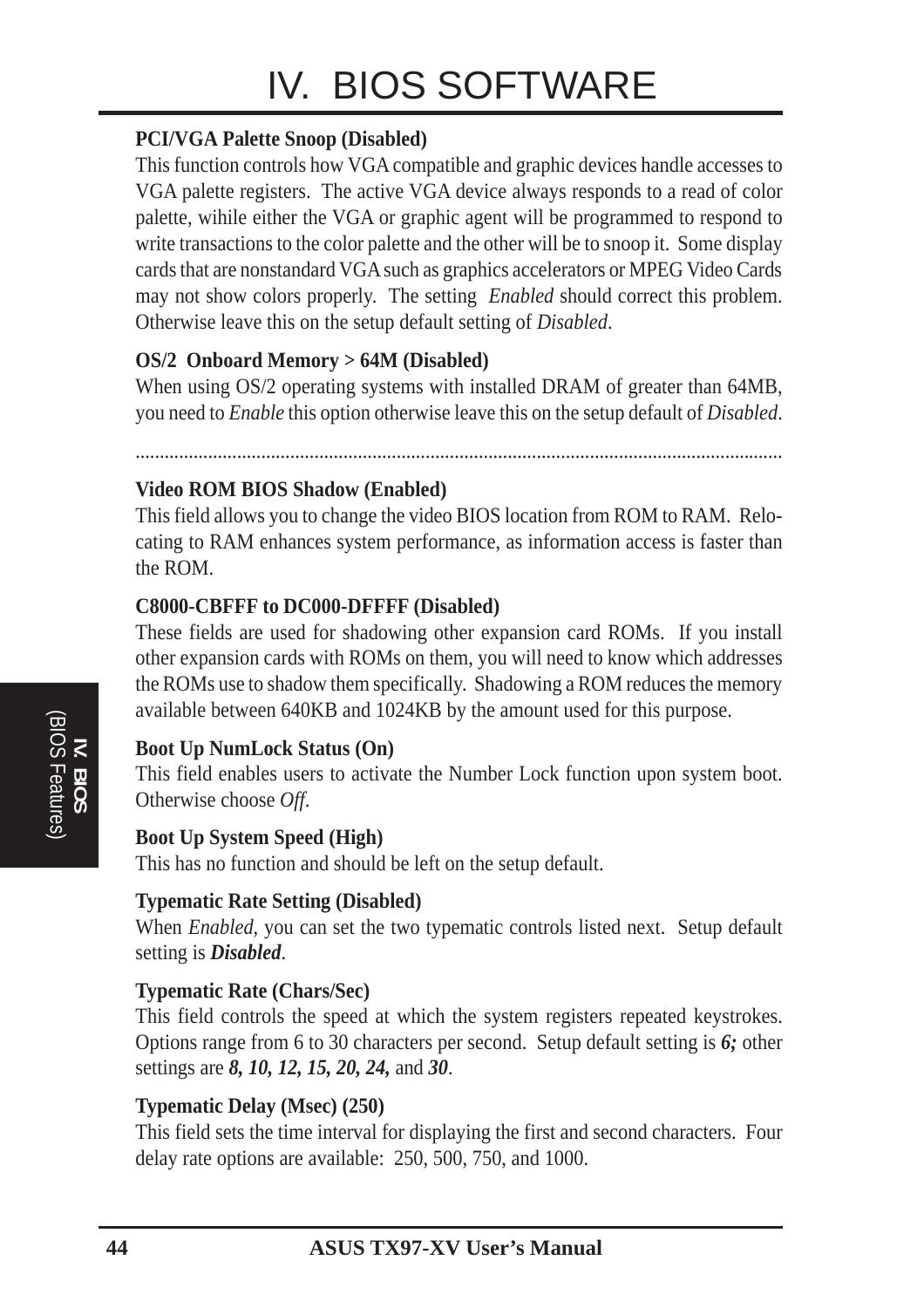# IV. BIOS SOFTWARE

### **PCI/VGA Palette Snoop (Disabled)**

This function controls how VGA compatible and graphic devices handle accesses to VGA palette registers. The active VGA device always responds to a read of color palette, wihile either the VGA or graphic agent will be programmed to respond to write transactions to the color palette and the other will be to snoop it. Some display cards that are nonstandard VGA such as graphics accelerators or MPEG Video Cards may not show colors properly. The setting *Enabled* should correct this problem. Otherwise leave this on the setup default setting of *Disabled*.

### **OS/2 Onboard Memory > 64M (Disabled)**

When using OS/2 operating systems with installed DRAM of greater than 64MB, you need to *Enable* this option otherwise leave this on the setup default of *Disabled*.

......................................................................................................................................

### **Video ROM BIOS Shadow (Enabled)**

This field allows you to change the video BIOS location from ROM to RAM. Relocating to RAM enhances system performance, as information access is faster than the ROM.

### **C8000-CBFFF to DC000-DFFFF (Disabled)**

These fields are used for shadowing other expansion card ROMs. If you install other expansion cards with ROMs on them, you will need to know which addresses the ROMs use to shadow them specifically. Shadowing a ROM reduces the memory available between 640KB and 1024KB by the amount used for this purpose.

### **Boot Up NumLock Status (On)**

This field enables users to activate the Number Lock function upon system boot. Otherwise choose *Off*.

### **Boot Up System Speed (High)**

This has no function and should be left on the setup default.

### **Typematic Rate Setting (Disabled)**

When *Enabled*, you can set the two typematic controls listed next. Setup default setting is *Disabled*.

### **Typematic Rate (Chars/Sec)**

This field controls the speed at which the system registers repeated keystrokes. Options range from 6 to 30 characters per second. Setup default setting is *6;* other settings are *8, 10, 12, 15, 20, 24,* and *30*.

### **Typematic Delay (Msec) (250)**

This field sets the time interval for displaying the first and second characters. Four delay rate options are available: 250, 500, 750, and 1000.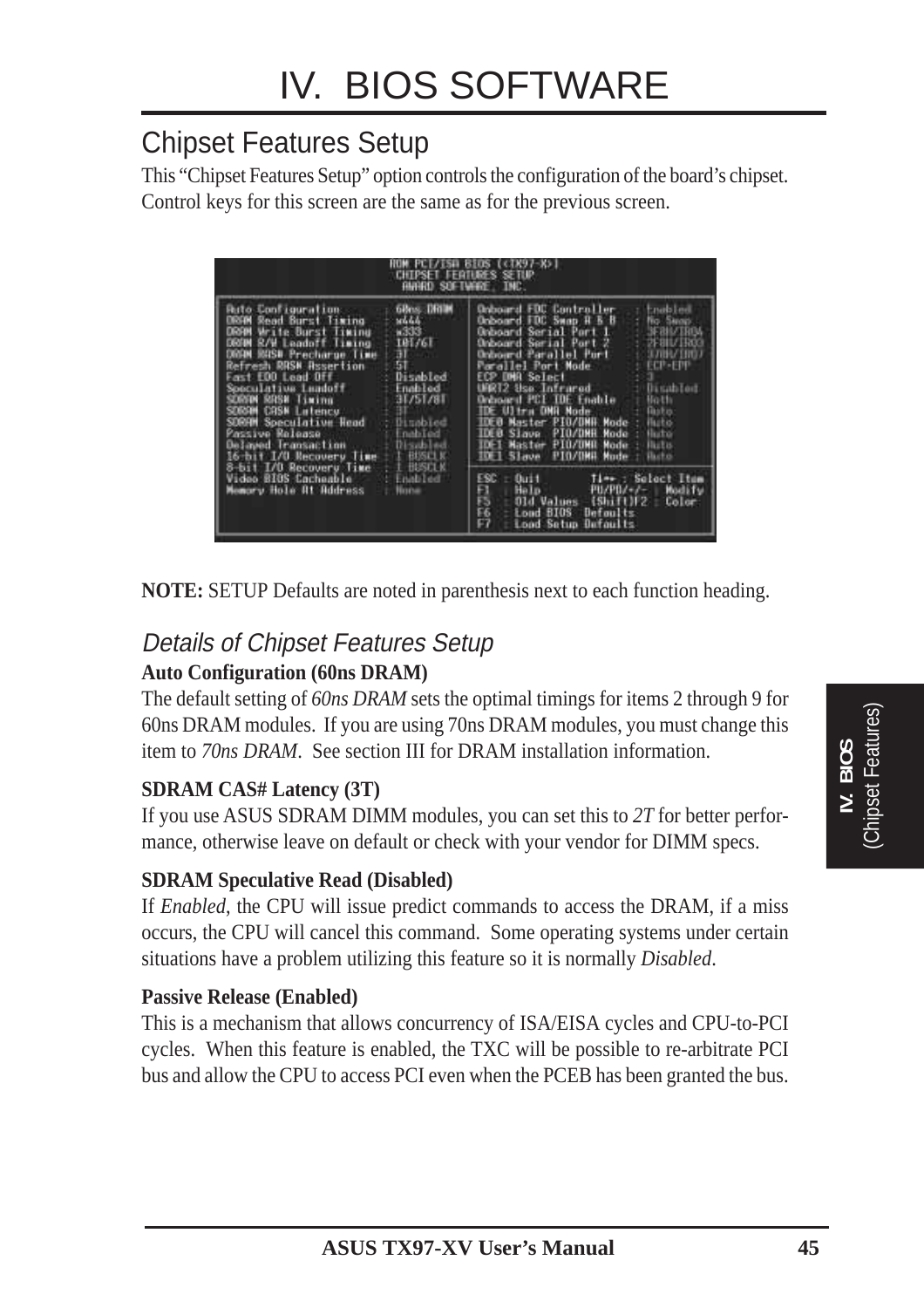### Chipset Features Setup

This "Chipset Features Setup" option controls the configuration of the board's chipset. Control keys for this screen are the same as for the previous screen.

| LCDG31-321<br><b>B105</b><br>юm<br>CHIPSET FEATURES SETUP<br>AWARD SOFTWARE, INC.                                                                                                                                                                                                                                                                                                                                                                             |                                                                                                                                                                                |                                                                                                                                                                                                                                                                                                                                                                                                                                                                                                                                                                                                                                                                                                                                                                                                         |  |
|---------------------------------------------------------------------------------------------------------------------------------------------------------------------------------------------------------------------------------------------------------------------------------------------------------------------------------------------------------------------------------------------------------------------------------------------------------------|--------------------------------------------------------------------------------------------------------------------------------------------------------------------------------|---------------------------------------------------------------------------------------------------------------------------------------------------------------------------------------------------------------------------------------------------------------------------------------------------------------------------------------------------------------------------------------------------------------------------------------------------------------------------------------------------------------------------------------------------------------------------------------------------------------------------------------------------------------------------------------------------------------------------------------------------------------------------------------------------------|--|
| <b>Ruto Configuration</b><br>DRAM Read Burst Timing<br>DRSM Write Burst Timing<br>DROM R/W Leadoff Timing<br>DRAM RASE Precharge Time<br>콹<br>Refresh RRSM Rssertion<br>Fast E00 Lead Off<br>Speculative Landoff<br><b>SORIN RRSH Timing</b><br>SDRAW CASH Latency<br><b>SORFIN</b><br>Speculative Head<br>Passive Release<br>Delayed Transaction<br>16 bit 1/0 Recovery Time<br>bit I/O Recovery Time<br>8<br>Video BIOS Cacheable<br>Memory Hole At Address | <b>6Bos. DRIM</b><br>solida<br><b>+333</b><br>191/61<br>Disabled<br>Enabled<br>31/51/81<br>inabled<br>nabied<br>subled<br><b>BUSCLK</b><br>BUSCLK<br>the I doll<br><b>Hone</b> | <b>Onboard FDC Controller</b><br>:nabled<br><b>Ro-Strap</b><br><b>Onboard FDC Swap R B B</b><br>SFRIVTROA<br>ZFRIVTROA<br>S701VTRO<br>Onboard Serial Port 1<br>Onboard Serial Port 2<br><b>Onboard Parallel Port</b><br>ECP-EPP<br>Parallel Port Mode<br>ECP DHR Solect<br>UGR12 Use Infrared<br><b>Discubiost</b><br><b>Onboard PCI IDE Enable</b><br>in th<br><b>IDE Ultra DNR Node</b><br>lasto.<br>facto.<br>IDE0 Master PID/DMR Mode<br>PIO/DNH<br>IDE 8 Slave<br>Mode<br>liuto<br>PIO/DMR<br><b>IDE1</b><br>Master<br><b>Butts</b><br><b>Mode</b><br>PIO/OMA<br><b>IDE1 Slave</b><br><b>Flacho</b><br>Mode<br>ESC<br>Time : Soloct Itom<br>$0$ u11<br>内部的<br>PU/PD/+/-<br>Help.<br><b>Modify</b><br>(Shift)F2<br><b>Old Values</b><br>Color<br>Lond BIOS<br>Defaults<br>F7<br>Lond Setup Dufaults |  |

**NOTE:** SETUP Defaults are noted in parenthesis next to each function heading.

### Details of Chipset Features Setup

### **Auto Configuration (60ns DRAM)**

The default setting of *60ns DRAM* sets the optimal timings for items 2 through 9 for 60ns DRAM modules. If you are using 70ns DRAM modules, you must change this item to *70ns DRAM*. See section III for DRAM installation information.

### **SDRAM CAS# Latency (3T)**

If you use ASUS SDRAM DIMM modules, you can set this to *2T* for better performance, otherwise leave on default or check with your vendor for DIMM specs.

### **SDRAM Speculative Read (Disabled)**

If *Enabled*, the CPU will issue predict commands to access the DRAM, if a miss occurs, the CPU will cancel this command. Some operating systems under certain situations have a problem utilizing this feature so it is normally *Disabled*.

### **Passive Release (Enabled)**

This is a mechanism that allows concurrency of ISA/EISA cycles and CPU-to-PCI cycles. When this feature is enabled, the TXC will be possible to re-arbitrate PCI bus and allow the CPU to access PCI even when the PCEB has been granted the bus.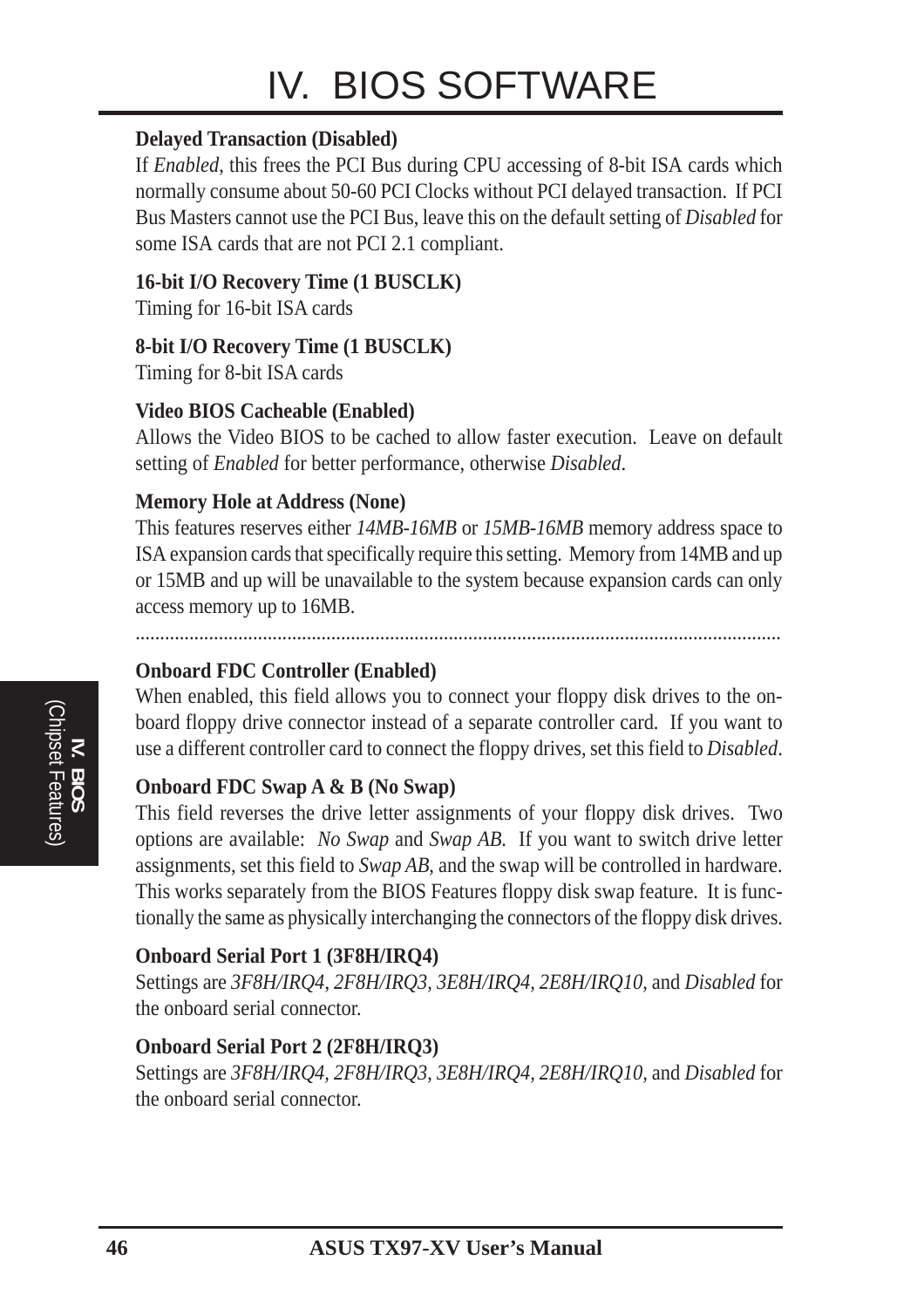# IV. BIOS SOFTWARE

#### **Delayed Transaction (Disabled)**

If *Enabled*, this frees the PCI Bus during CPU accessing of 8-bit ISA cards which normally consume about 50-60 PCI Clocks without PCI delayed transaction. If PCI Bus Masters cannot use the PCI Bus, leave this on the default setting of *Disabled* for some ISA cards that are not PCI 2.1 compliant.

#### **16-bit I/O Recovery Time (1 BUSCLK)**

Timing for 16-bit ISA cards

### **8-bit I/O Recovery Time (1 BUSCLK)**

Timing for 8-bit ISA cards

### **Video BIOS Cacheable (Enabled)**

Allows the Video BIOS to be cached to allow faster execution. Leave on default setting of *Enabled* for better performance, otherwise *Disabled*.

### **Memory Hole at Address (None)**

This features reserves either *14MB-16MB* or *15MB-16MB* memory address space to ISA expansion cards that specifically require this setting. Memory from 14MB and up or 15MB and up will be unavailable to the system because expansion cards can only access memory up to 16MB.

....................................................................................................................................

### **Onboard FDC Controller (Enabled)**

When enabled, this field allows you to connect your floppy disk drives to the onboard floppy drive connector instead of a separate controller card. If you want to use a different controller card to connect the floppy drives, set this field to *Disabled*.

### **Onboard FDC Swap A & B (No Swap)**

This field reverses the drive letter assignments of your floppy disk drives. Two options are available: *No Swap* and *Swap AB*. If you want to switch drive letter assignments, set this field to *Swap AB*, and the swap will be controlled in hardware. This works separately from the BIOS Features floppy disk swap feature. It is functionally the same as physically interchanging the connectors of the floppy disk drives.

### **Onboard Serial Port 1 (3F8H/IRQ4)**

Settings are *3F8H/IRQ4*, *2F8H/IRQ3, 3E8H/IRQ4, 2E8H/IRQ10,* and *Disabled* for the onboard serial connector.

### **Onboard Serial Port 2 (2F8H/IRQ3)**

Settings are *3F8H/IRQ4, 2F8H/IRQ3*, *3E8H/IRQ4, 2E8H/IRQ10,* and *Disabled* for the onboard serial connector.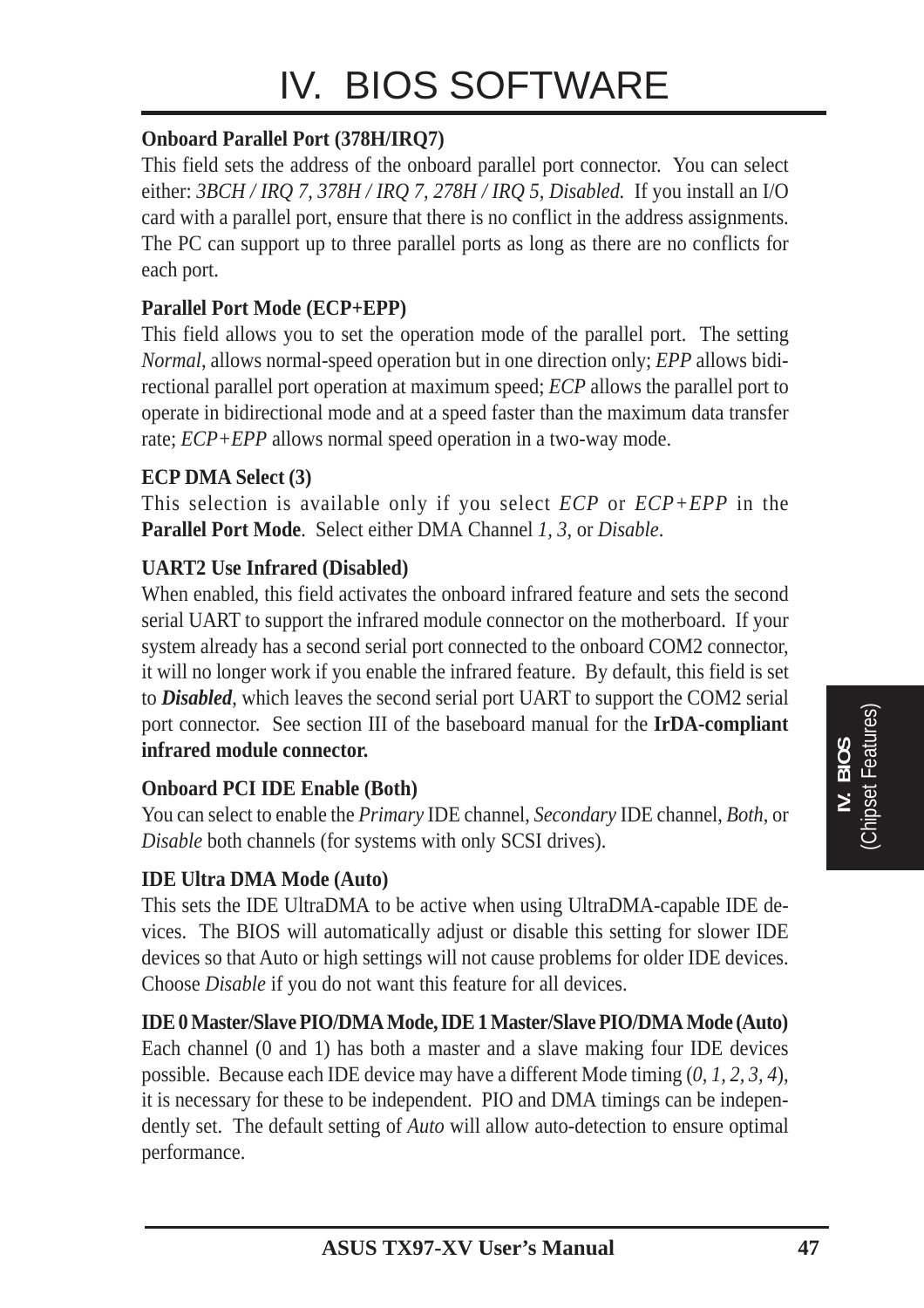# IV. BIOS SOFTWARE

### **Onboard Parallel Port (378H/IRQ7)**

This field sets the address of the onboard parallel port connector. You can select either: *3BCH / IRQ 7, 378H / IRQ 7, 278H / IRQ 5, Disabled.* If you install an I/O card with a parallel port, ensure that there is no conflict in the address assignments. The PC can support up to three parallel ports as long as there are no conflicts for each port.

### **Parallel Port Mode (ECP+EPP)**

This field allows you to set the operation mode of the parallel port. The setting *Normal*, allows normal-speed operation but in one direction only; *EPP* allows bidirectional parallel port operation at maximum speed; *ECP* allows the parallel port to operate in bidirectional mode and at a speed faster than the maximum data transfer rate; *ECP+EPP* allows normal speed operation in a two-way mode.

### **ECP DMA Select (3)**

This selection is available only if you select *ECP* or *ECP+EPP* in the **Parallel Port Mode**. Select either DMA Channel *1, 3*, or *Disable*.

### **UART2 Use Infrared (Disabled)**

When enabled, this field activates the onboard infrared feature and sets the second serial UART to support the infrared module connector on the motherboard. If your system already has a second serial port connected to the onboard COM2 connector, it will no longer work if you enable the infrared feature. By default, this field is set to *Disabled*, which leaves the second serial port UART to support the COM2 serial port connector. See section III of the baseboard manual for the **IrDA-compliant infrared module connector.**

### **Onboard PCI IDE Enable (Both)**

You can select to enable the *Primary* IDE channel, *Secondary* IDE channel, *Both*, or *Disable* both channels (for systems with only SCSI drives).

### **IDE Ultra DMA Mode (Auto)**

This sets the IDE UltraDMA to be active when using UltraDMA-capable IDE devices. The BIOS will automatically adjust or disable this setting for slower IDE devices so that Auto or high settings will not cause problems for older IDE devices. Choose *Disable* if you do not want this feature for all devices.

### **IDE 0 Master/Slave PIO/DMA Mode, IDE 1 Master/Slave PIO/DMA Mode (Auto)**

Each channel (0 and 1) has both a master and a slave making four IDE devices possible. Because each IDE device may have a different Mode timing (*0, 1, 2, 3, 4*), it is necessary for these to be independent. PIO and DMA timings can be independently set. The default setting of *Auto* will allow auto-detection to ensure optimal performance.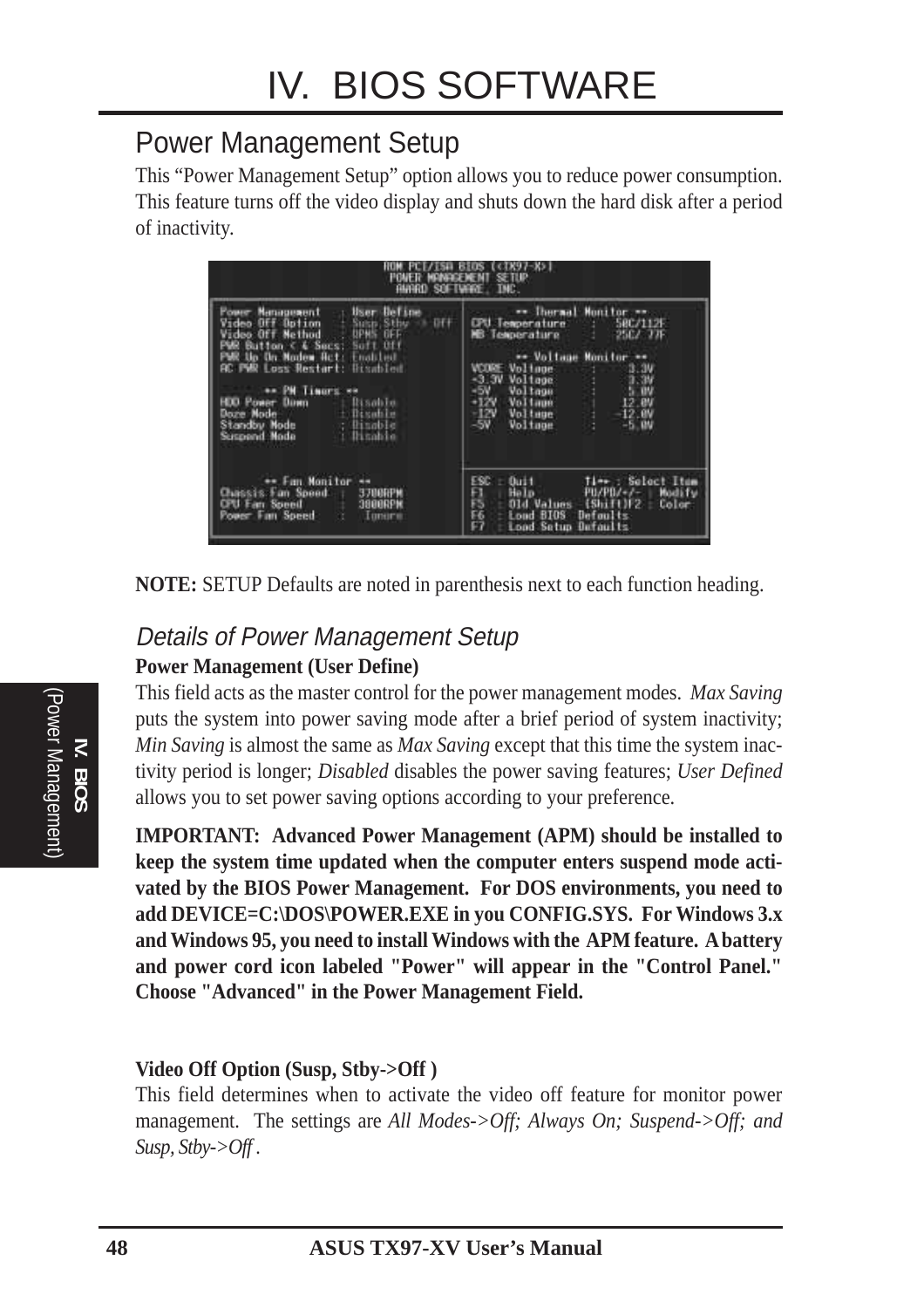### Power Management Setup

This "Power Management Setup" option allows you to reduce power consumption. This feature turns off the video display and shuts down the hard disk after a period of inactivity.

| FONER MANAGEMENT SETUP<br>AWARD SOFTWARE THE.                                                                                                                                                                                                                                                                                                                                           | <b>BIUS (&lt;1897-8&gt;1</b>                                                                                                                                                                                                                                                             |
|-----------------------------------------------------------------------------------------------------------------------------------------------------------------------------------------------------------------------------------------------------------------------------------------------------------------------------------------------------------------------------------------|------------------------------------------------------------------------------------------------------------------------------------------------------------------------------------------------------------------------------------------------------------------------------------------|
| User Define<br><b>Power Management</b><br><b>SHARE SEEM</b><br>Video Off Option<br><b>DFF</b><br>Video Off Nethod<br><b>PMR Button &lt; &amp; Socs: Suft Off</b><br><b>PWR the On Modew Act:</b><br>Enabled<br>AC FWR Loss Restart: Bisabled<br>** PM limors **<br>HDD Power Down<br>, litsable<br>, litsable<br>Doze Mode<br>Standby Mode<br>Hinable<br><b>Hisabie</b><br>Suspend Mode | ** Thermal Monitor<br><b>CPU Temperature</b><br>500/1121<br>2567 77F<br><b>HB</b> Temperature<br>** Voltage Monitor **<br><b>VCORE Voltage</b><br>$\frac{3}{1}$ $\frac{3}{3}$<br>-3.3V Voltage<br>$-57/20$<br>12.00<br>Voltage<br>Voltage<br>$\frac{12.09}{-5.00}$<br>Voltage<br>Voltage |
| ** Fan Monitor<br>Chassis Fan Speed - - 3700RPM<br>CPU Fan Speed 1900RPM<br>Power Fan Speed I<br><b>Tonora</b>                                                                                                                                                                                                                                                                          | SS<br>SSS<br>SSS<br>Time : Soloct Itom<br>$0$ ulli<br>PU/PD/+/-<br>Help.<br><b>Modify</b><br>[Shift]<br>Old Values<br>Color<br>Loud BIOS<br>Defaults<br>F7<br>Lond Setup Dufaults                                                                                                        |

**NOTE:** SETUP Defaults are noted in parenthesis next to each function heading.

### Details of Power Management Setup **Power Management (User Define)**

This field acts as the master control for the power management modes. *Max Saving* puts the system into power saving mode after a brief period of system inactivity; *Min Saving* is almost the same as *Max Saving* except that this time the system inactivity period is longer; *Disabled* disables the power saving features; *User Defined* allows you to set power saving options according to your preference.

**IMPORTANT: Advanced Power Management (APM) should be installed to keep the system time updated when the computer enters suspend mode activated by the BIOS Power Management. For DOS environments, you need to add DEVICE=C:\DOS\POWER.EXE in you CONFIG.SYS. For Windows 3.x and Windows 95, you need to install Windows with the APM feature. A battery and power cord icon labeled "Power" will appear in the "Control Panel." Choose "Advanced" in the Power Management Field.**

### **Video Off Option (Susp, Stby->Off )**

This field determines when to activate the video off feature for monitor power management. The settings are *All Modes->Off; Always On; Suspend->Off; and Susp, Stby->Off .*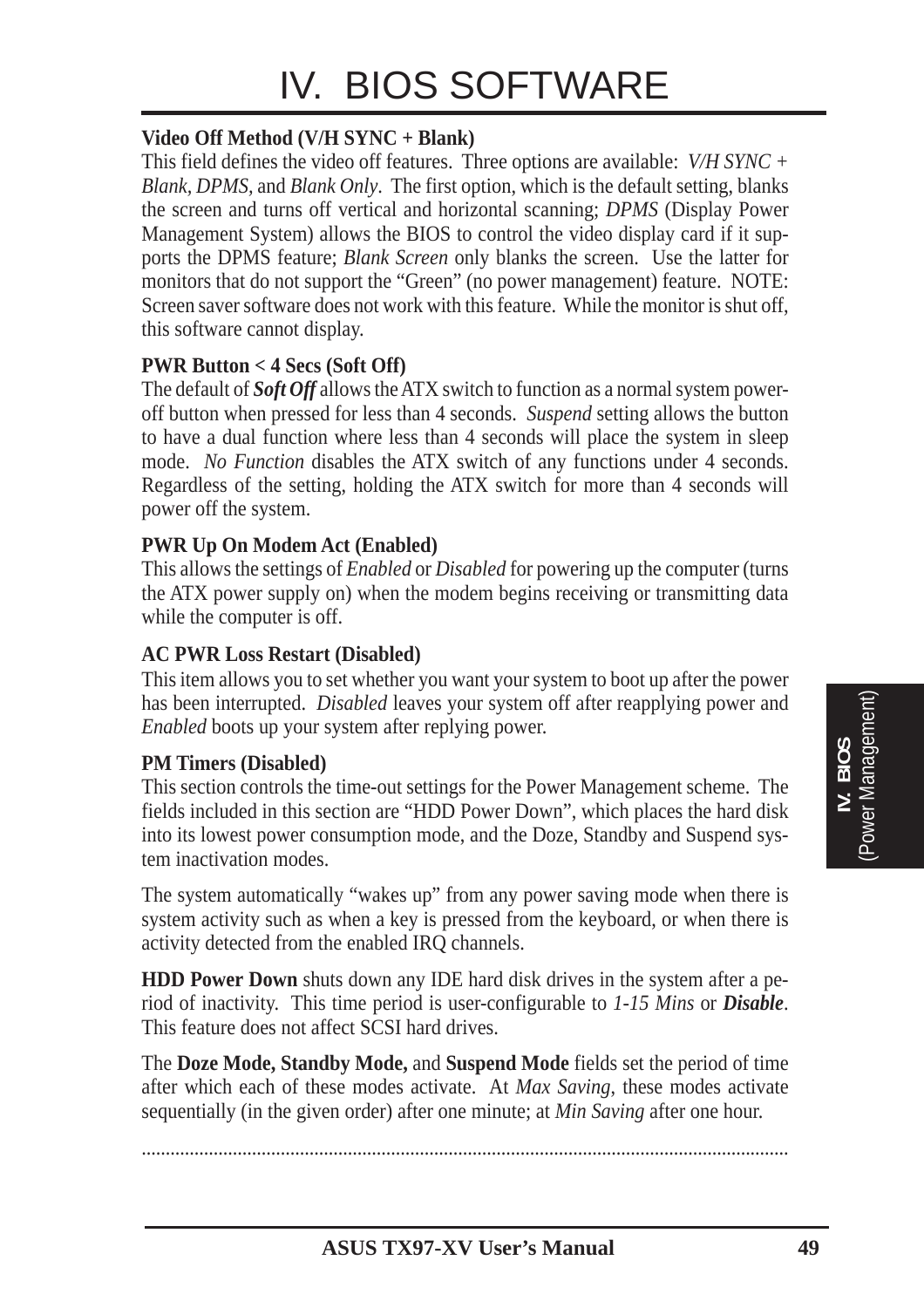# IV. BIOS SOFTWARE

### **Video Off Method (V/H SYNC + Blank)**

This field defines the video off features. Three options are available: *V/H SYNC + Blank, DPMS,* and *Blank Only*. The first option, which is the default setting, blanks the screen and turns off vertical and horizontal scanning; *DPMS* (Display Power Management System) allows the BIOS to control the video display card if it supports the DPMS feature; *Blank Screen* only blanks the screen. Use the latter for monitors that do not support the "Green" (no power management) feature. NOTE: Screen saver software does not work with this feature. While the monitor is shut off, this software cannot display.

### **PWR Button < 4 Secs (Soft Off)**

The default of *Soft Off* allows the ATX switch to function as a normal system poweroff button when pressed for less than 4 seconds. *Suspend* setting allows the button to have a dual function where less than 4 seconds will place the system in sleep mode. *No Function* disables the ATX switch of any functions under 4 seconds. Regardless of the setting, holding the ATX switch for more than 4 seconds will power off the system.

### **PWR Up On Modem Act (Enabled)**

This allows the settings of *Enabled* or *Disabled* for powering up the computer (turns the ATX power supply on) when the modem begins receiving or transmitting data while the computer is off.

### **AC PWR Loss Restart (Disabled)**

This item allows you to set whether you want your system to boot up after the power has been interrupted. *Disabled* leaves your system off after reapplying power and *Enabled* boots up your system after replying power.

### **PM Timers (Disabled)**

This section controls the time-out settings for the Power Management scheme. The fields included in this section are "HDD Power Down", which places the hard disk into its lowest power consumption mode, and the Doze, Standby and Suspend system inactivation modes.

The system automatically "wakes up" from any power saving mode when there is system activity such as when a key is pressed from the keyboard, or when there is activity detected from the enabled IRQ channels.

**HDD Power Down** shuts down any IDE hard disk drives in the system after a period of inactivity. This time period is user-configurable to *1-15 Mins* or *Disable*. This feature does not affect SCSI hard drives.

The **Doze Mode, Standby Mode,** and **Suspend Mode** fields set the period of time after which each of these modes activate. At *Max Saving*, these modes activate sequentially (in the given order) after one minute; at *Min Saving* after one hour.

.......................................................................................................................................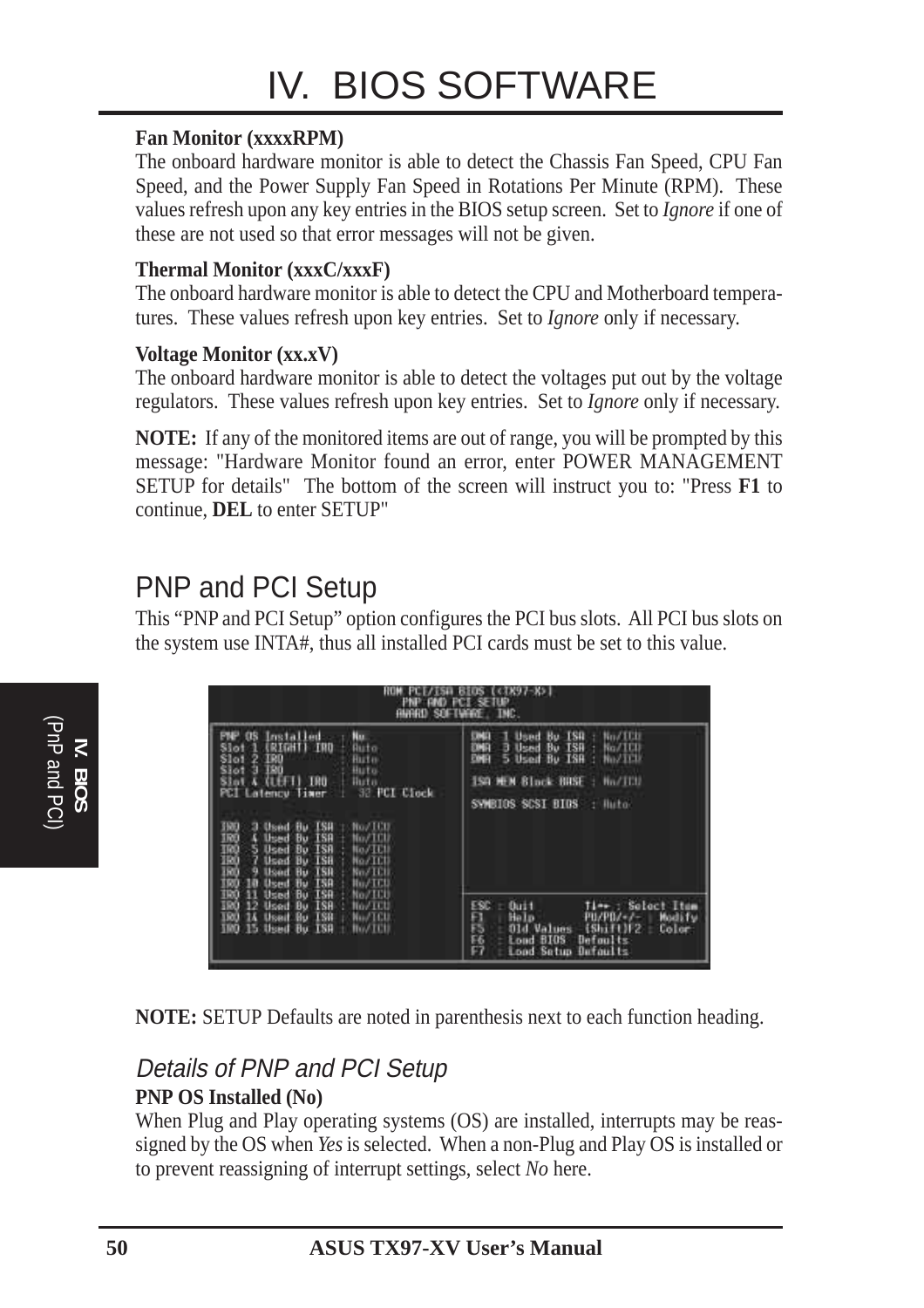### **Fan Monitor (xxxxRPM)**

The onboard hardware monitor is able to detect the Chassis Fan Speed, CPU Fan Speed, and the Power Supply Fan Speed in Rotations Per Minute (RPM). These values refresh upon any key entries in the BIOS setup screen. Set to *Ignore* if one of these are not used so that error messages will not be given.

### **Thermal Monitor (xxxC/xxxF)**

The onboard hardware monitor is able to detect the CPU and Motherboard temperatures. These values refresh upon key entries. Set to *Ignore* only if necessary.

### **Voltage Monitor (xx.xV)**

The onboard hardware monitor is able to detect the voltages put out by the voltage regulators. These values refresh upon key entries. Set to *Ignore* only if necessary.

**NOTE:** If any of the monitored items are out of range, you will be prompted by this message: "Hardware Monitor found an error, enter POWER MANAGEMENT SETUP for details" The bottom of the screen will instruct you to: "Press **F1** to continue, **DEL** to enter SETUP"

### PNP and PCI Setup

This "PNP and PCI Setup" option configures the PCI bus slots. All PCI bus slots on the system use INTA#, thus all installed PCI cards must be set to this value.

| ни                                                                                                                                                                                                                                                                                                                                                                                                                                                                 | LCDG7-851<br><b>BIUS</b><br>PNP AND PCI SETUP<br>AWARD SOFTWARE TNC.                                                                                                                            |
|--------------------------------------------------------------------------------------------------------------------------------------------------------------------------------------------------------------------------------------------------------------------------------------------------------------------------------------------------------------------------------------------------------------------------------------------------------------------|-------------------------------------------------------------------------------------------------------------------------------------------------------------------------------------------------|
| Installed<br>Nu<br>FR P<br>98<br>Auto<br>(RIGHT) IND<br>IRD<br>JRD<br>Jolett TRA<br>Slot<br>2<br>Slot<br>Slot<br>Histo<br>э<br>Huto<br>Slot<br>D<br><b>J 180</b><br>lluto<br><b>PCI Clock</b><br><b>PCI Latency Timer</b><br>32<br>奉뛁톯쁍튭뚢<br>No/ICD<br>No/ICD<br>No/ICD<br>No/ICD<br>No/ICD<br>No/ICD<br>1980<br>3 Used By<br>IRO<br>IRO<br><b>Used By</b><br>$\frac{4}{5}$<br><b>Used By</b><br>Used By<br>180<br>180<br><b>Used</b><br>Hυ<br><b>Used</b><br>. Hu | No/XCH<br><b>ISB</b><br>Used By<br><b>SME</b><br>п<br>临灯印<br>$\frac{150}{150}$<br>鼺<br>э<br>Used By<br>5 Used By<br>Bo/TEU<br><b>150 HEM Black BBSE</b><br>SVMBIOS SCSI BIOS<br>: Huto          |
| Used<br>-Bu<br><b>ISH</b><br>190<br>Used By<br>12<br><b>Mu/TCU</b><br><b>TSR</b><br><b>Tay</b><br><b>Used</b><br>14<br>Hu<br><b>TSA</b><br><b>Bo/TCU</b><br>15 Used Bu<br>IMO                                                                                                                                                                                                                                                                                      | ESC<br>Select Itam<br>$0$ ul 1<br>T.<br>◆<br>次びコ<br>PU/PD/+/-<br>Help<br><b>Modify</b><br>$(ShitU)$ $F2$<br><b>Old Values</b><br>Color<br>Loud BIOS<br>Defaults<br>F7<br>Load Setup<br>Dufaults |

**NOTE:** SETUP Defaults are noted in parenthesis next to each function heading.

### Details of PNP and PCI Setup **PNP OS Installed (No)**

When Plug and Play operating systems (OS) are installed, interrupts may be reassigned by the OS when *Yes* is selected. When a non-Plug and Play OS is installed or to prevent reassigning of interrupt settings, select *No* here.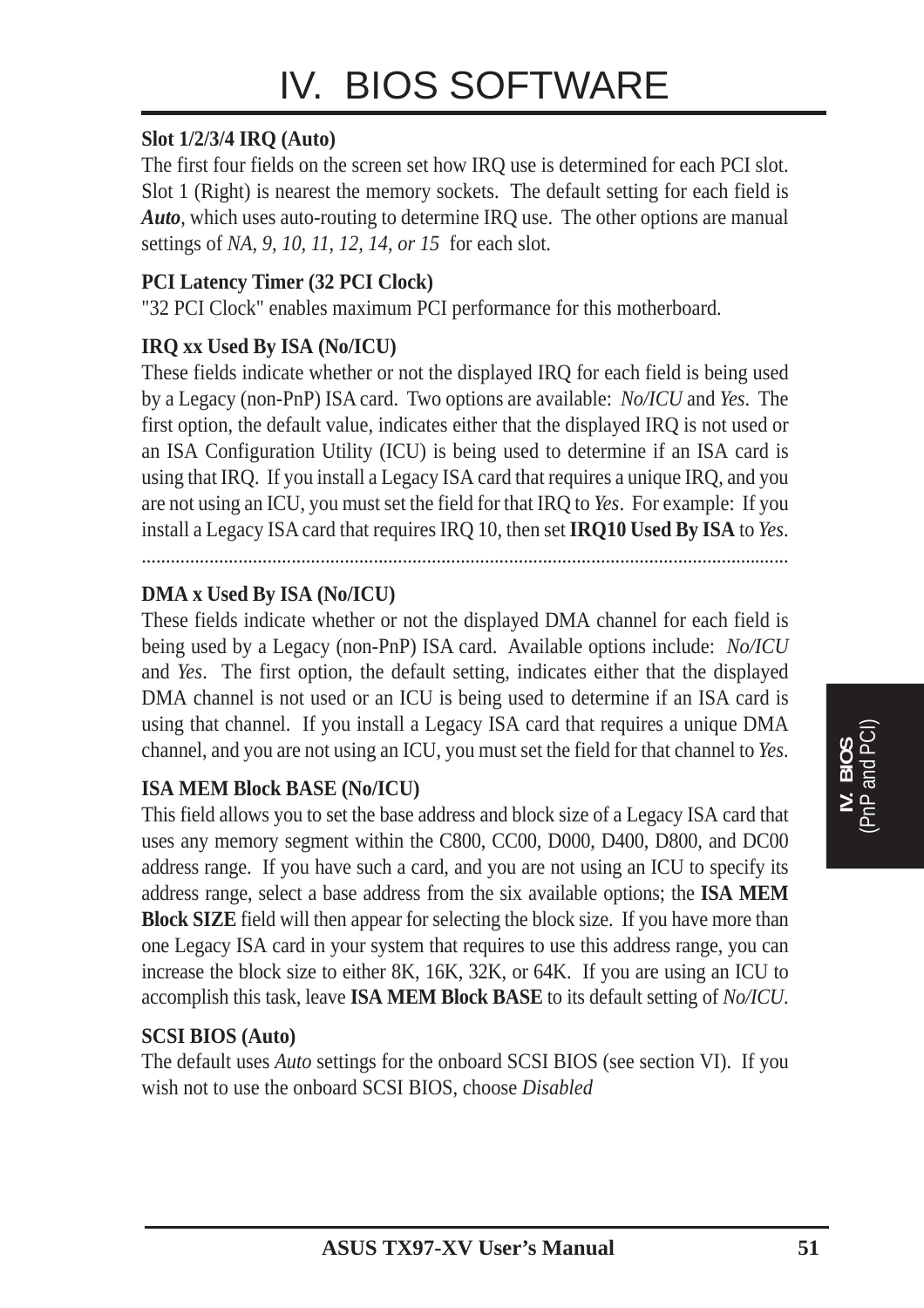### **Slot 1/2/3/4 IRQ (Auto)**

The first four fields on the screen set how IRQ use is determined for each PCI slot. Slot 1 (Right) is nearest the memory sockets. The default setting for each field is *Auto*, which uses auto-routing to determine IRQ use. The other options are manual settings of *NA, 9, 10, 11, 12, 14, or 15* for each slot.

### **PCI Latency Timer (32 PCI Clock)**

"32 PCI Clock" enables maximum PCI performance for this motherboard.

### **IRQ xx Used By ISA (No/ICU)**

These fields indicate whether or not the displayed IRQ for each field is being used by a Legacy (non-PnP) ISA card. Two options are available: *No/ICU* and *Yes*. The first option, the default value, indicates either that the displayed IRQ is not used or an ISA Configuration Utility (ICU) is being used to determine if an ISA card is using that IRQ. If you install a Legacy ISA card that requires a unique IRQ, and you are not using an ICU, you must set the field for that IRQ to *Yes*. For example: If you install a Legacy ISA card that requires IRQ 10, then set **IRQ10 Used By ISA** to *Yes*.

......................................................................................................................................

### **DMA x Used By ISA (No/ICU)**

These fields indicate whether or not the displayed DMA channel for each field is being used by a Legacy (non-PnP) ISA card. Available options include: *No/ICU* and *Yes*. The first option, the default setting, indicates either that the displayed DMA channel is not used or an ICU is being used to determine if an ISA card is using that channel. If you install a Legacy ISA card that requires a unique DMA channel, and you are not using an ICU, you must set the field for that channel to *Yes*.

### **ISA MEM Block BASE (No/ICU)**

This field allows you to set the base address and block size of a Legacy ISA card that uses any memory segment within the C800, CC00, D000, D400, D800, and DC00 address range. If you have such a card, and you are not using an ICU to specify its address range, select a base address from the six available options; the **ISA MEM Block SIZE** field will then appear for selecting the block size. If you have more than one Legacy ISA card in your system that requires to use this address range, you can increase the block size to either 8K, 16K, 32K, or 64K. If you are using an ICU to accomplish this task, leave **ISA MEM Block BASE** to its default setting of *No/ICU*.

### **SCSI BIOS (Auto)**

The default uses *Auto* settings for the onboard SCSI BIOS (see section VI). If you wish not to use the onboard SCSI BIOS, choose *Disabled*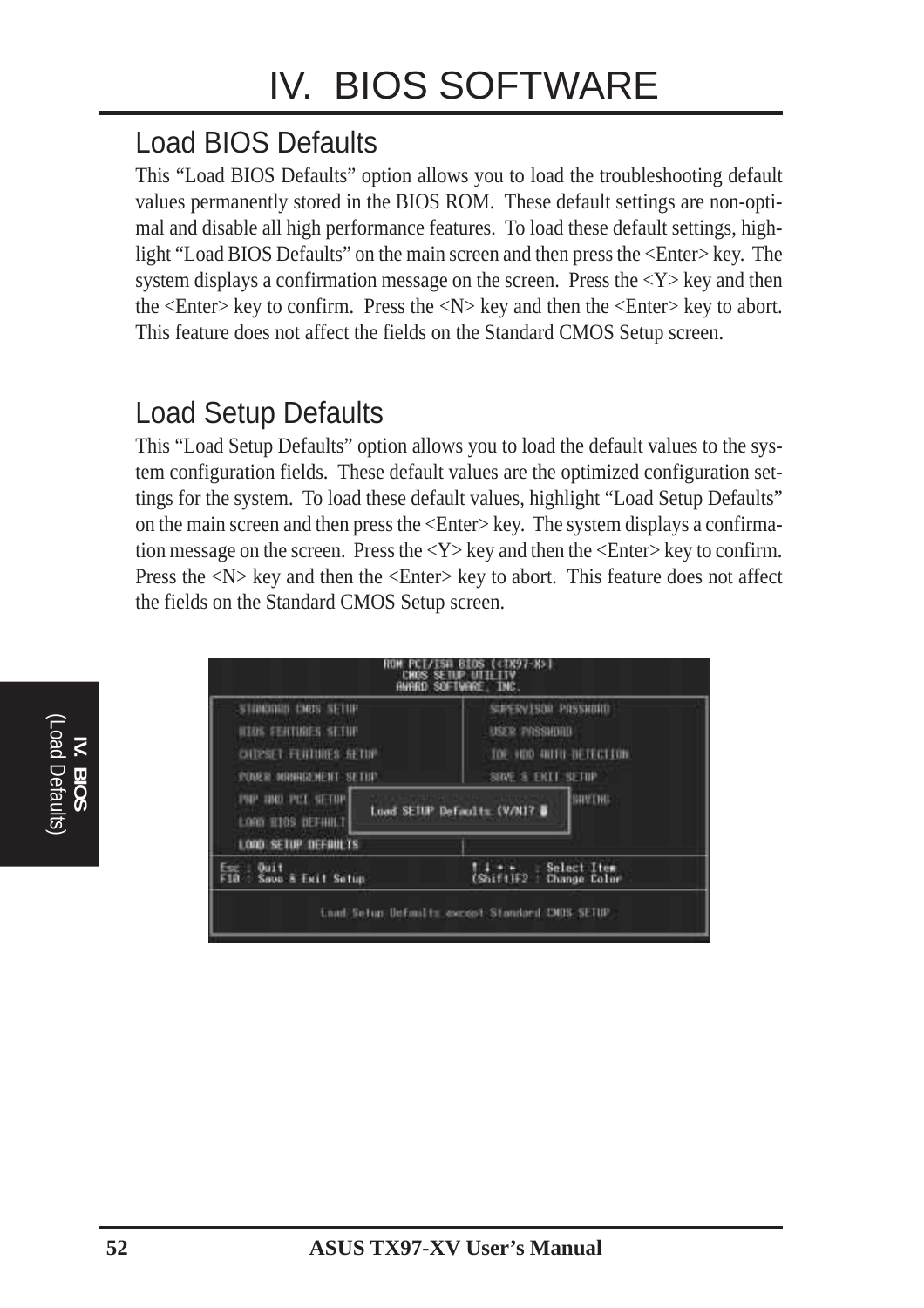### Load BIOS Defaults

This "Load BIOS Defaults" option allows you to load the troubleshooting default values permanently stored in the BIOS ROM. These default settings are non-optimal and disable all high performance features. To load these default settings, highlight "Load BIOS Defaults" on the main screen and then press the <Enter> key. The system displays a confirmation message on the screen. Press the  $\langle Y \rangle$  key and then the  $\leq$ Enter $\geq$  key to confirm. Press the  $\leq$ N $\geq$  key and then the  $\leq$ Enter $\geq$  key to abort. This feature does not affect the fields on the Standard CMOS Setup screen.

### Load Setup Defaults

This "Load Setup Defaults" option allows you to load the default values to the system configuration fields. These default values are the optimized configuration settings for the system. To load these default values, highlight "Load Setup Defaults" on the main screen and then press the <Enter> key. The system displays a confirmation message on the screen. Press the  $\langle Y \rangle$  key and then the  $\langle$ Enter $\rangle$  key to confirm. Press the <N> key and then the <Enter> key to abort. This feature does not affect the fields on the Standard CMOS Setup screen.

| <b>CHOS</b>                                                                                                                                                        | HARRD SOFTWARE INC.                                                                                                                   |
|--------------------------------------------------------------------------------------------------------------------------------------------------------------------|---------------------------------------------------------------------------------------------------------------------------------------|
| STINGDO CAOS SETUP<br><b><i>RIOS FEATURES SETUP</i></b><br><b>DUPSET FEBURES SETUP</b><br>PONER MANAGEMENT SETUP.<br>PIP THE PCI SETUP<br><b>LOOD H10S DEFAILT</b> | SUPERVISOR PRSSHORD<br><b>USER PASSHORD</b><br>TOP HOD RIFTH DETECTION<br>SAVE & EXIT SETUP<br>BAVING<br>Luad SETUP Defaults (V/N17 B |
| LOOD SETUP DEFINITS                                                                                                                                                |                                                                                                                                       |
| Ouit<br>$-30.1$<br>F10 Save & Exit Setup                                                                                                                           | Select Item<br>$\frac{1}{(2n+1)+2}$<br><b>Change Color</b>                                                                            |
|                                                                                                                                                                    | Load Setup Defaults except Standard CMDS SETUP                                                                                        |

**IV. BIOS**<br>(Load Defaults) (Load Defaults)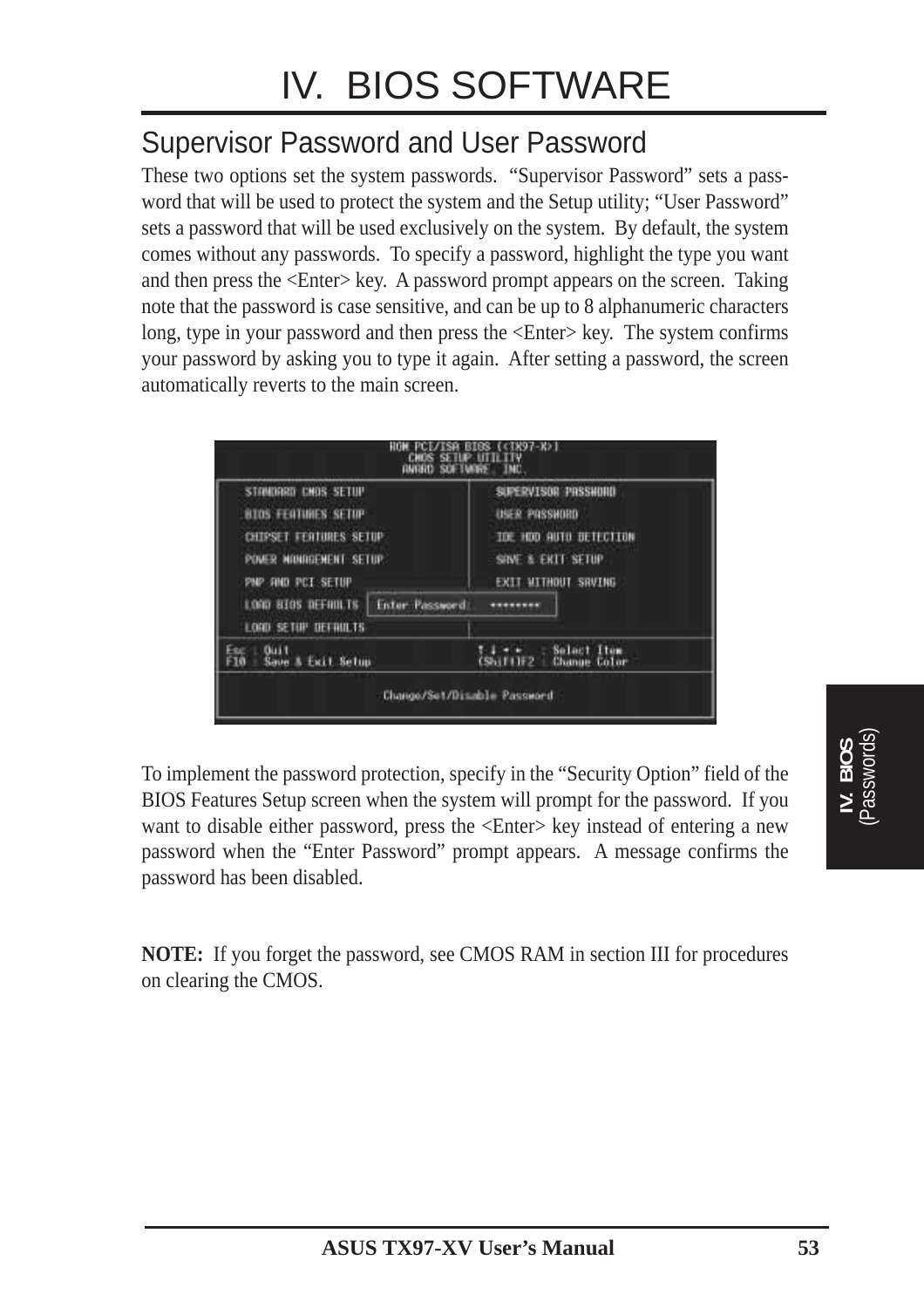### Supervisor Password and User Password

These two options set the system passwords. "Supervisor Password" sets a password that will be used to protect the system and the Setup utility; "User Password" sets a password that will be used exclusively on the system. By default, the system comes without any passwords. To specify a password, highlight the type you want and then press the <Enter> key. A password prompt appears on the screen. Taking note that the password is case sensitive, and can be up to 8 alphanumeric characters long, type in your password and then press the  $\leq$  Enter $\geq$  key. The system confirms your password by asking you to type it again. After setting a password, the screen automatically reverts to the main screen.

|                                                                                                                                                                              | <b>CHOS</b><br>5Ŀ | LCD07-30-1<br><b>DIREC</b><br>TUP UTTE<br><b>INGRO SOFTWINE THE</b>                                               |  |  |
|------------------------------------------------------------------------------------------------------------------------------------------------------------------------------|-------------------|-------------------------------------------------------------------------------------------------------------------|--|--|
| STANDARD CADS SETUP<br><b>BTOS: FEATURES: SETUP</b><br>CHIPSET FEATURES SETUP<br><b>PONER MONAGEMENT SETUP</b><br>PNP AND PCT SETUP<br>LOAD 8105 DEFINILTS<br>Enter Password |                   | SUPERVISOR PASSHORD<br><b>USER PRSSHORD</b><br>TOE HOD AUTO DETECTION<br>SINE & EXIT SETUP<br>EXIT WITHOUT SRVING |  |  |
|                                                                                                                                                                              |                   |                                                                                                                   |  |  |
| LOAD SETUP DEFAULTS                                                                                                                                                          |                   |                                                                                                                   |  |  |
| <b>Out 1</b><br>Save & Exit Setup                                                                                                                                            |                   | <b>Solact Item</b><br>$S1 + IF2$<br><b>Change Colar</b>                                                           |  |  |
|                                                                                                                                                                              |                   | Change/Set/Disable Password                                                                                       |  |  |

To implement the password protection, specify in the "Security Option" field of the BIOS Features Setup screen when the system will prompt for the password. If you want to disable either password, press the <Enter> key instead of entering a new password when the "Enter Password" prompt appears. A message confirms the password has been disabled.

**NOTE:** If you forget the password, see CMOS RAM in section III for procedures on clearing the CMOS.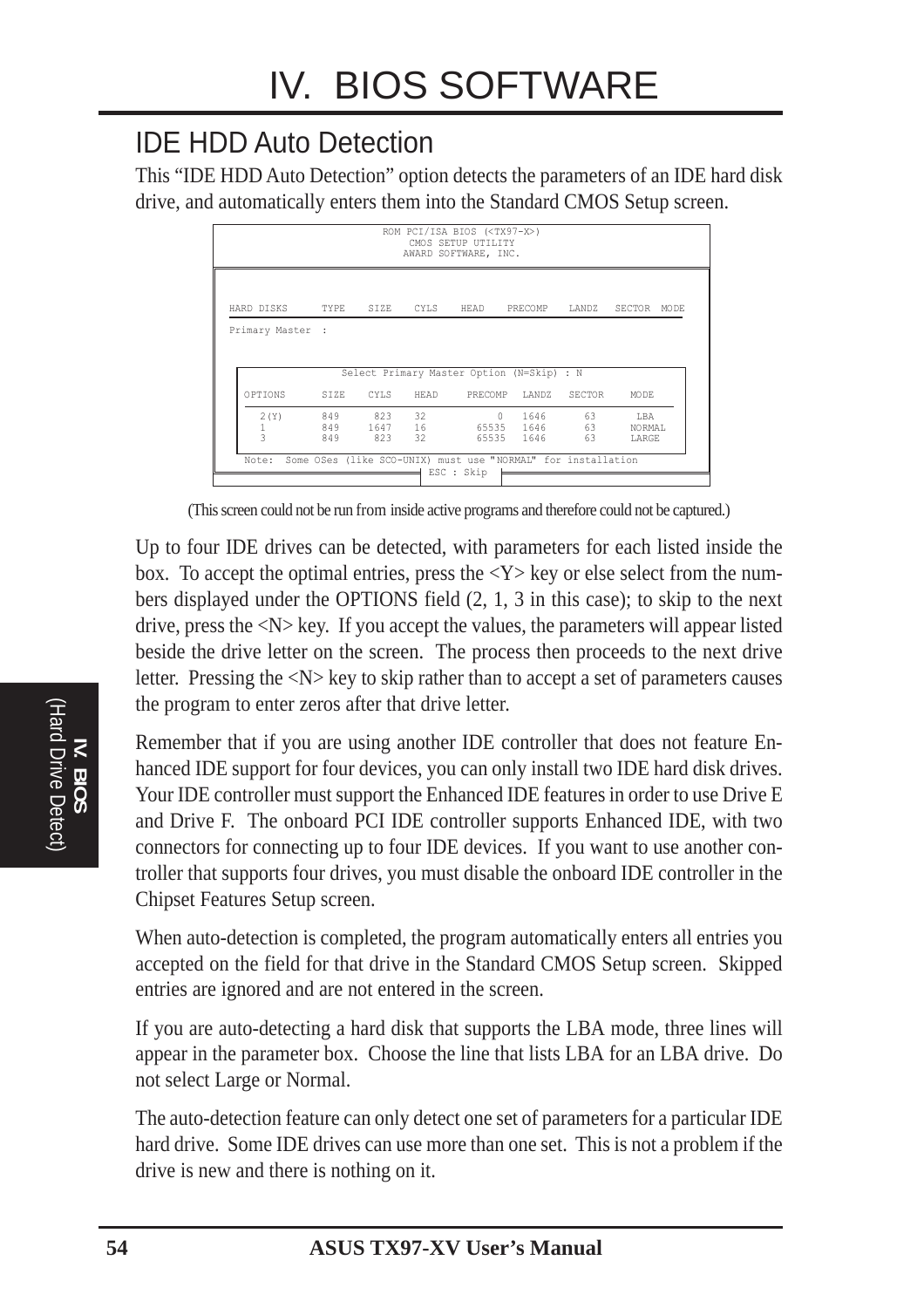### IDE HDD Auto Detection

This "IDE HDD Auto Detection" option detects the parameters of an IDE hard disk drive, and automatically enters them into the Standard CMOS Setup screen.



(This screen could not be run from inside active programs and therefore could not be captured.)

Up to four IDE drives can be detected, with parameters for each listed inside the box. To accept the optimal entries, press the  $\langle Y \rangle$  key or else select from the numbers displayed under the OPTIONS field (2, 1, 3 in this case); to skip to the next drive, press the <N> key. If you accept the values, the parameters will appear listed beside the drive letter on the screen. The process then proceeds to the next drive letter. Pressing the  $\langle N \rangle$  key to skip rather than to accept a set of parameters causes the program to enter zeros after that drive letter.

Remember that if you are using another IDE controller that does not feature Enhanced IDE support for four devices, you can only install two IDE hard disk drives. Your IDE controller must support the Enhanced IDE features in order to use Drive E and Drive F. The onboard PCI IDE controller supports Enhanced IDE, with two connectors for connecting up to four IDE devices. If you want to use another controller that supports four drives, you must disable the onboard IDE controller in the Chipset Features Setup screen.

When auto-detection is completed, the program automatically enters all entries you accepted on the field for that drive in the Standard CMOS Setup screen. Skipped entries are ignored and are not entered in the screen.

If you are auto-detecting a hard disk that supports the LBA mode, three lines will appear in the parameter box. Choose the line that lists LBA for an LBA drive. Do not select Large or Normal.

The auto-detection feature can only detect one set of parameters for a particular IDE hard drive. Some IDE drives can use more than one set. This is not a problem if the drive is new and there is nothing on it.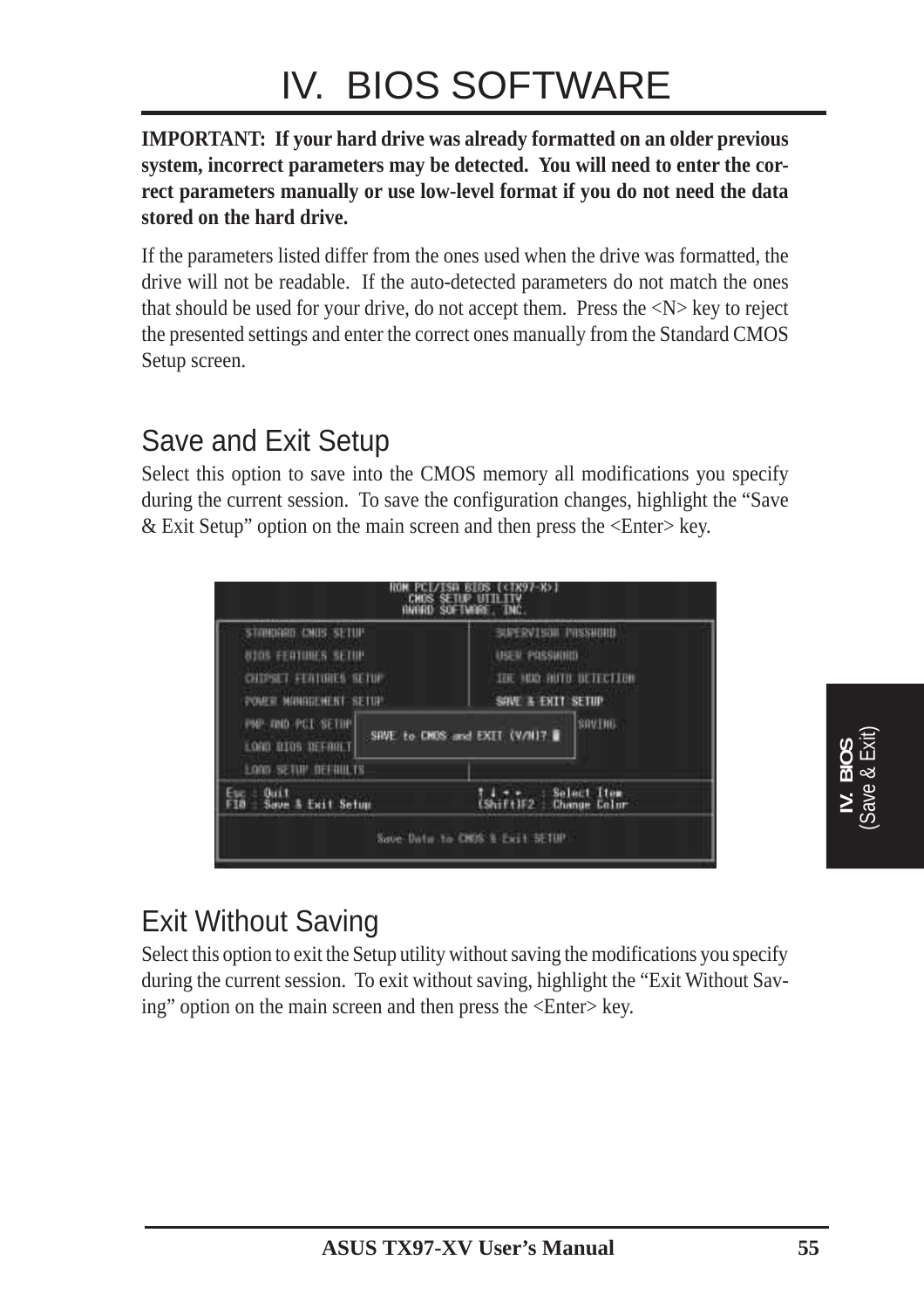**IMPORTANT: If your hard drive was already formatted on an older previous system, incorrect parameters may be detected. You will need to enter the correct parameters manually or use low-level format if you do not need the data stored on the hard drive.**

If the parameters listed differ from the ones used when the drive was formatted, the drive will not be readable. If the auto-detected parameters do not match the ones that should be used for your drive, do not accept them. Press the  $\langle N \rangle$  key to reject the presented settings and enter the correct ones manually from the Standard CMOS Setup screen.

### Save and Exit Setup

Select this option to save into the CMOS memory all modifications you specify during the current session. To save the configuration changes, highlight the "Save & Exit Setup" option on the main screen and then press the <Enter> key.

| STRUGGO CHUS SETUP                                             | <b>SUPERVISOR PASSHORD</b>             |  |
|----------------------------------------------------------------|----------------------------------------|--|
| 8105 FEATURES SETUP                                            | USEN PRESIDIO                          |  |
| <b>CHIPSET FEATURES SETUP</b>                                  | THE HOD AUTO OFTECTION                 |  |
| POVER MONDEHEAT SETUP                                          | SAVE & EXIT SETUP                      |  |
| PMP RMD PCI SETIP<br>LOAD DIOS DEFINILT<br>LOOD SETUP DEFAILTS | SAVING<br>SAVE to CHOS and EXIT (V/H)? |  |
| <b>Duit</b>                                                    | Select Item                            |  |
| Save & Ewit Setum                                              | <b>Change Color</b>                    |  |

## Exit Without Saving

Select this option to exit the Setup utility without saving the modifications you specify during the current session. To exit without saving, highlight the "Exit Without Saving" option on the main screen and then press the <Enter> key.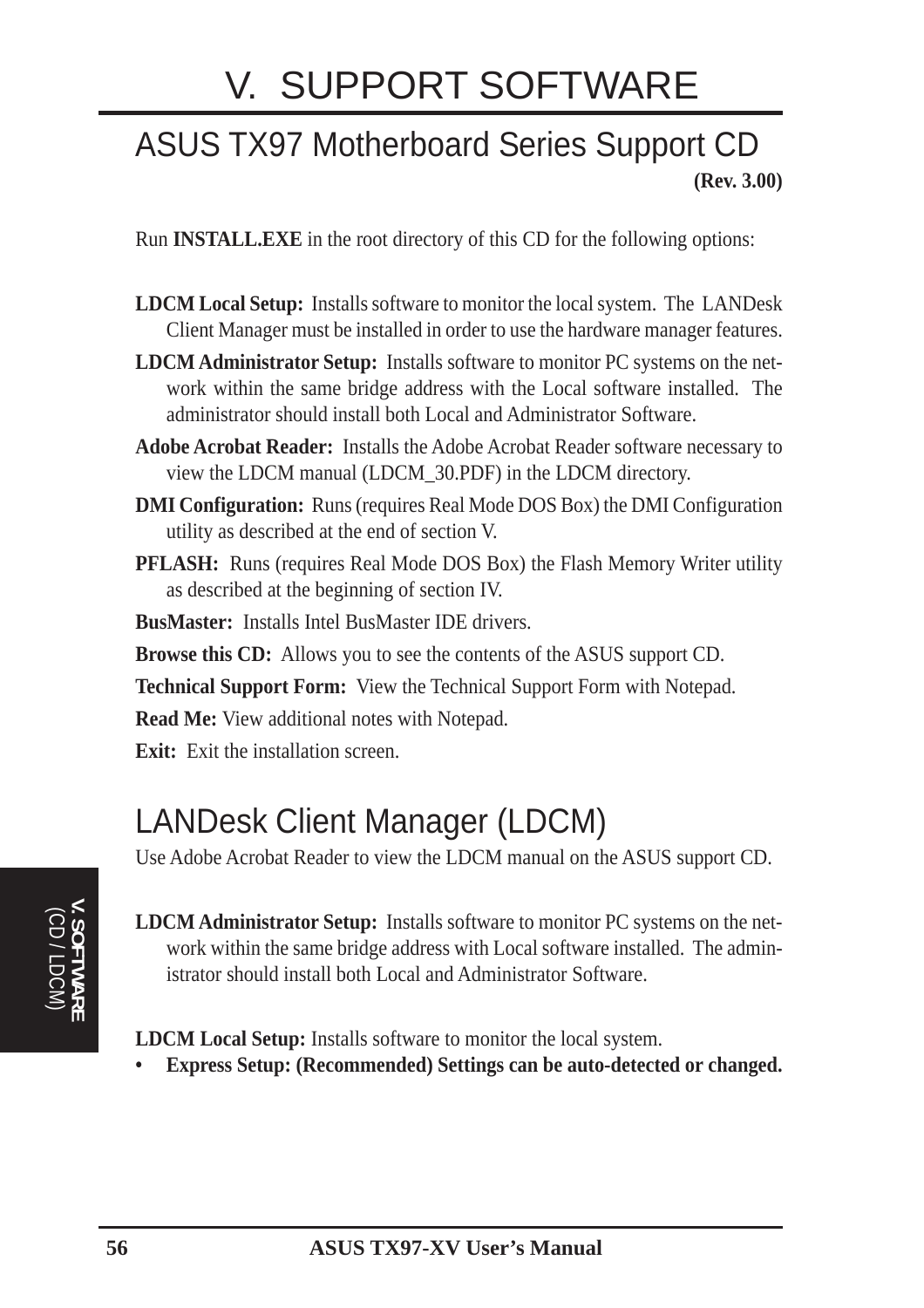### ASUS TX97 Motherboard Series Support CD **(Rev. 3.00)**

Run **INSTALL.EXE** in the root directory of this CD for the following options:

- **LDCM Local Setup:** Installs software to monitor the local system. The LANDesk Client Manager must be installed in order to use the hardware manager features.
- **LDCM Administrator Setup:** Installs software to monitor PC systems on the network within the same bridge address with the Local software installed. The administrator should install both Local and Administrator Software.
- **Adobe Acrobat Reader:** Installs the Adobe Acrobat Reader software necessary to view the LDCM manual (LDCM\_30.PDF) in the LDCM directory.
- **DMI Configuration:** Runs (requires Real Mode DOS Box) the DMI Configuration utility as described at the end of section V.
- **PFLASH:** Runs (requires Real Mode DOS Box) the Flash Memory Writer utility as described at the beginning of section IV.

**BusMaster:** Installs Intel BusMaster IDE drivers.

**Browse this CD:** Allows you to see the contents of the ASUS support CD.

**Technical Support Form:** View the Technical Support Form with Notepad.

**Read Me:** View additional notes with Notepad.

**Exit:** Exit the installation screen.

## LANDesk Client Manager (LDCM)

Use Adobe Acrobat Reader to view the LDCM manual on the ASUS support CD.

**LDCM Administrator Setup:** Installs software to monitor PC systems on the network within the same bridge address with Local software installed. The administrator should install both Local and Administrator Software.

**LDCM Local Setup:** Installs software to monitor the local system.

**• Express Setup: (Recommended) Settings can be auto-detected or changed.**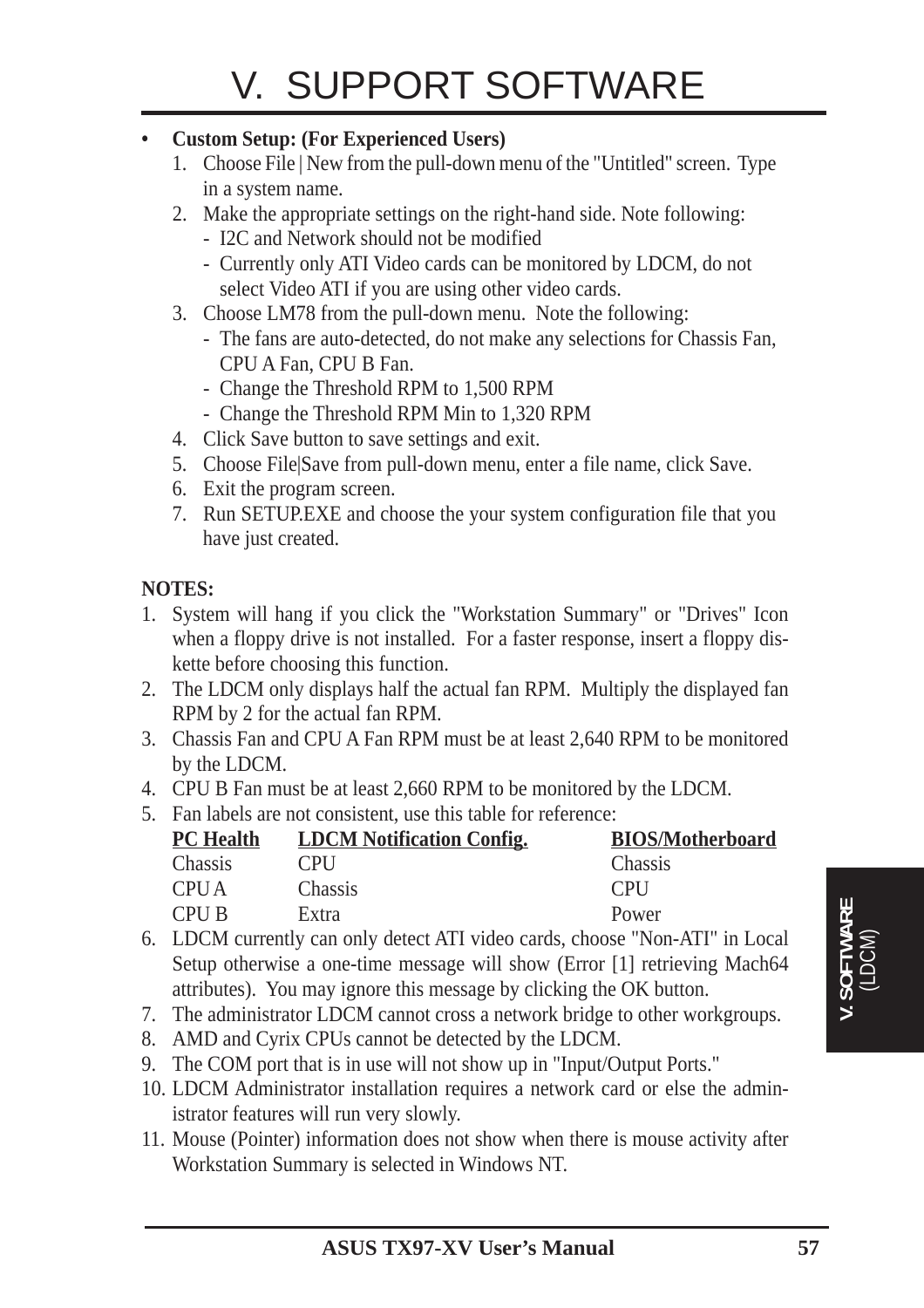### **• Custom Setup: (For Experienced Users)**

- 1. Choose File | New from the pull-down menu of the "Untitled" screen. Type in a system name.
- 2. Make the appropriate settings on the right-hand side. Note following:
	- I2C and Network should not be modified
	- Currently only ATI Video cards can be monitored by LDCM, do not select Video ATI if you are using other video cards.
- 3. Choose LM78 from the pull-down menu. Note the following:
	- The fans are auto-detected, do not make any selections for Chassis Fan, CPU A Fan, CPU B Fan.
	- Change the Threshold RPM to 1,500 RPM
	- Change the Threshold RPM Min to 1,320 RPM
- 4. Click Save button to save settings and exit.
- 5. Choose File|Save from pull-down menu, enter a file name, click Save.
- 6. Exit the program screen.
- 7. Run SETUP.EXE and choose the your system configuration file that you have just created.

### **NOTES:**

- 1. System will hang if you click the "Workstation Summary" or "Drives" Icon when a floppy drive is not installed. For a faster response, insert a floppy diskette before choosing this function.
- 2. The LDCM only displays half the actual fan RPM. Multiply the displayed fan RPM by 2 for the actual fan RPM.
- 3. Chassis Fan and CPU A Fan RPM must be at least 2,640 RPM to be monitored by the LDCM.
- 4. CPU B Fan must be at least 2,660 RPM to be monitored by the LDCM.
- 5. Fan labels are not consistent, use this table for reference:

| <b>PC</b> Health | <b>LDCM</b> Notification Config. | <b>BIOS/Motherboard</b> |
|------------------|----------------------------------|-------------------------|
| Chassis          | <b>CPU</b>                       | Chassis                 |
| <b>CPUA</b>      | Chassis                          | CPU                     |
| CPU B            | Extra                            | Power                   |

- 6. LDCM currently can only detect ATI video cards, choose "Non-ATI" in Local Setup otherwise a one-time message will show (Error [1] retrieving Mach64 attributes). You may ignore this message by clicking the OK button.
- 7. The administrator LDCM cannot cross a network bridge to other workgroups.
- 8. AMD and Cyrix CPUs cannot be detected by the LDCM.
- 9. The COM port that is in use will not show up in "Input/Output Ports."
- 10. LDCM Administrator installation requires a network card or else the administrator features will run very slowly.
- 11. Mouse (Pointer) information does not show when there is mouse activity after Workstation Summary is selected in Windows NT.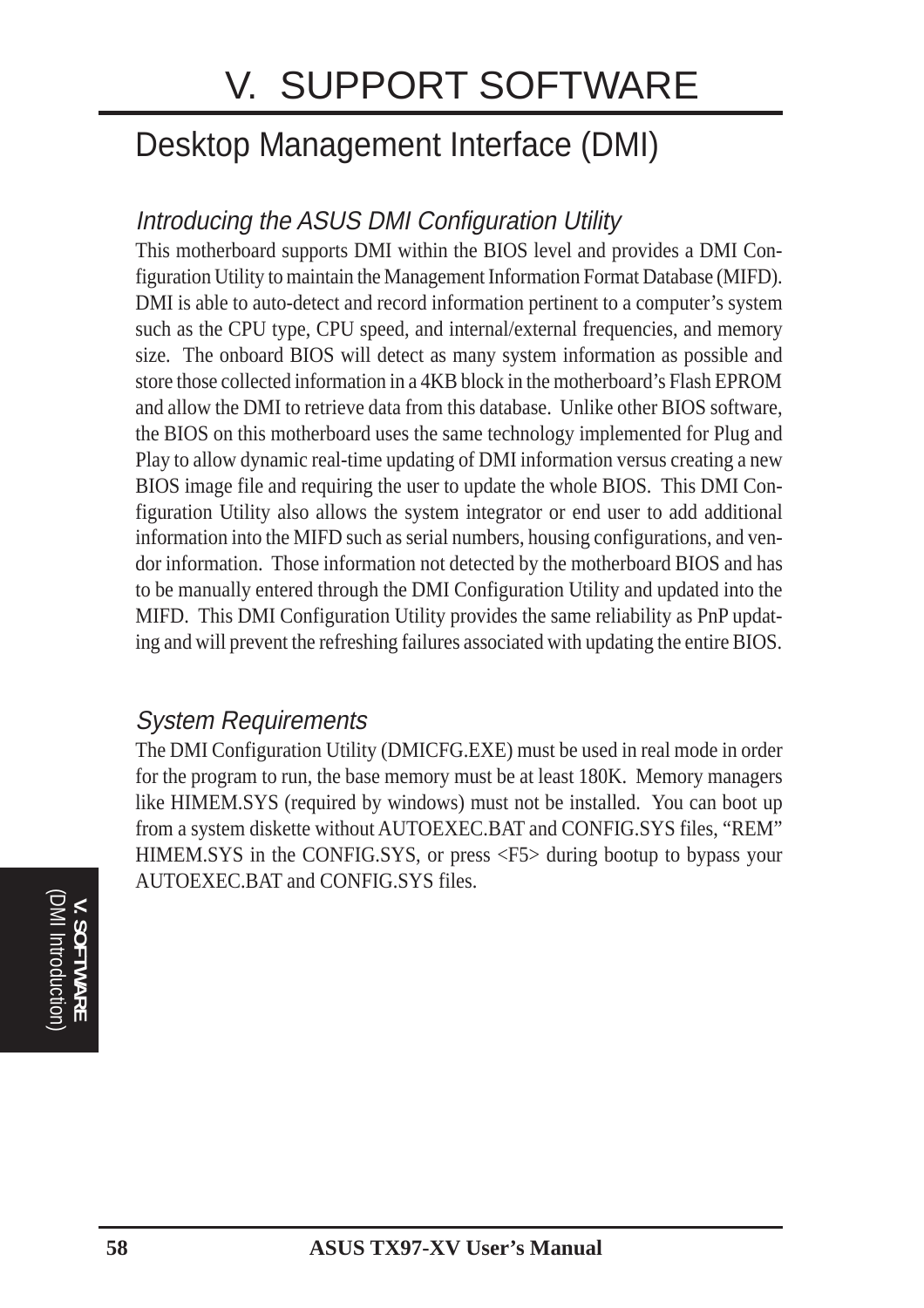## Desktop Management Interface (DMI)

### Introducing the ASUS DMI Configuration Utility

This motherboard supports DMI within the BIOS level and provides a DMI Configuration Utility to maintain the Management Information Format Database (MIFD). DMI is able to auto-detect and record information pertinent to a computer's system such as the CPU type, CPU speed, and internal/external frequencies, and memory size. The onboard BIOS will detect as many system information as possible and store those collected information in a 4KB block in the motherboard's Flash EPROM and allow the DMI to retrieve data from this database. Unlike other BIOS software, the BIOS on this motherboard uses the same technology implemented for Plug and Play to allow dynamic real-time updating of DMI information versus creating a new BIOS image file and requiring the user to update the whole BIOS. This DMI Configuration Utility also allows the system integrator or end user to add additional information into the MIFD such as serial numbers, housing configurations, and vendor information. Those information not detected by the motherboard BIOS and has to be manually entered through the DMI Configuration Utility and updated into the MIFD. This DMI Configuration Utility provides the same reliability as PnP updating and will prevent the refreshing failures associated with updating the entire BIOS.

### System Requirements

The DMI Configuration Utility (DMICFG.EXE) must be used in real mode in order for the program to run, the base memory must be at least 180K. Memory managers like HIMEM.SYS (required by windows) must not be installed. You can boot up from a system diskette without AUTOEXEC.BAT and CONFIG.SYS files, "REM" HIMEM.SYS in the CONFIG.SYS, or press <F5> during bootup to bypass your AUTOEXEC.BAT and CONFIG.SYS files.

(DMI Introductior (DMI Introduction) **V. SOFTWARE**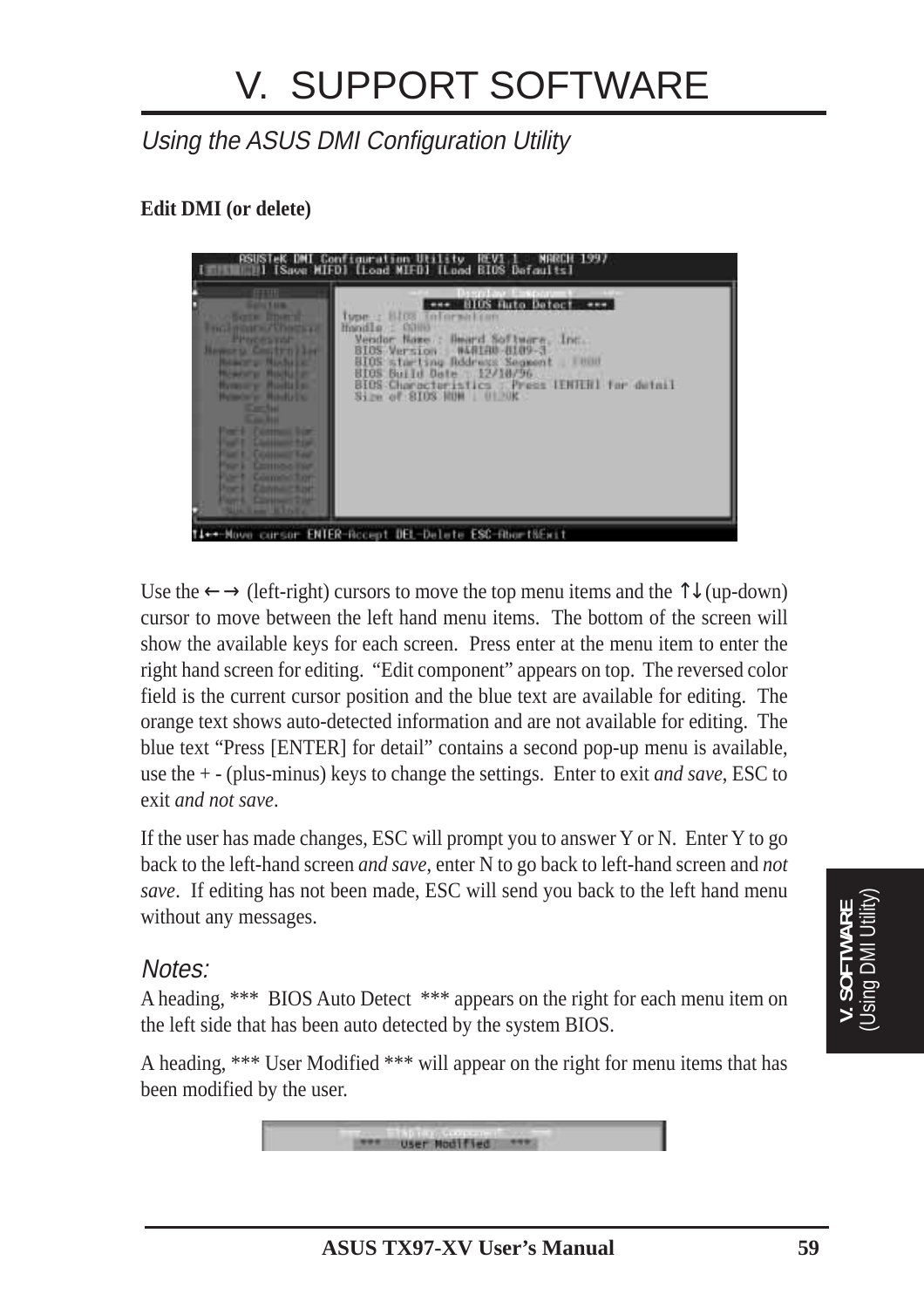### Using the ASUS DMI Configuration Utility

### **Edit DMI (or delete)**



Use the  $\leftarrow \rightarrow$  (left-right) cursors to move the top menu items and the  $\uparrow \downarrow$  (up-down) cursor to move between the left hand menu items. The bottom of the screen will show the available keys for each screen. Press enter at the menu item to enter the right hand screen for editing. "Edit component" appears on top. The reversed color field is the current cursor position and the blue text are available for editing. The orange text shows auto-detected information and are not available for editing. The blue text "Press [ENTER] for detail" contains a second pop-up menu is available, use the + - (plus-minus) keys to change the settings. Enter to exit *and save*, ESC to exit *and not save*.

If the user has made changes, ESC will prompt you to answer Y or N. Enter Y to go back to the left-hand screen *and save*, enter N to go back to left-hand screen and *not save*. If editing has not been made, ESC will send you back to the left hand menu without any messages.

### Notes:

A heading, \*\*\* BIOS Auto Detect \*\*\* appears on the right for each menu item on the left side that has been auto detected by the system BIOS.

A heading, \*\*\* User Modified \*\*\* will appear on the right for menu items that has been modified by the user.

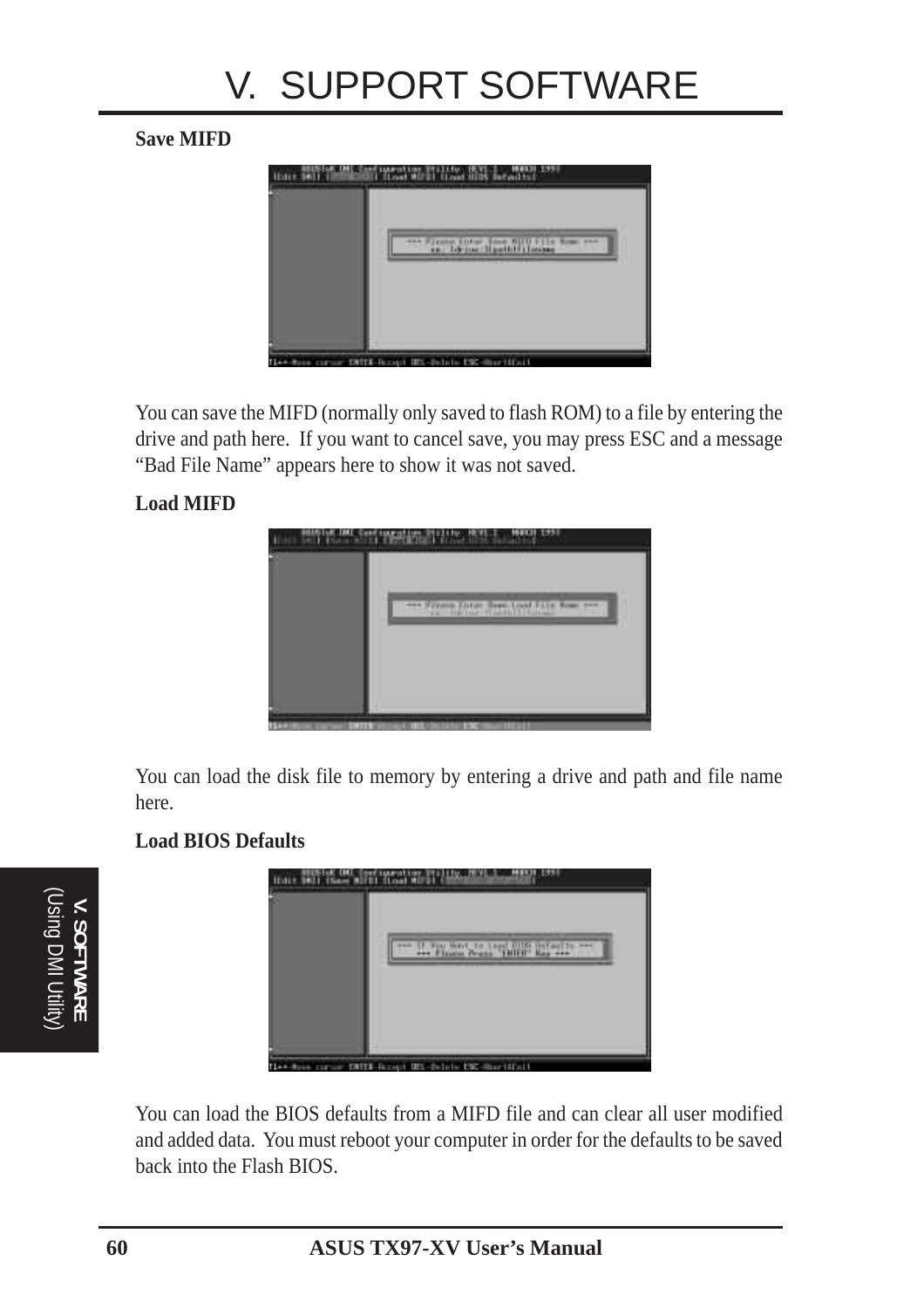### **Save MIFD**



You can save the MIFD (normally only saved to flash ROM) to a file by entering the drive and path here. If you want to cancel save, you may press ESC and a message "Bad File Name" appears here to show it was not saved.

### **Load MIFD**



You can load the disk file to memory by entering a drive and path and file name here.

### **Load BIOS Defaults**



You can load the BIOS defaults from a MIFD file and can clear all user modified and added data. You must reboot your computer in order for the defaults to be saved back into the Flash BIOS.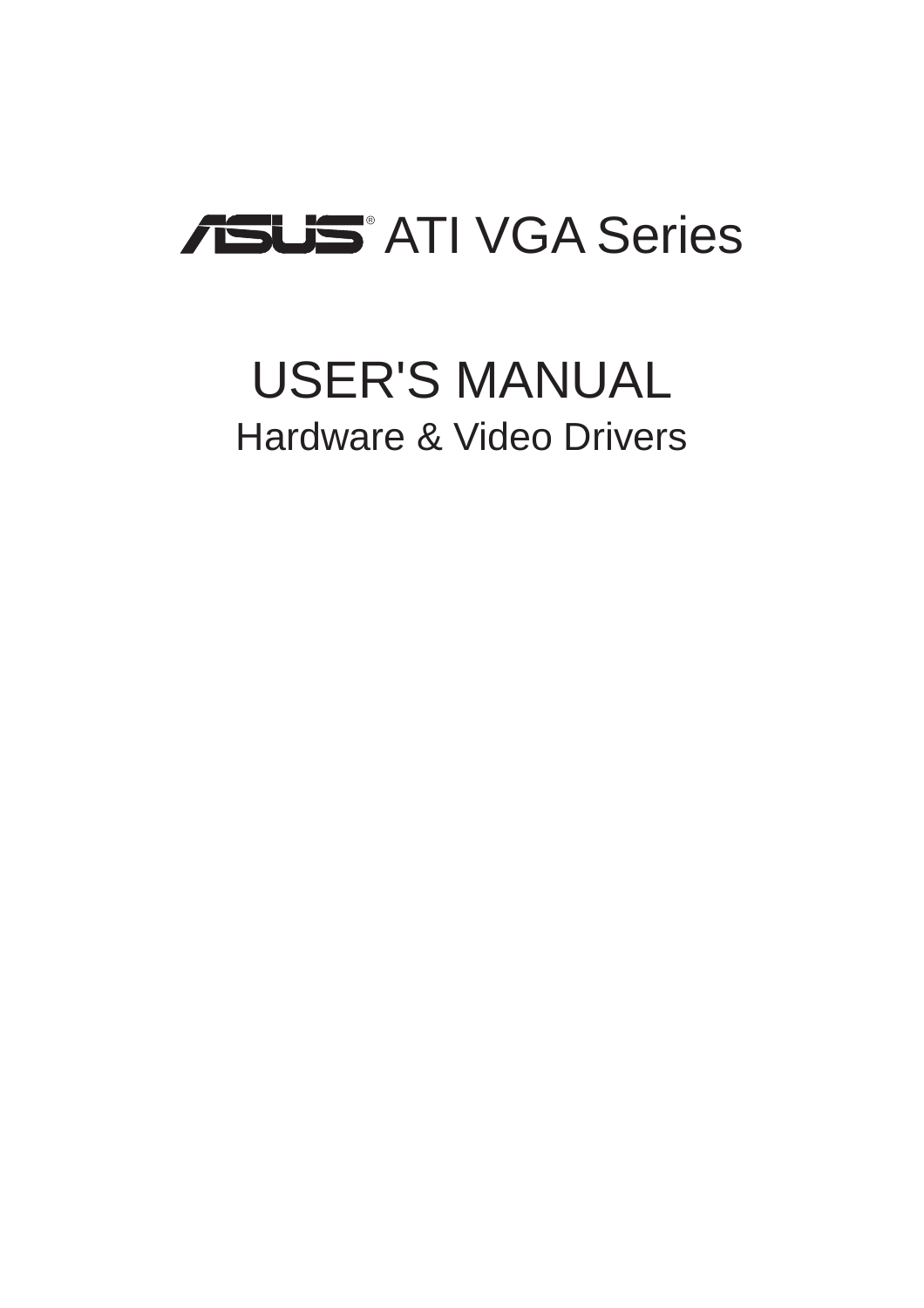# **ATI VGA Series**

# USER'S MANUAL Hardware & Video Drivers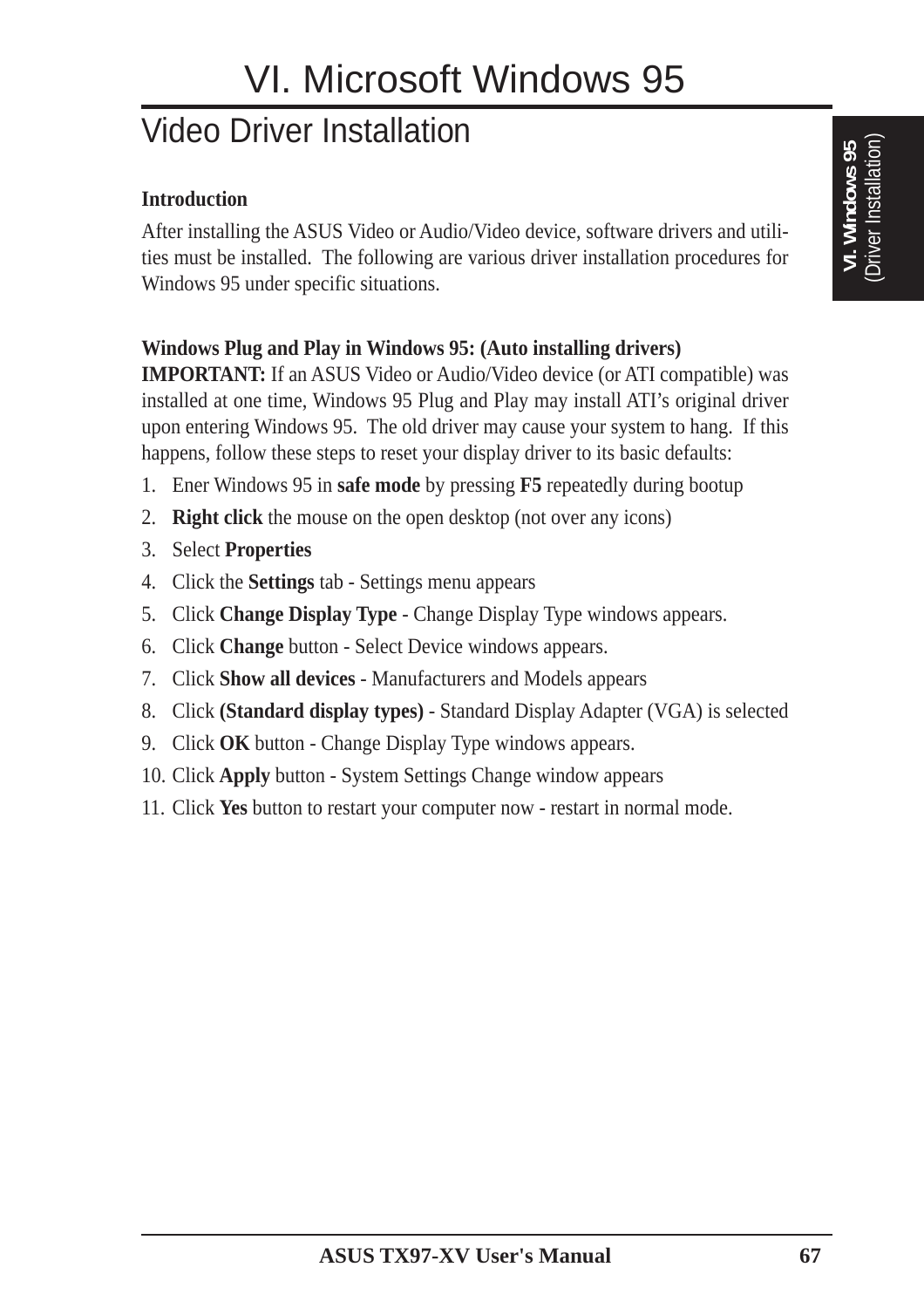### **Introduction**

After installing the ASUS Video or Audio/Video device, software drivers and utilities must be installed. The following are various driver installation procedures for Windows 95 under specific situations.

### **Windows Plug and Play in Windows 95: (Auto installing drivers)**

**IMPORTANT:** If an ASUS Video or Audio/Video device (or ATI compatible) was installed at one time, Windows 95 Plug and Play may install ATI's original driver upon entering Windows 95. The old driver may cause your system to hang. If this happens, follow these steps to reset your display driver to its basic defaults:

- 1. Ener Windows 95 in **safe mode** by pressing **F5** repeatedly during bootup
- 2. **Right click** the mouse on the open desktop (not over any icons)
- 3. Select **Properties**
- 4. Click the **Settings** tab Settings menu appears
- 5. Click **Change Display Type** Change Display Type windows appears.
- 6. Click **Change** button Select Device windows appears.
- 7. Click **Show all devices**  Manufacturers and Models appears
- 8. Click **(Standard display types)** Standard Display Adapter (VGA) is selected
- 9. Click **OK** button Change Display Type windows appears.
- 10. Click **Apply** button System Settings Change window appears
- 11. Click **Yes** button to restart your computer now restart in normal mode.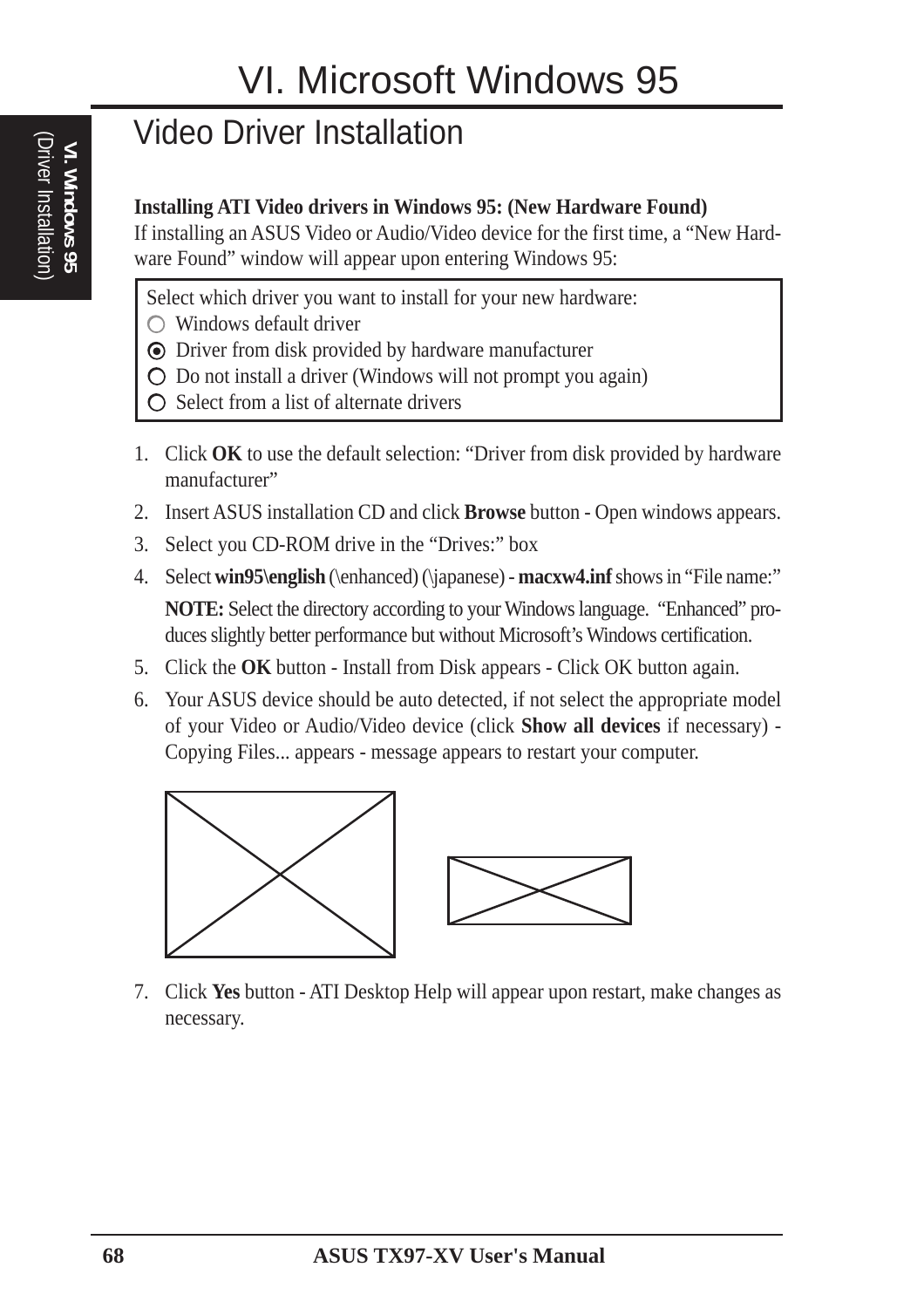### **Installing ATI Video drivers in Windows 95: (New Hardware Found)**

If installing an ASUS Video or Audio/Video device for the first time, a "New Hardware Found" window will appear upon entering Windows 95:

- Select which driver you want to install for your new hardware:
- Windows default driver
- Driver from disk provided by hardware manufacturer
- Do not install a driver (Windows will not prompt you again)
- $\bigcirc$  Select from a list of alternate drivers
- 1. Click **OK** to use the default selection: "Driver from disk provided by hardware manufacturer"
- 2. Insert ASUS installation CD and click **Browse** button Open windows appears.
- 3. Select you CD-ROM drive in the "Drives:" box
- 4. Select **win95\english** (\enhanced) (\japanese) **macxw4.inf** shows in "File name:" **NOTE:** Select the directory according to your Windows language. "Enhanced" produces slightly better performance but without Microsoft's Windows certification.
- 5. Click the **OK** button Install from Disk appears Click OK button again.
- 6. Your ASUS device should be auto detected, if not select the appropriate model of your Video or Audio/Video device (click **Show all devices** if necessary) - Copying Files... appears - message appears to restart your computer.





7. Click **Yes** button - ATI Desktop Help will appear upon restart, make changes as necessary.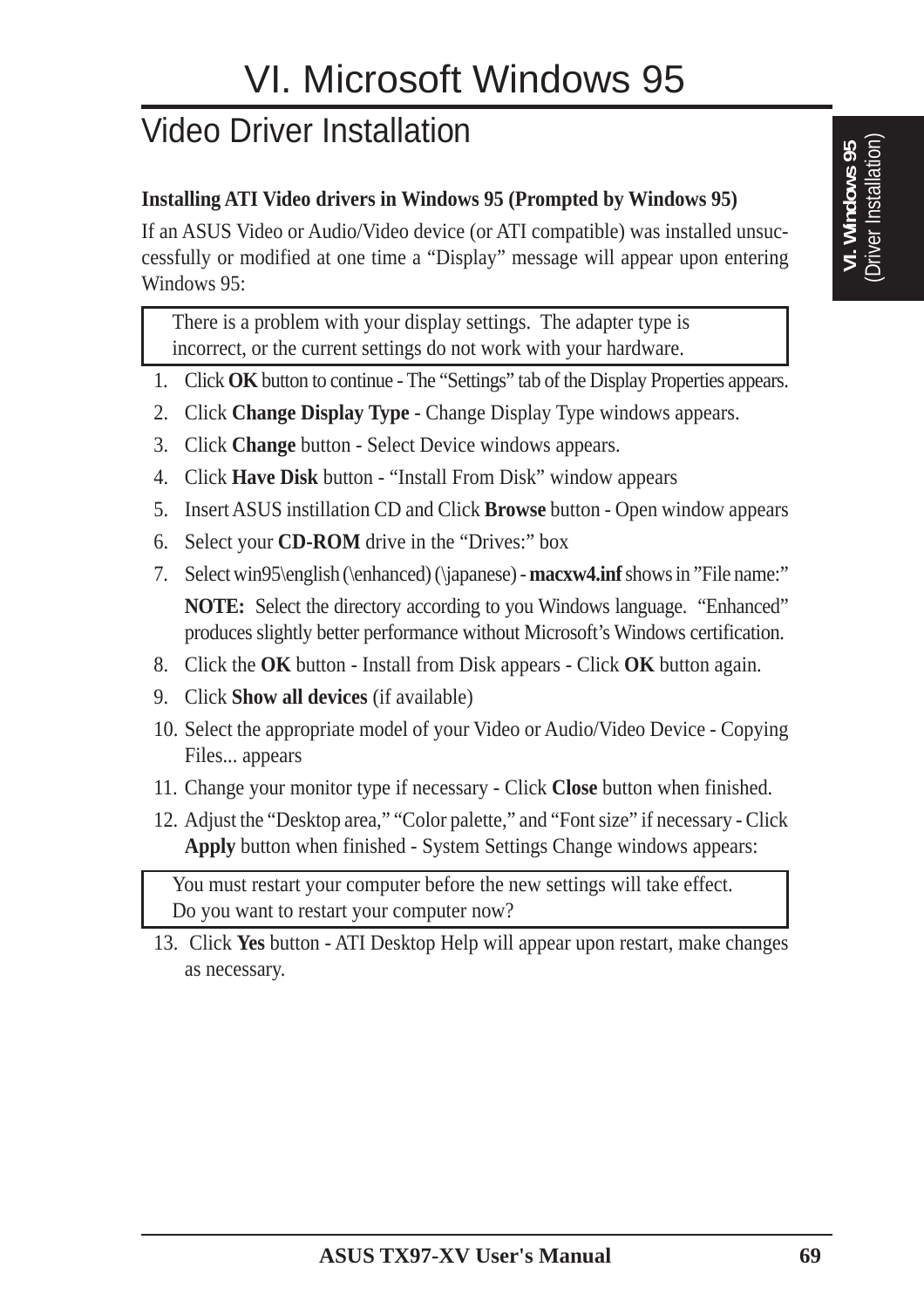### **Installing ATI Video drivers in Windows 95 (Prompted by Windows 95)**

If an ASUS Video or Audio/Video device (or ATI compatible) was installed unsuccessfully or modified at one time a "Display" message will appear upon entering Windows 95:

There is a problem with your display settings. The adapter type is incorrect, or the current settings do not work with your hardware.

- 1. Click **OK** button to continue The "Settings" tab of the Display Properties appears.
- 2. Click **Change Display Type** Change Display Type windows appears.
- 3. Click **Change** button Select Device windows appears.
- 4. Click **Have Disk** button "Install From Disk" window appears
- 5. Insert ASUS instillation CD and Click **Browse** button Open window appears
- 6. Select your **CD-ROM** drive in the "Drives:" box
- 7. Select win95\english (\enhanced) (\japanese) **macxw4.inf** shows in "File name:" **NOTE:** Select the directory according to you Windows language. "Enhanced" produces slightly better performance without Microsoft's Windows certification.
- 8. Click the **OK** button Install from Disk appears Click **OK** button again.
- 9. Click **Show all devices** (if available)
- 10. Select the appropriate model of your Video or Audio/Video Device Copying Files... appears
- 11. Change your monitor type if necessary Click **Close** button when finished.
- 12. Adjust the "Desktop area," "Color palette," and "Font size" if necessary Click **Apply** button when finished - System Settings Change windows appears:

You must restart your computer before the new settings will take effect. Do you want to restart your computer now?

13. Click **Yes** button - ATI Desktop Help will appear upon restart, make changes as necessary.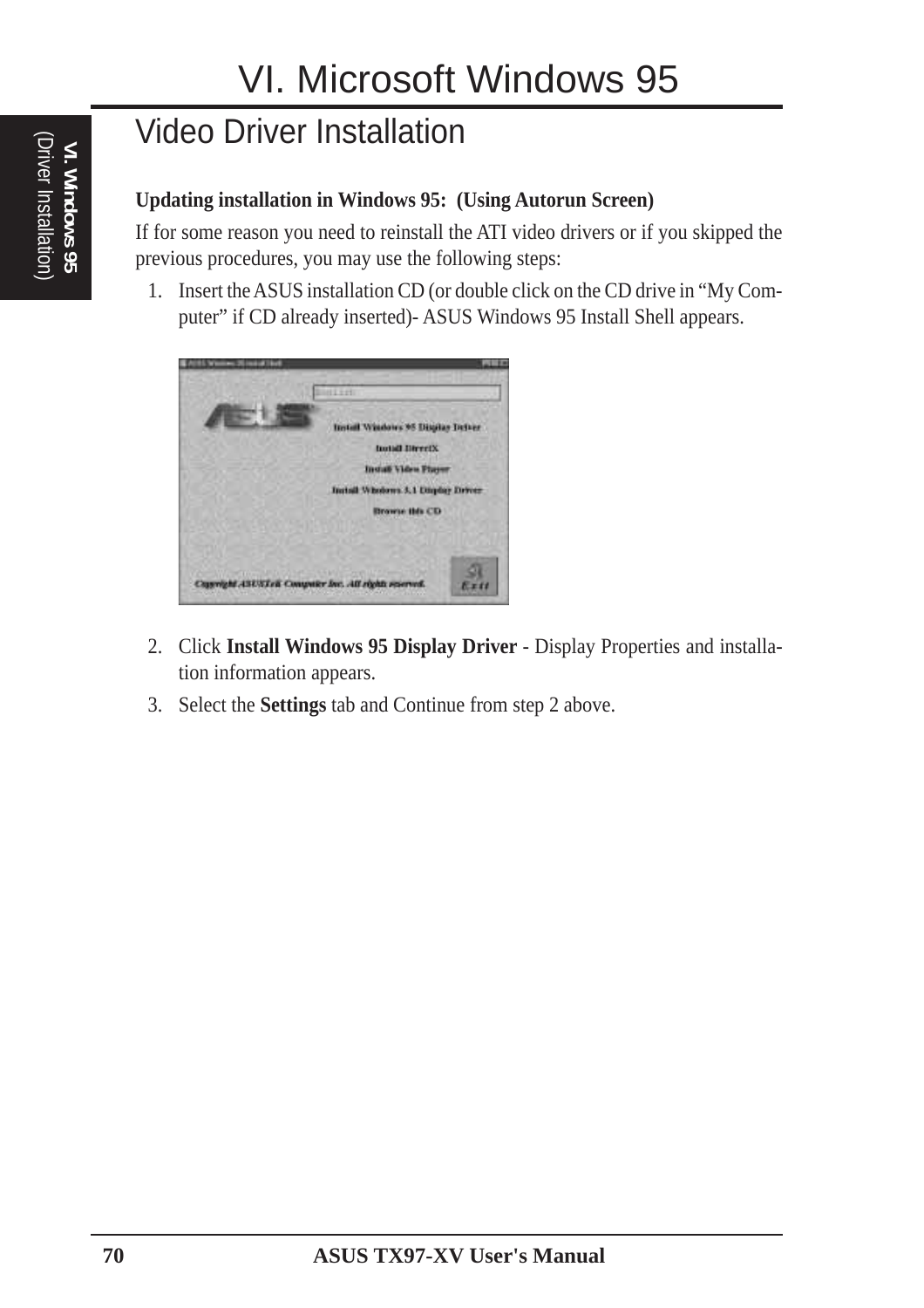### **Updating installation in Windows 95: (Using Autorun Screen)**

If for some reason you need to reinstall the ATI video drivers or if you skipped the previous procedures, you may use the following steps:

1. Insert the ASUS installation CD (or double click on the CD drive in "My Computer" if CD already inserted)- ASUS Windows 95 Install Shell appears.



- 2. Click **Install Windows 95 Display Driver**  Display Properties and installation information appears.
- 3. Select the **Settings** tab and Continue from step 2 above.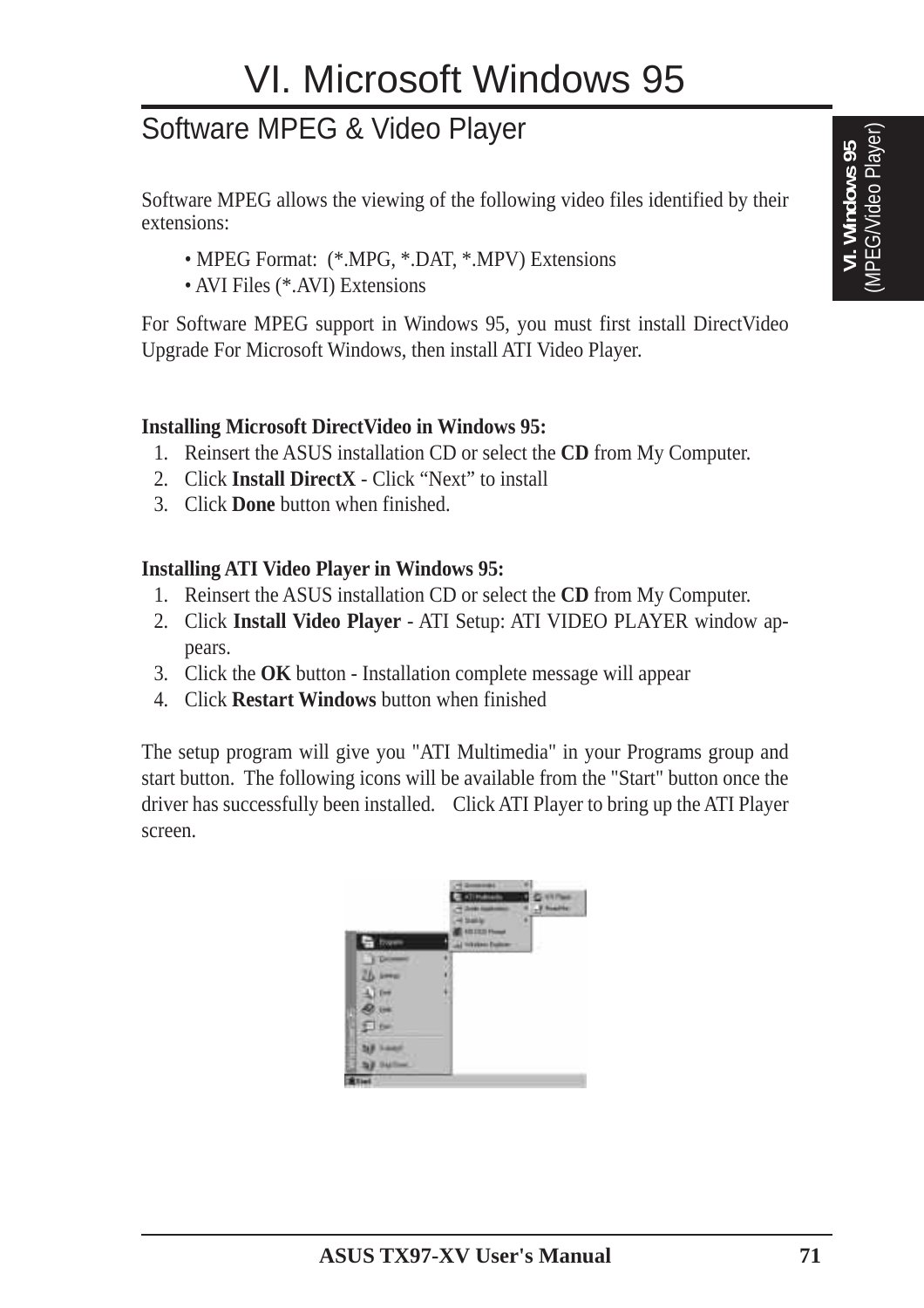# VI. Microsoft Windows 95

### Software MPEG & Video Player

Software MPEG allows the viewing of the following video files identified by their extensions:

- MPEG Format: (\*.MPG, \*.DAT, \*.MPV) Extensions
- AVI Files (\*.AVI) Extensions

For Software MPEG support in Windows 95, you must first install DirectVideo Upgrade For Microsoft Windows, then install ATI Video Player.

#### **Installing Microsoft DirectVideo in Windows 95:**

- 1. Reinsert the ASUS installation CD or select the **CD** from My Computer.
- 2. Click **Install DirectX**  Click "Next" to install
- 3. Click **Done** button when finished.

#### **Installing ATI Video Player in Windows 95:**

- 1. Reinsert the ASUS installation CD or select the **CD** from My Computer.
- 2. Click **Install Video Player**  ATI Setup: ATI VIDEO PLAYER window appears.
- 3. Click the **OK** button Installation complete message will appear
- 4. Click **Restart Windows** button when finished

The setup program will give you "ATI Multimedia" in your Programs group and start button. The following icons will be available from the "Start" button once the driver has successfully been installed. Click ATI Player to bring up the ATI Player screen.

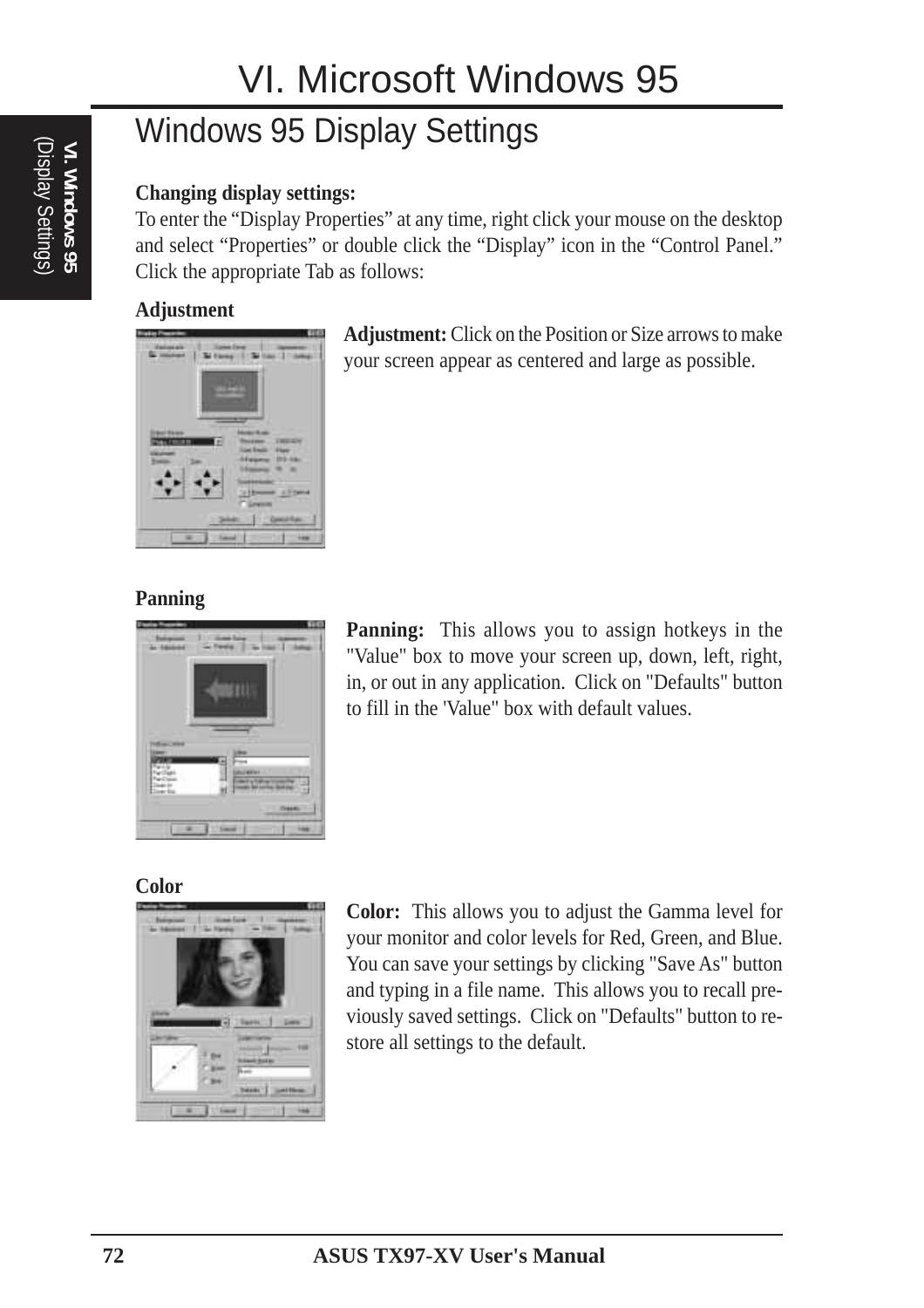## Windows 95 Display Settings

### **Changing display settings:**

To enter the "Display Properties" at any time, right click your mouse on the desktop and select "Properties" or double click the "Display" icon in the "Control Panel." Click the appropriate Tab as follows:

### **Adjustment**



**Adjustment:** Click on the Position or Size arrows to make your screen appear as centered and large as possible.

### **Panning**



**Panning:** This allows you to assign hotkeys in the "Value" box to move your screen up, down, left, right, in, or out in any application. Click on "Defaults" button to fill in the 'Value" box with default values.

### **Color**



**Color:** This allows you to adjust the Gamma level for your monitor and color levels for Red, Green, and Blue. You can save your settings by clicking "Save As" button and typing in a file name. This allows you to recall previously saved settings. Click on "Defaults" button to restore all settings to the default.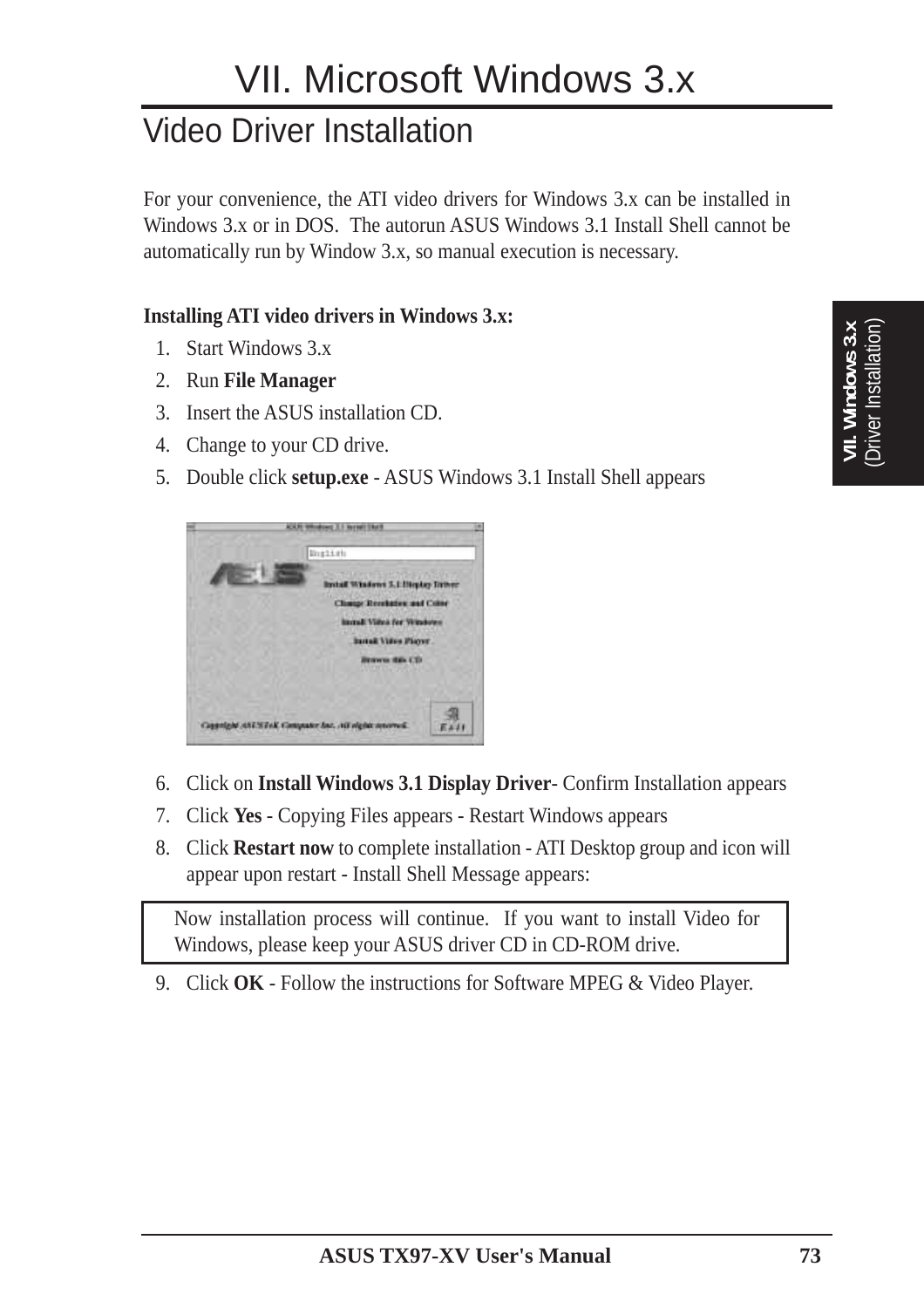For your convenience, the ATI video drivers for Windows 3.x can be installed in Windows 3.x or in DOS. The autorun ASUS Windows 3.1 Install Shell cannot be automatically run by Window 3.x, so manual execution is necessary.

### **Installing ATI video drivers in Windows 3.x:**

- 1. Start Windows 3.x
- 2. Run **File Manager**
- 3. Insert the ASUS installation CD.
- 4. Change to your CD drive.
- 5. Double click **setup.exe** ASUS Windows 3.1 Install Shell appears



- 6. Click on **Install Windows 3.1 Display Driver** Confirm Installation appears
- 7. Click **Yes** Copying Files appears Restart Windows appears
- 8. Click **Restart now** to complete installation ATI Desktop group and icon will appear upon restart - Install Shell Message appears:

Now installation process will continue. If you want to install Video for Windows, please keep your ASUS driver CD in CD-ROM drive.

9. Click **OK** - Follow the instructions for Software MPEG & Video Player.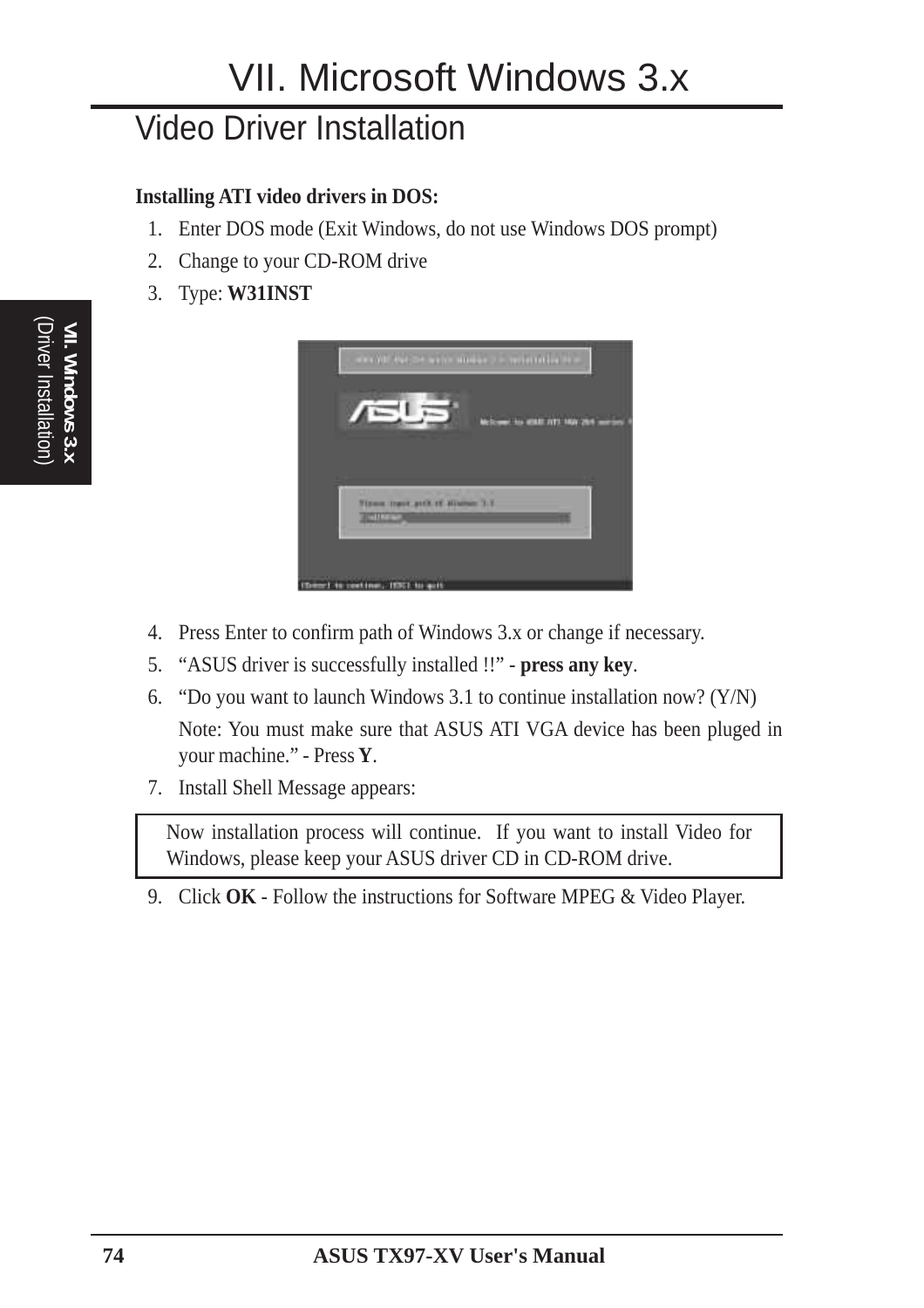### **Installing ATI video drivers in DOS:**

- 1. Enter DOS mode (Exit Windows, do not use Windows DOS prompt)
- 2. Change to your CD-ROM drive
- 3. Type: **W31INST**

| also addition on which studies the periodical banks. |  |
|------------------------------------------------------|--|
| McScowel for MMM (197) MAN 2015 working              |  |
|                                                      |  |
| Time mer prit if more                                |  |
| <b>INFORMATION</b>                                   |  |
| mi to continue, 1930) to quit                        |  |

- 4. Press Enter to confirm path of Windows 3.x or change if necessary.
- 5. "ASUS driver is successfully installed !!" **press any key**.
- 6. "Do you want to launch Windows 3.1 to continue installation now? (Y/N) Note: You must make sure that ASUS ATI VGA device has been pluged in your machine." - Press **Y**.
- 7. Install Shell Message appears:

Now installation process will continue. If you want to install Video for Windows, please keep your ASUS driver CD in CD-ROM drive.

9. Click **OK** - Follow the instructions for Software MPEG & Video Player.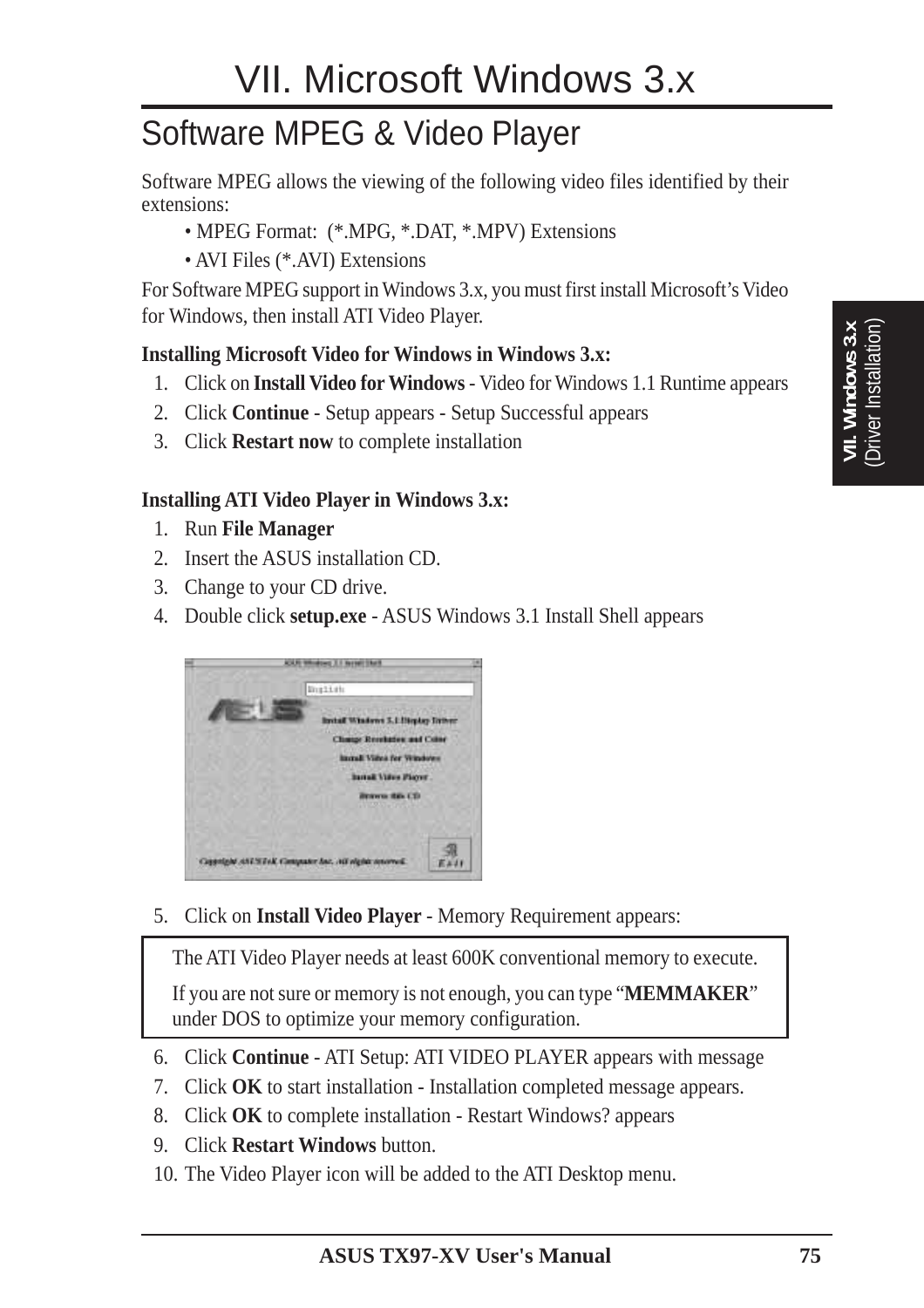## Software MPEG & Video Player

Software MPEG allows the viewing of the following video files identified by their extensions:

- MPEG Format: (\*.MPG, \*.DAT, \*.MPV) Extensions
- AVI Files (\*.AVI) Extensions

For Software MPEG support in Windows 3.x, you must first install Microsoft's Video for Windows, then install ATI Video Player.

### **Installing Microsoft Video for Windows in Windows 3.x:**

- 1. Click on **Install Video for Windows**  Video for Windows 1.1 Runtime appears
- 2. Click **Continue** Setup appears Setup Successful appears
- 3. Click **Restart now** to complete installation

### **Installing ATI Video Player in Windows 3.x:**

- 1. Run **File Manager**
- 2. Insert the ASUS installation CD.
- 3. Change to your CD drive.
- 4. Double click **setup.exe** ASUS Windows 3.1 Install Shell appears



5. Click on **Install Video Player** - Memory Requirement appears:

The ATI Video Player needs at least 600K conventional memory to execute.

If you are not sure or memory is not enough, you can type "**MEMMAKER**" under DOS to optimize your memory configuration.

- 6. Click **Continue** ATI Setup: ATI VIDEO PLAYER appears with message
- 7. Click **OK** to start installation Installation completed message appears.
- 8. Click **OK** to complete installation Restart Windows? appears
- 9. Click **Restart Windows** button.
- 10. The Video Player icon will be added to the ATI Desktop menu.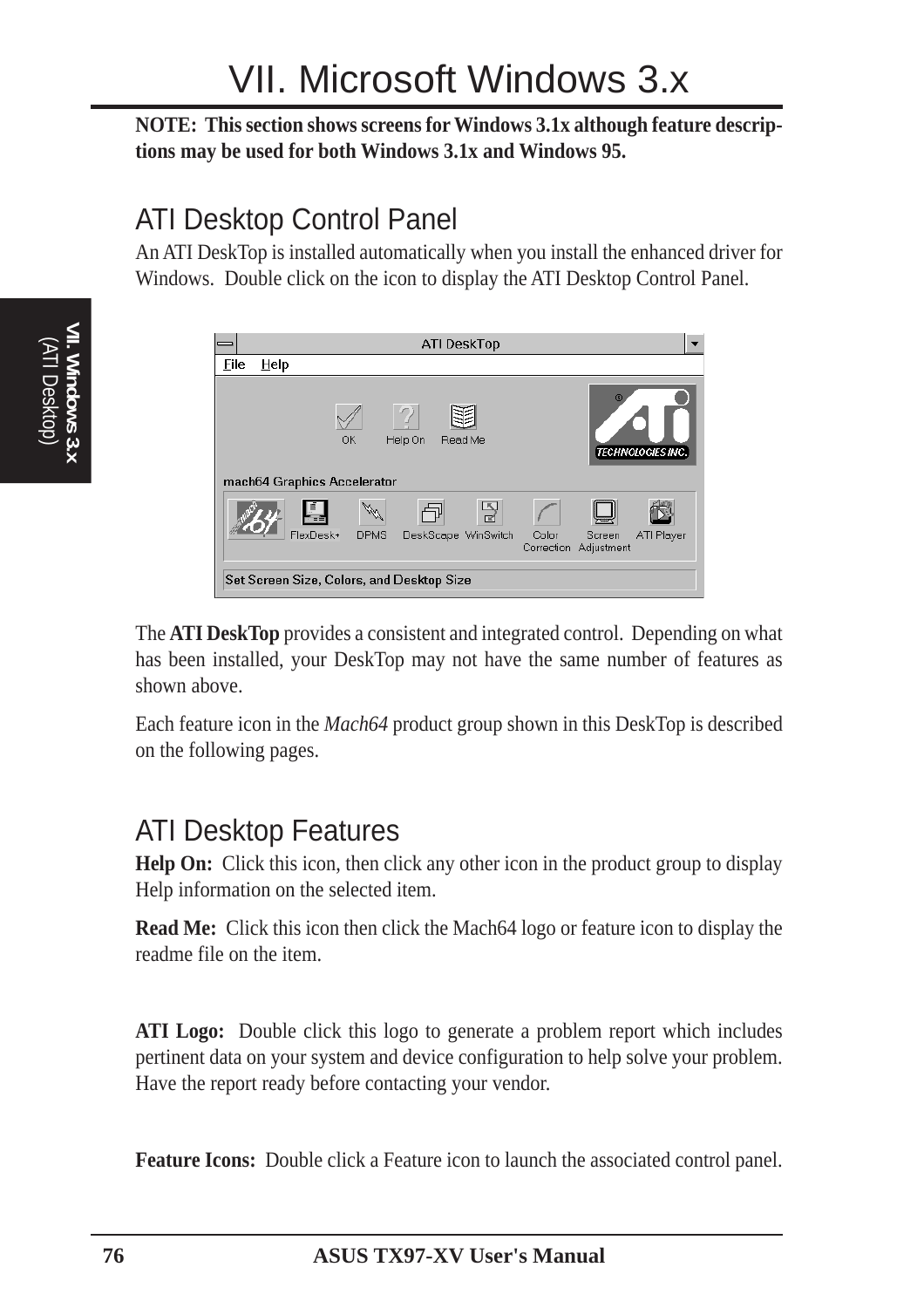**NOTE: This section shows screens for Windows 3.1x although feature descriptions may be used for both Windows 3.1x and Windows 95.**

### ATI Desktop Control Panel

An ATI DeskTop is installed automatically when you install the enhanced driver for Windows. Double click on the icon to display the ATI Desktop Control Panel.

| <b>ATI DeskTop</b>                                                                  |                                    |
|-------------------------------------------------------------------------------------|------------------------------------|
| File<br>Help                                                                        |                                    |
| OK<br>Read Me<br>Help On<br>mach64 Graphics Accelerator                             | TECHNOLOGIES INC.                  |
| <u>e </u><br>FlexDesk+<br><b>DPMS</b><br>DeskScape WinSwitch<br>Color<br>Correction | ATI Player<br>Screen<br>Adjustment |
| Set Screen Size, Colors, and Desktop Size                                           |                                    |

The **ATI DeskTop** provides a consistent and integrated control. Depending on what has been installed, your DeskTop may not have the same number of features as shown above.

Each feature icon in the *Mach64* product group shown in this DeskTop is described on the following pages.

### ATI Desktop Features

**Help On:** Click this icon, then click any other icon in the product group to display Help information on the selected item.

**Read Me:** Click this icon then click the Mach64 logo or feature icon to display the readme file on the item.

**ATI Logo:** Double click this logo to generate a problem report which includes pertinent data on your system and device configuration to help solve your problem. Have the report ready before contacting your vendor.

**Feature Icons:** Double click a Feature icon to launch the associated control panel.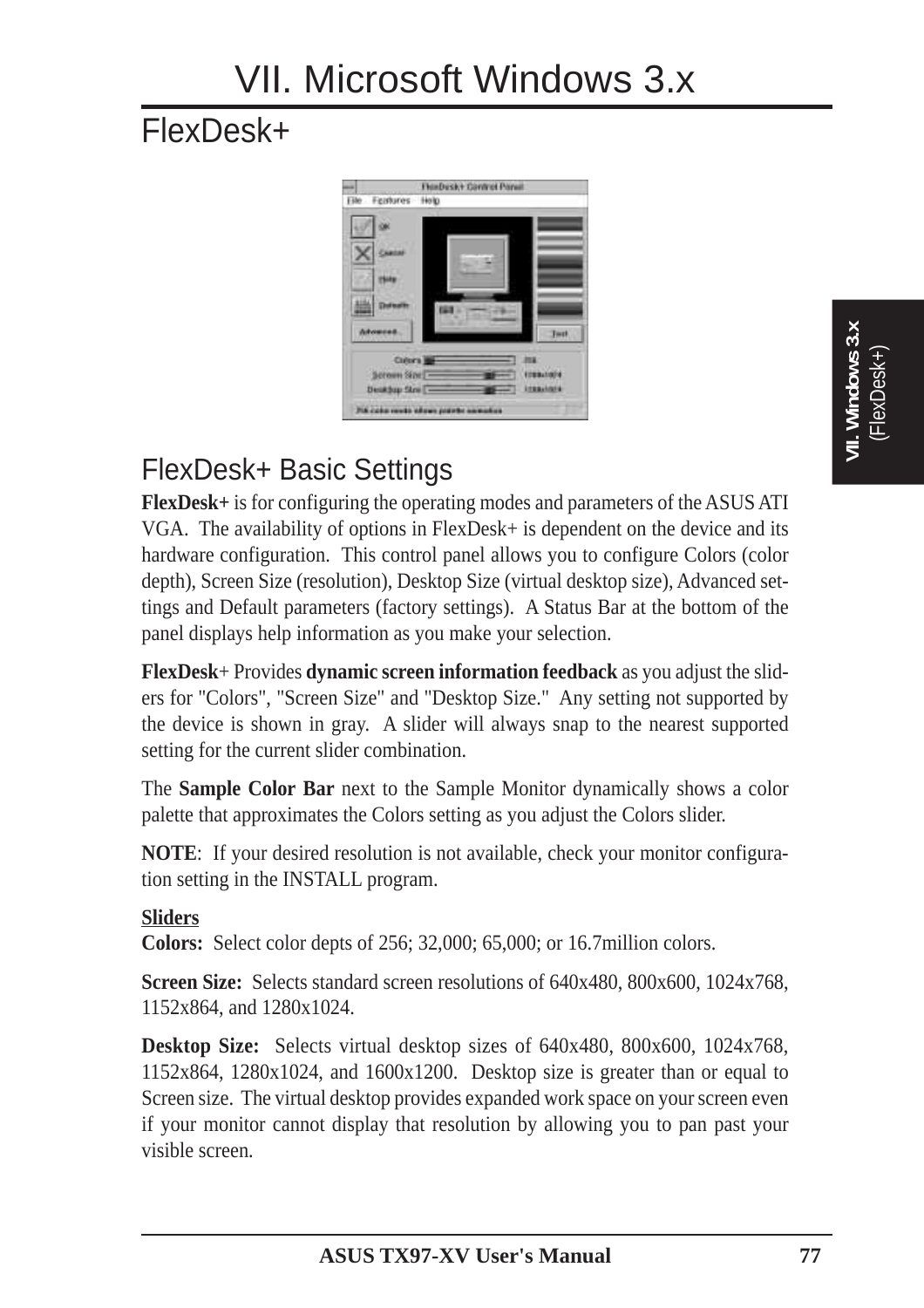### FlexDesk+



### FlexDesk+ Basic Settings

**FlexDesk+** is for configuring the operating modes and parameters of the ASUS ATI VGA. The availability of options in FlexDesk+ is dependent on the device and its hardware configuration. This control panel allows you to configure Colors (color depth), Screen Size (resolution), Desktop Size (virtual desktop size), Advanced settings and Default parameters (factory settings). A Status Bar at the bottom of the panel displays help information as you make your selection.

**FlexDesk**+ Provides **dynamic screen information feedback** as you adjust the sliders for "Colors", "Screen Size" and "Desktop Size." Any setting not supported by the device is shown in gray. A slider will always snap to the nearest supported setting for the current slider combination.

The **Sample Color Bar** next to the Sample Monitor dynamically shows a color palette that approximates the Colors setting as you adjust the Colors slider.

**NOTE**: If your desired resolution is not available, check your monitor configuration setting in the INSTALL program.

#### **Sliders**

**Colors:** Select color depts of 256; 32,000; 65,000; or 16.7million colors.

**Screen Size:** Selects standard screen resolutions of 640x480, 800x600, 1024x768, 1152x864, and 1280x1024.

**Desktop Size:** Selects virtual desktop sizes of 640x480, 800x600, 1024x768, 1152x864, 1280x1024, and 1600x1200. Desktop size is greater than or equal to Screen size. The virtual desktop provides expanded work space on your screen even if your monitor cannot display that resolution by allowing you to pan past your visible screen.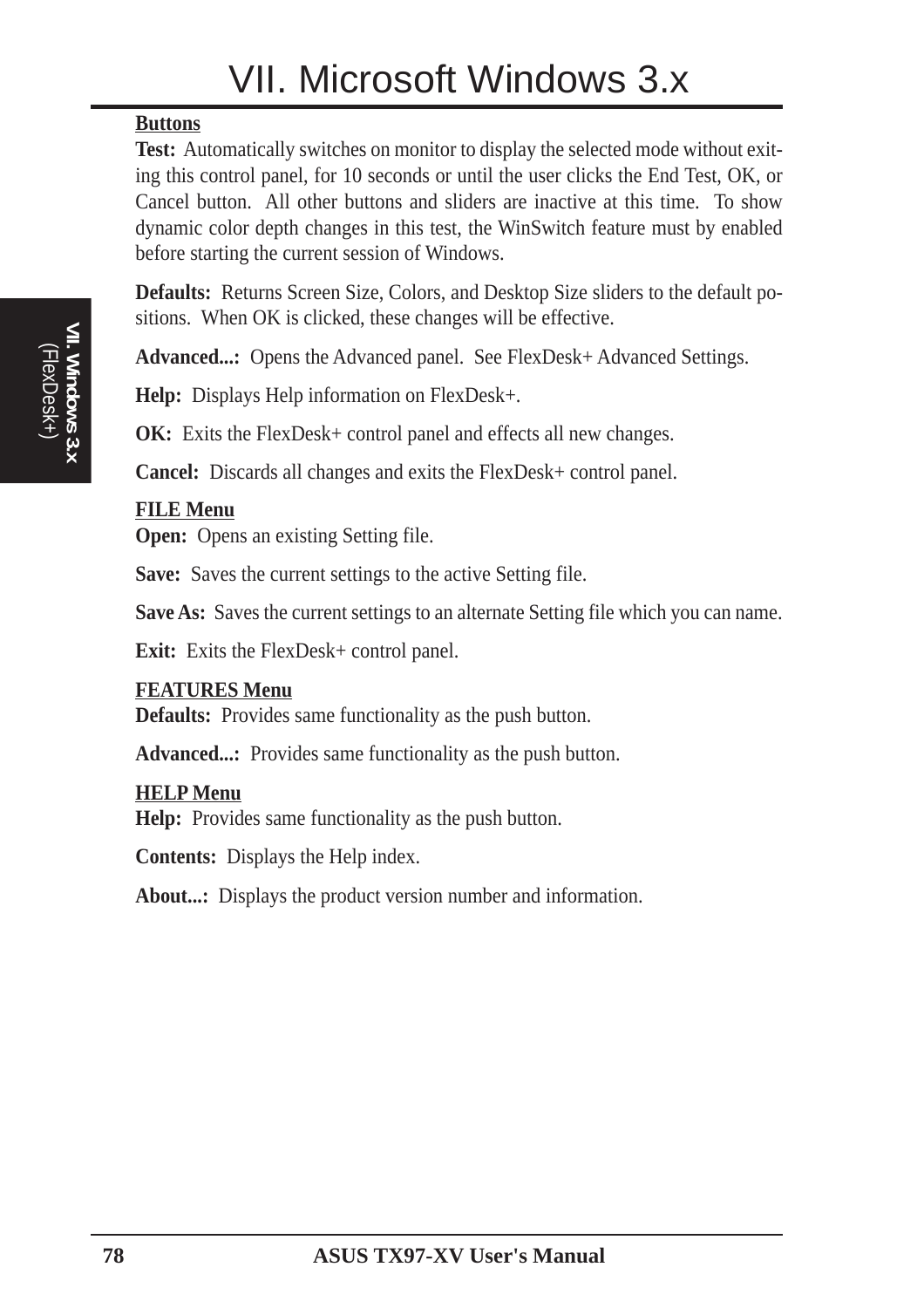#### **Buttons**

**Test:** Automatically switches on monitor to display the selected mode without exiting this control panel, for 10 seconds or until the user clicks the End Test, OK, or Cancel button. All other buttons and sliders are inactive at this time. To show dynamic color depth changes in this test, the WinSwitch feature must by enabled before starting the current session of Windows.

**Defaults:** Returns Screen Size, Colors, and Desktop Size sliders to the default positions. When OK is clicked, these changes will be effective.

**Advanced...:** Opens the Advanced panel. See FlexDesk+ Advanced Settings.

**Help:** Displays Help information on FlexDesk+.

**OK:** Exits the FlexDesk+ control panel and effects all new changes.

**Cancel:** Discards all changes and exits the FlexDesk+ control panel.

#### **FILE Menu**

**Open:** Opens an existing Setting file.

**Save:** Saves the current settings to the active Setting file.

**Save As:** Saves the current settings to an alternate Setting file which you can name.

**Exit:** Exits the FlexDesk+ control panel.

#### **FEATURES Menu**

**Defaults:** Provides same functionality as the push button.

Advanced...: Provides same functionality as the push button.

#### **HELP Menu**

**Help:** Provides same functionality as the push button.

**Contents:** Displays the Help index.

**About...:** Displays the product version number and information.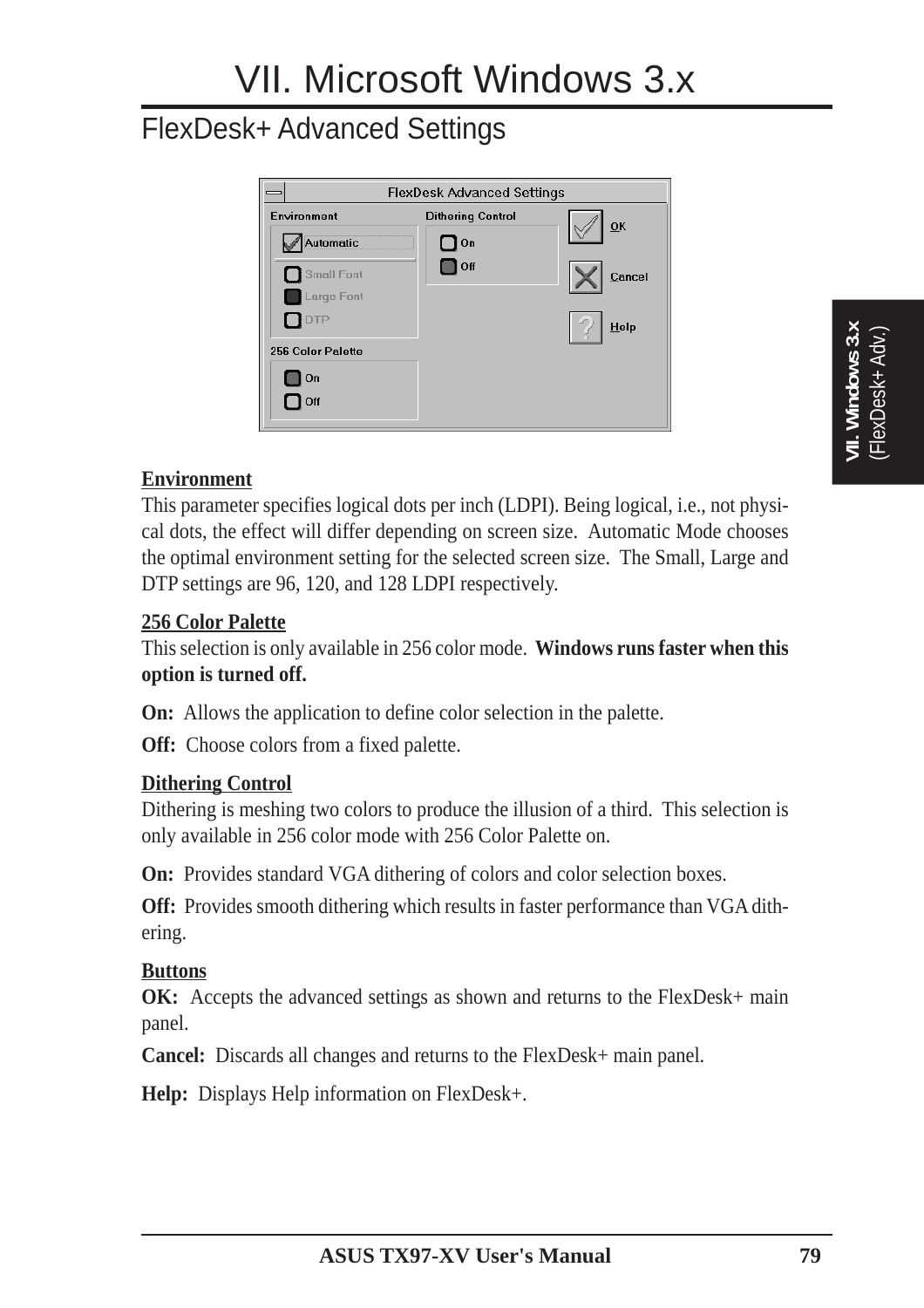### FlexDesk+ Advanced Settings

|                   | <b>FlexDesk Advanced Settings</b> |                           |
|-------------------|-----------------------------------|---------------------------|
| Environment       | <b>Dithering Control</b>          | $\overline{\mathbf{0}}$ K |
| Automatic         | ] On                              |                           |
| <b>Small Font</b> | Off                               | Cancel                    |
| <b>Large Font</b> |                                   |                           |
|                   |                                   | Help                      |
| 256 Color Palette |                                   |                           |
| On                |                                   |                           |
|                   |                                   |                           |

#### **Environment**

This parameter specifies logical dots per inch (LDPI). Being logical, i.e., not physical dots, the effect will differ depending on screen size. Automatic Mode chooses the optimal environment setting for the selected screen size. The Small, Large and DTP settings are 96, 120, and 128 LDPI respectively.

#### **256 Color Palette**

This selection is only available in 256 color mode. **Windows runs faster when this option is turned off.**

**On:** Allows the application to define color selection in the palette.

**Off:** Choose colors from a fixed palette.

#### **Dithering Control**

Dithering is meshing two colors to produce the illusion of a third. This selection is only available in 256 color mode with 256 Color Palette on.

**On:** Provides standard VGA dithering of colors and color selection boxes.

**Off:** Provides smooth dithering which results in faster performance than VGA dithering.

#### **Buttons**

**OK:** Accepts the advanced settings as shown and returns to the FlexDesk+ main panel.

**Cancel:** Discards all changes and returns to the FlexDesk+ main panel.

**Help:** Displays Help information on FlexDesk+.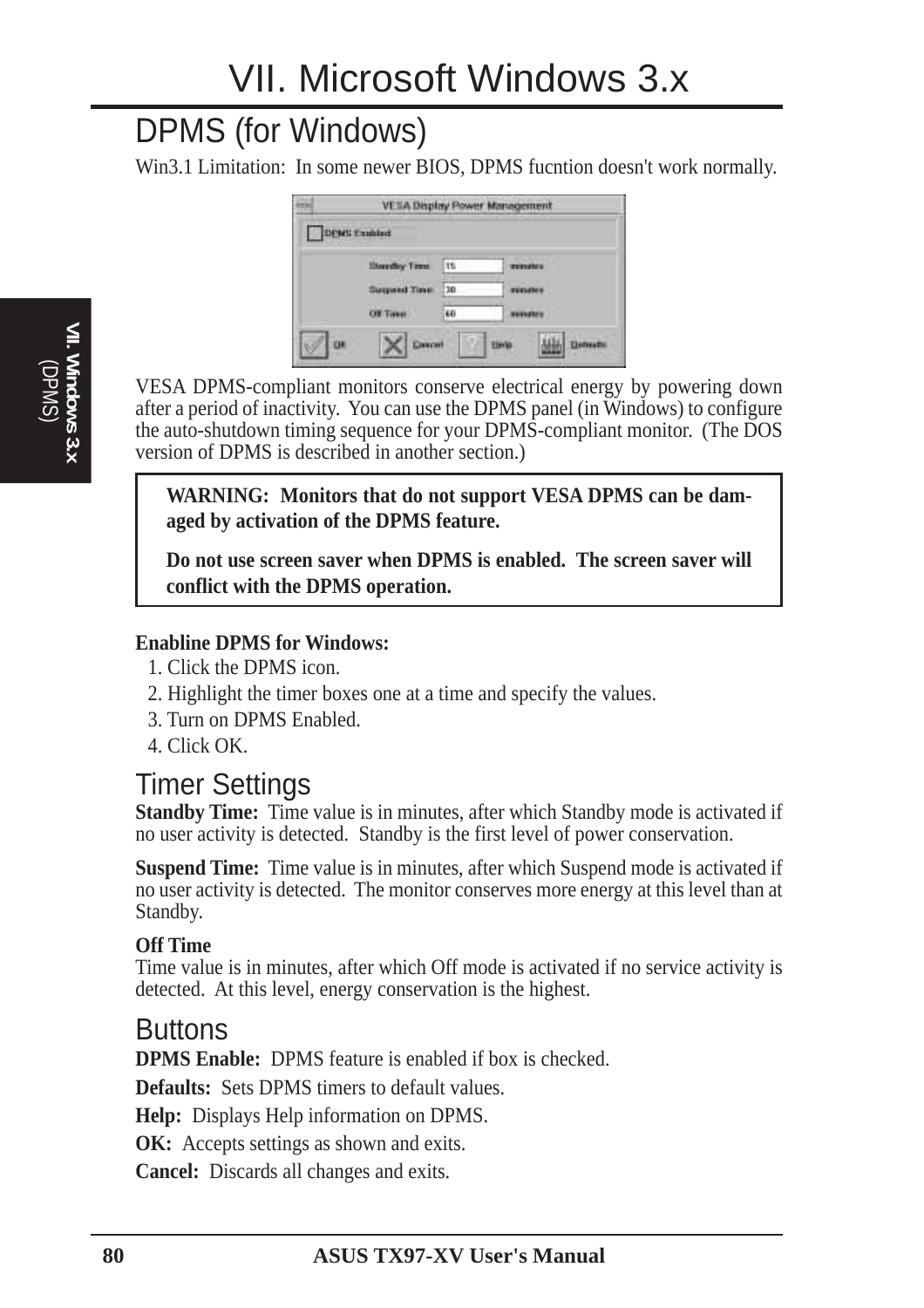### DPMS (for Windows)

Win3.1 Limitation: In some newer BIOS, DPMS fucntion doesn't work normally.

| <b>DENS Exubied</b>       |    |                 |
|---------------------------|----|-----------------|
| <b>Burday Time</b>        | m  | <b>TERRITOR</b> |
| <b>Sugared Time</b><br>3D |    | monumer         |
| Of Time                   | 60 |                 |

VESA DPMS-compliant monitors conserve electrical energy by powering down after a period of inactivity. You can use the DPMS panel (in Windows) to configure the auto-shutdown timing sequence for your DPMS-compliant monitor. (The DOS version of DPMS is described in another section.)

**WARNING: Monitors that do not support VESA DPMS can be damaged by activation of the DPMS feature.**

**Do not use screen saver when DPMS is enabled. The screen saver will conflict with the DPMS operation.**

#### **Enabline DPMS for Windows:**

- 1. Click the DPMS icon.
- 2. Highlight the timer boxes one at a time and specify the values.
- 3. Turn on DPMS Enabled.
- 4. Click OK.

### Timer Settings

**Standby Time:** Time value is in minutes, after which Standby mode is activated if no user activity is detected. Standby is the first level of power conservation.

**Suspend Time:** Time value is in minutes, after which Suspend mode is activated if no user activity is detected. The monitor conserves more energy at this level than at Standby.

#### **Off Time**

Time value is in minutes, after which Off mode is activated if no service activity is detected. At this level, energy conservation is the highest.

### **Buttons**

**DPMS Enable:** DPMS feature is enabled if box is checked.

**Defaults:** Sets DPMS timers to default values.

**Help:** Displays Help information on DPMS.

**OK:** Accepts settings as shown and exits.

**Cancel:** Discards all changes and exits.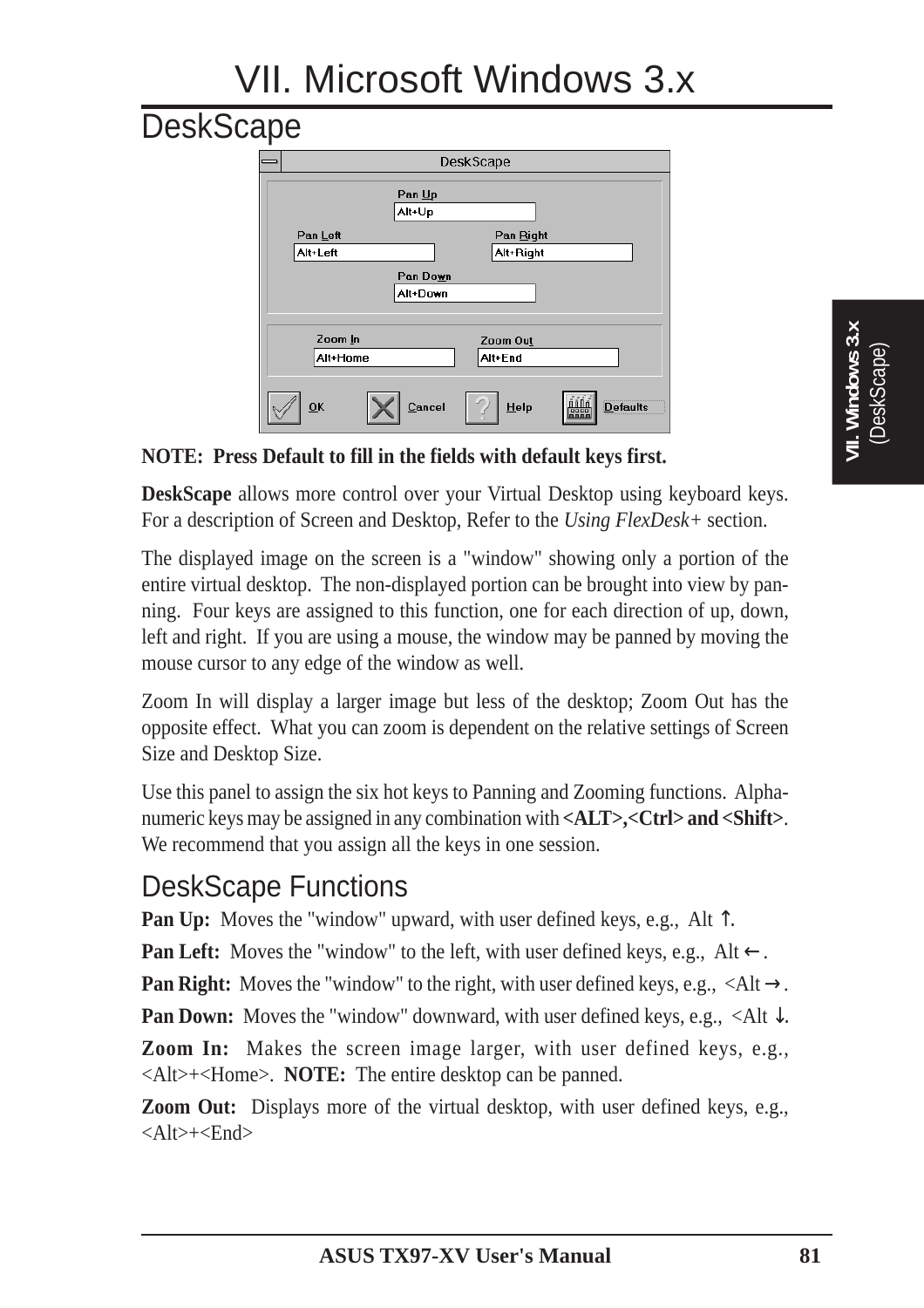### **DeskScape**

|                      |                                          | DeskScape              |                         |
|----------------------|------------------------------------------|------------------------|-------------------------|
| Pan Left<br>Alt+Left | Pan Up<br>Alt+Up<br>Pan Down<br>Alt+Down | Pan Right<br>Alt+Right |                         |
| Zoom In<br>Alt+Home  |                                          | Zoom Out<br>Alt+End    |                         |
| $\overline{OK}$      | Cancel                                   | Help                   | Anda<br><b>Defaults</b> |

**NOTE: Press Default to fill in the fields with default keys first.**

**DeskScape** allows more control over your Virtual Desktop using keyboard keys. For a description of Screen and Desktop, Refer to the *Using FlexDesk+* section.

The displayed image on the screen is a "window" showing only a portion of the entire virtual desktop. The non-displayed portion can be brought into view by panning. Four keys are assigned to this function, one for each direction of up, down, left and right. If you are using a mouse, the window may be panned by moving the mouse cursor to any edge of the window as well.

Zoom In will display a larger image but less of the desktop; Zoom Out has the opposite effect. What you can zoom is dependent on the relative settings of Screen Size and Desktop Size.

Use this panel to assign the six hot keys to Panning and Zooming functions. Alphanumeric keys may be assigned in any combination with **<ALT>,<Ctrl> and <Shift>**. We recommend that you assign all the keys in one session.

### DeskScape Functions

**Pan Up:** Moves the "window" upward, with user defined keys, e.g., Alt ↑.

**Pan Left:** Moves the "window" to the left, with user defined keys, e.g., Alt  $\leftarrow$ .

**Pan Right:** Moves the "window" to the right, with user defined keys, e.g.,  $\langle Alt \rightarrow$ .

**Pan Down:** Moves the "window" downward, with user defined keys, e.g., <Alt ↓.

**Zoom In:** Makes the screen image larger, with user defined keys, e.g., <Alt>+<Home>. **NOTE:** The entire desktop can be panned.

**Zoom Out:** Displays more of the virtual desktop, with user defined keys, e.g., <Alt>+<End>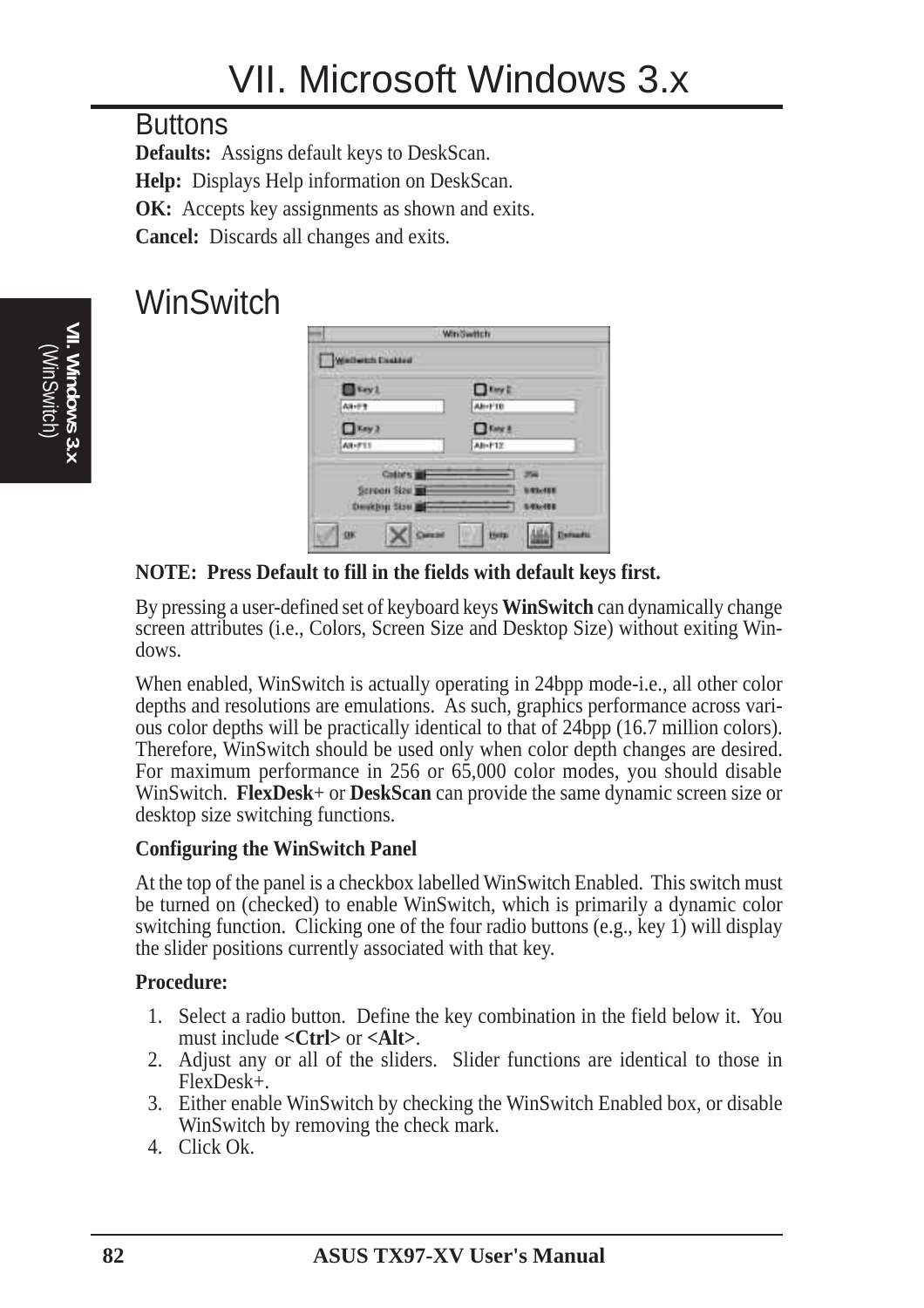### **Buttons**

**Defaults:** Assigns default keys to DeskScan.

**Help:** Displays Help information on DeskScan.

**OK:** Accepts key assignments as shown and exits.

**Cancel:** Discards all changes and exits.

### **WinSwitch**

|                   | WinSwitch                           |
|-------------------|-------------------------------------|
| Wellwich Englisch |                                     |
| <b>B</b> Fey 1    | $D$ for $z$                         |
| 44-59             | Abit'10                             |
| $\Box$ Key 3      | <b>Diary</b>                        |
| AN-FTS            | Ab-F12                              |
| Colors <b>BE</b>  |                                     |
| Screen Size III   | <b>Steffil</b>                      |
| Deuklop Stre ME   | 140.000                             |
| <b>OK</b>         | Details:<br><b>Detected</b><br>Help |
|                   |                                     |

#### **NOTE: Press Default to fill in the fields with default keys first.**

By pressing a user-defined set of keyboard keys **WinSwitch** can dynamically change screen attributes (i.e., Colors, Screen Size and Desktop Size) without exiting Windows.

When enabled, WinSwitch is actually operating in 24bpp mode-i.e., all other color depths and resolutions are emulations. As such, graphics performance across various color depths will be practically identical to that of 24bpp (16.7 million colors). Therefore, WinSwitch should be used only when color depth changes are desired. For maximum performance in 256 or 65,000 color modes, you should disable WinSwitch. **FlexDesk**+ or **DeskScan** can provide the same dynamic screen size or desktop size switching functions.

#### **Configuring the WinSwitch Panel**

At the top of the panel is a checkbox labelled WinSwitch Enabled. This switch must be turned on (checked) to enable WinSwitch, which is primarily a dynamic color switching function. Clicking one of the four radio buttons (e.g., key 1) will display the slider positions currently associated with that key.

#### **Procedure:**

- 1. Select a radio button. Define the key combination in the field below it. You must include **<Ctrl>** or **<Alt>**.
- 2. Adjust any or all of the sliders. Slider functions are identical to those in FlexDesk+.
- 3. Either enable WinSwitch by checking the WinSwitch Enabled box, or disable WinSwitch by removing the check mark.
- 4. Click Ok.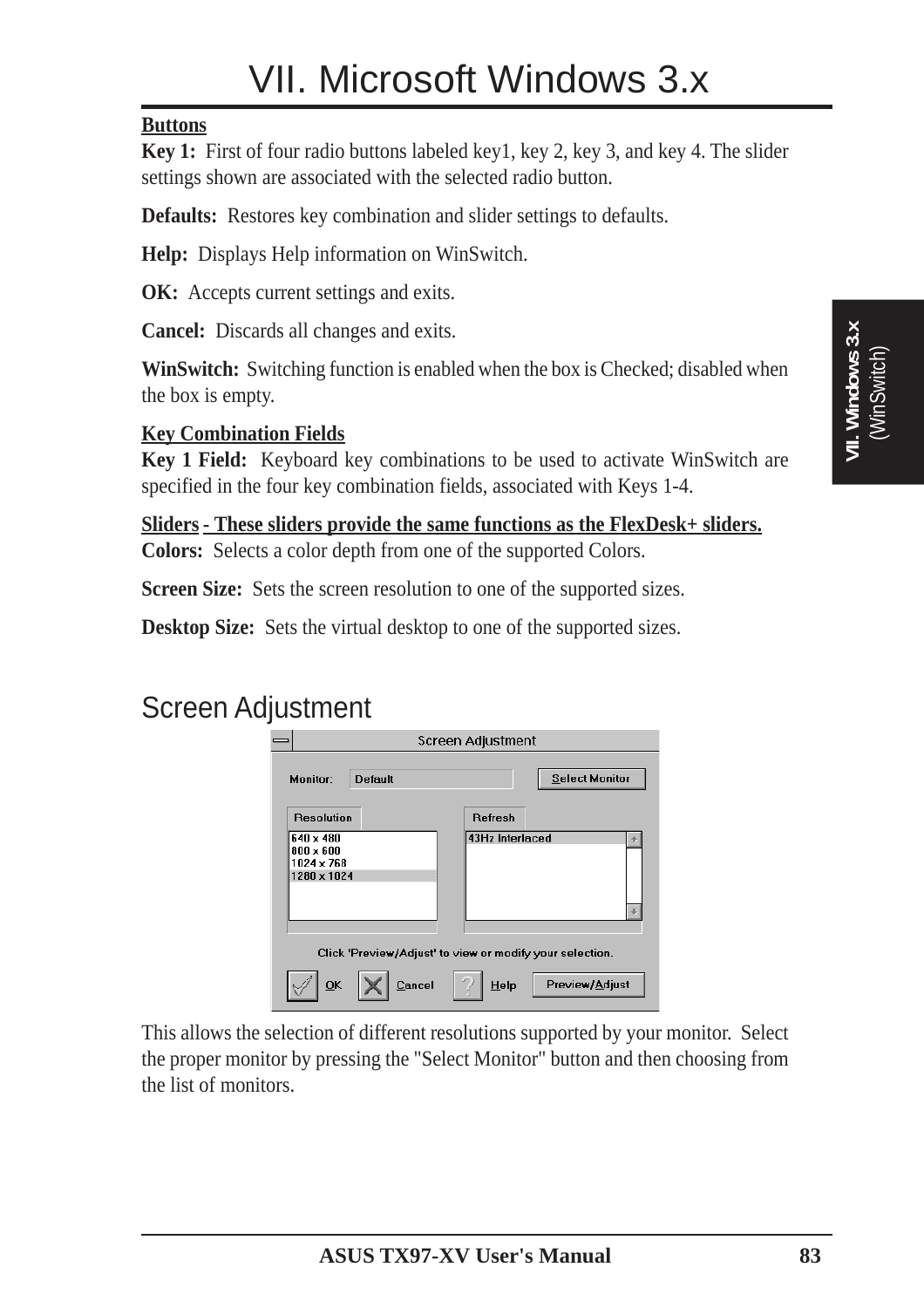# VII. Microsoft Windows 3.x

#### **Buttons**

**Key 1:** First of four radio buttons labeled key1, key 2, key 3, and key 4. The slider settings shown are associated with the selected radio button.

**Defaults:** Restores key combination and slider settings to defaults.

**Help:** Displays Help information on WinSwitch.

**OK:** Accepts current settings and exits.

**Cancel:** Discards all changes and exits.

**WinSwitch:** Switching function is enabled when the box is Checked; disabled when the box is empty.

#### **Key Combination Fields**

**Key 1 Field:** Keyboard key combinations to be used to activate WinSwitch are specified in the four key combination fields, associated with Keys 1-4.

**Sliders - These sliders provide the same functions as the FlexDesk+ sliders. Colors:** Selects a color depth from one of the supported Colors.

**Screen Size:** Sets the screen resolution to one of the supported sizes.

**Desktop Size:** Sets the virtual desktop to one of the supported sizes.

### Screen Adjustment

|                 |                                                                   |         | Screen Adjustment |                                                          |
|-----------------|-------------------------------------------------------------------|---------|-------------------|----------------------------------------------------------|
| <b>Monitor:</b> |                                                                   | Default |                   | <b>Select Monitor</b>                                    |
|                 | <b>Resolution</b>                                                 |         | <b>Refresh</b>    |                                                          |
|                 | $640 \times 480$<br>$800 \times 600$<br>1024 x 768<br>1280 x 1024 |         | 43Hz Interlaced   |                                                          |
|                 |                                                                   |         |                   | Click 'Preview/Adjust' to view or modify your selection. |
|                 | QK                                                                | Cancel  | Help              | Preview/Adjust                                           |

This allows the selection of different resolutions supported by your monitor. Select the proper monitor by pressing the "Select Monitor" button and then choosing from the list of monitors.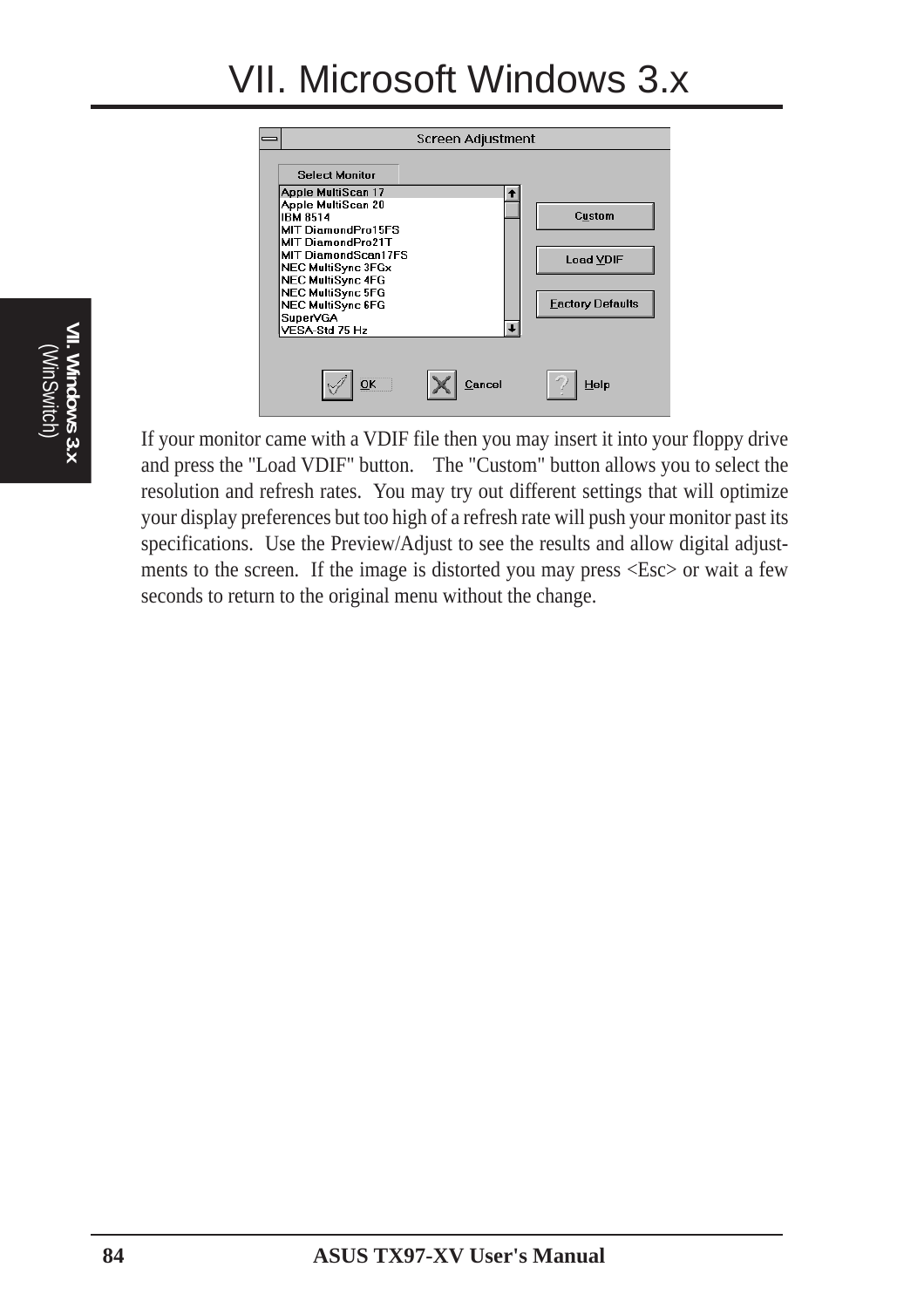|                                                                                                                                                                                                                                                                                                                     | Screen Adjustment |                                                       |
|---------------------------------------------------------------------------------------------------------------------------------------------------------------------------------------------------------------------------------------------------------------------------------------------------------------------|-------------------|-------------------------------------------------------|
| <b>Select Monitor</b><br>Apple MultiScan 17<br>Apple MultiScan 20<br><b>IBM 8514</b><br><b>MIT DiamondPro15FS</b><br><b>MIT DiamondPro21T</b><br>MIT DiamondScan17FS<br><b>NEC MultiSync 3FGx</b><br><b>NEC MultiSync 4FG</b><br><b>NEC MultiSync 5FG</b><br><b>NEC MultiSync 6FG</b><br>SuperVGA<br>VESA-Std 75 Hz | ↟<br>ı            | Custom<br><b>Load VDIF</b><br><b>Factory Defaults</b> |
| ÖK                                                                                                                                                                                                                                                                                                                  | Cancel            | Help                                                  |

If your monitor came with a VDIF file then you may insert it into your floppy drive and press the "Load VDIF" button. The "Custom" button allows you to select the resolution and refresh rates. You may try out different settings that will optimize your display preferences but too high of a refresh rate will push your monitor past its specifications. Use the Preview/Adjust to see the results and allow digital adjustments to the screen. If the image is distorted you may press <Esc> or wait a few seconds to return to the original menu without the change.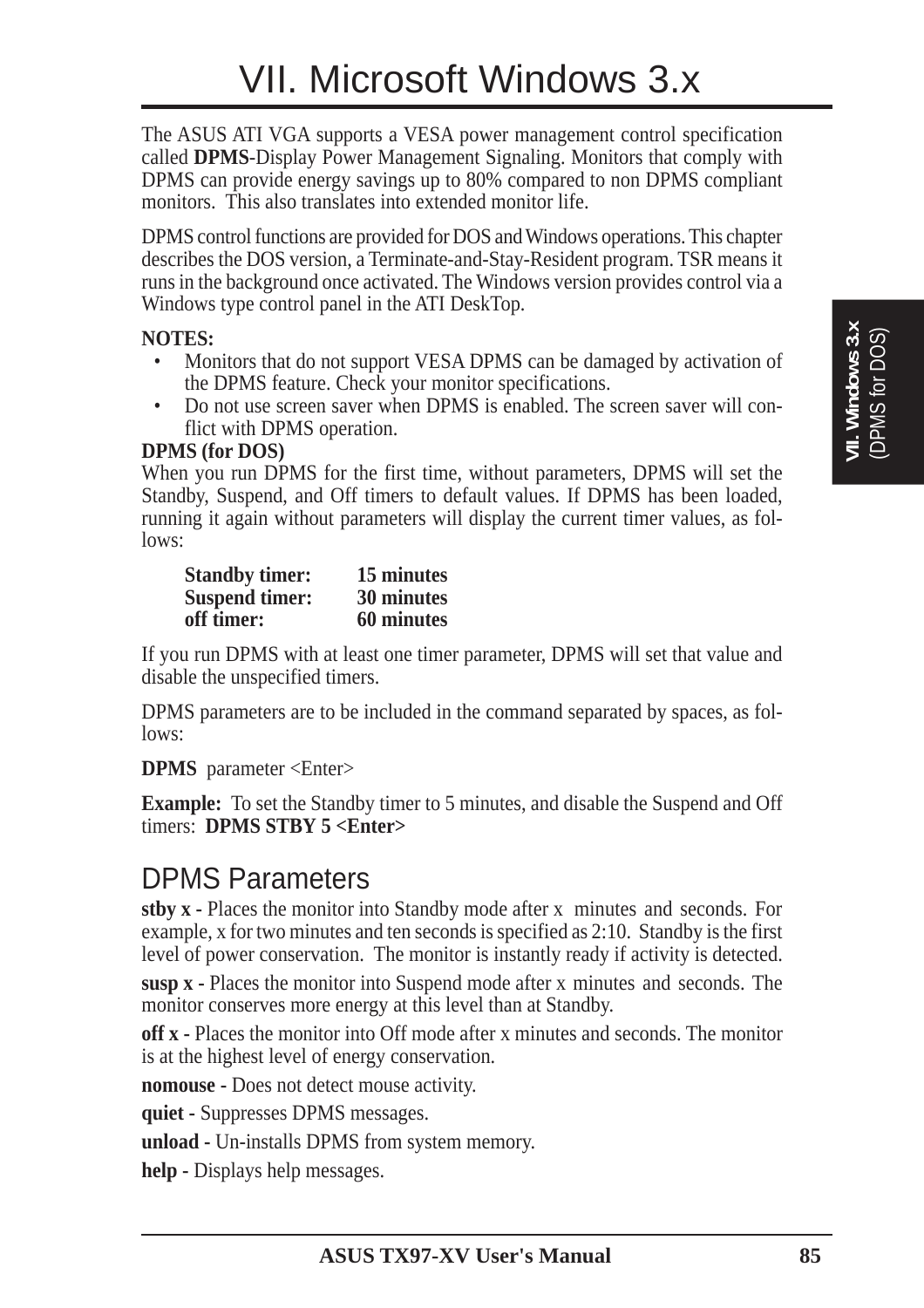The ASUS ATI VGA supports a VESA power management control specification called **DPMS**-Display Power Management Signaling. Monitors that comply with DPMS can provide energy savings up to 80% compared to non DPMS compliant monitors. This also translates into extended monitor life.

DPMS control functions are provided for DOS and Windows operations. This chapter describes the DOS version, a Terminate-and-Stay-Resident program. TSR means it runs in the background once activated. The Windows version provides control via a Windows type control panel in the ATI DeskTop.

#### **NOTES:**

- Monitors that do not support VESA DPMS can be damaged by activation of the DPMS feature. Check your monitor specifications.
- Do not use screen saver when DPMS is enabled. The screen saver will conflict with DPMS operation.

#### **DPMS (for DOS)**

When you run DPMS for the first time, without parameters, DPMS will set the Standby, Suspend, and Off timers to default values. If DPMS has been loaded, running it again without parameters will display the current timer values, as follows:

| <b>Standby timer:</b> | 15 minutes        |
|-----------------------|-------------------|
| <b>Suspend timer:</b> | 30 minutes        |
| off timer:            | <b>60 minutes</b> |

If you run DPMS with at least one timer parameter, DPMS will set that value and disable the unspecified timers.

DPMS parameters are to be included in the command separated by spaces, as follows:

**DPMS** parameter <Enter>

**Example:** To set the Standby timer to 5 minutes, and disable the Suspend and Off timers: **DPMS STBY 5 <Enter>**

### DPMS Parameters

**stby x -** Places the monitor into Standby mode after x minutes and seconds. For example, x for two minutes and ten seconds is specified as 2:10. Standby is the first level of power conservation. The monitor is instantly ready if activity is detected.

**susp x -** Places the monitor into Suspend mode after x minutes and seconds. The monitor conserves more energy at this level than at Standby.

**off x -** Places the monitor into Off mode after x minutes and seconds. The monitor is at the highest level of energy conservation.

**nomouse -** Does not detect mouse activity.

**quiet -** Suppresses DPMS messages.

**unload -** Un-installs DPMS from system memory.

**help -** Displays help messages.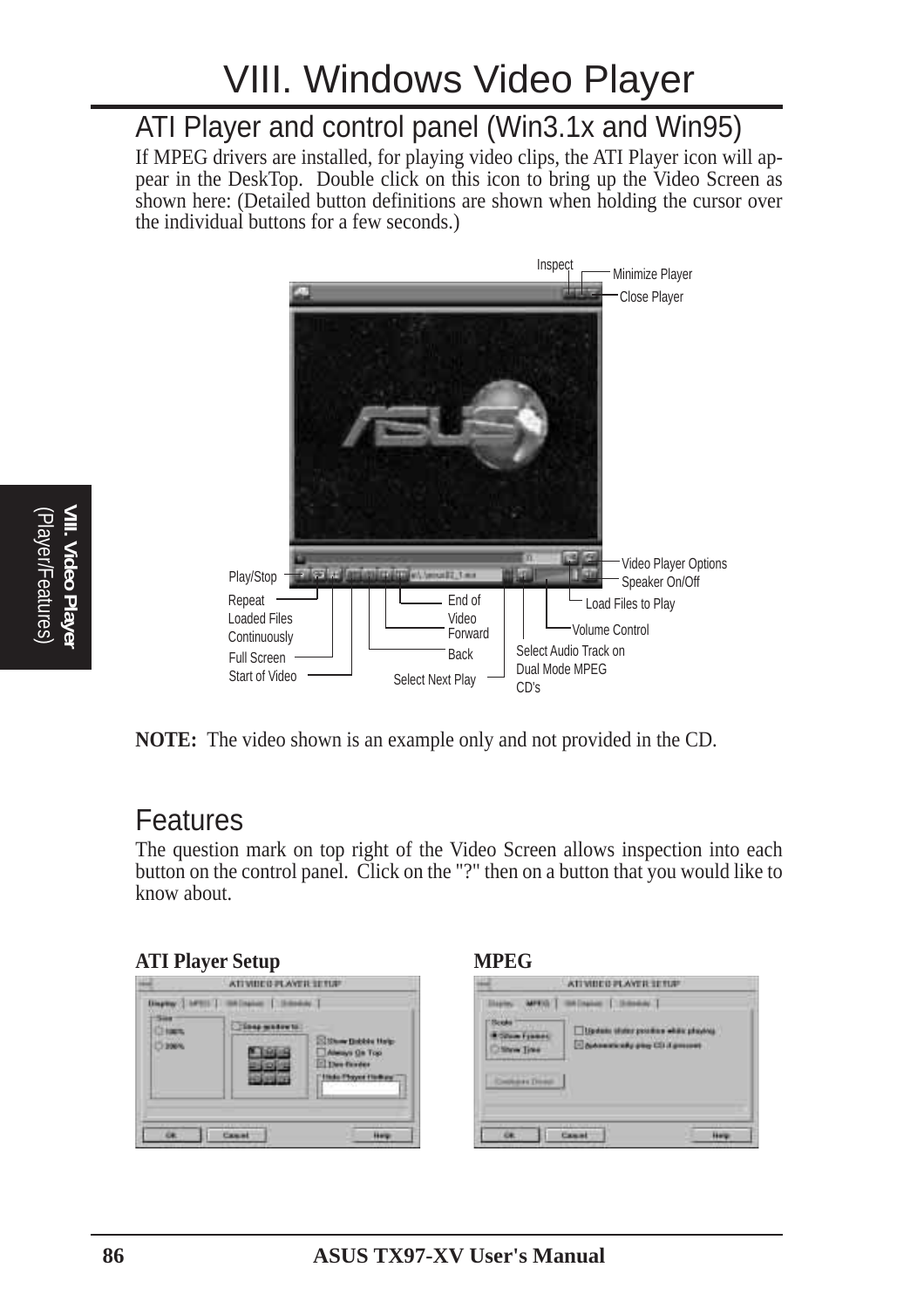# VIII. Windows Video Player

### ATI Player and control panel (Win3.1x and Win95)

If MPEG drivers are installed, for playing video clips, the ATI Player icon will appear in the DeskTop. Double click on this icon to bring up the Video Screen as shown here: (Detailed button definitions are shown when holding the cursor over the individual buttons for a few seconds.)



**NOTE:** The video shown is an example only and not provided in the CD.

### Features

The question mark on top right of the Video Screen allows inspection into each button on the control panel. Click on the "?" then on a button that you would like to know about.

#### **ATI Player Setup MPEG**



|     | ATIVITE PLAYER SETUP                                            |          |
|-----|-----------------------------------------------------------------|----------|
| 14T | <b>Eligabasis Midwa para</b><br><b>Conserved pro Childrense</b> | ww       |
|     |                                                                 | $\cdots$ |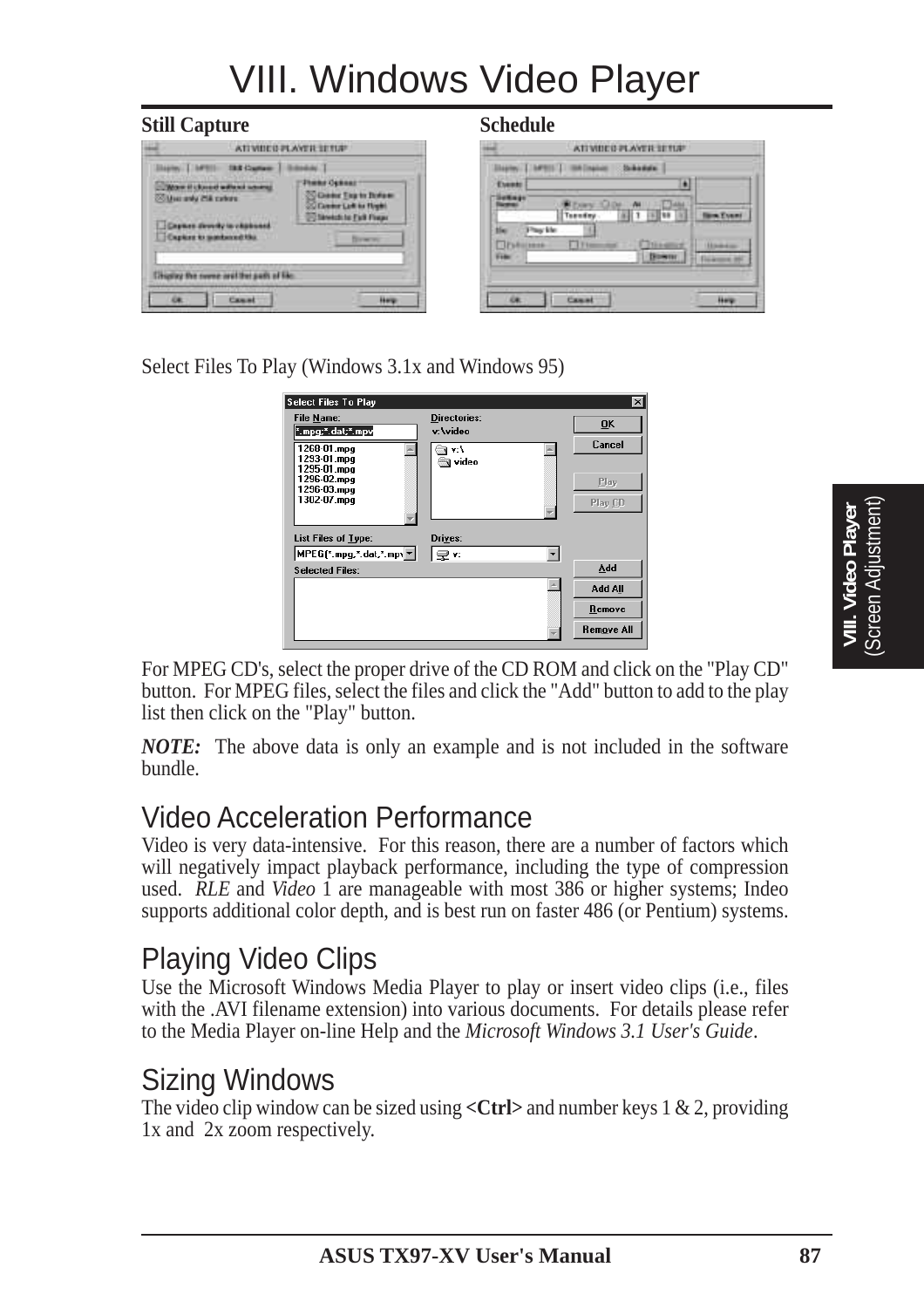# VIII. Windows Video Player

| <b>Still Capture</b>                                                                                                                                                                                                                                                                                 | <b>Schedule</b>                                                                                                                                                                                         |
|------------------------------------------------------------------------------------------------------------------------------------------------------------------------------------------------------------------------------------------------------------------------------------------------------|---------------------------------------------------------------------------------------------------------------------------------------------------------------------------------------------------------|
| ATIVIDED PLAYER SETUP                                                                                                                                                                                                                                                                                | ATIVIDED PLAYER SETUP.                                                                                                                                                                                  |
| <b>British Av</b><br><b>TRE Current</b><br><b>Thinks Ophner</b><br>Work II closed without source<br>Cooke Tag to Botam<br><b>COMMERCIAL CONTROL</b><br><b>Contest Link by Florida</b><br><b>Collection Fall Frage</b><br>Capture directly in chickcast<br>Capitas to paintered the<br><b>Systems</b> | <b>Student all all as</b><br>Events<br>٠<br><b>HEAL</b><br>5.148<br>Taxadou<br>Payle<br><b>May</b><br><b>ITT</b> Floor<br><b>Transman</b><br>Thington<br><b>Hannon</b><br><b>Ville</b><br><b>Thomas</b> |
| play the count and the path of like<br><b>Canad</b><br>Herp                                                                                                                                                                                                                                          | Hey<br><b>Canad</b>                                                                                                                                                                                     |

Select Files To Play (Windows 3.1x and Windows 95)

| <b>Select Files To Play</b>               |                          | $\vert x \vert$ |
|-------------------------------------------|--------------------------|-----------------|
| File Name:<br>".mpg;".dat;".mpv           | Directories:<br>v:\video | <u>ok</u>       |
| 1268-01.mpg<br>1293-01.mpg<br>1295-01.mpg | v۰۱<br>a video           | Cancel          |
| 1296-02.mpg<br>1296-03.mpg<br>1302-07.mpg |                          | Play            |
|                                           |                          | Play CD         |
| List Files of Type:                       | Drives:                  |                 |
| MPEG(*.mpg,*.dat,*.mp\ \r                 | 受v:                      |                 |
| <b>Selected Files:</b>                    |                          | Add             |
|                                           |                          | Add All         |
|                                           |                          | Remove          |
|                                           |                          | Remove All      |

For MPEG CD's, select the proper drive of the CD ROM and click on the "Play CD" button. For MPEG files, select the files and click the "Add" button to add to the play list then click on the "Play" button.

*NOTE:* The above data is only an example and is not included in the software bundle.

### Video Acceleration Performance

Video is very data-intensive. For this reason, there are a number of factors which will negatively impact playback performance, including the type of compression used. *RLE* and *Video* 1 are manageable with most 386 or higher systems; Indeo supports additional color depth, and is best run on faster 486 (or Pentium) systems.

### Playing Video Clips

Use the Microsoft Windows Media Player to play or insert video clips (i.e., files with the .AVI filename extension) into various documents. For details please refer to the Media Player on-line Help and the *Microsoft Windows 3.1 User's Guide*.

### Sizing Windows

The video clip window can be sized using **<Ctrl>** and number keys 1 & 2, providing 1x and 2x zoom respectively.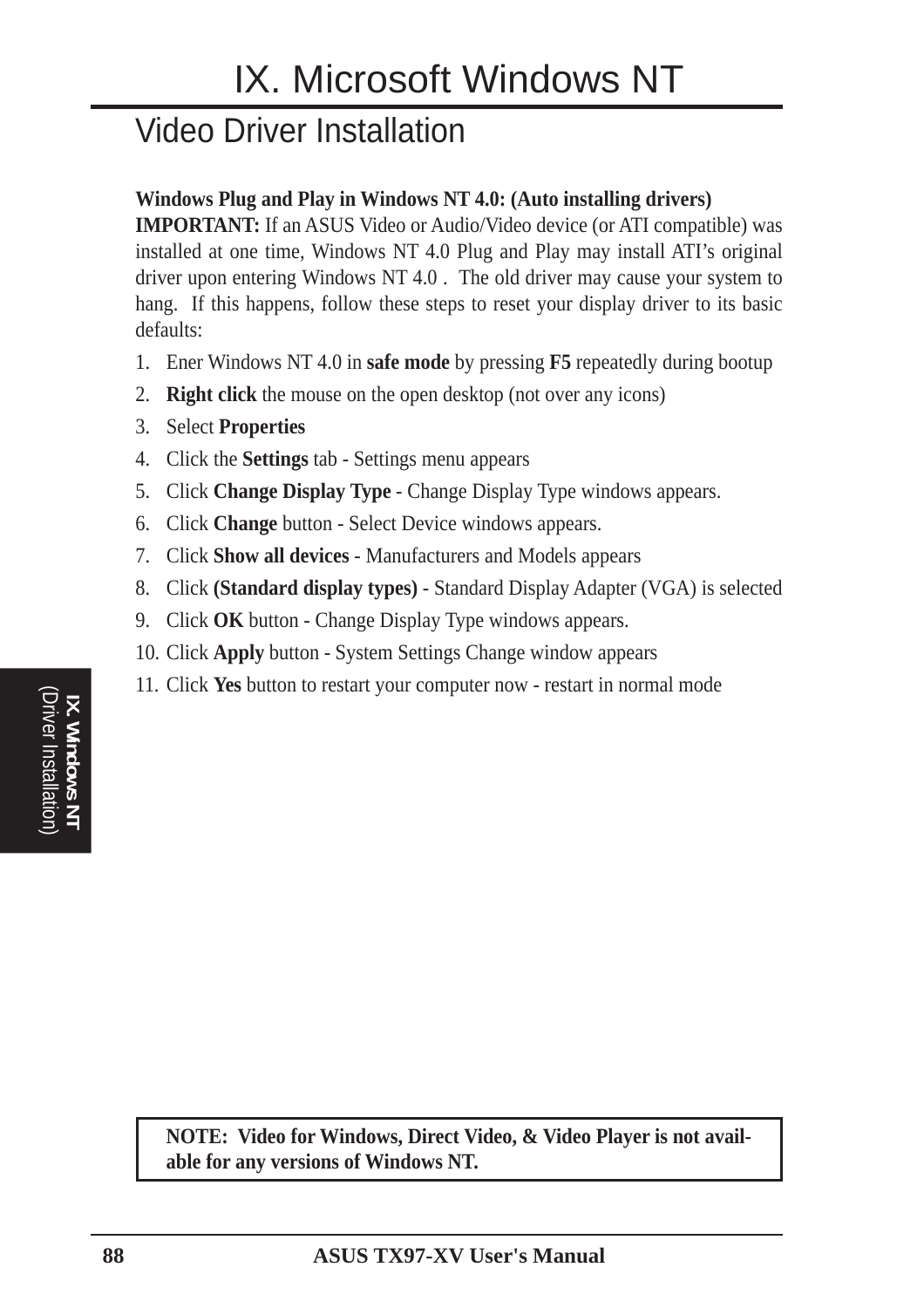#### **Windows Plug and Play in Windows NT 4.0: (Auto installing drivers)**

**IMPORTANT:** If an ASUS Video or Audio/Video device (or ATI compatible) was installed at one time, Windows NT 4.0 Plug and Play may install ATI's original driver upon entering Windows NT 4.0 . The old driver may cause your system to hang. If this happens, follow these steps to reset your display driver to its basic defaults:

- 1. Ener Windows NT 4.0 in **safe mode** by pressing **F5** repeatedly during bootup
- 2. **Right click** the mouse on the open desktop (not over any icons)
- 3. Select **Properties**
- 4. Click the **Settings** tab Settings menu appears
- 5. Click **Change Display Type** Change Display Type windows appears.
- 6. Click **Change** button Select Device windows appears.
- 7. Click **Show all devices**  Manufacturers and Models appears
- 8. Click **(Standard display types)** Standard Display Adapter (VGA) is selected
- 9. Click **OK** button Change Display Type windows appears.
- 10. Click **Apply** button System Settings Change window appears
- 11. Click **Yes** button to restart your computer now restart in normal mode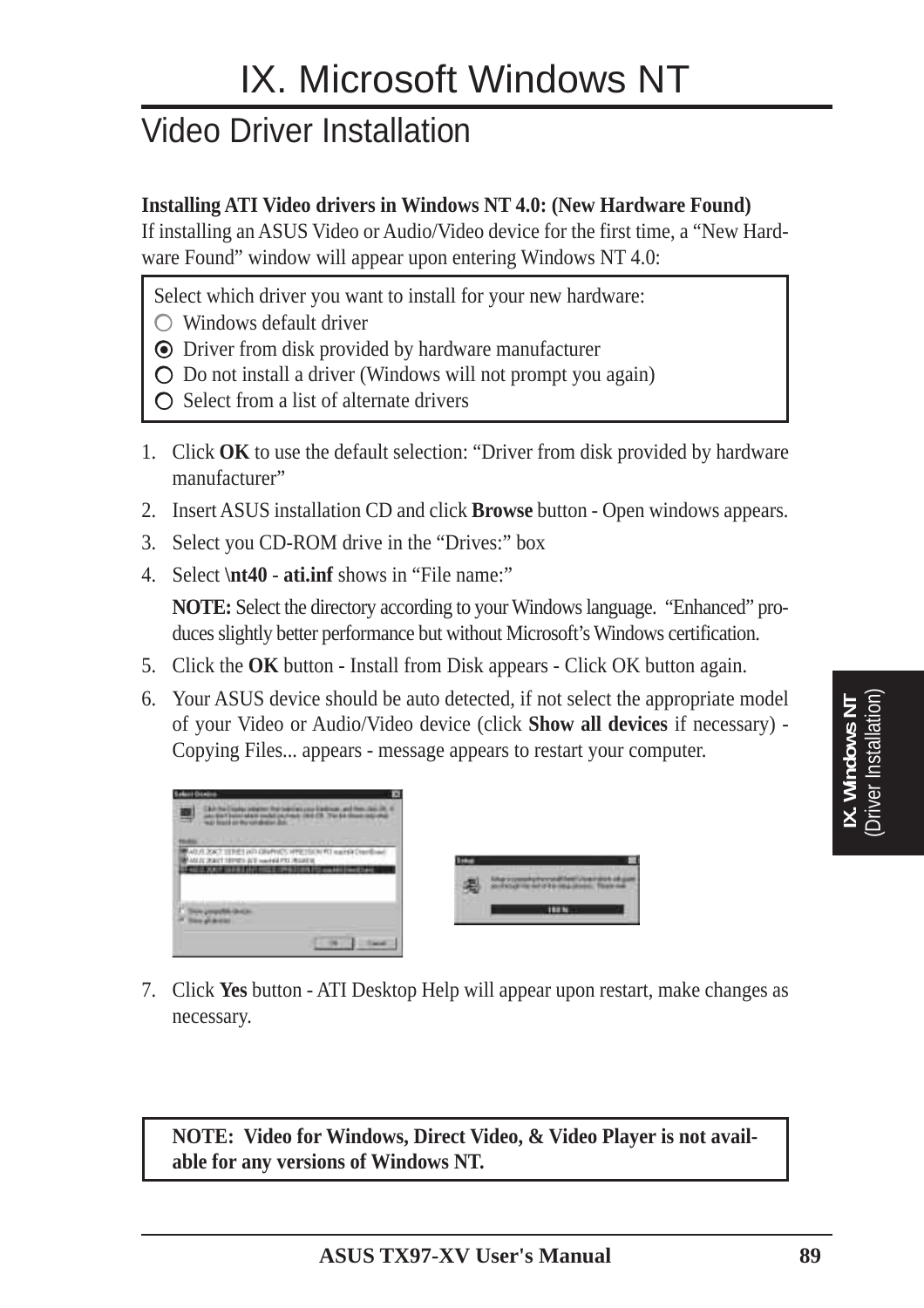#### **Installing ATI Video drivers in Windows NT 4.0: (New Hardware Found)**

If installing an ASUS Video or Audio/Video device for the first time, a "New Hardware Found" window will appear upon entering Windows NT 4.0:

Select which driver you want to install for your new hardware:

- Windows default driver
- Driver from disk provided by hardware manufacturer
- Do not install a driver (Windows will not prompt you again)
- $\bigcap$  Select from a list of alternate drivers
- 1. Click **OK** to use the default selection: "Driver from disk provided by hardware manufacturer"
- 2. Insert ASUS installation CD and click **Browse** button Open windows appears.
- 3. Select you CD-ROM drive in the "Drives:" box
- 4. Select **\nt40 ati.inf** shows in "File name:"

**NOTE:** Select the directory according to your Windows language. "Enhanced" produces slightly better performance but without Microsoft's Windows certification.

- 5. Click the **OK** button Install from Disk appears Click OK button again.
- 6. Your ASUS device should be auto detected, if not select the appropriate model of your Video or Audio/Video device (click **Show all devices** if necessary) - Copying Files... appears - message appears to restart your computer.



7. Click **Yes** button - ATI Desktop Help will appear upon restart, make changes as necessary.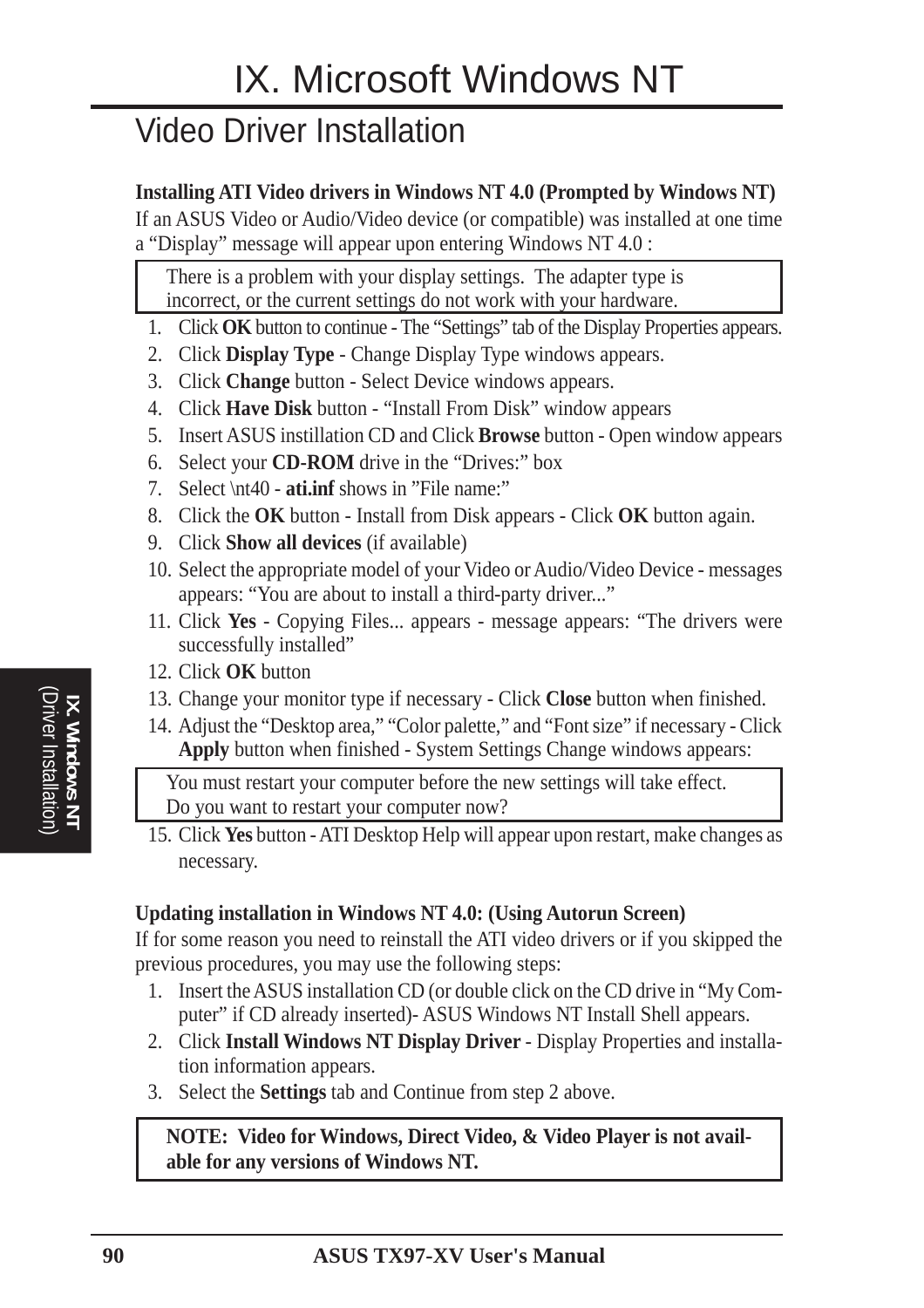#### **Installing ATI Video drivers in Windows NT 4.0 (Prompted by Windows NT)**

If an ASUS Video or Audio/Video device (or compatible) was installed at one time a "Display" message will appear upon entering Windows NT 4.0 :

There is a problem with your display settings. The adapter type is incorrect, or the current settings do not work with your hardware.

- 1. Click **OK** button to continue The "Settings" tab of the Display Properties appears.
- 2. Click **Display Type** Change Display Type windows appears.
- 3. Click **Change** button Select Device windows appears.
- 4. Click **Have Disk** button "Install From Disk" window appears
- 5. Insert ASUS instillation CD and Click **Browse** button Open window appears
- 6. Select your **CD-ROM** drive in the "Drives:" box
- 7. Select \nt40 **ati.inf** shows in "File name:"
- 8. Click the **OK** button Install from Disk appears Click **OK** button again.
- 9. Click **Show all devices** (if available)
- 10. Select the appropriate model of your Video or Audio/Video Device messages appears: "You are about to install a third-party driver..."
- 11. Click **Yes** Copying Files... appears message appears: "The drivers were successfully installed"
- 12. Click **OK** button
- 13. Change your monitor type if necessary Click **Close** button when finished.
- 14. Adjust the "Desktop area," "Color palette," and "Font size" if necessary Click **Apply** button when finished - System Settings Change windows appears:

You must restart your computer before the new settings will take effect. Do you want to restart your computer now?

15. Click **Yes** button - ATI Desktop Help will appear upon restart, make changes as necessary.

#### **Updating installation in Windows NT 4.0: (Using Autorun Screen)**

If for some reason you need to reinstall the ATI video drivers or if you skipped the previous procedures, you may use the following steps:

- 1. Insert the ASUS installation CD (or double click on the CD drive in "My Computer" if CD already inserted)- ASUS Windows NT Install Shell appears.
- 2. Click **Install Windows NT Display Driver**  Display Properties and installation information appears.
- 3. Select the **Settings** tab and Continue from step 2 above.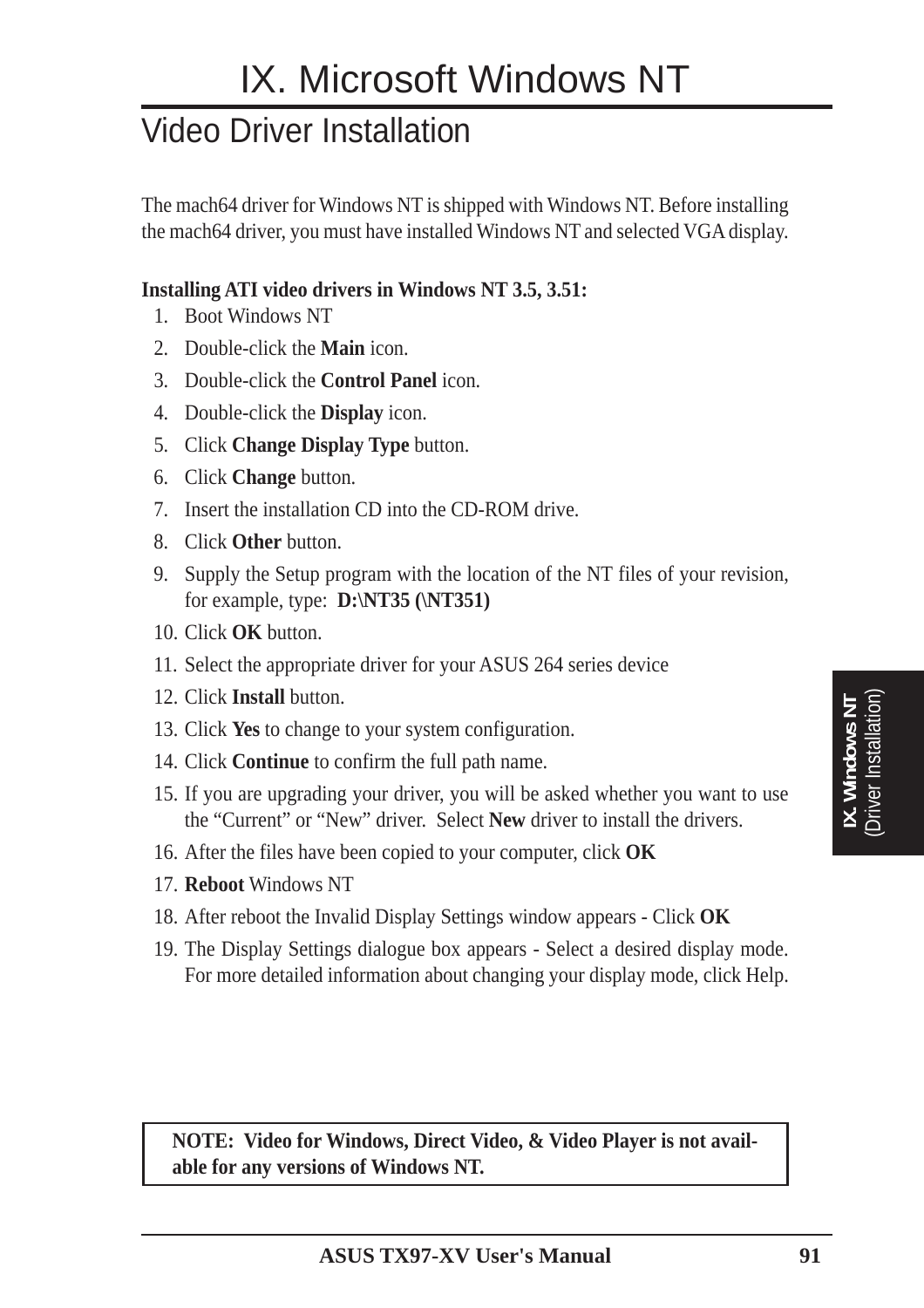The mach64 driver for Windows NT is shipped with Windows NT. Before installing the mach64 driver, you must have installed Windows NT and selected VGA display.

#### **Installing ATI video drivers in Windows NT 3.5, 3.51:**

- 1. Boot Windows NT
- 2. Double-click the **Main** icon.
- 3. Double-click the **Control Panel** icon.
- 4. Double-click the **Display** icon.
- 5. Click **Change Display Type** button.
- 6. Click **Change** button.
- 7. Insert the installation CD into the CD-ROM drive.
- 8. Click **Other** button.
- 9. Supply the Setup program with the location of the NT files of your revision, for example, type: **D:\NT35 (\NT351)**
- 10. Click **OK** button.
- 11. Select the appropriate driver for your ASUS 264 series device
- 12. Click **Install** button.
- 13. Click **Yes** to change to your system configuration.
- 14. Click **Continue** to confirm the full path name.
- 15. If you are upgrading your driver, you will be asked whether you want to use the "Current" or "New" driver. Select **New** driver to install the drivers.
- 16. After the files have been copied to your computer, click **OK**
- 17. **Reboot** Windows NT
- 18. After reboot the Invalid Display Settings window appears Click **OK**
- 19. The Display Settings dialogue box appears Select a desired display mode. For more detailed information about changing your display mode, click Help.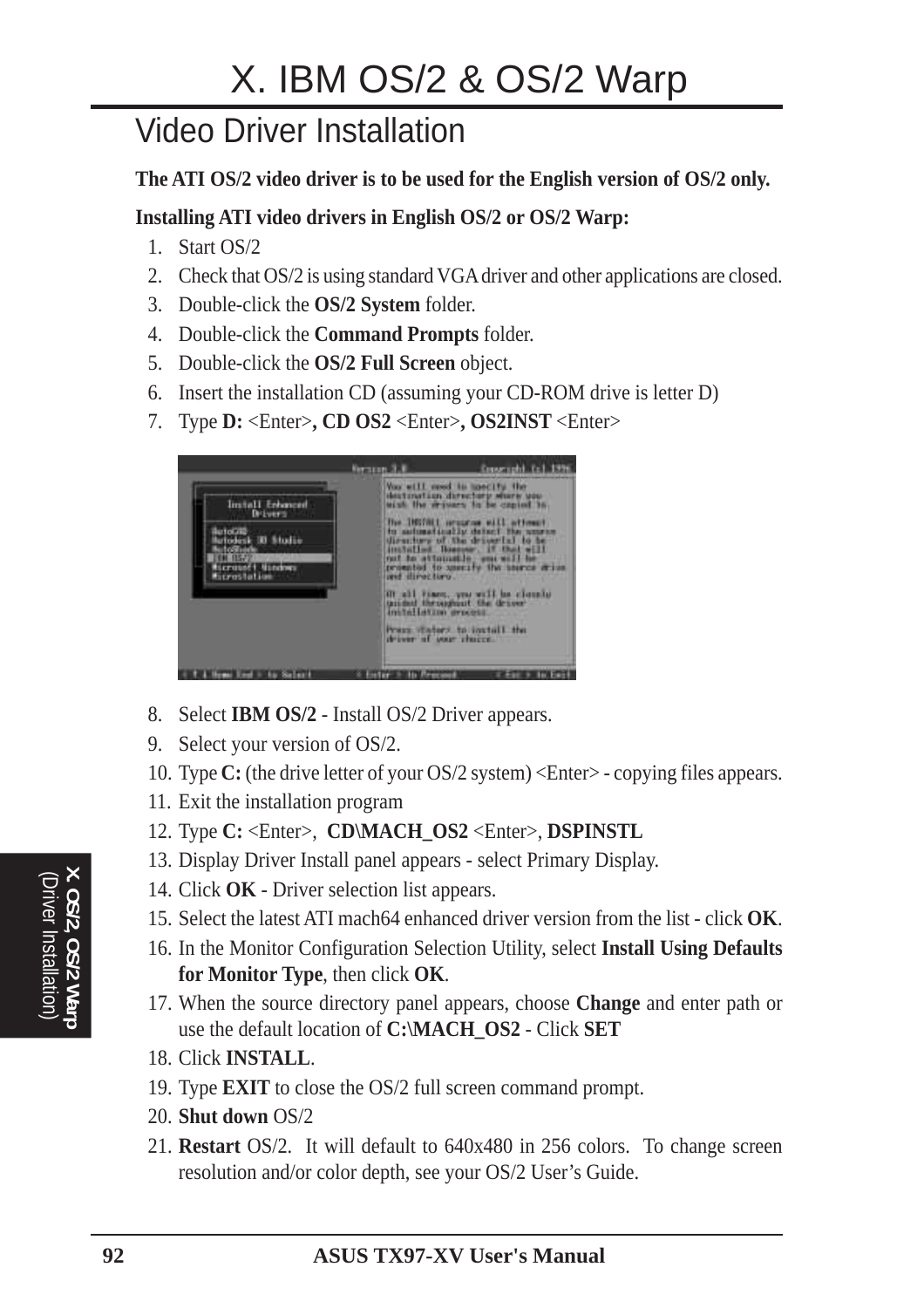# X. IBM OS/2 & OS/2 Warp

## Video Driver Installation

#### **The ATI OS/2 video driver is to be used for the English version of OS/2 only.**

#### **Installing ATI video drivers in English OS/2 or OS/2 Warp:**

- 1. Start OS/2
- 2. Check that OS/2 is using standard VGA driver and other applications are closed.
- 3. Double-click the **OS/2 System** folder.
- 4. Double-click the **Command Prompts** folder.
- 5. Double-click the **OS/2 Full Screen** object.
- 6. Insert the installation CD (assuming your CD-ROM drive is letter D)
- 7. Type **D:** <Enter>**, CD OS2** <Enter>**, OS2INST** <Enter>



- 8. Select **IBM OS/2**  Install OS/2 Driver appears.
- 9. Select your version of OS/2.
- 10. Type **C:** (the drive letter of your OS/2 system) <Enter> copying files appears.
- 11. Exit the installation program
- 12. Type **C:** <Enter>, **CD\MACH\_OS2** <Enter>, **DSPINSTL**
- 13. Display Driver Install panel appears select Primary Display.
- 14. Click **OK**  Driver selection list appears.
- 15. Select the latest ATI mach64 enhanced driver version from the list click **OK**.
- 16. In the Monitor Configuration Selection Utility, select **Install Using Defaults for Monitor Type**, then click **OK**.
- 17. When the source directory panel appears, choose **Change** and enter path or use the default location of **C:\MACH\_OS2** - Click **SET**
- 18. Click **INSTALL**.
- 19. Type **EXIT** to close the OS/2 full screen command prompt.
- 20. **Shut down** OS/2
- 21. **Restart** OS/2. It will default to 640x480 in 256 colors. To change screen resolution and/or color depth, see your OS/2 User's Guide.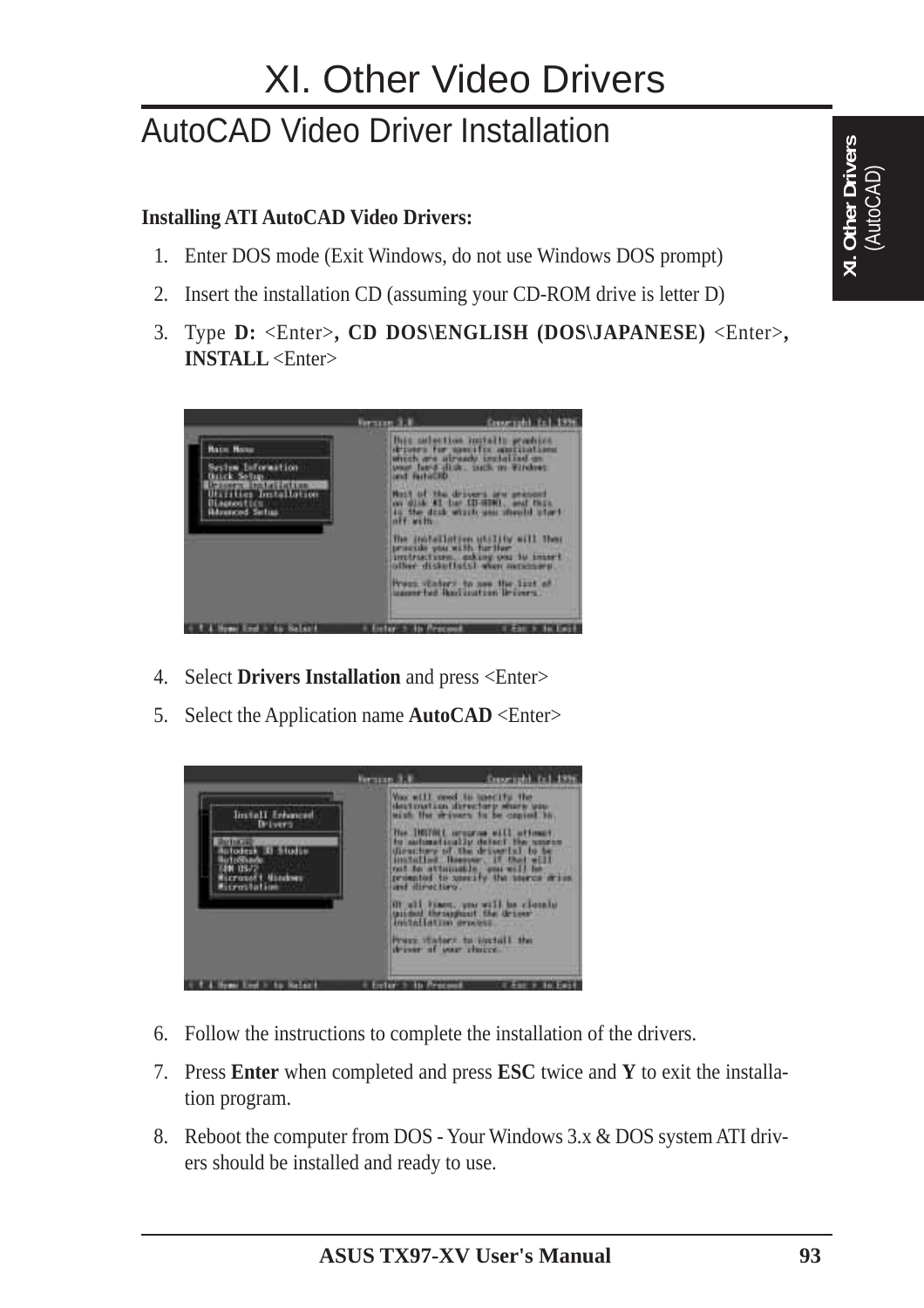# XI. Other Video Drivers AutoCAD Video Driver Installation

#### **Installing ATI AutoCAD Video Drivers:**

- 1. Enter DOS mode (Exit Windows, do not use Windows DOS prompt)
- 2. Insert the installation CD (assuming your CD-ROM drive is letter D)
- 3. Type **D:** <Enter>**, CD DOS\ENGLISH (DOS\JAPANESE)** <Enter>**, INSTALL** <Enter>



- 4. Select **Drivers Installation** and press <Enter>
- 5. Select the Application name **AutoCAD** <Enter>



- 6. Follow the instructions to complete the installation of the drivers.
- 7. Press **Enter** when completed and press **ESC** twice and **Y** to exit the installation program.
- 8. Reboot the computer from DOS Your Windows 3.x & DOS system ATI drivers should be installed and ready to use.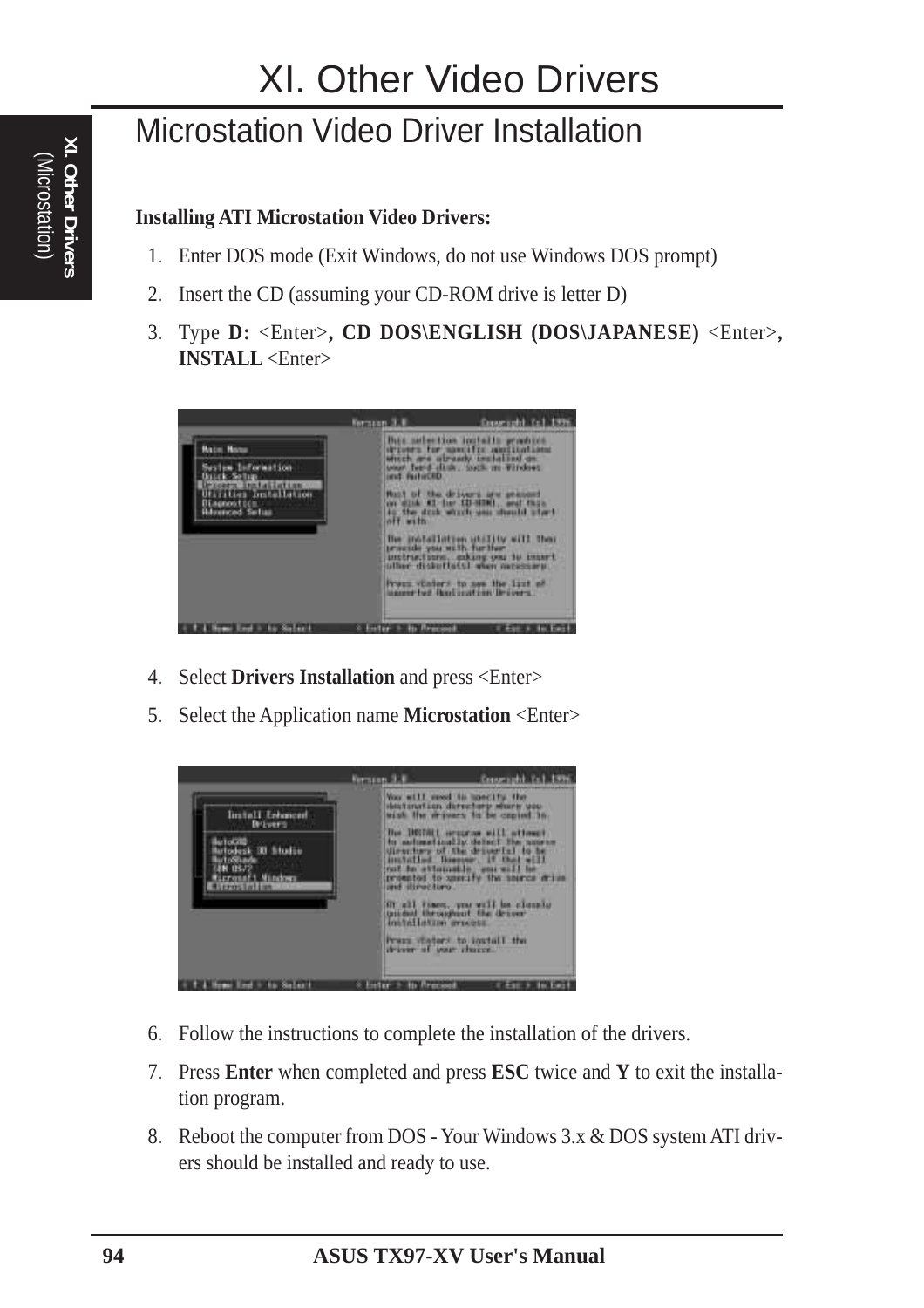## Microstation Video Driver Installation

#### **Installing ATI Microstation Video Drivers:**

- 1. Enter DOS mode (Exit Windows, do not use Windows DOS prompt)
- 2. Insert the CD (assuming your CD-ROM drive is letter D)
- 3. Type **D:** <Enter>**, CD DOS\ENGLISH (DOS\JAPANESE)** <Enter>**, INSTALL** <Enter>



- 4. Select **Drivers Installation** and press <Enter>
- 5. Select the Application name **Microstation** <Enter>



- 6. Follow the instructions to complete the installation of the drivers.
- 7. Press **Enter** when completed and press **ESC** twice and **Y** to exit the installation program.
- 8. Reboot the computer from DOS Your Windows 3.x & DOS system ATI drivers should be installed and ready to use.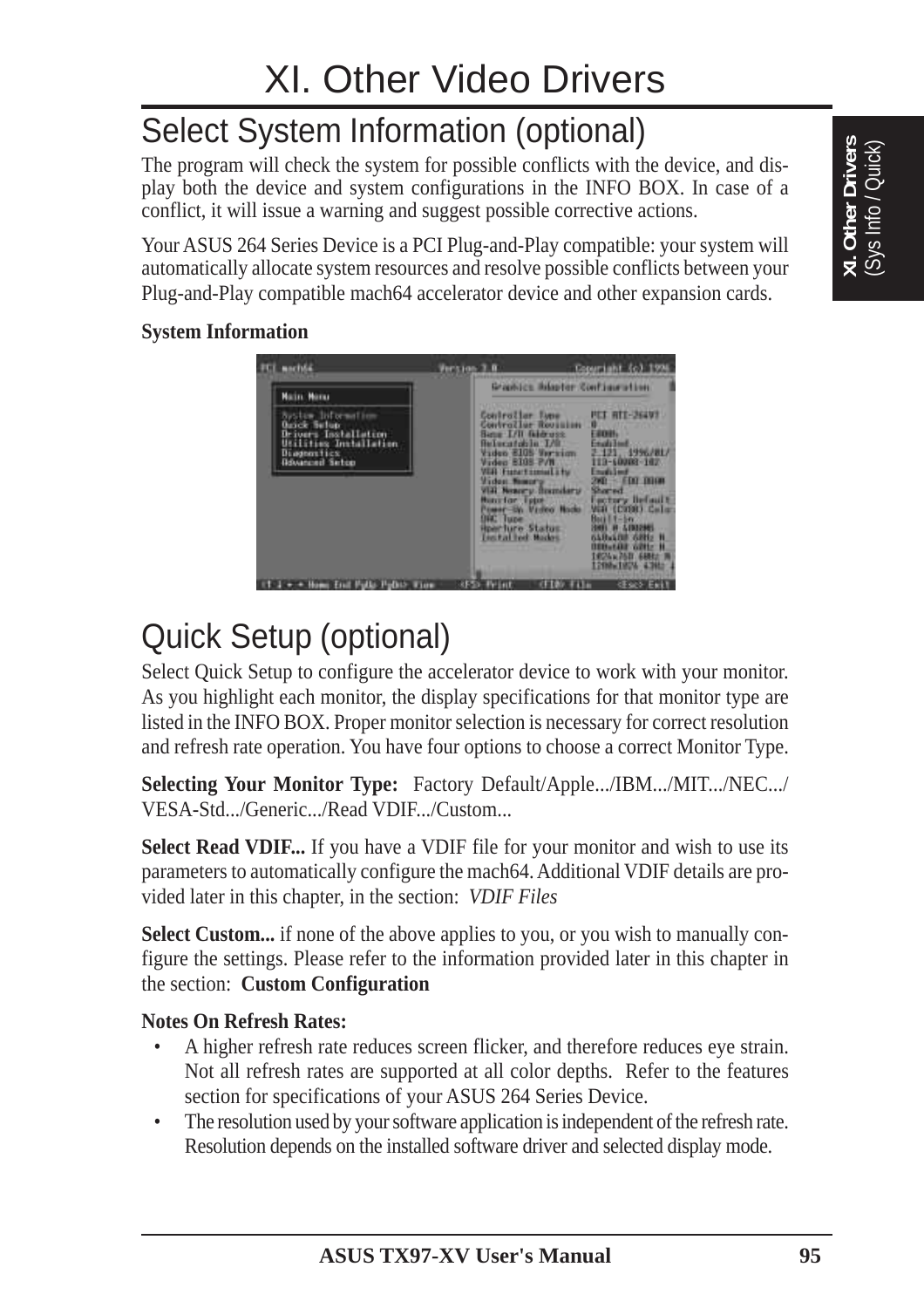# Select System Information (optional)

The program will check the system for possible conflicts with the device, and display both the device and system configurations in the INFO BOX. In case of a conflict, it will issue a warning and suggest possible corrective actions.

Your ASUS 264 Series Device is a PCI Plug-and-Play compatible: your system will automatically allocate system resources and resolve possible conflicts between your Plug-and-Play compatible mach64 accelerator device and other expansion cards.

#### **System Information**

| mach64                                                                                                                                                       | Fersion 7.8                                                                                                                                                                                                                                                                                                              | Copurisht (c) 1996                                                                                                                                                                                                      |
|--------------------------------------------------------------------------------------------------------------------------------------------------------------|--------------------------------------------------------------------------------------------------------------------------------------------------------------------------------------------------------------------------------------------------------------------------------------------------------------------------|-------------------------------------------------------------------------------------------------------------------------------------------------------------------------------------------------------------------------|
| <b>Matin Marius</b>                                                                                                                                          |                                                                                                                                                                                                                                                                                                                          | Graphics Relaptor Configuration                                                                                                                                                                                         |
| polis life atim.<br><b>Quick Selap</b><br>Drivers Installation<br>Utilities Installation<br><b>Diagnostics</b><br><b><i><u><u>Bdvanced</u></u></i></b> Setop | Controller Tune<br>orivaller Rovision<br><b>Bang L/B faidrook</b><br>Belventoble 1/8<br>tutes E105 Version<br>Video 6105 P/R<br><b>VEH FILMETIONALL FM</b><br>Video Romara<br>(14) Newcary, Bearndary,<br>turritor ligge<br><b>Lawre Dig Victor Macks</b><br>NGC Tuzo <del>r</del><br>perfure Status<br>antal test Mades | <b>PET RIT-26497</b><br>$-11111$<br><b>Frida Trust</b><br>2.121, 1996/81/<br>119-10008-107<br>$280 - 000$ minut<br><b>Charred</b><br>Factory Befault<br>VGH (CVHH) Calar<br>$1 - 5n$<br><b>ABH2 11</b><br><b>COLUMN</b> |
| Frail Public Public Winn                                                                                                                                     |                                                                                                                                                                                                                                                                                                                          | <b>CESCO ENI</b>                                                                                                                                                                                                        |

# Quick Setup (optional)

Select Quick Setup to configure the accelerator device to work with your monitor. As you highlight each monitor, the display specifications for that monitor type are listed in the INFO BOX. Proper monitor selection is necessary for correct resolution and refresh rate operation. You have four options to choose a correct Monitor Type.

**Selecting Your Monitor Type:** Factory Default/Apple.../IBM.../MIT.../NEC.../ VESA-Std.../Generic.../Read VDIF.../Custom...

**Select Read VDIF...** If you have a VDIF file for your monitor and wish to use its parameters to automatically configure the mach64. Additional VDIF details are provided later in this chapter, in the section: *VDIF Files*

**Select Custom...** if none of the above applies to you, or you wish to manually configure the settings. Please refer to the information provided later in this chapter in the section:**Custom Configuration**

#### **Notes On Refresh Rates:**

- A higher refresh rate reduces screen flicker, and therefore reduces eye strain. Not all refresh rates are supported at all color depths. Refer to the features section for specifications of your ASUS 264 Series Device.
- The resolution used by your software application is independent of the refresh rate. Resolution depends on the installed software driver and selected display mode.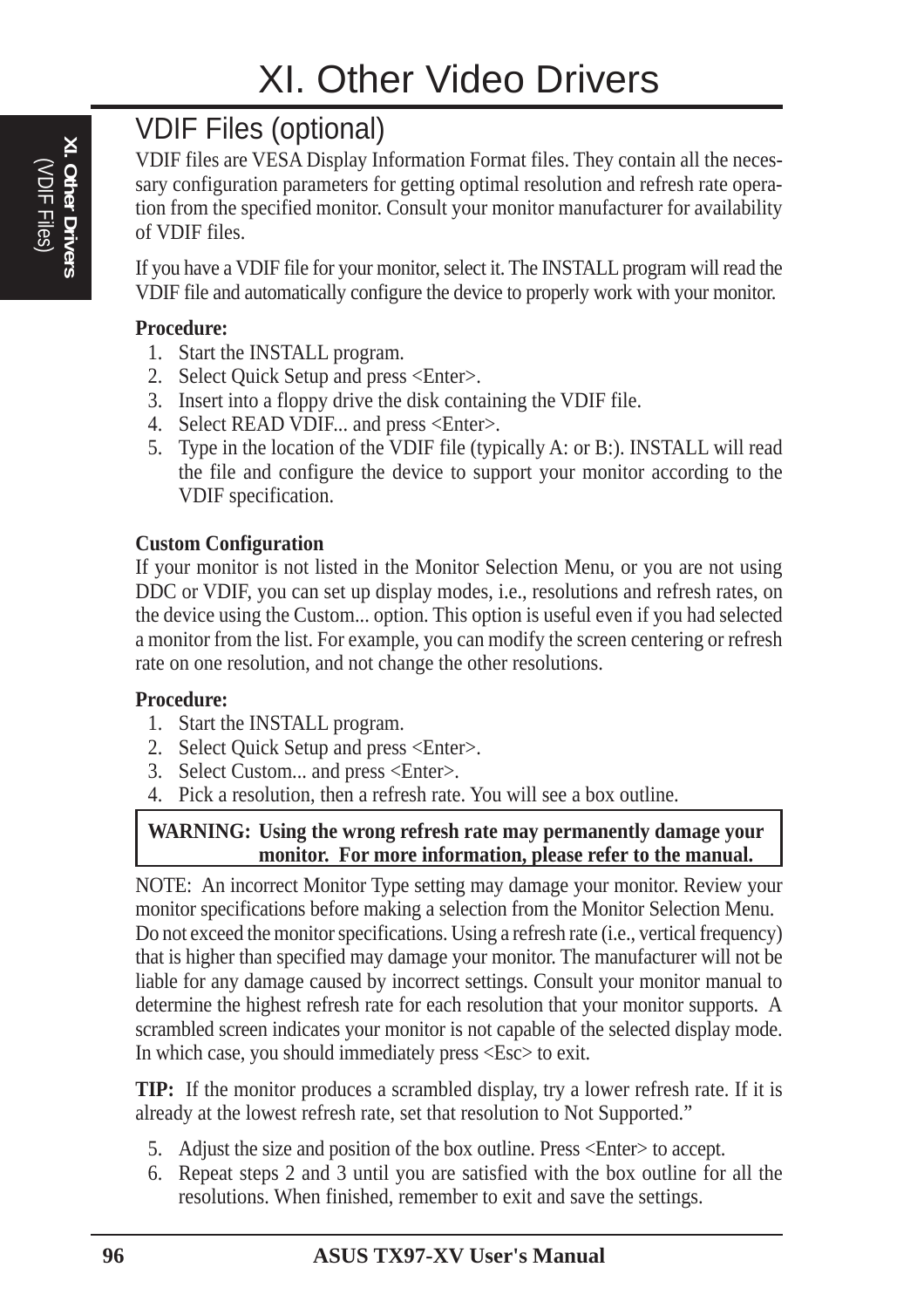### VDIF Files (optional)

VDIF files are VESA Display Information Format files. They contain all the necessary configuration parameters for getting optimal resolution and refresh rate operation from the specified monitor. Consult your monitor manufacturer for availability of VDIF files.

If you have a VDIF file for your monitor, select it. The INSTALL program will read the VDIF file and automatically configure the device to properly work with your monitor.

#### **Procedure:**

- 1. Start the INSTALL program.
- 2. Select Quick Setup and press <Enter>.
- 3. Insert into a floppy drive the disk containing the VDIF file.
- 4. Select READ VDIF... and press <Enter>.
- 5. Type in the location of the VDIF file (typically A: or B:). INSTALL will read the file and configure the device to support your monitor according to the VDIF specification.

#### **Custom Configuration**

If your monitor is not listed in the Monitor Selection Menu, or you are not using DDC or VDIF, you can set up display modes, i.e., resolutions and refresh rates, on the device using the Custom... option. This option is useful even if you had selected a monitor from the list. For example, you can modify the screen centering or refresh rate on one resolution, and not change the other resolutions.

#### **Procedure:**

- 1. Start the INSTALL program.
- 2. Select Quick Setup and press <Enter>.
- 3. Select Custom... and press <Enter>.
- 4. Pick a resolution, then a refresh rate. You will see a box outline.

#### **WARNING: Using the wrong refresh rate may permanently damage your monitor. For more information, please refer to the manual.**

NOTE: An incorrect Monitor Type setting may damage your monitor. Review your monitor specifications before making a selection from the Monitor Selection Menu. Do not exceed the monitor specifications. Using a refresh rate (i.e., vertical frequency) that is higher than specified may damage your monitor. The manufacturer will not be liable for any damage caused by incorrect settings. Consult your monitor manual to determine the highest refresh rate for each resolution that your monitor supports. A scrambled screen indicates your monitor is not capable of the selected display mode. In which case, you should immediately press <Esc> to exit.

**TIP:** If the monitor produces a scrambled display, try a lower refresh rate. If it is already at the lowest refresh rate, set that resolution to Not Supported."

- 5. Adjust the size and position of the box outline. Press <Enter> to accept.
- 6. Repeat steps 2 and 3 until you are satisfied with the box outline for all the resolutions. When finished, remember to exit and save the settings.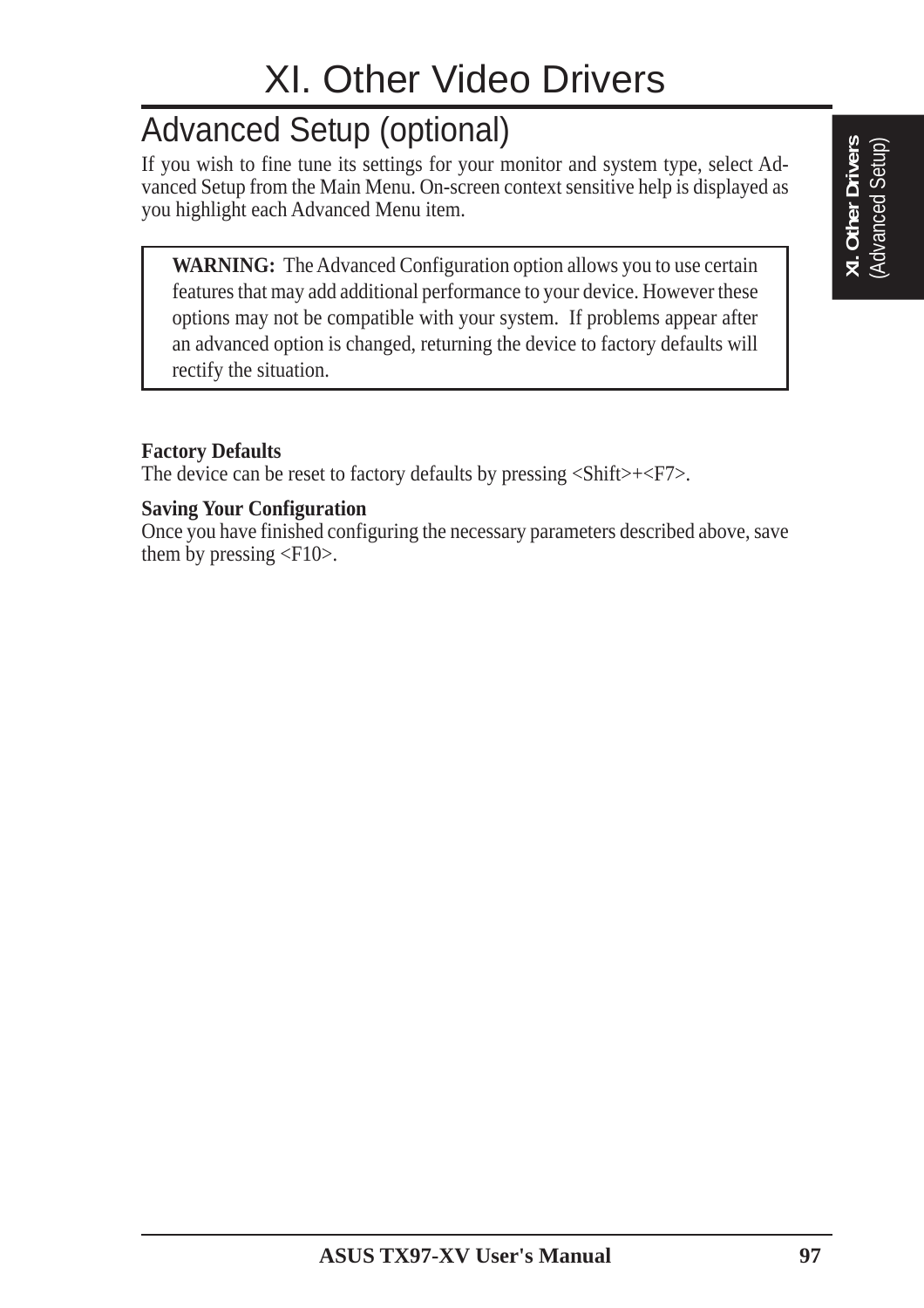# XI. Other Video Drivers

# Advanced Setup (optional)

If you wish to fine tune its settings for your monitor and system type, select Advanced Setup from the Main Menu. On-screen context sensitive help is displayed as you highlight each Advanced Menu item.

**WARNING:** The Advanced Configuration option allows you to use certain features that may add additional performance to your device. However these options may not be compatible with your system. If problems appear after an advanced option is changed, returning the device to factory defaults will rectify the situation.

#### **Factory Defaults**

The device can be reset to factory defaults by pressing <Shift>+<F7>.

#### **Saving Your Configuration**

Once you have finished configuring the necessary parameters described above, save them by pressing  $\langle$ F10 $\rangle$ .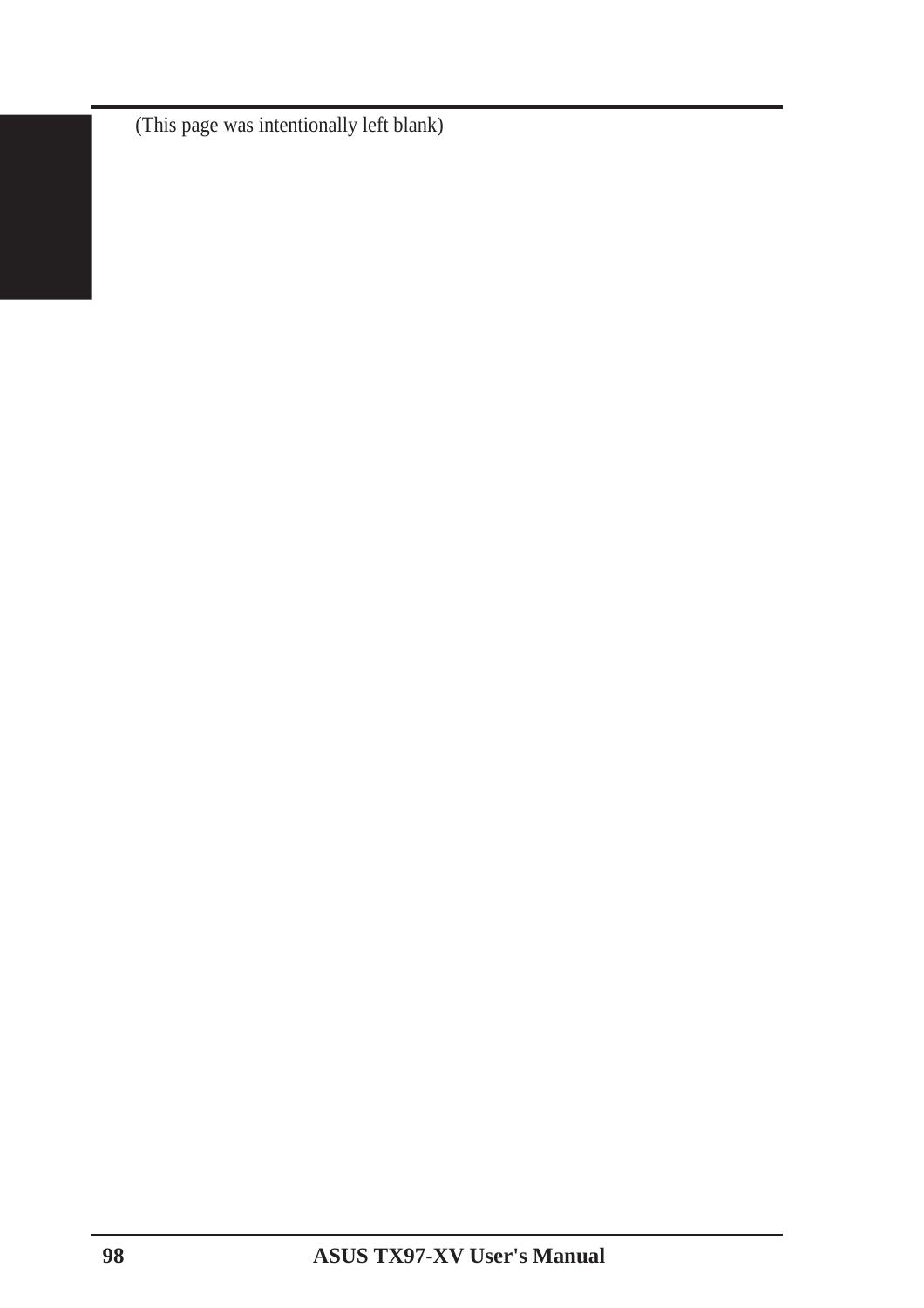(This page was intentionally left blank)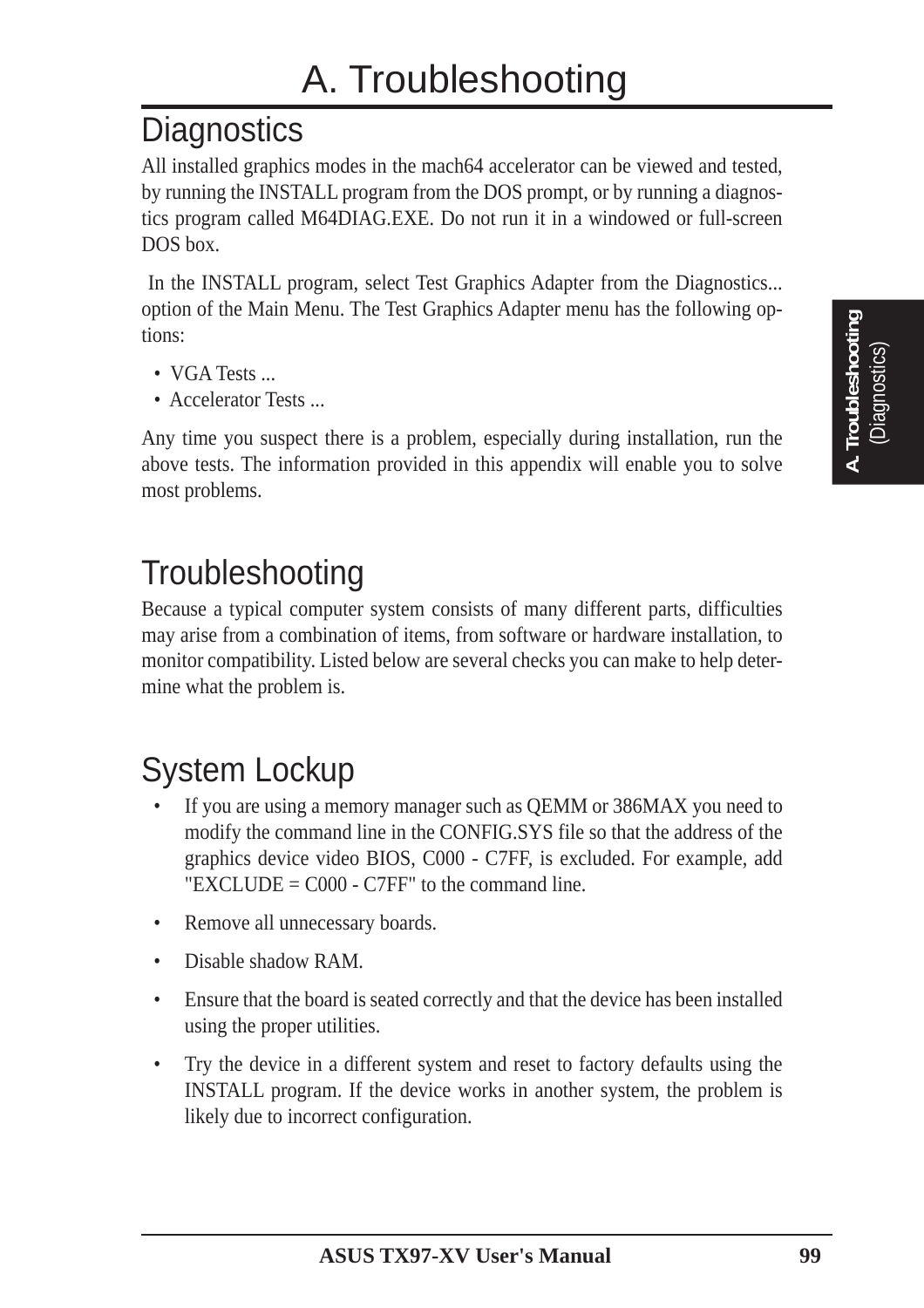# **Diagnostics**

All installed graphics modes in the mach64 accelerator can be viewed and tested, by running the INSTALL program from the DOS prompt, or by running a diagnostics program called M64DIAG.EXE. Do not run it in a windowed or full-screen DOS box.

 In the INSTALL program, select Test Graphics Adapter from the Diagnostics... option of the Main Menu. The Test Graphics Adapter menu has the following options:

- VGA Tests ...
- Accelerator Tests ...

Any time you suspect there is a problem, especially during installation, run the above tests. The information provided in this appendix will enable you to solve most problems.

# **Troubleshooting**

Because a typical computer system consists of many different parts, difficulties may arise from a combination of items, from software or hardware installation, to monitor compatibility. Listed below are several checks you can make to help determine what the problem is.

# System Lockup

- If you are using a memory manager such as QEMM or 386MAX you need to modify the command line in the CONFIG.SYS file so that the address of the graphics device video BIOS, C000 - C7FF, is excluded. For example, add "EXCLUDE = C000 - C7FF" to the command line.
- Remove all unnecessary boards.
- Disable shadow RAM.
- Ensure that the board is seated correctly and that the device has been installed using the proper utilities.
- Try the device in a different system and reset to factory defaults using the INSTALL program. If the device works in another system, the problem is likely due to incorrect configuration.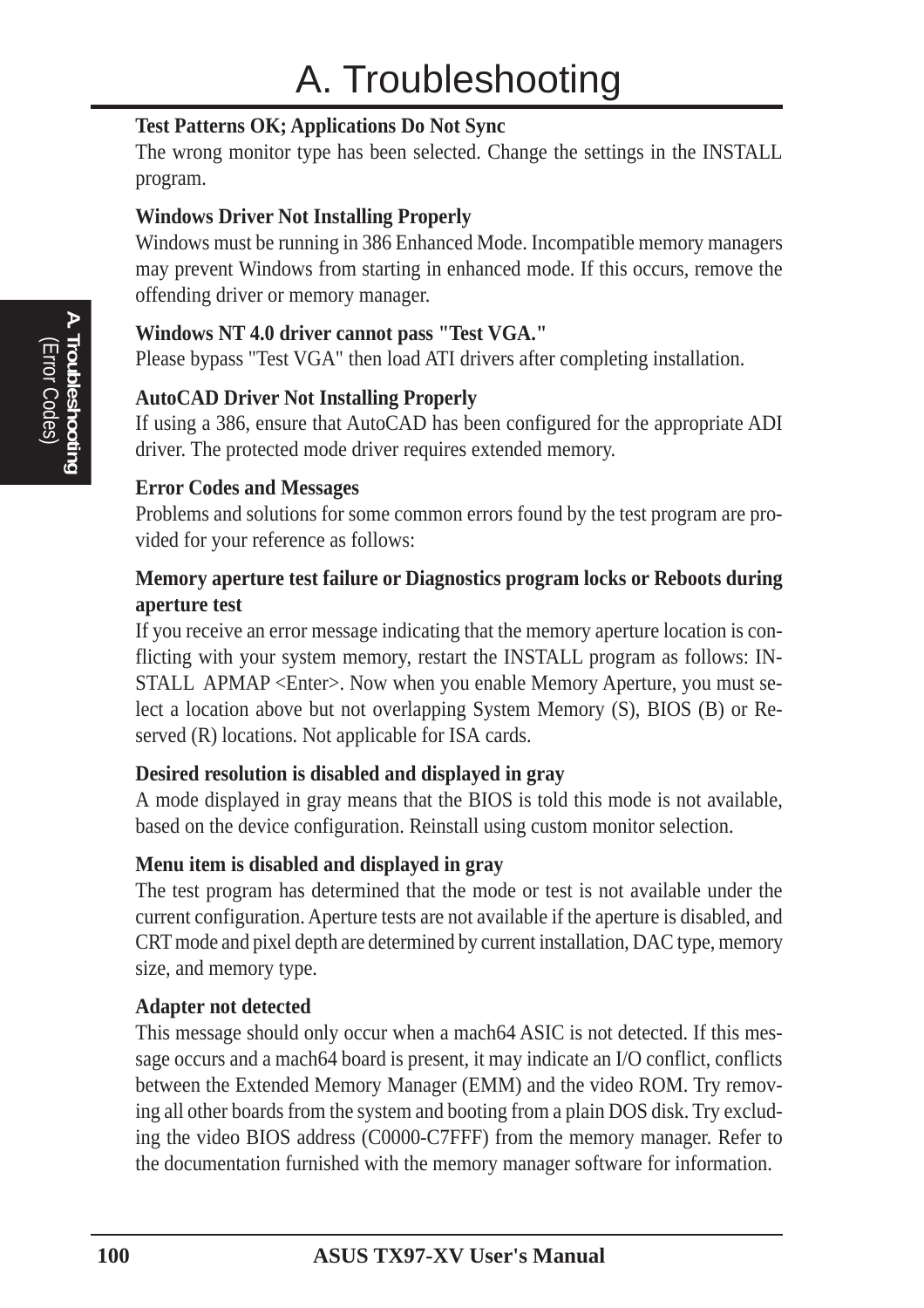# A. Troubleshooting

#### **Test Patterns OK; Applications Do Not Sync**

The wrong monitor type has been selected. Change the settings in the INSTALL program.

#### **Windows Driver Not Installing Properly**

Windows must be running in 386 Enhanced Mode. Incompatible memory managers may prevent Windows from starting in enhanced mode. If this occurs, remove the offending driver or memory manager.

#### **Windows NT 4.0 driver cannot pass "Test VGA."**

Please bypass "Test VGA" then load ATI drivers after completing installation.

#### **AutoCAD Driver Not Installing Properly**

If using a 386, ensure that AutoCAD has been configured for the appropriate ADI driver. The protected mode driver requires extended memory.

#### **Error Codes and Messages**

Problems and solutions for some common errors found by the test program are provided for your reference as follows:

#### **Memory aperture test failure or Diagnostics program locks or Reboots during aperture test**

If you receive an error message indicating that the memory aperture location is conflicting with your system memory, restart the INSTALL program as follows: IN-STALL APMAP <Enter>. Now when you enable Memory Aperture, you must select a location above but not overlapping System Memory (S), BIOS (B) or Reserved (R) locations. Not applicable for ISA cards.

#### **Desired resolution is disabled and displayed in gray**

A mode displayed in gray means that the BIOS is told this mode is not available, based on the device configuration. Reinstall using custom monitor selection.

#### **Menu item is disabled and displayed in gray**

The test program has determined that the mode or test is not available under the current configuration. Aperture tests are not available if the aperture is disabled, and CRT mode and pixel depth are determined by current installation, DAC type, memory size, and memory type.

#### **Adapter not detected**

This message should only occur when a mach64 ASIC is not detected. If this message occurs and a mach64 board is present, it may indicate an I/O conflict, conflicts between the Extended Memory Manager (EMM) and the video ROM. Try removing all other boards from the system and booting from a plain DOS disk. Try excluding the video BIOS address (C0000-C7FFF) from the memory manager. Refer to the documentation furnished with the memory manager software for information.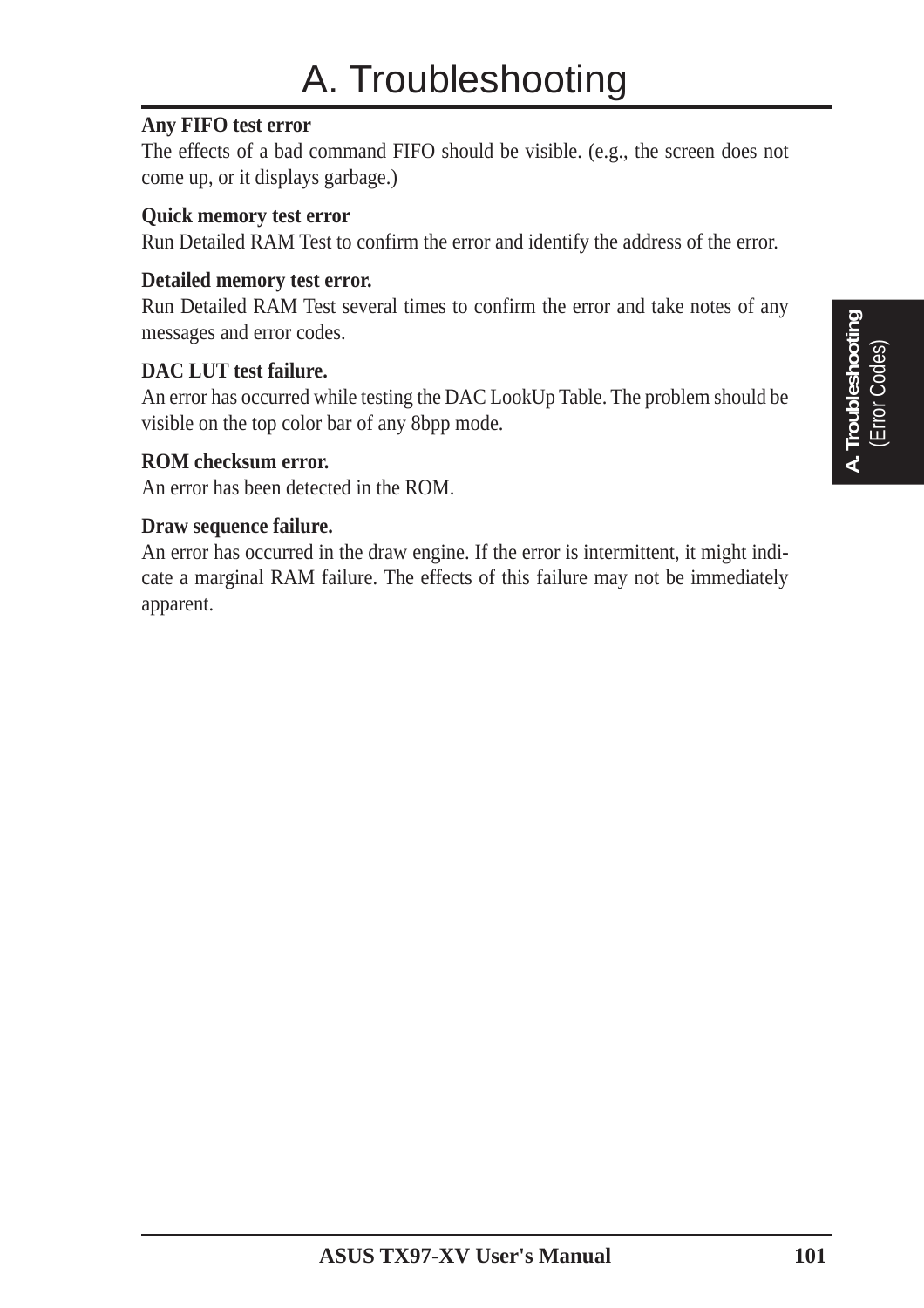#### **Any FIFO test error**

The effects of a bad command FIFO should be visible. (e.g., the screen does not come up, or it displays garbage.)

#### **Quick memory test error**

Run Detailed RAM Test to confirm the error and identify the address of the error.

#### **Detailed memory test error.**

Run Detailed RAM Test several times to confirm the error and take notes of any messages and error codes.

#### **DAC LUT test failure.**

An error has occurred while testing the DAC LookUp Table. The problem should be visible on the top color bar of any 8bpp mode.

#### **ROM checksum error.**

An error has been detected in the ROM.

#### **Draw sequence failure.**

An error has occurred in the draw engine. If the error is intermittent, it might indicate a marginal RAM failure. The effects of this failure may not be immediately apparent.